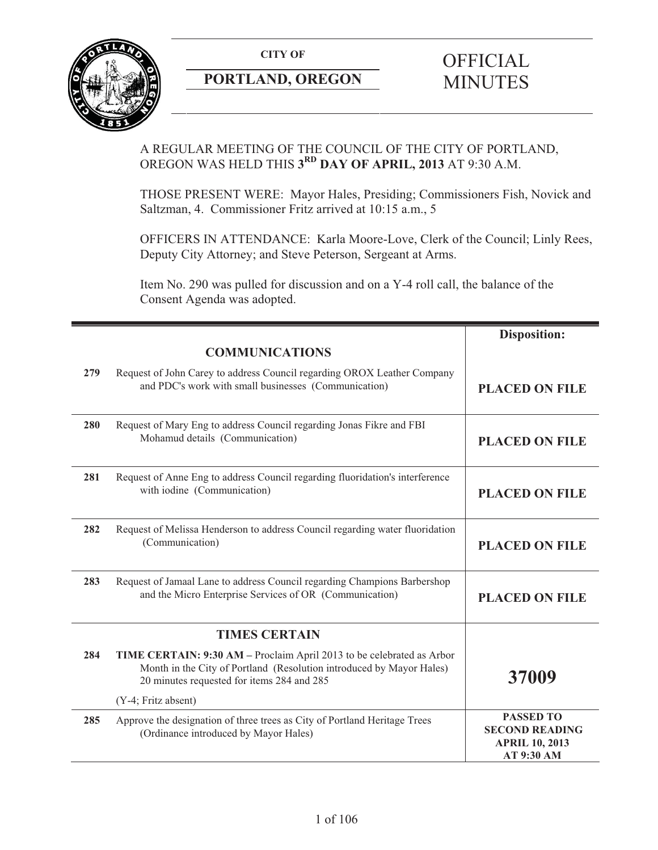**CITY OF** 



# **PORTLAND, OREGON**

# **OFFICIAL** MINUTES

# A REGULAR MEETING OF THE COUNCIL OF THE CITY OF PORTLAND, OREGON WAS HELD THIS **3RD DAY OF APRIL, 2013** AT 9:30 A.M.

THOSE PRESENT WERE: Mayor Hales, Presiding; Commissioners Fish, Novick and Saltzman, 4. Commissioner Fritz arrived at 10:15 a.m., 5

OFFICERS IN ATTENDANCE: Karla Moore-Love, Clerk of the Council; Linly Rees, Deputy City Attorney; and Steve Peterson, Sergeant at Arms.

Item No. 290 was pulled for discussion and on a Y-4 roll call, the balance of the Consent Agenda was adopted.

|     |                                                                                                                                                                                             | <b>Disposition:</b>                                                              |
|-----|---------------------------------------------------------------------------------------------------------------------------------------------------------------------------------------------|----------------------------------------------------------------------------------|
|     | <b>COMMUNICATIONS</b>                                                                                                                                                                       |                                                                                  |
| 279 | Request of John Carey to address Council regarding OROX Leather Company<br>and PDC's work with small businesses (Communication)                                                             | <b>PLACED ON FILE</b>                                                            |
| 280 | Request of Mary Eng to address Council regarding Jonas Fikre and FBI<br>Mohamud details (Communication)                                                                                     | <b>PLACED ON FILE</b>                                                            |
| 281 | Request of Anne Eng to address Council regarding fluoridation's interference<br>with iodine (Communication)                                                                                 | <b>PLACED ON FILE</b>                                                            |
| 282 | Request of Melissa Henderson to address Council regarding water fluoridation<br>(Communication)                                                                                             | <b>PLACED ON FILE</b>                                                            |
| 283 | Request of Jamaal Lane to address Council regarding Champions Barbershop<br>and the Micro Enterprise Services of OR (Communication)                                                         | <b>PLACED ON FILE</b>                                                            |
|     | <b>TIMES CERTAIN</b>                                                                                                                                                                        |                                                                                  |
| 284 | TIME CERTAIN: 9:30 AM - Proclaim April 2013 to be celebrated as Arbor<br>Month in the City of Portland (Resolution introduced by Mayor Hales)<br>20 minutes requested for items 284 and 285 | 37009                                                                            |
|     | $(Y-4; Fritz absent)$                                                                                                                                                                       |                                                                                  |
| 285 | Approve the designation of three trees as City of Portland Heritage Trees<br>(Ordinance introduced by Mayor Hales)                                                                          | <b>PASSED TO</b><br><b>SECOND READING</b><br><b>APRIL 10, 2013</b><br>AT 9:30 AM |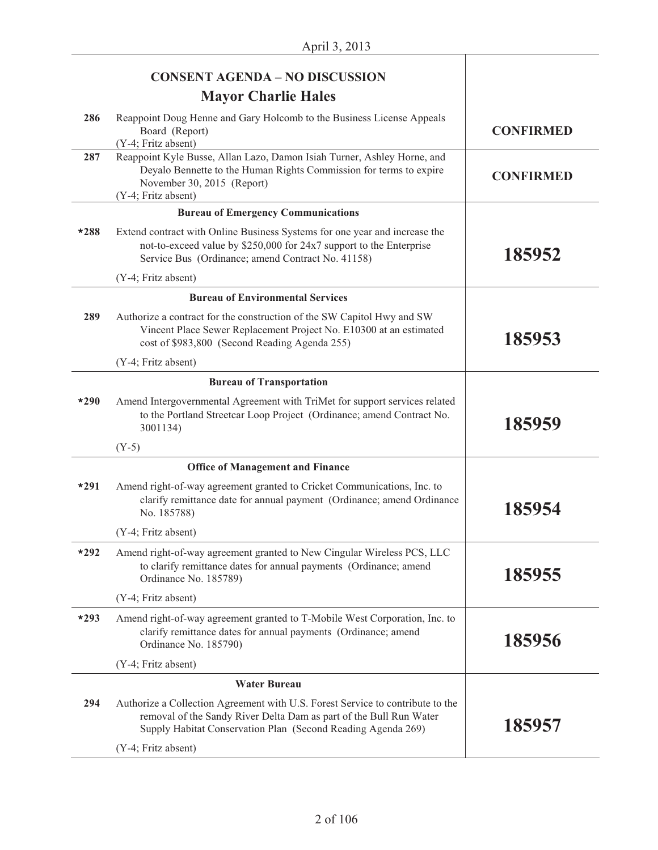|        | <b>CONSENT AGENDA - NO DISCUSSION</b>                                                                                                                                                                                |                  |
|--------|----------------------------------------------------------------------------------------------------------------------------------------------------------------------------------------------------------------------|------------------|
|        | <b>Mayor Charlie Hales</b>                                                                                                                                                                                           |                  |
| 286    | Reappoint Doug Henne and Gary Holcomb to the Business License Appeals<br>Board (Report)<br>(Y-4; Fritz absent)                                                                                                       | <b>CONFIRMED</b> |
| 287    | Reappoint Kyle Busse, Allan Lazo, Damon Isiah Turner, Ashley Horne, and<br>Deyalo Bennette to the Human Rights Commission for terms to expire<br>November 30, 2015 (Report)<br>(Y-4; Fritz absent)                   | <b>CONFIRMED</b> |
|        | <b>Bureau of Emergency Communications</b>                                                                                                                                                                            |                  |
| $*288$ | Extend contract with Online Business Systems for one year and increase the<br>not-to-exceed value by \$250,000 for 24x7 support to the Enterprise<br>Service Bus (Ordinance; amend Contract No. 41158)               | 185952           |
|        | (Y-4; Fritz absent)                                                                                                                                                                                                  |                  |
|        | <b>Bureau of Environmental Services</b>                                                                                                                                                                              |                  |
| 289    | Authorize a contract for the construction of the SW Capitol Hwy and SW<br>Vincent Place Sewer Replacement Project No. E10300 at an estimated<br>cost of \$983,800 (Second Reading Agenda 255)                        | 185953           |
|        | (Y-4; Fritz absent)                                                                                                                                                                                                  |                  |
|        | <b>Bureau of Transportation</b>                                                                                                                                                                                      |                  |
| $*290$ | Amend Intergovernmental Agreement with TriMet for support services related<br>to the Portland Streetcar Loop Project (Ordinance; amend Contract No.<br>3001134)                                                      | 185959           |
|        | $(Y-5)$                                                                                                                                                                                                              |                  |
|        | <b>Office of Management and Finance</b>                                                                                                                                                                              |                  |
| $*291$ | Amend right-of-way agreement granted to Cricket Communications, Inc. to<br>clarify remittance date for annual payment (Ordinance; amend Ordinance<br>No. 185788)                                                     | 185954           |
|        | (Y-4; Fritz absent)                                                                                                                                                                                                  |                  |
| $*292$ | Amend right-of-way agreement granted to New Cingular Wireless PCS, LLC<br>to clarify remittance dates for annual payments (Ordinance; amend<br>Ordinance No. 185789)                                                 | 185955           |
|        | (Y-4; Fritz absent)                                                                                                                                                                                                  |                  |
| $*293$ | Amend right-of-way agreement granted to T-Mobile West Corporation, Inc. to<br>clarify remittance dates for annual payments (Ordinance; amend<br>Ordinance No. 185790)                                                | 185956           |
|        | (Y-4; Fritz absent)                                                                                                                                                                                                  |                  |
|        | <b>Water Bureau</b>                                                                                                                                                                                                  |                  |
| 294    | Authorize a Collection Agreement with U.S. Forest Service to contribute to the<br>removal of the Sandy River Delta Dam as part of the Bull Run Water<br>Supply Habitat Conservation Plan (Second Reading Agenda 269) | 185957           |
|        | (Y-4; Fritz absent)                                                                                                                                                                                                  |                  |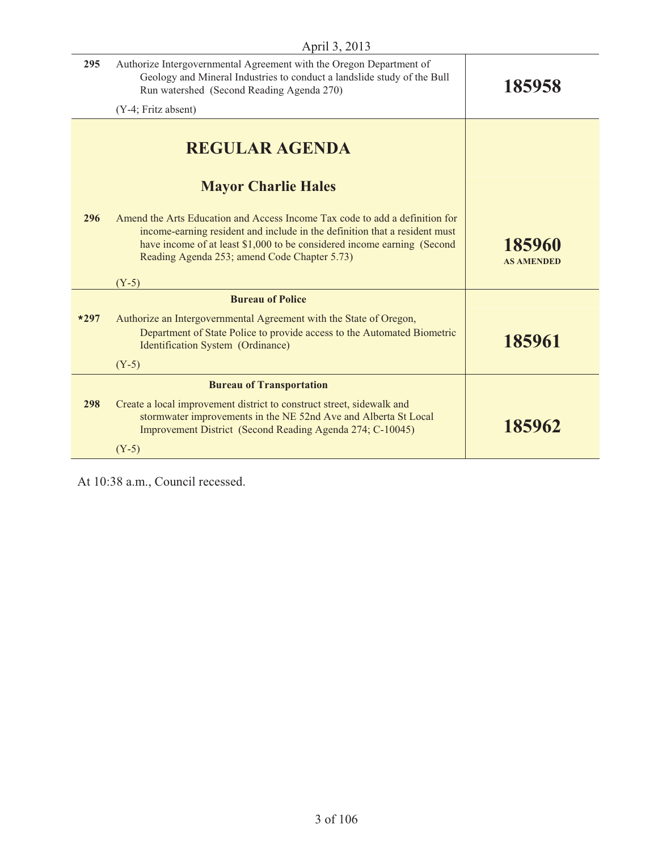| April 3, 2013 |                                                                                                                                                                                                                                                                                      |                             |
|---------------|--------------------------------------------------------------------------------------------------------------------------------------------------------------------------------------------------------------------------------------------------------------------------------------|-----------------------------|
| 295           | Authorize Intergovernmental Agreement with the Oregon Department of<br>Geology and Mineral Industries to conduct a landslide study of the Bull<br>Run watershed (Second Reading Agenda 270)                                                                                          | 185958                      |
|               | (Y-4; Fritz absent)                                                                                                                                                                                                                                                                  |                             |
|               | <b>REGULAR AGENDA</b>                                                                                                                                                                                                                                                                |                             |
|               | <b>Mayor Charlie Hales</b>                                                                                                                                                                                                                                                           |                             |
| 296           | Amend the Arts Education and Access Income Tax code to add a definition for<br>income-earning resident and include in the definition that a resident must<br>have income of at least \$1,000 to be considered income earning (Second<br>Reading Agenda 253; amend Code Chapter 5.73) | 185960<br><b>AS AMENDED</b> |
|               | $(Y-5)$                                                                                                                                                                                                                                                                              |                             |
|               | <b>Bureau of Police</b>                                                                                                                                                                                                                                                              |                             |
| $*297$        | Authorize an Intergovernmental Agreement with the State of Oregon,<br>Department of State Police to provide access to the Automated Biometric<br>Identification System (Ordinance)                                                                                                   | 185961                      |
|               | $(Y-5)$                                                                                                                                                                                                                                                                              |                             |
|               | <b>Bureau of Transportation</b>                                                                                                                                                                                                                                                      |                             |
| 298           | Create a local improvement district to construct street, sidewalk and<br>stormwater improvements in the NE 52nd Ave and Alberta St Local<br>Improvement District (Second Reading Agenda 274; C-10045)                                                                                | 185962                      |
|               | $(Y-5)$                                                                                                                                                                                                                                                                              |                             |

At 10:38 a.m., Council recessed.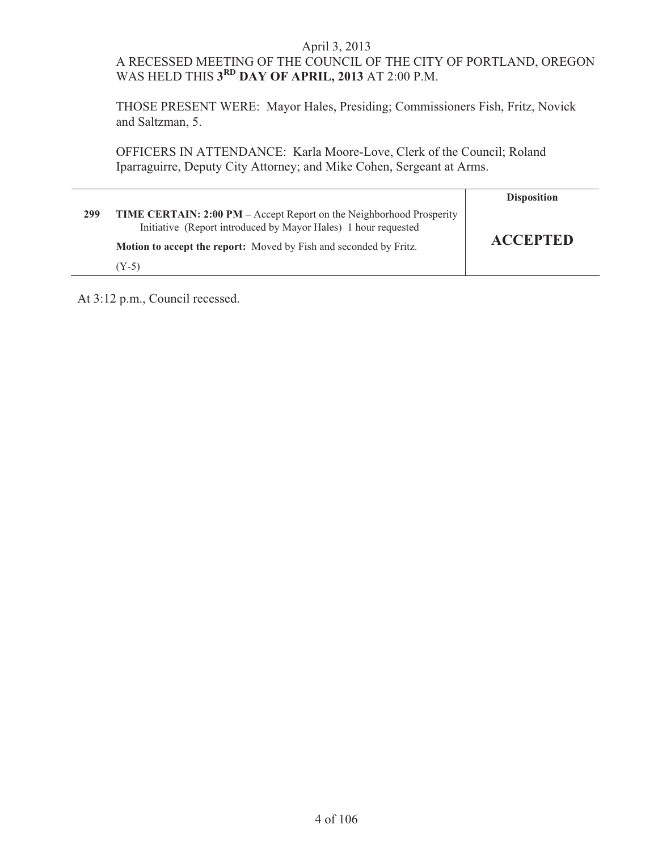# A RECESSED MEETING OF THE COUNCIL OF THE CITY OF PORTLAND, OREGON WAS HELD THIS **3RD DAY OF APRIL, 2013** AT 2:00 P.M.

 THOSE PRESENT WERE: Mayor Hales, Presiding; Commissioners Fish, Fritz, Novick and Saltzman, 5.

 OFFICERS IN ATTENDANCE: Karla Moore-Love, Clerk of the Council; Roland Iparraguirre, Deputy City Attorney; and Mike Cohen, Sergeant at Arms.

|     |                                                                                                                                                                                                             | <b>Disposition</b> |
|-----|-------------------------------------------------------------------------------------------------------------------------------------------------------------------------------------------------------------|--------------------|
| 299 | TIME CERTAIN: 2:00 PM – Accept Report on the Neighborhood Prosperity<br>Initiative (Report introduced by Mayor Hales) 1 hour requested<br>Motion to accept the report: Moved by Fish and seconded by Fritz. | <b>ACCEPTED</b>    |
|     | $(Y-5)$                                                                                                                                                                                                     |                    |

At 3:12 p.m., Council recessed.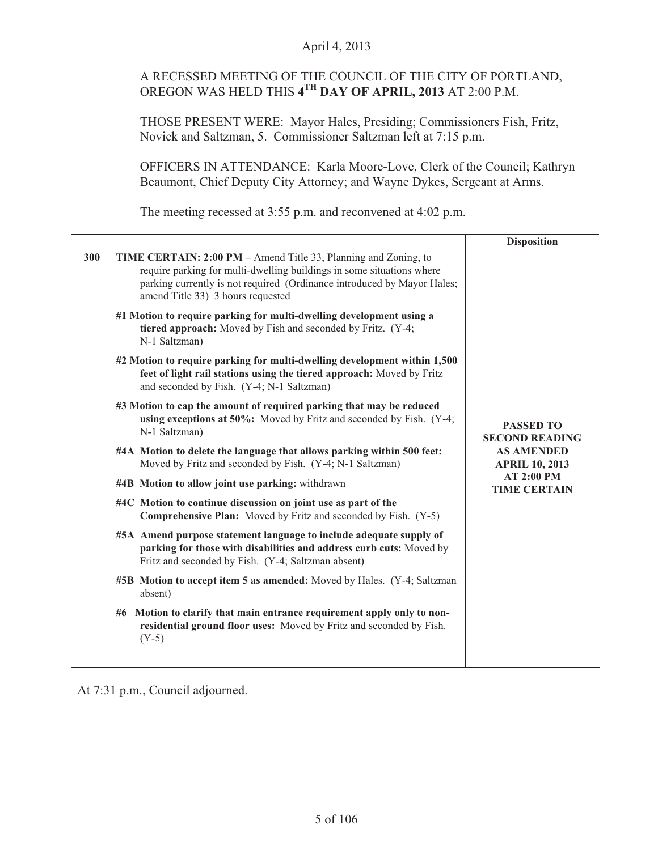## April 4, 2013

# A RECESSED MEETING OF THE COUNCIL OF THE CITY OF PORTLAND, OREGON WAS HELD THIS **4TH DAY OF APRIL, 2013** AT 2:00 P.M.

THOSE PRESENT WERE: Mayor Hales, Presiding; Commissioners Fish, Fritz, Novick and Saltzman, 5. Commissioner Saltzman left at 7:15 p.m.

OFFICERS IN ATTENDANCE: Karla Moore-Love, Clerk of the Council; Kathryn Beaumont, Chief Deputy City Attorney; and Wayne Dykes, Sergeant at Arms.

The meeting recessed at 3:55 p.m. and reconvened at 4:02 p.m.

|     |                                                                                                                                                                                                                                                                 | <b>Disposition</b>                                                                      |
|-----|-----------------------------------------------------------------------------------------------------------------------------------------------------------------------------------------------------------------------------------------------------------------|-----------------------------------------------------------------------------------------|
| 300 | <b>TIME CERTAIN: 2:00 PM</b> – Amend Title 33, Planning and Zoning, to<br>require parking for multi-dwelling buildings in some situations where<br>parking currently is not required (Ordinance introduced by Mayor Hales;<br>amend Title 33) 3 hours requested |                                                                                         |
|     | #1 Motion to require parking for multi-dwelling development using a<br>tiered approach: Moved by Fish and seconded by Fritz. (Y-4;<br>N-1 Saltzman)                                                                                                             |                                                                                         |
|     | #2 Motion to require parking for multi-dwelling development within 1,500<br>feet of light rail stations using the tiered approach: Moved by Fritz<br>and seconded by Fish. (Y-4; N-1 Saltzman)                                                                  |                                                                                         |
|     | #3 Motion to cap the amount of required parking that may be reduced<br>using exceptions at 50%: Moved by Fritz and seconded by Fish. (Y-4;<br>N-1 Saltzman)                                                                                                     | <b>PASSED TO</b><br><b>SECOND READING</b><br><b>AS AMENDED</b><br><b>APRIL 10, 2013</b> |
|     | #4A Motion to delete the language that allows parking within 500 feet:<br>Moved by Fritz and seconded by Fish. (Y-4; N-1 Saltzman)                                                                                                                              |                                                                                         |
|     | #4B Motion to allow joint use parking: withdrawn                                                                                                                                                                                                                | AT 2:00 PM<br><b>TIME CERTAIN</b>                                                       |
|     | #4C Motion to continue discussion on joint use as part of the<br><b>Comprehensive Plan:</b> Moved by Fritz and seconded by Fish. (Y-5)                                                                                                                          |                                                                                         |
|     | #5A Amend purpose statement language to include adequate supply of<br>parking for those with disabilities and address curb cuts: Moved by<br>Fritz and seconded by Fish. (Y-4; Saltzman absent)                                                                 |                                                                                         |
|     | #5B Motion to accept item 5 as amended: Moved by Hales. (Y-4; Saltzman<br>absent)                                                                                                                                                                               |                                                                                         |
|     | #6 Motion to clarify that main entrance requirement apply only to non-<br>residential ground floor uses: Moved by Fritz and seconded by Fish.<br>$(Y-5)$                                                                                                        |                                                                                         |
|     |                                                                                                                                                                                                                                                                 |                                                                                         |

At 7:31 p.m., Council adjourned.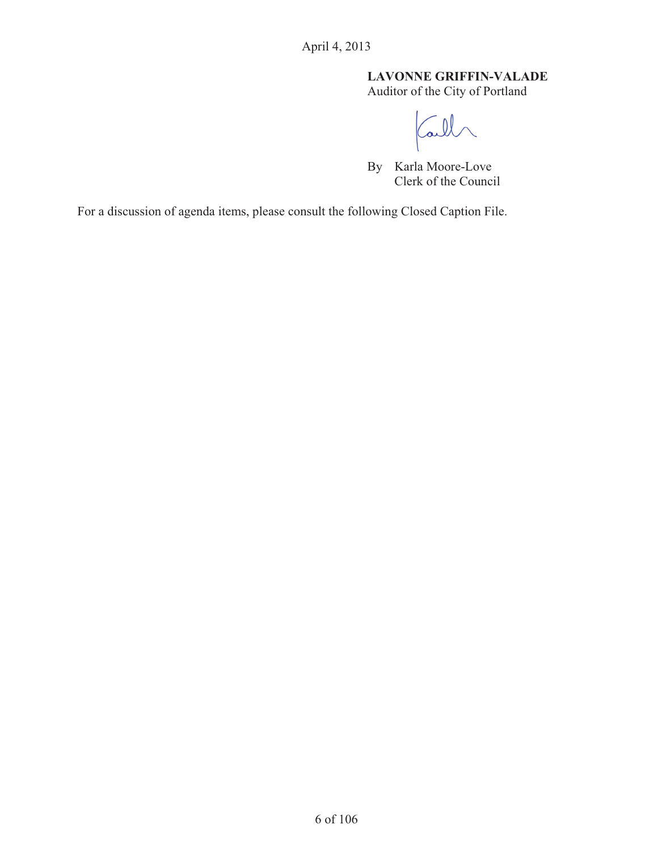# **LAVONNE GRIFFIN-VALADE**

Auditor of the City of Portland

Call

By Karla Moore-Love Clerk of the Council

For a discussion of agenda items, please consult the following Closed Caption File.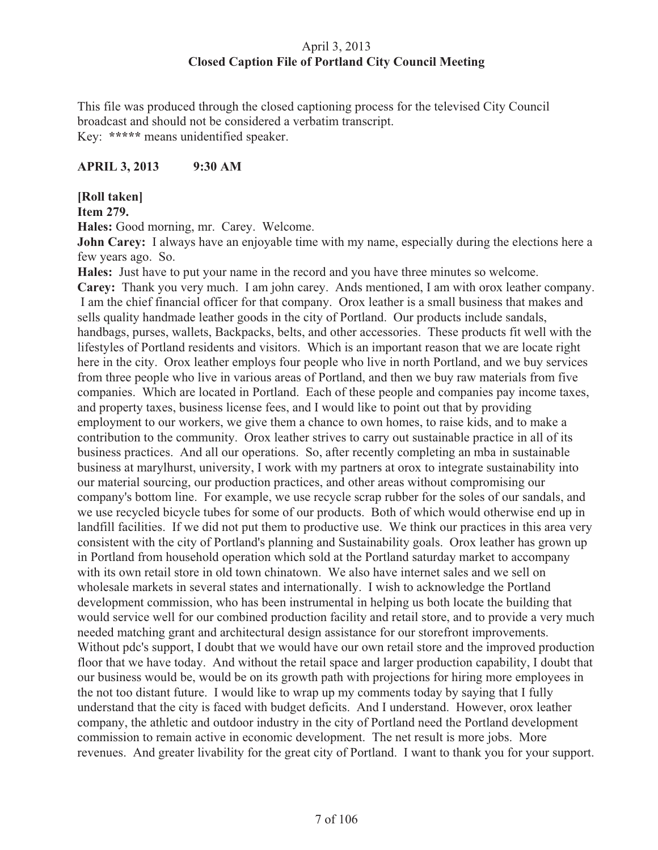# April 3, 2013 **Closed Caption File of Portland City Council Meeting**

This file was produced through the closed captioning process for the televised City Council broadcast and should not be considered a verbatim transcript. Key: **\*\*\*\*\*** means unidentified speaker.

# **APRIL 3, 2013 9:30 AM**

# **[Roll taken]**

#### **Item 279.**

**Hales:** Good morning, mr. Carey. Welcome.

**John Carey:** I always have an enjoyable time with my name, especially during the elections here a few years ago. So.

**Hales:** Just have to put your name in the record and you have three minutes so welcome. **Carey:** Thank you very much. I am john carey. Ands mentioned, I am with orox leather company. I am the chief financial officer for that company. Orox leather is a small business that makes and sells quality handmade leather goods in the city of Portland. Our products include sandals, handbags, purses, wallets, Backpacks, belts, and other accessories. These products fit well with the lifestyles of Portland residents and visitors. Which is an important reason that we are locate right here in the city. Orox leather employs four people who live in north Portland, and we buy services from three people who live in various areas of Portland, and then we buy raw materials from five companies. Which are located in Portland. Each of these people and companies pay income taxes, and property taxes, business license fees, and I would like to point out that by providing employment to our workers, we give them a chance to own homes, to raise kids, and to make a contribution to the community. Orox leather strives to carry out sustainable practice in all of its business practices. And all our operations. So, after recently completing an mba in sustainable business at marylhurst, university, I work with my partners at orox to integrate sustainability into our material sourcing, our production practices, and other areas without compromising our company's bottom line. For example, we use recycle scrap rubber for the soles of our sandals, and we use recycled bicycle tubes for some of our products. Both of which would otherwise end up in landfill facilities. If we did not put them to productive use. We think our practices in this area very consistent with the city of Portland's planning and Sustainability goals. Orox leather has grown up in Portland from household operation which sold at the Portland saturday market to accompany with its own retail store in old town chinatown. We also have internet sales and we sell on wholesale markets in several states and internationally. I wish to acknowledge the Portland development commission, who has been instrumental in helping us both locate the building that would service well for our combined production facility and retail store, and to provide a very much needed matching grant and architectural design assistance for our storefront improvements. Without pdc's support, I doubt that we would have our own retail store and the improved production floor that we have today. And without the retail space and larger production capability, I doubt that our business would be, would be on its growth path with projections for hiring more employees in the not too distant future. I would like to wrap up my comments today by saying that I fully understand that the city is faced with budget deficits. And I understand. However, orox leather company, the athletic and outdoor industry in the city of Portland need the Portland development commission to remain active in economic development. The net result is more jobs. More revenues. And greater livability for the great city of Portland. I want to thank you for your support.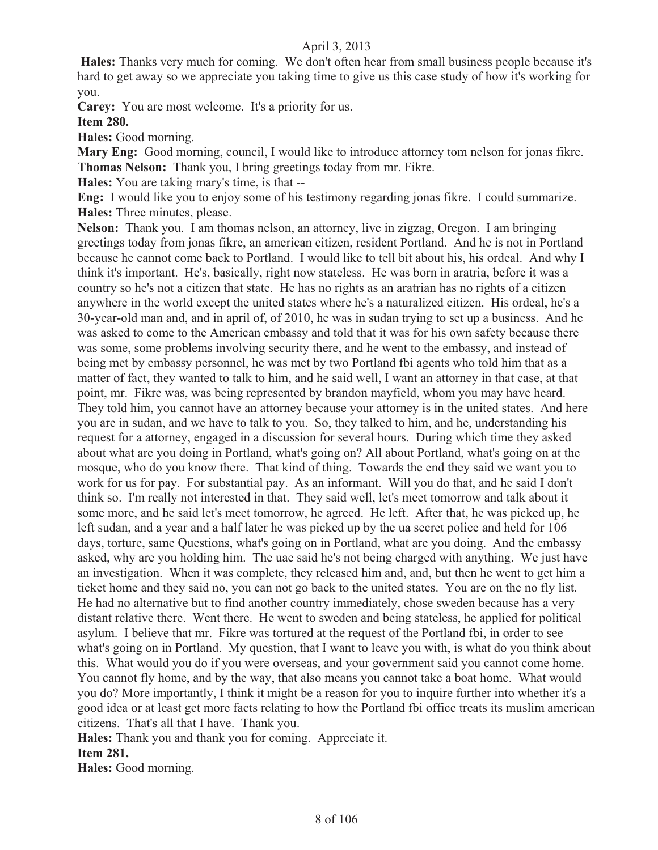**Hales:** Thanks very much for coming. We don't often hear from small business people because it's hard to get away so we appreciate you taking time to give us this case study of how it's working for you.

**Carey:** You are most welcome. It's a priority for us.

**Item 280.**

**Hales:** Good morning.

**Mary Eng:** Good morning, council, I would like to introduce attorney tom nelson for jonas fikre. **Thomas Nelson:** Thank you, I bring greetings today from mr. Fikre.

**Hales:** You are taking mary's time, is that --

**Eng:** I would like you to enjoy some of his testimony regarding jonas fikre. I could summarize. **Hales:** Three minutes, please.

**Nelson:** Thank you. I am thomas nelson, an attorney, live in zigzag, Oregon. I am bringing greetings today from jonas fikre, an american citizen, resident Portland. And he is not in Portland because he cannot come back to Portland. I would like to tell bit about his, his ordeal. And why I think it's important. He's, basically, right now stateless. He was born in aratria, before it was a country so he's not a citizen that state. He has no rights as an aratrian has no rights of a citizen anywhere in the world except the united states where he's a naturalized citizen. His ordeal, he's a 30-year-old man and, and in april of, of 2010, he was in sudan trying to set up a business. And he was asked to come to the American embassy and told that it was for his own safety because there was some, some problems involving security there, and he went to the embassy, and instead of being met by embassy personnel, he was met by two Portland fbi agents who told him that as a matter of fact, they wanted to talk to him, and he said well, I want an attorney in that case, at that point, mr. Fikre was, was being represented by brandon mayfield, whom you may have heard. They told him, you cannot have an attorney because your attorney is in the united states. And here you are in sudan, and we have to talk to you. So, they talked to him, and he, understanding his request for a attorney, engaged in a discussion for several hours. During which time they asked about what are you doing in Portland, what's going on? All about Portland, what's going on at the mosque, who do you know there. That kind of thing. Towards the end they said we want you to work for us for pay. For substantial pay. As an informant. Will you do that, and he said I don't think so. I'm really not interested in that. They said well, let's meet tomorrow and talk about it some more, and he said let's meet tomorrow, he agreed. He left. After that, he was picked up, he left sudan, and a year and a half later he was picked up by the ua secret police and held for 106 days, torture, same Questions, what's going on in Portland, what are you doing. And the embassy asked, why are you holding him. The uae said he's not being charged with anything. We just have an investigation. When it was complete, they released him and, and, but then he went to get him a ticket home and they said no, you can not go back to the united states. You are on the no fly list. He had no alternative but to find another country immediately, chose sweden because has a very distant relative there. Went there. He went to sweden and being stateless, he applied for political asylum. I believe that mr. Fikre was tortured at the request of the Portland fbi, in order to see what's going on in Portland. My question, that I want to leave you with, is what do you think about this. What would you do if you were overseas, and your government said you cannot come home. You cannot fly home, and by the way, that also means you cannot take a boat home. What would you do? More importantly, I think it might be a reason for you to inquire further into whether it's a good idea or at least get more facts relating to how the Portland fbi office treats its muslim american citizens. That's all that I have. Thank you.

**Hales:** Thank you and thank you for coming. Appreciate it. **Item 281.** 

**Hales:** Good morning.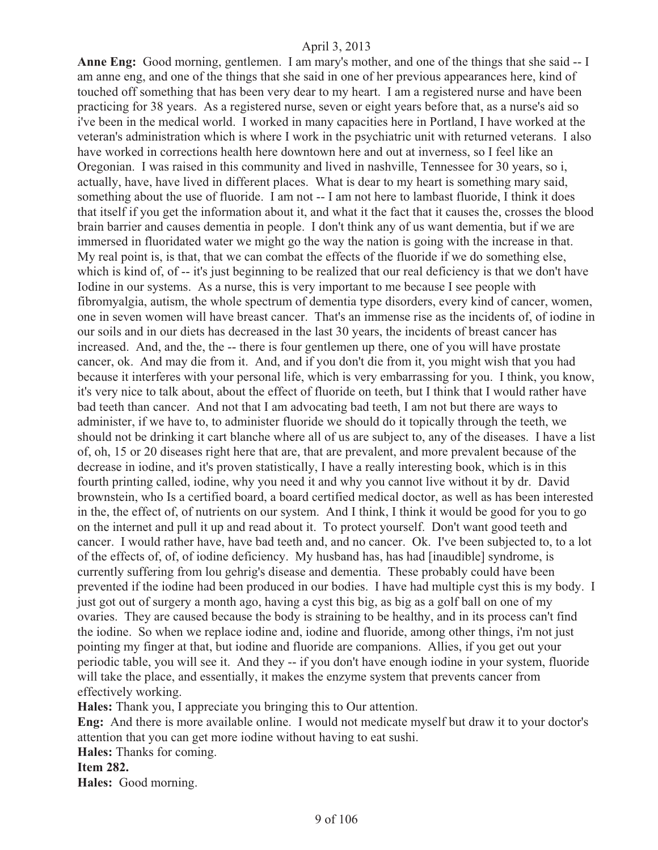**Anne Eng:** Good morning, gentlemen. I am mary's mother, and one of the things that she said -- I am anne eng, and one of the things that she said in one of her previous appearances here, kind of touched off something that has been very dear to my heart. I am a registered nurse and have been practicing for 38 years. As a registered nurse, seven or eight years before that, as a nurse's aid so i've been in the medical world. I worked in many capacities here in Portland, I have worked at the veteran's administration which is where I work in the psychiatric unit with returned veterans. I also have worked in corrections health here downtown here and out at inverness, so I feel like an Oregonian. I was raised in this community and lived in nashville, Tennessee for 30 years, so i, actually, have, have lived in different places. What is dear to my heart is something mary said, something about the use of fluoride. I am not -- I am not here to lambast fluoride, I think it does that itself if you get the information about it, and what it the fact that it causes the, crosses the blood brain barrier and causes dementia in people. I don't think any of us want dementia, but if we are immersed in fluoridated water we might go the way the nation is going with the increase in that. My real point is, is that, that we can combat the effects of the fluoride if we do something else, which is kind of, of -- it's just beginning to be realized that our real deficiency is that we don't have Iodine in our systems. As a nurse, this is very important to me because I see people with fibromyalgia, autism, the whole spectrum of dementia type disorders, every kind of cancer, women, one in seven women will have breast cancer. That's an immense rise as the incidents of, of iodine in our soils and in our diets has decreased in the last 30 years, the incidents of breast cancer has increased. And, and the, the -- there is four gentlemen up there, one of you will have prostate cancer, ok. And may die from it. And, and if you don't die from it, you might wish that you had because it interferes with your personal life, which is very embarrassing for you. I think, you know, it's very nice to talk about, about the effect of fluoride on teeth, but I think that I would rather have bad teeth than cancer. And not that I am advocating bad teeth, I am not but there are ways to administer, if we have to, to administer fluoride we should do it topically through the teeth, we should not be drinking it cart blanche where all of us are subject to, any of the diseases. I have a list of, oh, 15 or 20 diseases right here that are, that are prevalent, and more prevalent because of the decrease in iodine, and it's proven statistically, I have a really interesting book, which is in this fourth printing called, iodine, why you need it and why you cannot live without it by dr. David brownstein, who Is a certified board, a board certified medical doctor, as well as has been interested in the, the effect of, of nutrients on our system. And I think, I think it would be good for you to go on the internet and pull it up and read about it. To protect yourself. Don't want good teeth and cancer. I would rather have, have bad teeth and, and no cancer. Ok. I've been subjected to, to a lot of the effects of, of, of iodine deficiency. My husband has, has had [inaudible] syndrome, is currently suffering from lou gehrig's disease and dementia. These probably could have been prevented if the iodine had been produced in our bodies. I have had multiple cyst this is my body. I just got out of surgery a month ago, having a cyst this big, as big as a golf ball on one of my ovaries. They are caused because the body is straining to be healthy, and in its process can't find the iodine. So when we replace iodine and, iodine and fluoride, among other things, i'm not just pointing my finger at that, but iodine and fluoride are companions. Allies, if you get out your periodic table, you will see it. And they -- if you don't have enough iodine in your system, fluoride will take the place, and essentially, it makes the enzyme system that prevents cancer from effectively working.

**Hales:** Thank you, I appreciate you bringing this to Our attention.

**Eng:** And there is more available online. I would not medicate myself but draw it to your doctor's attention that you can get more iodine without having to eat sushi.

**Hales:** Thanks for coming.

**Item 282.** 

**Hales:** Good morning.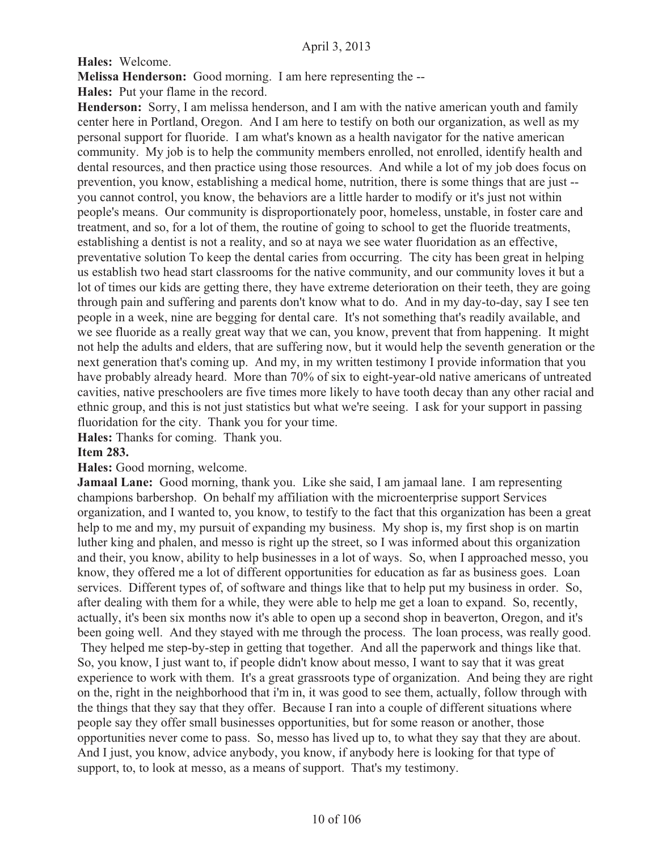**Hales:** Welcome.

**Melissa Henderson:** Good morning. I am here representing the --

**Hales:** Put your flame in the record.

**Henderson:** Sorry, I am melissa henderson, and I am with the native american youth and family center here in Portland, Oregon. And I am here to testify on both our organization, as well as my personal support for fluoride. I am what's known as a health navigator for the native american community. My job is to help the community members enrolled, not enrolled, identify health and dental resources, and then practice using those resources. And while a lot of my job does focus on prevention, you know, establishing a medical home, nutrition, there is some things that are just - you cannot control, you know, the behaviors are a little harder to modify or it's just not within people's means. Our community is disproportionately poor, homeless, unstable, in foster care and treatment, and so, for a lot of them, the routine of going to school to get the fluoride treatments, establishing a dentist is not a reality, and so at naya we see water fluoridation as an effective, preventative solution To keep the dental caries from occurring. The city has been great in helping us establish two head start classrooms for the native community, and our community loves it but a lot of times our kids are getting there, they have extreme deterioration on their teeth, they are going through pain and suffering and parents don't know what to do. And in my day-to-day, say I see ten people in a week, nine are begging for dental care. It's not something that's readily available, and we see fluoride as a really great way that we can, you know, prevent that from happening. It might not help the adults and elders, that are suffering now, but it would help the seventh generation or the next generation that's coming up. And my, in my written testimony I provide information that you have probably already heard. More than 70% of six to eight-year-old native americans of untreated cavities, native preschoolers are five times more likely to have tooth decay than any other racial and ethnic group, and this is not just statistics but what we're seeing. I ask for your support in passing fluoridation for the city. Thank you for your time.

**Hales:** Thanks for coming. Thank you.

#### **Item 283.**

#### **Hales:** Good morning, welcome.

**Jamaal Lane:** Good morning, thank you. Like she said, I am jamaal lane. I am representing champions barbershop. On behalf my affiliation with the microenterprise support Services organization, and I wanted to, you know, to testify to the fact that this organization has been a great help to me and my, my pursuit of expanding my business. My shop is, my first shop is on martin luther king and phalen, and messo is right up the street, so I was informed about this organization and their, you know, ability to help businesses in a lot of ways. So, when I approached messo, you know, they offered me a lot of different opportunities for education as far as business goes. Loan services. Different types of, of software and things like that to help put my business in order. So, after dealing with them for a while, they were able to help me get a loan to expand. So, recently, actually, it's been six months now it's able to open up a second shop in beaverton, Oregon, and it's been going well. And they stayed with me through the process. The loan process, was really good. They helped me step-by-step in getting that together. And all the paperwork and things like that. So, you know, I just want to, if people didn't know about messo, I want to say that it was great experience to work with them. It's a great grassroots type of organization. And being they are right on the, right in the neighborhood that i'm in, it was good to see them, actually, follow through with the things that they say that they offer. Because I ran into a couple of different situations where people say they offer small businesses opportunities, but for some reason or another, those opportunities never come to pass. So, messo has lived up to, to what they say that they are about. And I just, you know, advice anybody, you know, if anybody here is looking for that type of support, to, to look at messo, as a means of support. That's my testimony.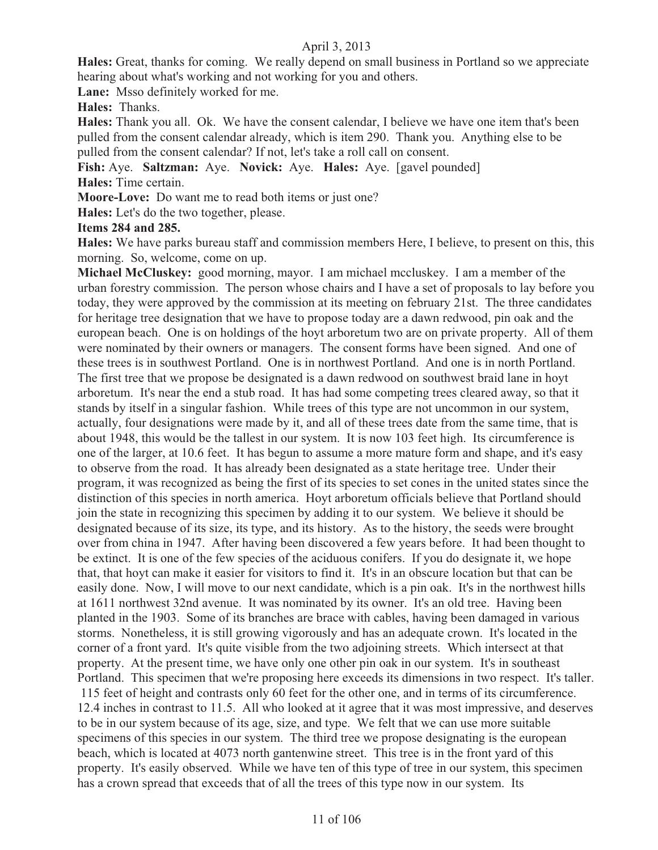**Hales:** Great, thanks for coming. We really depend on small business in Portland so we appreciate hearing about what's working and not working for you and others.

**Lane:** Msso definitely worked for me.

**Hales:** Thanks.

**Hales:** Thank you all. Ok. We have the consent calendar, I believe we have one item that's been pulled from the consent calendar already, which is item 290. Thank you. Anything else to be pulled from the consent calendar? If not, let's take a roll call on consent.

**Fish:** Aye. **Saltzman:** Aye. **Novick:** Aye. **Hales:** Aye. [gavel pounded] **Hales:** Time certain.

**Moore-Love:** Do want me to read both items or just one?

**Hales:** Let's do the two together, please.

#### **Items 284 and 285.**

**Hales:** We have parks bureau staff and commission members Here, I believe, to present on this, this morning. So, welcome, come on up.

**Michael McCluskey:** good morning, mayor. I am michael mccluskey. I am a member of the urban forestry commission. The person whose chairs and I have a set of proposals to lay before you today, they were approved by the commission at its meeting on february 21st. The three candidates for heritage tree designation that we have to propose today are a dawn redwood, pin oak and the european beach. One is on holdings of the hoyt arboretum two are on private property. All of them were nominated by their owners or managers. The consent forms have been signed. And one of these trees is in southwest Portland. One is in northwest Portland. And one is in north Portland. The first tree that we propose be designated is a dawn redwood on southwest braid lane in hoyt arboretum. It's near the end a stub road. It has had some competing trees cleared away, so that it stands by itself in a singular fashion. While trees of this type are not uncommon in our system, actually, four designations were made by it, and all of these trees date from the same time, that is about 1948, this would be the tallest in our system. It is now 103 feet high. Its circumference is one of the larger, at 10.6 feet. It has begun to assume a more mature form and shape, and it's easy to observe from the road. It has already been designated as a state heritage tree. Under their program, it was recognized as being the first of its species to set cones in the united states since the distinction of this species in north america. Hoyt arboretum officials believe that Portland should join the state in recognizing this specimen by adding it to our system. We believe it should be designated because of its size, its type, and its history. As to the history, the seeds were brought over from china in 1947. After having been discovered a few years before. It had been thought to be extinct. It is one of the few species of the aciduous conifers. If you do designate it, we hope that, that hoyt can make it easier for visitors to find it. It's in an obscure location but that can be easily done. Now, I will move to our next candidate, which is a pin oak. It's in the northwest hills at 1611 northwest 32nd avenue. It was nominated by its owner. It's an old tree. Having been planted in the 1903. Some of its branches are brace with cables, having been damaged in various storms. Nonetheless, it is still growing vigorously and has an adequate crown. It's located in the corner of a front yard. It's quite visible from the two adjoining streets. Which intersect at that property. At the present time, we have only one other pin oak in our system. It's in southeast Portland. This specimen that we're proposing here exceeds its dimensions in two respect. It's taller. 115 feet of height and contrasts only 60 feet for the other one, and in terms of its circumference. 12.4 inches in contrast to 11.5. All who looked at it agree that it was most impressive, and deserves to be in our system because of its age, size, and type. We felt that we can use more suitable specimens of this species in our system. The third tree we propose designating is the european beach, which is located at 4073 north gantenwine street. This tree is in the front yard of this property. It's easily observed. While we have ten of this type of tree in our system, this specimen has a crown spread that exceeds that of all the trees of this type now in our system. Its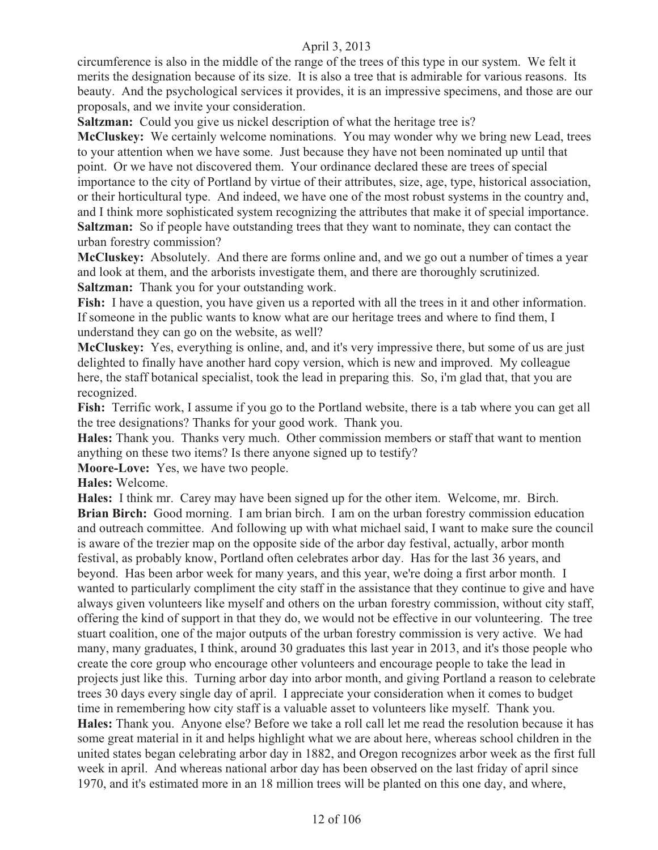circumference is also in the middle of the range of the trees of this type in our system. We felt it merits the designation because of its size. It is also a tree that is admirable for various reasons. Its beauty. And the psychological services it provides, it is an impressive specimens, and those are our proposals, and we invite your consideration.

**Saltzman:** Could you give us nickel description of what the heritage tree is?

**McCluskey:** We certainly welcome nominations. You may wonder why we bring new Lead, trees to your attention when we have some. Just because they have not been nominated up until that point. Or we have not discovered them. Your ordinance declared these are trees of special importance to the city of Portland by virtue of their attributes, size, age, type, historical association, or their horticultural type. And indeed, we have one of the most robust systems in the country and, and I think more sophisticated system recognizing the attributes that make it of special importance. **Saltzman:** So if people have outstanding trees that they want to nominate, they can contact the urban forestry commission?

**McCluskey:** Absolutely. And there are forms online and, and we go out a number of times a year and look at them, and the arborists investigate them, and there are thoroughly scrutinized. **Saltzman:** Thank you for your outstanding work.

Fish: I have a question, you have given us a reported with all the trees in it and other information. If someone in the public wants to know what are our heritage trees and where to find them, I understand they can go on the website, as well?

**McCluskey:** Yes, everything is online, and, and it's very impressive there, but some of us are just delighted to finally have another hard copy version, which is new and improved. My colleague here, the staff botanical specialist, took the lead in preparing this. So, i'm glad that, that you are recognized.

**Fish:** Terrific work, I assume if you go to the Portland website, there is a tab where you can get all the tree designations? Thanks for your good work. Thank you.

**Hales:** Thank you. Thanks very much. Other commission members or staff that want to mention anything on these two items? Is there anyone signed up to testify?

**Moore-Love:** Yes, we have two people.

**Hales:** Welcome.

**Hales:** I think mr. Carey may have been signed up for the other item. Welcome, mr. Birch. **Brian Birch:** Good morning. I am brian birch. I am on the urban forestry commission education and outreach committee. And following up with what michael said, I want to make sure the council is aware of the trezier map on the opposite side of the arbor day festival, actually, arbor month festival, as probably know, Portland often celebrates arbor day. Has for the last 36 years, and beyond. Has been arbor week for many years, and this year, we're doing a first arbor month. I wanted to particularly compliment the city staff in the assistance that they continue to give and have always given volunteers like myself and others on the urban forestry commission, without city staff, offering the kind of support in that they do, we would not be effective in our volunteering. The tree stuart coalition, one of the major outputs of the urban forestry commission is very active. We had many, many graduates, I think, around 30 graduates this last year in 2013, and it's those people who create the core group who encourage other volunteers and encourage people to take the lead in projects just like this. Turning arbor day into arbor month, and giving Portland a reason to celebrate trees 30 days every single day of april. I appreciate your consideration when it comes to budget time in remembering how city staff is a valuable asset to volunteers like myself. Thank you. **Hales:** Thank you. Anyone else? Before we take a roll call let me read the resolution because it has some great material in it and helps highlight what we are about here, whereas school children in the united states began celebrating arbor day in 1882, and Oregon recognizes arbor week as the first full week in april. And whereas national arbor day has been observed on the last friday of april since 1970, and it's estimated more in an 18 million trees will be planted on this one day, and where,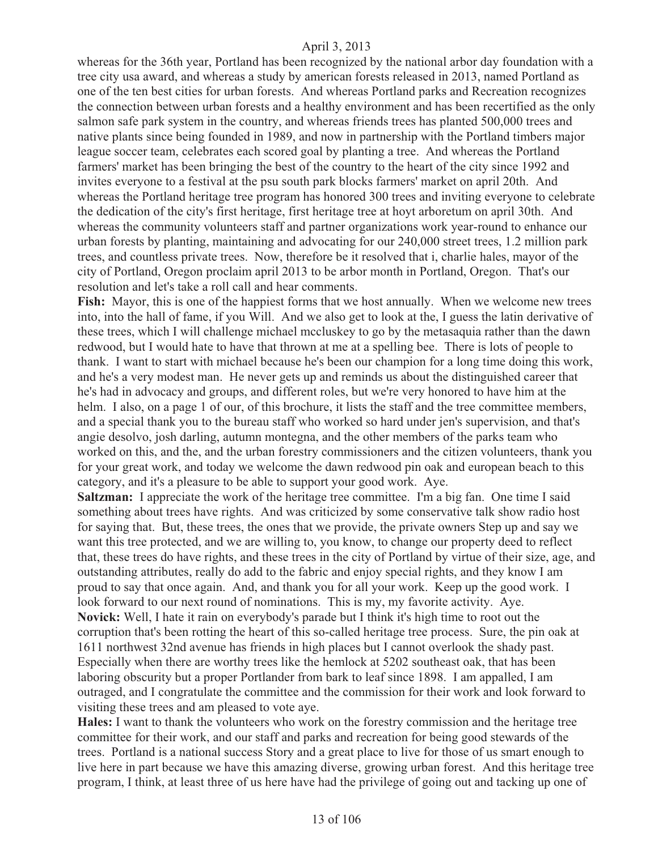whereas for the 36th year, Portland has been recognized by the national arbor day foundation with a tree city usa award, and whereas a study by american forests released in 2013, named Portland as one of the ten best cities for urban forests. And whereas Portland parks and Recreation recognizes the connection between urban forests and a healthy environment and has been recertified as the only salmon safe park system in the country, and whereas friends trees has planted 500,000 trees and native plants since being founded in 1989, and now in partnership with the Portland timbers major league soccer team, celebrates each scored goal by planting a tree. And whereas the Portland farmers' market has been bringing the best of the country to the heart of the city since 1992 and invites everyone to a festival at the psu south park blocks farmers' market on april 20th. And whereas the Portland heritage tree program has honored 300 trees and inviting everyone to celebrate the dedication of the city's first heritage, first heritage tree at hoyt arboretum on april 30th. And whereas the community volunteers staff and partner organizations work year-round to enhance our urban forests by planting, maintaining and advocating for our 240,000 street trees, 1.2 million park trees, and countless private trees. Now, therefore be it resolved that i, charlie hales, mayor of the city of Portland, Oregon proclaim april 2013 to be arbor month in Portland, Oregon. That's our resolution and let's take a roll call and hear comments.

Fish: Mayor, this is one of the happiest forms that we host annually. When we welcome new trees into, into the hall of fame, if you Will. And we also get to look at the, I guess the latin derivative of these trees, which I will challenge michael mccluskey to go by the metasaquia rather than the dawn redwood, but I would hate to have that thrown at me at a spelling bee. There is lots of people to thank. I want to start with michael because he's been our champion for a long time doing this work, and he's a very modest man. He never gets up and reminds us about the distinguished career that he's had in advocacy and groups, and different roles, but we're very honored to have him at the helm. I also, on a page 1 of our, of this brochure, it lists the staff and the tree committee members, and a special thank you to the bureau staff who worked so hard under jen's supervision, and that's angie desolvo, josh darling, autumn montegna, and the other members of the parks team who worked on this, and the, and the urban forestry commissioners and the citizen volunteers, thank you for your great work, and today we welcome the dawn redwood pin oak and european beach to this category, and it's a pleasure to be able to support your good work. Aye.

**Saltzman:** I appreciate the work of the heritage tree committee. I'm a big fan. One time I said something about trees have rights. And was criticized by some conservative talk show radio host for saying that. But, these trees, the ones that we provide, the private owners Step up and say we want this tree protected, and we are willing to, you know, to change our property deed to reflect that, these trees do have rights, and these trees in the city of Portland by virtue of their size, age, and outstanding attributes, really do add to the fabric and enjoy special rights, and they know I am proud to say that once again. And, and thank you for all your work. Keep up the good work. I look forward to our next round of nominations. This is my, my favorite activity. Aye. **Novick:** Well, I hate it rain on everybody's parade but I think it's high time to root out the corruption that's been rotting the heart of this so-called heritage tree process. Sure, the pin oak at 1611 northwest 32nd avenue has friends in high places but I cannot overlook the shady past. Especially when there are worthy trees like the hemlock at 5202 southeast oak, that has been laboring obscurity but a proper Portlander from bark to leaf since 1898. I am appalled, I am outraged, and I congratulate the committee and the commission for their work and look forward to visiting these trees and am pleased to vote aye.

**Hales:** I want to thank the volunteers who work on the forestry commission and the heritage tree committee for their work, and our staff and parks and recreation for being good stewards of the trees. Portland is a national success Story and a great place to live for those of us smart enough to live here in part because we have this amazing diverse, growing urban forest. And this heritage tree program, I think, at least three of us here have had the privilege of going out and tacking up one of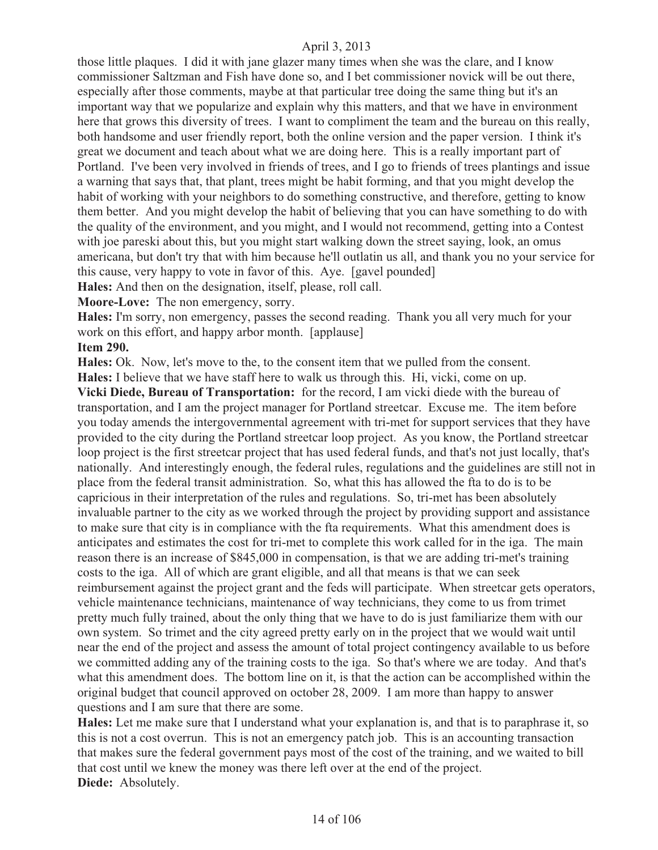those little plaques. I did it with jane glazer many times when she was the clare, and I know commissioner Saltzman and Fish have done so, and I bet commissioner novick will be out there, especially after those comments, maybe at that particular tree doing the same thing but it's an important way that we popularize and explain why this matters, and that we have in environment here that grows this diversity of trees. I want to compliment the team and the bureau on this really, both handsome and user friendly report, both the online version and the paper version. I think it's great we document and teach about what we are doing here. This is a really important part of Portland. I've been very involved in friends of trees, and I go to friends of trees plantings and issue a warning that says that, that plant, trees might be habit forming, and that you might develop the habit of working with your neighbors to do something constructive, and therefore, getting to know them better. And you might develop the habit of believing that you can have something to do with the quality of the environment, and you might, and I would not recommend, getting into a Contest with joe pareski about this, but you might start walking down the street saying, look, an omus americana, but don't try that with him because he'll outlatin us all, and thank you no your service for this cause, very happy to vote in favor of this. Aye. [gavel pounded]

**Hales:** And then on the designation, itself, please, roll call.

**Moore-Love:** The non emergency, sorry.

**Hales:** I'm sorry, non emergency, passes the second reading. Thank you all very much for your work on this effort, and happy arbor month. [applause]

**Item 290.** 

**Hales:** Ok. Now, let's move to the, to the consent item that we pulled from the consent.

**Hales:** I believe that we have staff here to walk us through this. Hi, vicki, come on up.

**Vicki Diede, Bureau of Transportation:** for the record, I am vicki diede with the bureau of transportation, and I am the project manager for Portland streetcar. Excuse me. The item before you today amends the intergovernmental agreement with tri-met for support services that they have provided to the city during the Portland streetcar loop project. As you know, the Portland streetcar loop project is the first streetcar project that has used federal funds, and that's not just locally, that's nationally. And interestingly enough, the federal rules, regulations and the guidelines are still not in place from the federal transit administration. So, what this has allowed the fta to do is to be capricious in their interpretation of the rules and regulations. So, tri-met has been absolutely invaluable partner to the city as we worked through the project by providing support and assistance to make sure that city is in compliance with the fta requirements. What this amendment does is anticipates and estimates the cost for tri-met to complete this work called for in the iga. The main reason there is an increase of \$845,000 in compensation, is that we are adding tri-met's training costs to the iga. All of which are grant eligible, and all that means is that we can seek reimbursement against the project grant and the feds will participate. When streetcar gets operators, vehicle maintenance technicians, maintenance of way technicians, they come to us from trimet pretty much fully trained, about the only thing that we have to do is just familiarize them with our own system. So trimet and the city agreed pretty early on in the project that we would wait until near the end of the project and assess the amount of total project contingency available to us before we committed adding any of the training costs to the iga. So that's where we are today. And that's what this amendment does. The bottom line on it, is that the action can be accomplished within the original budget that council approved on october 28, 2009. I am more than happy to answer questions and I am sure that there are some.

**Hales:** Let me make sure that I understand what your explanation is, and that is to paraphrase it, so this is not a cost overrun. This is not an emergency patch job. This is an accounting transaction that makes sure the federal government pays most of the cost of the training, and we waited to bill that cost until we knew the money was there left over at the end of the project. **Diede:** Absolutely.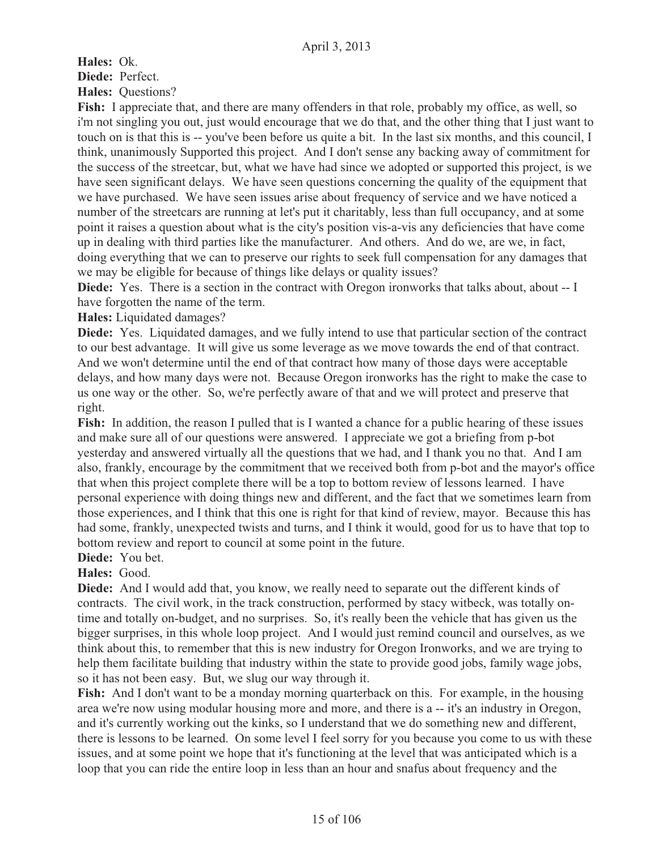**Hales:** Ok. **Diede:** Perfect. **Hales:** Questions?

**Fish:** I appreciate that, and there are many offenders in that role, probably my office, as well, so i'm not singling you out, just would encourage that we do that, and the other thing that I just want to touch on is that this is -- you've been before us quite a bit. In the last six months, and this council, I think, unanimously Supported this project. And I don't sense any backing away of commitment for the success of the streetcar, but, what we have had since we adopted or supported this project, is we have seen significant delays. We have seen questions concerning the quality of the equipment that we have purchased. We have seen issues arise about frequency of service and we have noticed a number of the streetcars are running at let's put it charitably, less than full occupancy, and at some point it raises a question about what is the city's position vis-a-vis any deficiencies that have come up in dealing with third parties like the manufacturer. And others. And do we, are we, in fact, doing everything that we can to preserve our rights to seek full compensation for any damages that we may be eligible for because of things like delays or quality issues?

**Diede:** Yes. There is a section in the contract with Oregon ironworks that talks about, about -- I have forgotten the name of the term.

**Hales:** Liquidated damages?

**Diede:** Yes. Liquidated damages, and we fully intend to use that particular section of the contract to our best advantage. It will give us some leverage as we move towards the end of that contract. And we won't determine until the end of that contract how many of those days were acceptable delays, and how many days were not. Because Oregon ironworks has the right to make the case to us one way or the other. So, we're perfectly aware of that and we will protect and preserve that right.

**Fish:** In addition, the reason I pulled that is I wanted a chance for a public hearing of these issues and make sure all of our questions were answered. I appreciate we got a briefing from p-bot yesterday and answered virtually all the questions that we had, and I thank you no that. And I am also, frankly, encourage by the commitment that we received both from p-bot and the mayor's office that when this project complete there will be a top to bottom review of lessons learned. I have personal experience with doing things new and different, and the fact that we sometimes learn from those experiences, and I think that this one is right for that kind of review, mayor. Because this has had some, frankly, unexpected twists and turns, and I think it would, good for us to have that top to bottom review and report to council at some point in the future.

**Diede:** You bet.

**Hales:** Good.

**Diede:** And I would add that, you know, we really need to separate out the different kinds of contracts. The civil work, in the track construction, performed by stacy witbeck, was totally ontime and totally on-budget, and no surprises. So, it's really been the vehicle that has given us the bigger surprises, in this whole loop project. And I would just remind council and ourselves, as we think about this, to remember that this is new industry for Oregon Ironworks, and we are trying to help them facilitate building that industry within the state to provide good jobs, family wage jobs, so it has not been easy. But, we slug our way through it.

**Fish:** And I don't want to be a monday morning quarterback on this. For example, in the housing area we're now using modular housing more and more, and there is a -- it's an industry in Oregon, and it's currently working out the kinks, so I understand that we do something new and different, there is lessons to be learned. On some level I feel sorry for you because you come to us with these issues, and at some point we hope that it's functioning at the level that was anticipated which is a loop that you can ride the entire loop in less than an hour and snafus about frequency and the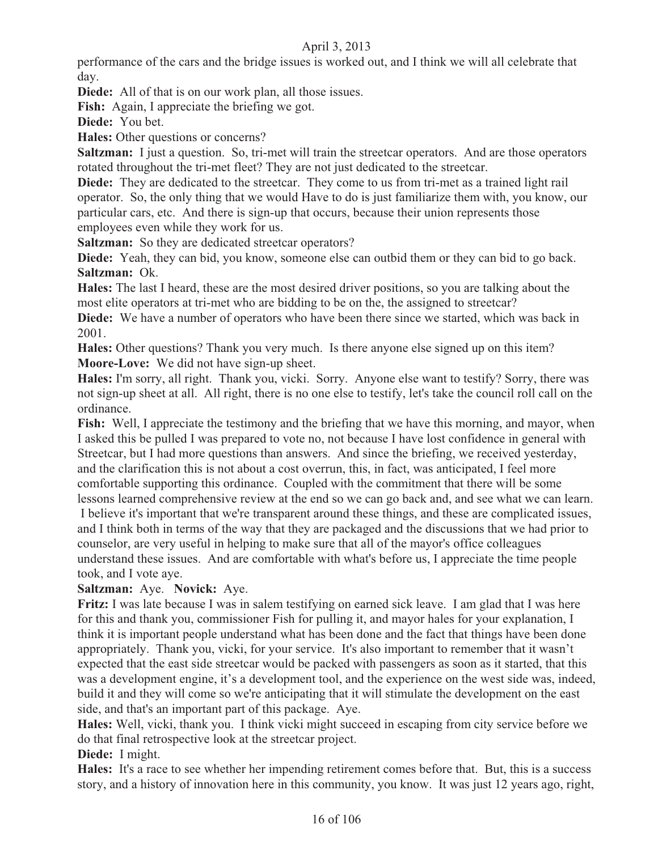performance of the cars and the bridge issues is worked out, and I think we will all celebrate that day.

**Diede:** All of that is on our work plan, all those issues.

**Fish:** Again, I appreciate the briefing we got.

**Diede:** You bet.

**Hales:** Other questions or concerns?

**Saltzman:** I just a question. So, tri-met will train the streetcar operators. And are those operators rotated throughout the tri-met fleet? They are not just dedicated to the streetcar.

**Diede:** They are dedicated to the streetcar. They come to us from tri-met as a trained light rail operator. So, the only thing that we would Have to do is just familiarize them with, you know, our particular cars, etc. And there is sign-up that occurs, because their union represents those employees even while they work for us.

**Saltzman:** So they are dedicated streetcar operators?

**Diede:** Yeah, they can bid, you know, someone else can outbid them or they can bid to go back. **Saltzman:** Ok.

**Hales:** The last I heard, these are the most desired driver positions, so you are talking about the most elite operators at tri-met who are bidding to be on the, the assigned to streetcar?

**Diede:** We have a number of operators who have been there since we started, which was back in 2001.

**Hales:** Other questions? Thank you very much. Is there anyone else signed up on this item? **Moore-Love:** We did not have sign-up sheet.

**Hales:** I'm sorry, all right. Thank you, vicki. Sorry. Anyone else want to testify? Sorry, there was not sign-up sheet at all. All right, there is no one else to testify, let's take the council roll call on the ordinance.

**Fish:** Well, I appreciate the testimony and the briefing that we have this morning, and mayor, when I asked this be pulled I was prepared to vote no, not because I have lost confidence in general with Streetcar, but I had more questions than answers. And since the briefing, we received yesterday, and the clarification this is not about a cost overrun, this, in fact, was anticipated, I feel more comfortable supporting this ordinance. Coupled with the commitment that there will be some lessons learned comprehensive review at the end so we can go back and, and see what we can learn.

 I believe it's important that we're transparent around these things, and these are complicated issues, and I think both in terms of the way that they are packaged and the discussions that we had prior to counselor, are very useful in helping to make sure that all of the mayor's office colleagues understand these issues. And are comfortable with what's before us, I appreciate the time people took, and I vote aye.

# **Saltzman:** Aye. **Novick:** Aye.

**Fritz:** I was late because I was in salem testifying on earned sick leave. I am glad that I was here for this and thank you, commissioner Fish for pulling it, and mayor hales for your explanation, I think it is important people understand what has been done and the fact that things have been done appropriately. Thank you, vicki, for your service. It's also important to remember that it wasn't expected that the east side streetcar would be packed with passengers as soon as it started, that this was a development engine, it's a development tool, and the experience on the west side was, indeed, build it and they will come so we're anticipating that it will stimulate the development on the east side, and that's an important part of this package. Aye.

**Hales:** Well, vicki, thank you. I think vicki might succeed in escaping from city service before we do that final retrospective look at the streetcar project.

**Diede:** I might.

**Hales:** It's a race to see whether her impending retirement comes before that. But, this is a success story, and a history of innovation here in this community, you know. It was just 12 years ago, right,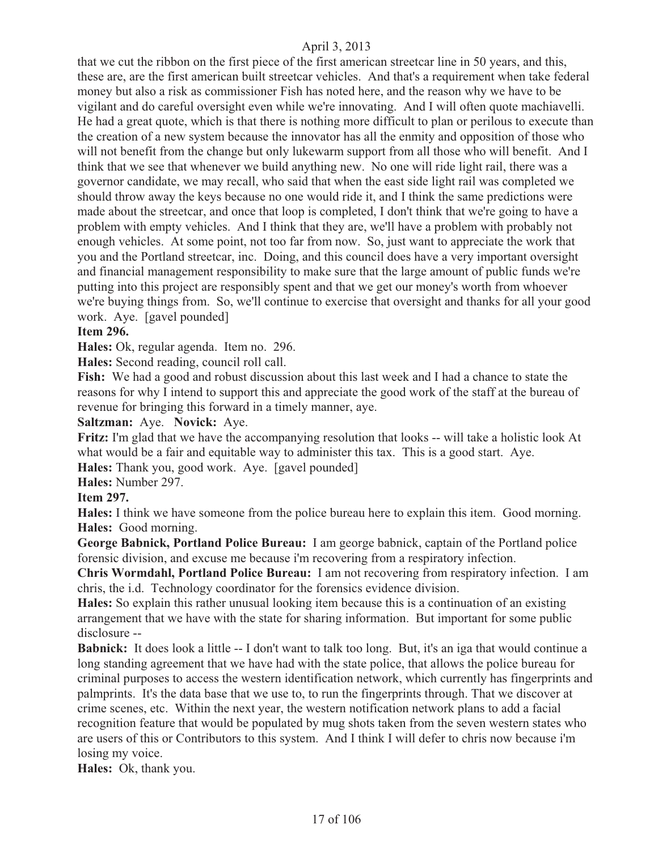that we cut the ribbon on the first piece of the first american streetcar line in 50 years, and this, these are, are the first american built streetcar vehicles. And that's a requirement when take federal money but also a risk as commissioner Fish has noted here, and the reason why we have to be vigilant and do careful oversight even while we're innovating. And I will often quote machiavelli. He had a great quote, which is that there is nothing more difficult to plan or perilous to execute than the creation of a new system because the innovator has all the enmity and opposition of those who will not benefit from the change but only lukewarm support from all those who will benefit. And I think that we see that whenever we build anything new. No one will ride light rail, there was a governor candidate, we may recall, who said that when the east side light rail was completed we should throw away the keys because no one would ride it, and I think the same predictions were made about the streetcar, and once that loop is completed, I don't think that we're going to have a problem with empty vehicles. And I think that they are, we'll have a problem with probably not enough vehicles. At some point, not too far from now. So, just want to appreciate the work that you and the Portland streetcar, inc. Doing, and this council does have a very important oversight and financial management responsibility to make sure that the large amount of public funds we're putting into this project are responsibly spent and that we get our money's worth from whoever we're buying things from. So, we'll continue to exercise that oversight and thanks for all your good work. Aye. [gavel pounded]

# **Item 296.**

**Hales:** Ok, regular agenda. Item no. 296.

**Hales:** Second reading, council roll call.

**Fish:** We had a good and robust discussion about this last week and I had a chance to state the reasons for why I intend to support this and appreciate the good work of the staff at the bureau of revenue for bringing this forward in a timely manner, aye.

#### **Saltzman:** Aye. **Novick:** Aye.

**Fritz:** I'm glad that we have the accompanying resolution that looks -- will take a holistic look At what would be a fair and equitable way to administer this tax. This is a good start. Aye.

**Hales:** Thank you, good work. Aye. [gavel pounded]

**Hales:** Number 297.

#### **Item 297.**

**Hales:** I think we have someone from the police bureau here to explain this item. Good morning. **Hales:** Good morning.

**George Babnick, Portland Police Bureau:** I am george babnick, captain of the Portland police forensic division, and excuse me because i'm recovering from a respiratory infection.

**Chris Wormdahl, Portland Police Bureau:** I am not recovering from respiratory infection. I am chris, the i.d. Technology coordinator for the forensics evidence division.

**Hales:** So explain this rather unusual looking item because this is a continuation of an existing arrangement that we have with the state for sharing information. But important for some public disclosure --

**Babnick:** It does look a little -- I don't want to talk too long. But, it's an iga that would continue a long standing agreement that we have had with the state police, that allows the police bureau for criminal purposes to access the western identification network, which currently has fingerprints and palmprints. It's the data base that we use to, to run the fingerprints through. That we discover at crime scenes, etc. Within the next year, the western notification network plans to add a facial recognition feature that would be populated by mug shots taken from the seven western states who are users of this or Contributors to this system. And I think I will defer to chris now because i'm losing my voice.

**Hales:** Ok, thank you.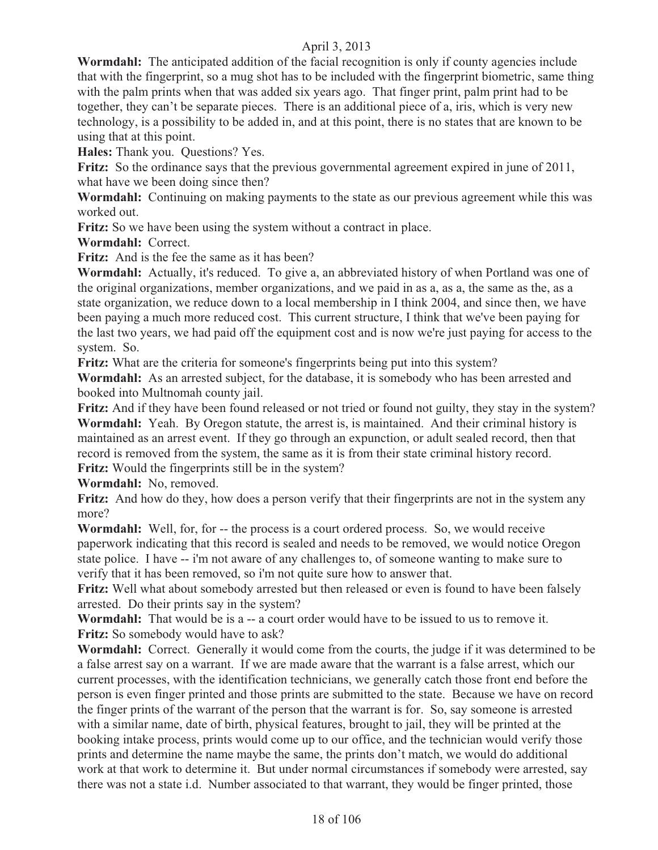Wormdahl: The anticipated addition of the facial recognition is only if county agencies include that with the fingerprint, so a mug shot has to be included with the fingerprint biometric, same thing with the palm prints when that was added six years ago. That finger print, palm print had to be together, they can't be separate pieces. There is an additional piece of a, iris, which is very new technology, is a possibility to be added in, and at this point, there is no states that are known to be using that at this point.

**Hales:** Thank you. Questions? Yes.

Fritz: So the ordinance says that the previous governmental agreement expired in june of 2011, what have we been doing since then?

**Wormdahl:** Continuing on making payments to the state as our previous agreement while this was worked out.

**Fritz:** So we have been using the system without a contract in place.

**Wormdahl:** Correct.

**Fritz:** And is the fee the same as it has been?

**Wormdahl:** Actually, it's reduced. To give a, an abbreviated history of when Portland was one of the original organizations, member organizations, and we paid in as a, as a, the same as the, as a state organization, we reduce down to a local membership in I think 2004, and since then, we have been paying a much more reduced cost. This current structure, I think that we've been paying for the last two years, we had paid off the equipment cost and is now we're just paying for access to the system. So.

**Fritz:** What are the criteria for someone's fingerprints being put into this system?

**Wormdahl:** As an arrested subject, for the database, it is somebody who has been arrested and booked into Multnomah county jail.

**Fritz:** And if they have been found released or not tried or found not guilty, they stay in the system? **Wormdahl:** Yeah. By Oregon statute, the arrest is, is maintained. And their criminal history is maintained as an arrest event. If they go through an expunction, or adult sealed record, then that record is removed from the system, the same as it is from their state criminal history record. **Fritz:** Would the fingerprints still be in the system?

**Wormdahl:** No, removed.

**Fritz:** And how do they, how does a person verify that their fingerprints are not in the system any more?

**Wormdahl:** Well, for, for -- the process is a court ordered process. So, we would receive paperwork indicating that this record is sealed and needs to be removed, we would notice Oregon state police. I have -- i'm not aware of any challenges to, of someone wanting to make sure to verify that it has been removed, so i'm not quite sure how to answer that.

**Fritz:** Well what about somebody arrested but then released or even is found to have been falsely arrested. Do their prints say in the system?

**Wormdahl:** That would be is a -- a court order would have to be issued to us to remove it. **Fritz:** So somebody would have to ask?

**Wormdahl:** Correct. Generally it would come from the courts, the judge if it was determined to be a false arrest say on a warrant. If we are made aware that the warrant is a false arrest, which our current processes, with the identification technicians, we generally catch those front end before the person is even finger printed and those prints are submitted to the state. Because we have on record the finger prints of the warrant of the person that the warrant is for. So, say someone is arrested with a similar name, date of birth, physical features, brought to jail, they will be printed at the booking intake process, prints would come up to our office, and the technician would verify those prints and determine the name maybe the same, the prints don't match, we would do additional work at that work to determine it. But under normal circumstances if somebody were arrested, say there was not a state i.d. Number associated to that warrant, they would be finger printed, those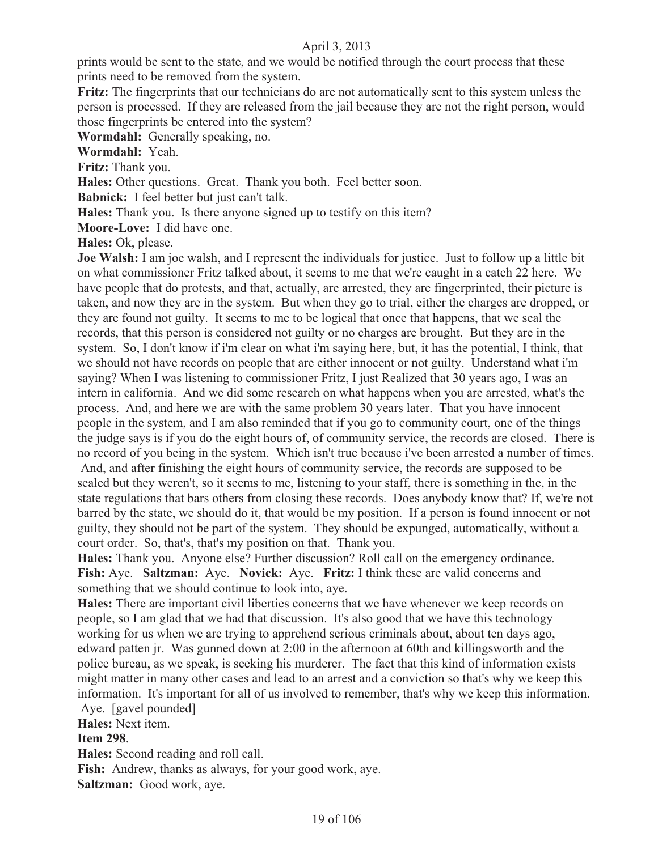prints would be sent to the state, and we would be notified through the court process that these prints need to be removed from the system.

**Fritz:** The fingerprints that our technicians do are not automatically sent to this system unless the person is processed. If they are released from the jail because they are not the right person, would those fingerprints be entered into the system?

**Wormdahl:** Generally speaking, no.

**Wormdahl:** Yeah.

**Fritz:** Thank you.

**Hales:** Other questions. Great. Thank you both. Feel better soon.

**Babnick:** I feel better but just can't talk.

**Hales:** Thank you. Is there anyone signed up to testify on this item?

**Moore-Love:** I did have one.

**Hales:** Ok, please.

**Joe Walsh:** I am joe walsh, and I represent the individuals for justice. Just to follow up a little bit on what commissioner Fritz talked about, it seems to me that we're caught in a catch 22 here. We have people that do protests, and that, actually, are arrested, they are fingerprinted, their picture is taken, and now they are in the system. But when they go to trial, either the charges are dropped, or they are found not guilty. It seems to me to be logical that once that happens, that we seal the records, that this person is considered not guilty or no charges are brought. But they are in the system. So, I don't know if i'm clear on what i'm saying here, but, it has the potential, I think, that we should not have records on people that are either innocent or not guilty. Understand what i'm saying? When I was listening to commissioner Fritz, I just Realized that 30 years ago, I was an intern in california. And we did some research on what happens when you are arrested, what's the process. And, and here we are with the same problem 30 years later. That you have innocent people in the system, and I am also reminded that if you go to community court, one of the things the judge says is if you do the eight hours of, of community service, the records are closed. There is no record of you being in the system. Which isn't true because i've been arrested a number of times.

 And, and after finishing the eight hours of community service, the records are supposed to be sealed but they weren't, so it seems to me, listening to your staff, there is something in the, in the state regulations that bars others from closing these records. Does anybody know that? If, we're not barred by the state, we should do it, that would be my position. If a person is found innocent or not guilty, they should not be part of the system. They should be expunged, automatically, without a court order. So, that's, that's my position on that. Thank you.

**Hales:** Thank you. Anyone else? Further discussion? Roll call on the emergency ordinance. **Fish:** Aye. **Saltzman:** Aye. **Novick:** Aye. **Fritz:** I think these are valid concerns and something that we should continue to look into, aye.

**Hales:** There are important civil liberties concerns that we have whenever we keep records on people, so I am glad that we had that discussion. It's also good that we have this technology working for us when we are trying to apprehend serious criminals about, about ten days ago, edward patten jr. Was gunned down at 2:00 in the afternoon at 60th and killingsworth and the police bureau, as we speak, is seeking his murderer. The fact that this kind of information exists might matter in many other cases and lead to an arrest and a conviction so that's why we keep this information. It's important for all of us involved to remember, that's why we keep this information. Aye. [gavel pounded]

#### **Hales:** Next item.

#### **Item 298**.

**Hales:** Second reading and roll call. **Fish:** Andrew, thanks as always, for your good work, aye. **Saltzman:** Good work, aye.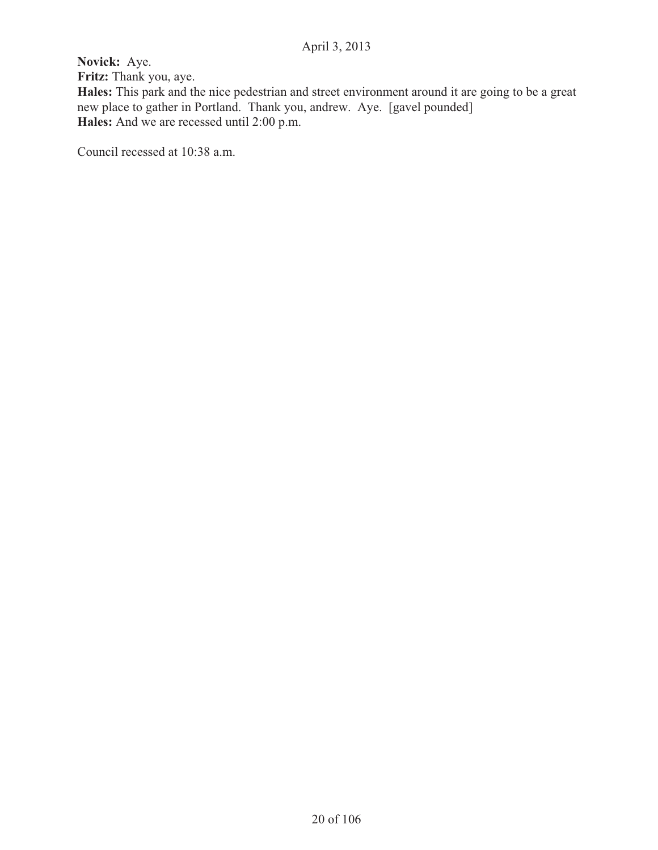**Novick:** Aye. **Fritz:** Thank you, aye. **Hales:** This park and the nice pedestrian and street environment around it are going to be a great new place to gather in Portland. Thank you, andrew. Aye. [gavel pounded] **Hales:** And we are recessed until 2:00 p.m.

Council recessed at 10:38 a.m.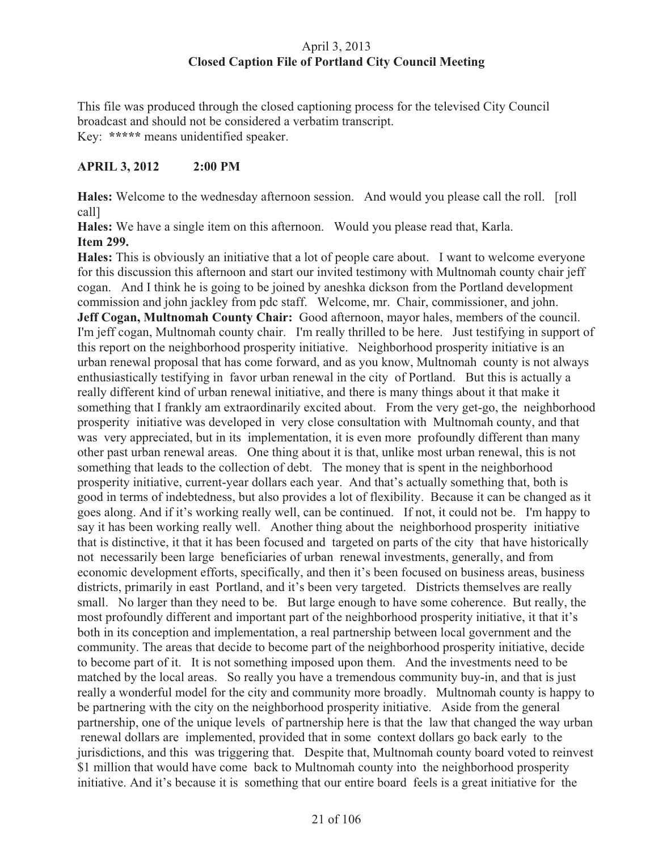# April 3, 2013 **Closed Caption File of Portland City Council Meeting**

This file was produced through the closed captioning process for the televised City Council broadcast and should not be considered a verbatim transcript. Key: **\*\*\*\*\*** means unidentified speaker.

# **APRIL 3, 2012 2:00 PM**

**Hales:** Welcome to the wednesday afternoon session. And would you please call the roll. [roll call]

**Hales:** We have a single item on this afternoon. Would you please read that, Karla. **Item 299.** 

**Hales:** This is obviously an initiative that a lot of people care about. I want to welcome everyone for this discussion this afternoon and start our invited testimony with Multnomah county chair jeff cogan. And I think he is going to be joined by aneshka dickson from the Portland development commission and john jackley from pdc staff. Welcome, mr. Chair, commissioner, and john. **Jeff Cogan, Multnomah County Chair:** Good afternoon, mayor hales, members of the council. I'm jeff cogan, Multnomah county chair. I'm really thrilled to be here. Just testifying in support of this report on the neighborhood prosperity initiative. Neighborhood prosperity initiative is an urban renewal proposal that has come forward, and as you know, Multnomah county is not always enthusiastically testifying in favor urban renewal in the city of Portland. But this is actually a really different kind of urban renewal initiative, and there is many things about it that make it something that I frankly am extraordinarily excited about. From the very get-go, the neighborhood prosperity initiative was developed in very close consultation with Multnomah county, and that was very appreciated, but in its implementation, it is even more profoundly different than many other past urban renewal areas. One thing about it is that, unlike most urban renewal, this is not something that leads to the collection of debt. The money that is spent in the neighborhood prosperity initiative, current-year dollars each year. And that's actually something that, both is good in terms of indebtedness, but also provides a lot of flexibility. Because it can be changed as it goes along. And if it's working really well, can be continued. If not, it could not be. I'm happy to say it has been working really well. Another thing about the neighborhood prosperity initiative that is distinctive, it that it has been focused and targeted on parts of the city that have historically not necessarily been large beneficiaries of urban renewal investments, generally, and from economic development efforts, specifically, and then it's been focused on business areas, business districts, primarily in east Portland, and it's been very targeted. Districts themselves are really small. No larger than they need to be. But large enough to have some coherence. But really, the most profoundly different and important part of the neighborhood prosperity initiative, it that it's both in its conception and implementation, a real partnership between local government and the community. The areas that decide to become part of the neighborhood prosperity initiative, decide to become part of it. It is not something imposed upon them. And the investments need to be matched by the local areas. So really you have a tremendous community buy-in, and that is just really a wonderful model for the city and community more broadly. Multnomah county is happy to be partnering with the city on the neighborhood prosperity initiative. Aside from the general partnership, one of the unique levels of partnership here is that the law that changed the way urban renewal dollars are implemented, provided that in some context dollars go back early to the jurisdictions, and this was triggering that. Despite that, Multnomah county board voted to reinvest \$1 million that would have come back to Multnomah county into the neighborhood prosperity initiative. And it's because it is something that our entire board feels is a great initiative for the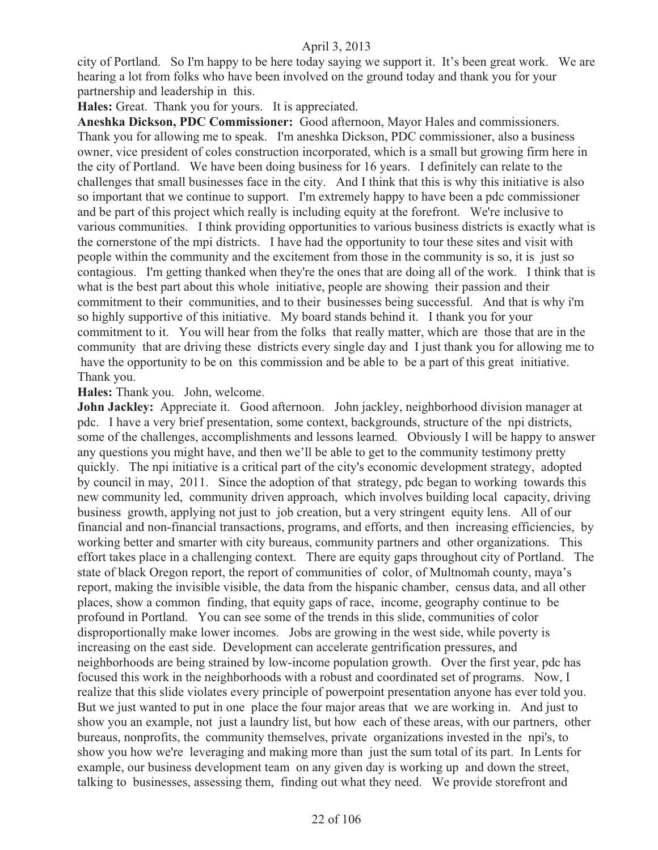city of Portland. So I'm happy to be here today saying we support it. It's been great work. We are hearing a lot from folks who have been involved on the ground today and thank you for your partnership and leadership in this.

**Hales:** Great. Thank you for yours. It is appreciated.

**Aneshka Dickson, PDC Commissioner:** Good afternoon, Mayor Hales and commissioners. Thank you for allowing me to speak. I'm aneshka Dickson, PDC commissioner, also a business owner, vice president of coles construction incorporated, which is a small but growing firm here in the city of Portland. We have been doing business for 16 years. I definitely can relate to the challenges that small businesses face in the city. And I think that this is why this initiative is also so important that we continue to support. I'm extremely happy to have been a pdc commissioner and be part of this project which really is including equity at the forefront. We're inclusive to various communities. I think providing opportunities to various business districts is exactly what is the cornerstone of the mpi districts. I have had the opportunity to tour these sites and visit with people within the community and the excitement from those in the community is so, it is just so contagious. I'm getting thanked when they're the ones that are doing all of the work. I think that is what is the best part about this whole initiative, people are showing their passion and their commitment to their communities, and to their businesses being successful. And that is why i'm so highly supportive of this initiative. My board stands behind it. I thank you for your commitment to it. You will hear from the folks that really matter, which are those that are in the community that are driving these districts every single day and I just thank you for allowing me to have the opportunity to be on this commission and be able to be a part of this great initiative. Thank you.

#### **Hales:** Thank you. John, welcome.

**John Jackley:** Appreciate it. Good afternoon. John jackley, neighborhood division manager at pdc. I have a very brief presentation, some context, backgrounds, structure of the npi districts, some of the challenges, accomplishments and lessons learned. Obviously I will be happy to answer any questions you might have, and then we'll be able to get to the community testimony pretty quickly. The npi initiative is a critical part of the city's economic development strategy, adopted by council in may, 2011. Since the adoption of that strategy, pdc began to working towards this new community led, community driven approach, which involves building local capacity, driving business growth, applying not just to job creation, but a very stringent equity lens. All of our financial and non-financial transactions, programs, and efforts, and then increasing efficiencies, by working better and smarter with city bureaus, community partners and other organizations. This effort takes place in a challenging context. There are equity gaps throughout city of Portland. The state of black Oregon report, the report of communities of color, of Multnomah county, maya's report, making the invisible visible, the data from the hispanic chamber, census data, and all other places, show a common finding, that equity gaps of race, income, geography continue to be profound in Portland. You can see some of the trends in this slide, communities of color disproportionally make lower incomes. Jobs are growing in the west side, while poverty is increasing on the east side. Development can accelerate gentrification pressures, and neighborhoods are being strained by low-income population growth. Over the first year, pdc has focused this work in the neighborhoods with a robust and coordinated set of programs. Now, I realize that this slide violates every principle of powerpoint presentation anyone has ever told you. But we just wanted to put in one place the four major areas that we are working in. And just to show you an example, not just a laundry list, but how each of these areas, with our partners, other bureaus, nonprofits, the community themselves, private organizations invested in the npi's, to show you how we're leveraging and making more than just the sum total of its part. In Lents for example, our business development team on any given day is working up and down the street, talking to businesses, assessing them, finding out what they need. We provide storefront and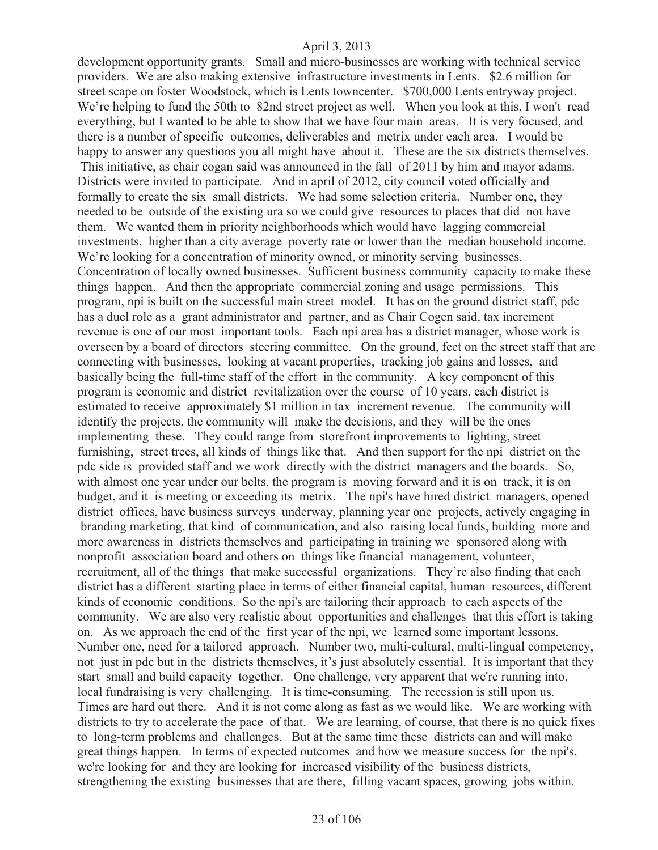development opportunity grants. Small and micro-businesses are working with technical service providers. We are also making extensive infrastructure investments in Lents. \$2.6 million for street scape on foster Woodstock, which is Lents towncenter. \$700,000 Lents entryway project. We're helping to fund the 50th to 82nd street project as well. When you look at this, I won't read everything, but I wanted to be able to show that we have four main areas. It is very focused, and there is a number of specific outcomes, deliverables and metrix under each area. I would be happy to answer any questions you all might have about it. These are the six districts themselves. This initiative, as chair cogan said was announced in the fall of 2011 by him and mayor adams. Districts were invited to participate. And in april of 2012, city council voted officially and formally to create the six small districts. We had some selection criteria. Number one, they needed to be outside of the existing ura so we could give resources to places that did not have them. We wanted them in priority neighborhoods which would have lagging commercial investments, higher than a city average poverty rate or lower than the median household income. We're looking for a concentration of minority owned, or minority serving businesses. Concentration of locally owned businesses. Sufficient business community capacity to make these things happen. And then the appropriate commercial zoning and usage permissions. This program, npi is built on the successful main street model. It has on the ground district staff, pdc has a duel role as a grant administrator and partner, and as Chair Cogen said, tax increment revenue is one of our most important tools. Each npi area has a district manager, whose work is overseen by a board of directors steering committee. On the ground, feet on the street staff that are connecting with businesses, looking at vacant properties, tracking job gains and losses, and basically being the full-time staff of the effort in the community. A key component of this program is economic and district revitalization over the course of 10 years, each district is estimated to receive approximately \$1 million in tax increment revenue. The community will identify the projects, the community will make the decisions, and they will be the ones implementing these. They could range from storefront improvements to lighting, street furnishing, street trees, all kinds of things like that. And then support for the npi district on the pdc side is provided staff and we work directly with the district managers and the boards. So, with almost one year under our belts, the program is moving forward and it is on track, it is on budget, and it is meeting or exceeding its metrix. The npi's have hired district managers, opened district offices, have business surveys underway, planning year one projects, actively engaging in branding marketing, that kind of communication, and also raising local funds, building more and more awareness in districts themselves and participating in training we sponsored along with nonprofit association board and others on things like financial management, volunteer, recruitment, all of the things that make successful organizations. They're also finding that each district has a different starting place in terms of either financial capital, human resources, different kinds of economic conditions. So the npi's are tailoring their approach to each aspects of the community. We are also very realistic about opportunities and challenges that this effort is taking on. As we approach the end of the first year of the npi, we learned some important lessons. Number one, need for a tailored approach. Number two, multi-cultural, multi-lingual competency, not just in pdc but in the districts themselves, it's just absolutely essential. It is important that they start small and build capacity together. One challenge, very apparent that we're running into, local fundraising is very challenging. It is time-consuming. The recession is still upon us. Times are hard out there. And it is not come along as fast as we would like. We are working with districts to try to accelerate the pace of that. We are learning, of course, that there is no quick fixes to long-term problems and challenges. But at the same time these districts can and will make great things happen. In terms of expected outcomes and how we measure success for the npi's, we're looking for and they are looking for increased visibility of the business districts, strengthening the existing businesses that are there, filling vacant spaces, growing jobs within.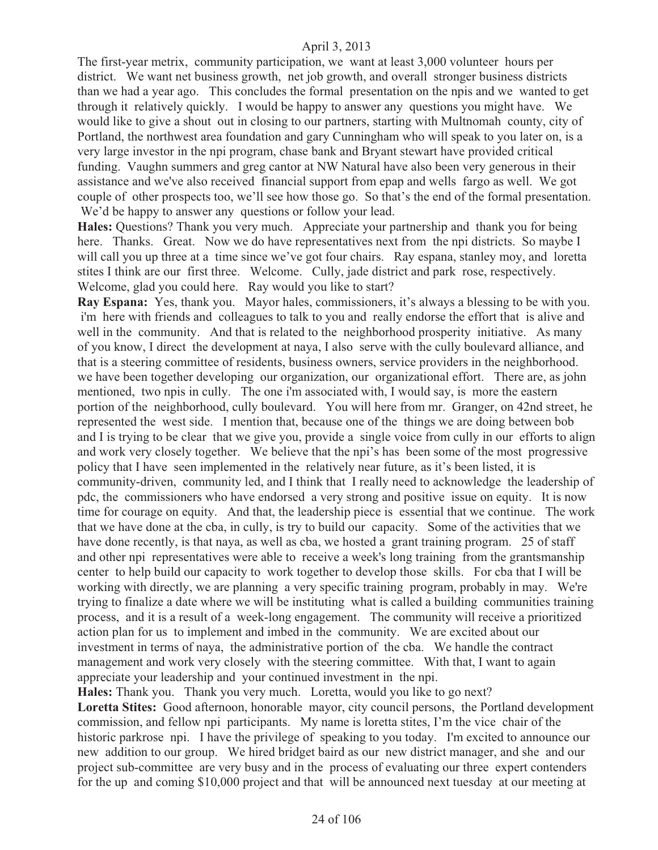The first-year metrix, community participation, we want at least 3,000 volunteer hours per district. We want net business growth, net job growth, and overall stronger business districts than we had a year ago. This concludes the formal presentation on the npis and we wanted to get through it relatively quickly. I would be happy to answer any questions you might have. We would like to give a shout out in closing to our partners, starting with Multnomah county, city of Portland, the northwest area foundation and gary Cunningham who will speak to you later on, is a very large investor in the npi program, chase bank and Bryant stewart have provided critical funding. Vaughn summers and greg cantor at NW Natural have also been very generous in their assistance and we've also received financial support from epap and wells fargo as well. We got couple of other prospects too, we'll see how those go. So that's the end of the formal presentation. We'd be happy to answer any questions or follow your lead.

**Hales:** Questions? Thank you very much. Appreciate your partnership and thank you for being here. Thanks. Great. Now we do have representatives next from the npi districts. So maybe I will call you up three at a time since we've got four chairs. Ray espana, stanley moy, and loretta stites I think are our first three. Welcome. Cully, jade district and park rose, respectively. Welcome, glad you could here. Ray would you like to start?

**Ray Espana:** Yes, thank you. Mayor hales, commissioners, it's always a blessing to be with you. i'm here with friends and colleagues to talk to you and really endorse the effort that is alive and well in the community. And that is related to the neighborhood prosperity initiative. As many of you know, I direct the development at naya, I also serve with the cully boulevard alliance, and that is a steering committee of residents, business owners, service providers in the neighborhood. we have been together developing our organization, our organizational effort. There are, as john mentioned, two npis in cully. The one i'm associated with, I would say, is more the eastern portion of the neighborhood, cully boulevard. You will here from mr. Granger, on 42nd street, he represented the west side. I mention that, because one of the things we are doing between bob and I is trying to be clear that we give you, provide a single voice from cully in our efforts to align and work very closely together. We believe that the npi's has been some of the most progressive policy that I have seen implemented in the relatively near future, as it's been listed, it is community-driven, community led, and I think that I really need to acknowledge the leadership of pdc, the commissioners who have endorsed a very strong and positive issue on equity. It is now time for courage on equity. And that, the leadership piece is essential that we continue. The work that we have done at the cba, in cully, is try to build our capacity. Some of the activities that we have done recently, is that naya, as well as cba, we hosted a grant training program. 25 of staff and other npi representatives were able to receive a week's long training from the grantsmanship center to help build our capacity to work together to develop those skills. For cba that I will be working with directly, we are planning a very specific training program, probably in may. We're trying to finalize a date where we will be instituting what is called a building communities training process, and it is a result of a week-long engagement. The community will receive a prioritized action plan for us to implement and imbed in the community. We are excited about our investment in terms of naya, the administrative portion of the cba. We handle the contract management and work very closely with the steering committee. With that, I want to again appreciate your leadership and your continued investment in the npi.

**Hales:** Thank you. Thank you very much. Loretta, would you like to go next? **Loretta Stites:** Good afternoon, honorable mayor, city council persons, the Portland development commission, and fellow npi participants. My name is loretta stites, I'm the vice chair of the historic parkrose npi. I have the privilege of speaking to you today. I'm excited to announce our new addition to our group. We hired bridget baird as our new district manager, and she and our project sub-committee are very busy and in the process of evaluating our three expert contenders for the up and coming \$10,000 project and that will be announced next tuesday at our meeting at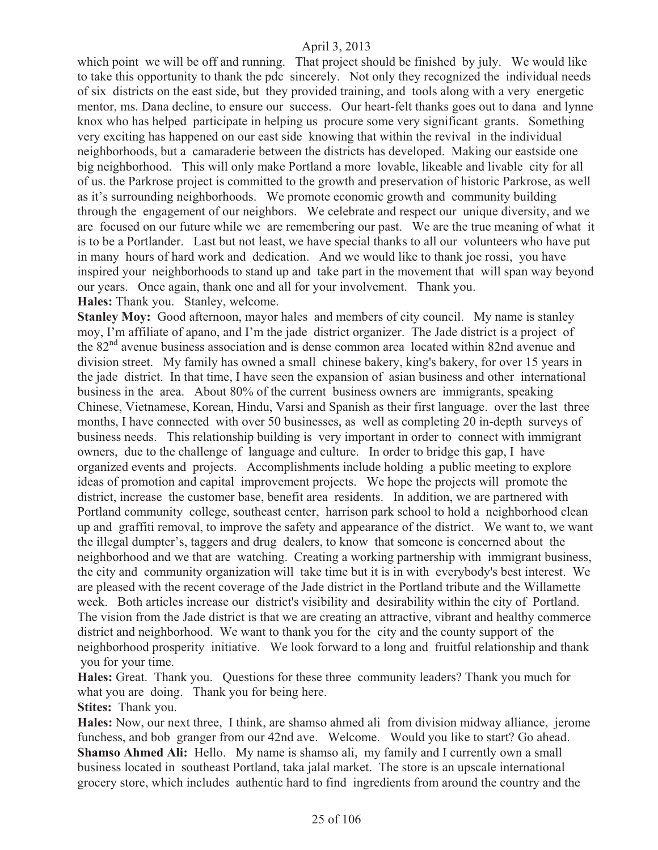which point we will be off and running. That project should be finished by july. We would like to take this opportunity to thank the pdc sincerely. Not only they recognized the individual needs of six districts on the east side, but they provided training, and tools along with a very energetic mentor, ms. Dana decline, to ensure our success. Our heart-felt thanks goes out to dana and lynne knox who has helped participate in helping us procure some very significant grants. Something very exciting has happened on our east side knowing that within the revival in the individual neighborhoods, but a camaraderie between the districts has developed. Making our eastside one big neighborhood. This will only make Portland a more lovable, likeable and livable city for all of us. the Parkrose project is committed to the growth and preservation of historic Parkrose, as well as it's surrounding neighborhoods. We promote economic growth and community building through the engagement of our neighbors. We celebrate and respect our unique diversity, and we are focused on our future while we are remembering our past. We are the true meaning of what it is to be a Portlander. Last but not least, we have special thanks to all our volunteers who have put in many hours of hard work and dedication. And we would like to thank joe rossi, you have inspired your neighborhoods to stand up and take part in the movement that will span way beyond our years. Once again, thank one and all for your involvement. Thank you. **Hales:** Thank you. Stanley, welcome.

**Stanley Moy:** Good afternoon, mayor hales and members of city council. My name is stanley moy, I'm affiliate of apano, and I'm the jade district organizer. The Jade district is a project of the 82nd avenue business association and is dense common area located within 82nd avenue and division street. My family has owned a small chinese bakery, king's bakery, for over 15 years in the jade district. In that time, I have seen the expansion of asian business and other international business in the area. About 80% of the current business owners are immigrants, speaking Chinese, Vietnamese, Korean, Hindu, Varsi and Spanish as their first language. over the last three months, I have connected with over 50 businesses, as well as completing 20 in-depth surveys of business needs. This relationship building is very important in order to connect with immigrant owners, due to the challenge of language and culture. In order to bridge this gap, I have organized events and projects. Accomplishments include holding a public meeting to explore ideas of promotion and capital improvement projects. We hope the projects will promote the district, increase the customer base, benefit area residents. In addition, we are partnered with Portland community college, southeast center, harrison park school to hold a neighborhood clean up and graffiti removal, to improve the safety and appearance of the district. We want to, we want the illegal dumpter's, taggers and drug dealers, to know that someone is concerned about the neighborhood and we that are watching. Creating a working partnership with immigrant business, the city and community organization will take time but it is in with everybody's best interest. We are pleased with the recent coverage of the Jade district in the Portland tribute and the Willamette week. Both articles increase our district's visibility and desirability within the city of Portland. The vision from the Jade district is that we are creating an attractive, vibrant and healthy commerce district and neighborhood. We want to thank you for the city and the county support of the neighborhood prosperity initiative. We look forward to a long and fruitful relationship and thank you for your time.

**Hales:** Great. Thank you. Questions for these three community leaders? Thank you much for what you are doing. Thank you for being here.

**Stites:** Thank you.

**Hales:** Now, our next three, I think, are shamso ahmed ali from division midway alliance, jerome funchess, and bob granger from our 42nd ave. Welcome. Would you like to start? Go ahead. **Shamso Ahmed Ali:** Hello. My name is shamso ali, my family and I currently own a small business located in southeast Portland, taka jalal market. The store is an upscale international grocery store, which includes authentic hard to find ingredients from around the country and the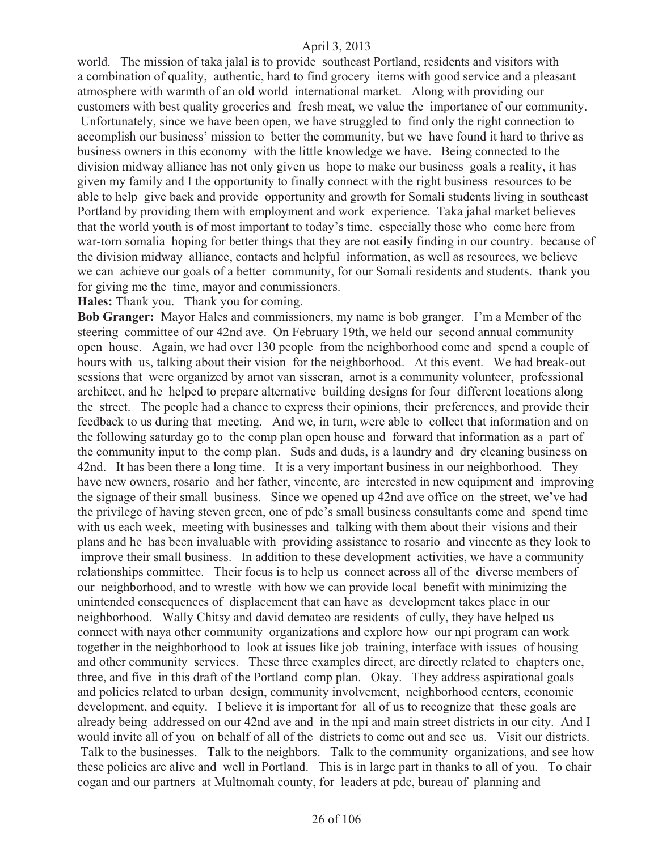world. The mission of taka jalal is to provide southeast Portland, residents and visitors with a combination of quality, authentic, hard to find grocery items with good service and a pleasant atmosphere with warmth of an old world international market. Along with providing our customers with best quality groceries and fresh meat, we value the importance of our community. Unfortunately, since we have been open, we have struggled to find only the right connection to accomplish our business' mission to better the community, but we have found it hard to thrive as business owners in this economy with the little knowledge we have. Being connected to the division midway alliance has not only given us hope to make our business goals a reality, it has given my family and I the opportunity to finally connect with the right business resources to be able to help give back and provide opportunity and growth for Somali students living in southeast Portland by providing them with employment and work experience. Taka jahal market believes that the world youth is of most important to today's time. especially those who come here from war-torn somalia hoping for better things that they are not easily finding in our country. because of the division midway alliance, contacts and helpful information, as well as resources, we believe we can achieve our goals of a better community, for our Somali residents and students. thank you for giving me the time, mayor and commissioners.

**Hales:** Thank you. Thank you for coming.

**Bob Granger:** Mayor Hales and commissioners, my name is bob granger. I'm a Member of the steering committee of our 42nd ave. On February 19th, we held our second annual community open house. Again, we had over 130 people from the neighborhood come and spend a couple of hours with us, talking about their vision for the neighborhood. At this event. We had break-out sessions that were organized by arnot van sisseran, arnot is a community volunteer, professional architect, and he helped to prepare alternative building designs for four different locations along the street. The people had a chance to express their opinions, their preferences, and provide their feedback to us during that meeting. And we, in turn, were able to collect that information and on the following saturday go to the comp plan open house and forward that information as a part of the community input to the comp plan. Suds and duds, is a laundry and dry cleaning business on 42nd. It has been there a long time. It is a very important business in our neighborhood. They have new owners, rosario and her father, vincente, are interested in new equipment and improving the signage of their small business. Since we opened up 42nd ave office on the street, we've had the privilege of having steven green, one of pdc's small business consultants come and spend time with us each week, meeting with businesses and talking with them about their visions and their plans and he has been invaluable with providing assistance to rosario and vincente as they look to improve their small business. In addition to these development activities, we have a community relationships committee. Their focus is to help us connect across all of the diverse members of our neighborhood, and to wrestle with how we can provide local benefit with minimizing the unintended consequences of displacement that can have as development takes place in our neighborhood. Wally Chitsy and david demateo are residents of cully, they have helped us connect with naya other community organizations and explore how our npi program can work together in the neighborhood to look at issues like job training, interface with issues of housing and other community services. These three examples direct, are directly related to chapters one, three, and five in this draft of the Portland comp plan. Okay. They address aspirational goals and policies related to urban design, community involvement, neighborhood centers, economic development, and equity. I believe it is important for all of us to recognize that these goals are already being addressed on our 42nd ave and in the npi and main street districts in our city. And I would invite all of you on behalf of all of the districts to come out and see us. Visit our districts. Talk to the businesses. Talk to the neighbors. Talk to the community organizations, and see how these policies are alive and well in Portland. This is in large part in thanks to all of you. To chair cogan and our partners at Multnomah county, for leaders at pdc, bureau of planning and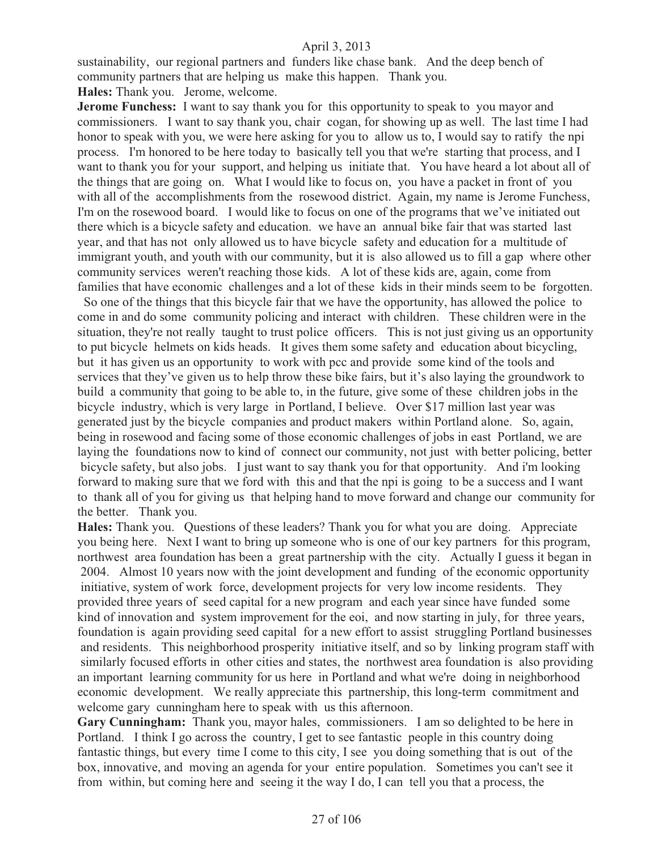sustainability, our regional partners and funders like chase bank. And the deep bench of community partners that are helping us make this happen. Thank you.

**Hales:** Thank you. Jerome, welcome.

**Jerome Funchess:** I want to say thank you for this opportunity to speak to you mayor and commissioners. I want to say thank you, chair cogan, for showing up as well. The last time I had honor to speak with you, we were here asking for you to allow us to, I would say to ratify the npi process. I'm honored to be here today to basically tell you that we're starting that process, and I want to thank you for your support, and helping us initiate that. You have heard a lot about all of the things that are going on. What I would like to focus on, you have a packet in front of you with all of the accomplishments from the rosewood district. Again, my name is Jerome Funchess, I'm on the rosewood board. I would like to focus on one of the programs that we've initiated out there which is a bicycle safety and education. we have an annual bike fair that was started last year, and that has not only allowed us to have bicycle safety and education for a multitude of immigrant youth, and youth with our community, but it is also allowed us to fill a gap where other community services weren't reaching those kids. A lot of these kids are, again, come from families that have economic challenges and a lot of these kids in their minds seem to be forgotten.

 So one of the things that this bicycle fair that we have the opportunity, has allowed the police to come in and do some community policing and interact with children. These children were in the situation, they're not really taught to trust police officers. This is not just giving us an opportunity to put bicycle helmets on kids heads. It gives them some safety and education about bicycling, but it has given us an opportunity to work with pcc and provide some kind of the tools and services that they've given us to help throw these bike fairs, but it's also laying the groundwork to build a community that going to be able to, in the future, give some of these children jobs in the bicycle industry, which is very large in Portland, I believe. Over \$17 million last year was generated just by the bicycle companies and product makers within Portland alone. So, again, being in rosewood and facing some of those economic challenges of jobs in east Portland, we are laying the foundations now to kind of connect our community, not just with better policing, better bicycle safety, but also jobs. I just want to say thank you for that opportunity. And i'm looking forward to making sure that we ford with this and that the npi is going to be a success and I want to thank all of you for giving us that helping hand to move forward and change our community for the better. Thank you.

**Hales:** Thank you. Questions of these leaders? Thank you for what you are doing. Appreciate you being here. Next I want to bring up someone who is one of our key partners for this program, northwest area foundation has been a great partnership with the city. Actually I guess it began in 2004. Almost 10 years now with the joint development and funding of the economic opportunity initiative, system of work force, development projects for very low income residents. They provided three years of seed capital for a new program and each year since have funded some kind of innovation and system improvement for the eoi, and now starting in july, for three years, foundation is again providing seed capital for a new effort to assist struggling Portland businesses and residents. This neighborhood prosperity initiative itself, and so by linking program staff with similarly focused efforts in other cities and states, the northwest area foundation is also providing an important learning community for us here in Portland and what we're doing in neighborhood economic development. We really appreciate this partnership, this long-term commitment and welcome gary cunningham here to speak with us this afternoon.

**Gary Cunningham:** Thank you, mayor hales, commissioners. I am so delighted to be here in Portland. I think I go across the country, I get to see fantastic people in this country doing fantastic things, but every time I come to this city, I see you doing something that is out of the box, innovative, and moving an agenda for your entire population. Sometimes you can't see it from within, but coming here and seeing it the way I do, I can tell you that a process, the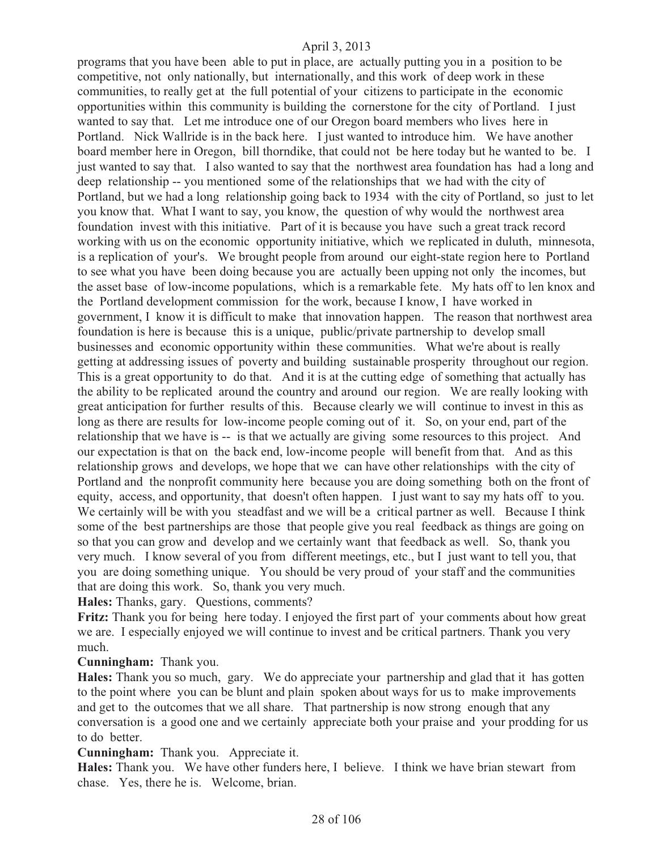programs that you have been able to put in place, are actually putting you in a position to be competitive, not only nationally, but internationally, and this work of deep work in these communities, to really get at the full potential of your citizens to participate in the economic opportunities within this community is building the cornerstone for the city of Portland. I just wanted to say that. Let me introduce one of our Oregon board members who lives here in Portland. Nick Wallride is in the back here. I just wanted to introduce him. We have another board member here in Oregon, bill thorndike, that could not be here today but he wanted to be. I just wanted to say that. I also wanted to say that the northwest area foundation has had a long and deep relationship -- you mentioned some of the relationships that we had with the city of Portland, but we had a long relationship going back to 1934 with the city of Portland, so just to let you know that. What I want to say, you know, the question of why would the northwest area foundation invest with this initiative. Part of it is because you have such a great track record working with us on the economic opportunity initiative, which we replicated in duluth, minnesota, is a replication of your's. We brought people from around our eight-state region here to Portland to see what you have been doing because you are actually been upping not only the incomes, but the asset base of low-income populations, which is a remarkable fete. My hats off to len knox and the Portland development commission for the work, because I know, I have worked in government, I know it is difficult to make that innovation happen. The reason that northwest area foundation is here is because this is a unique, public/private partnership to develop small businesses and economic opportunity within these communities. What we're about is really getting at addressing issues of poverty and building sustainable prosperity throughout our region. This is a great opportunity to do that. And it is at the cutting edge of something that actually has the ability to be replicated around the country and around our region. We are really looking with great anticipation for further results of this. Because clearly we will continue to invest in this as long as there are results for low-income people coming out of it. So, on your end, part of the relationship that we have is -- is that we actually are giving some resources to this project. And our expectation is that on the back end, low-income people will benefit from that. And as this relationship grows and develops, we hope that we can have other relationships with the city of Portland and the nonprofit community here because you are doing something both on the front of equity, access, and opportunity, that doesn't often happen. I just want to say my hats off to you. We certainly will be with you steadfast and we will be a critical partner as well. Because I think some of the best partnerships are those that people give you real feedback as things are going on so that you can grow and develop and we certainly want that feedback as well. So, thank you very much. I know several of you from different meetings, etc., but I just want to tell you, that you are doing something unique. You should be very proud of your staff and the communities that are doing this work. So, thank you very much.

**Hales:** Thanks, gary. Questions, comments?

**Fritz:** Thank you for being here today. I enjoyed the first part of your comments about how great we are. I especially enjoyed we will continue to invest and be critical partners. Thank you very much.

#### **Cunningham:** Thank you.

**Hales:** Thank you so much, gary. We do appreciate your partnership and glad that it has gotten to the point where you can be blunt and plain spoken about ways for us to make improvements and get to the outcomes that we all share. That partnership is now strong enough that any conversation is a good one and we certainly appreciate both your praise and your prodding for us to do better.

#### **Cunningham:** Thank you. Appreciate it.

**Hales:** Thank you. We have other funders here, I believe. I think we have brian stewart from chase. Yes, there he is. Welcome, brian.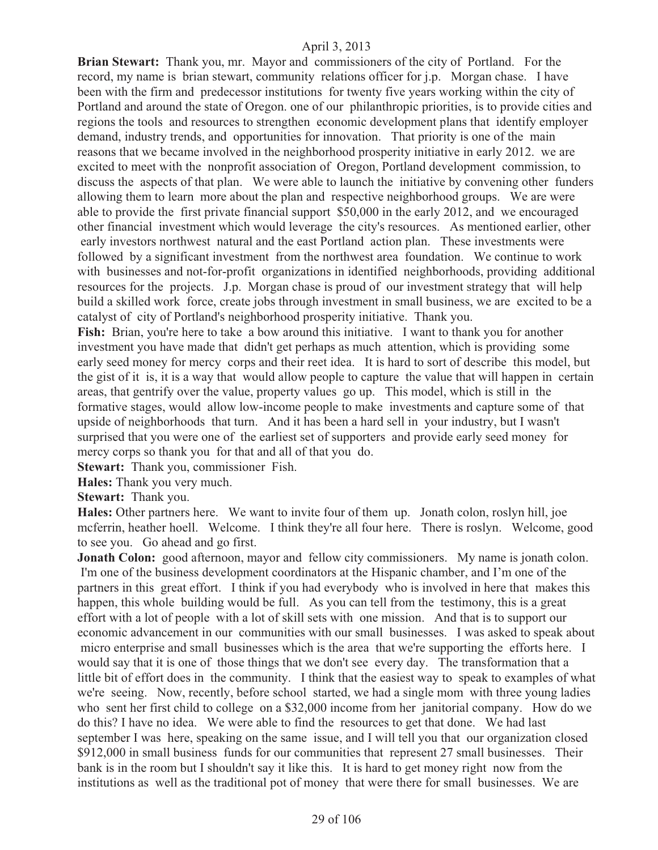**Brian Stewart:** Thank you, mr. Mayor and commissioners of the city of Portland. For the record, my name is brian stewart, community relations officer for j.p. Morgan chase. I have been with the firm and predecessor institutions for twenty five years working within the city of Portland and around the state of Oregon. one of our philanthropic priorities, is to provide cities and regions the tools and resources to strengthen economic development plans that identify employer demand, industry trends, and opportunities for innovation. That priority is one of the main reasons that we became involved in the neighborhood prosperity initiative in early 2012. we are excited to meet with the nonprofit association of Oregon, Portland development commission, to discuss the aspects of that plan. We were able to launch the initiative by convening other funders allowing them to learn more about the plan and respective neighborhood groups. We are were able to provide the first private financial support \$50,000 in the early 2012, and we encouraged other financial investment which would leverage the city's resources. As mentioned earlier, other early investors northwest natural and the east Portland action plan. These investments were followed by a significant investment from the northwest area foundation. We continue to work with businesses and not-for-profit organizations in identified neighborhoods, providing additional resources for the projects. J.p. Morgan chase is proud of our investment strategy that will help build a skilled work force, create jobs through investment in small business, we are excited to be a catalyst of city of Portland's neighborhood prosperity initiative. Thank you.

**Fish:** Brian, you're here to take a bow around this initiative. I want to thank you for another investment you have made that didn't get perhaps as much attention, which is providing some early seed money for mercy corps and their reet idea. It is hard to sort of describe this model, but the gist of it is, it is a way that would allow people to capture the value that will happen in certain areas, that gentrify over the value, property values go up. This model, which is still in the formative stages, would allow low-income people to make investments and capture some of that upside of neighborhoods that turn. And it has been a hard sell in your industry, but I wasn't surprised that you were one of the earliest set of supporters and provide early seed money for mercy corps so thank you for that and all of that you do.

**Stewart:** Thank you, commissioner Fish.

**Hales:** Thank you very much.

**Stewart:** Thank you.

**Hales:** Other partners here. We want to invite four of them up. Jonath colon, roslyn hill, joe mcferrin, heather hoell. Welcome. I think they're all four here. There is roslyn. Welcome, good to see you. Go ahead and go first.

**Jonath Colon:** good afternoon, mayor and fellow city commissioners. My name is jonath colon. I'm one of the business development coordinators at the Hispanic chamber, and I'm one of the partners in this great effort. I think if you had everybody who is involved in here that makes this happen, this whole building would be full. As you can tell from the testimony, this is a great effort with a lot of people with a lot of skill sets with one mission. And that is to support our economic advancement in our communities with our small businesses. I was asked to speak about micro enterprise and small businesses which is the area that we're supporting the efforts here. I would say that it is one of those things that we don't see every day. The transformation that a little bit of effort does in the community. I think that the easiest way to speak to examples of what we're seeing. Now, recently, before school started, we had a single mom with three young ladies who sent her first child to college on a \$32,000 income from her janitorial company. How do we do this? I have no idea. We were able to find the resources to get that done. We had last september I was here, speaking on the same issue, and I will tell you that our organization closed \$912,000 in small business funds for our communities that represent 27 small businesses. Their bank is in the room but I shouldn't say it like this. It is hard to get money right now from the institutions as well as the traditional pot of money that were there for small businesses. We are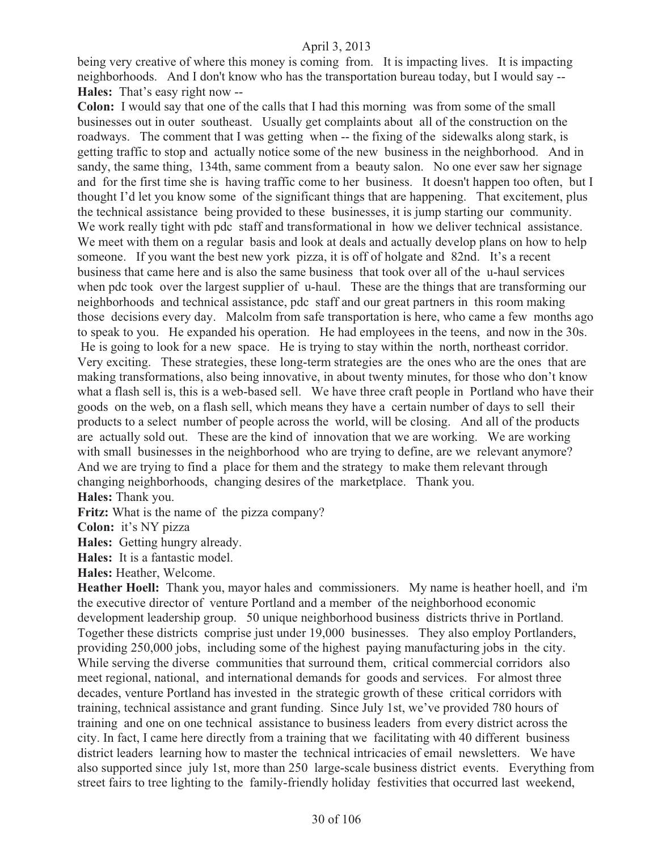being very creative of where this money is coming from. It is impacting lives. It is impacting neighborhoods. And I don't know who has the transportation bureau today, but I would say -- **Hales:** That's easy right now --

**Colon:** I would say that one of the calls that I had this morning was from some of the small businesses out in outer southeast. Usually get complaints about all of the construction on the roadways. The comment that I was getting when -- the fixing of the sidewalks along stark, is getting traffic to stop and actually notice some of the new business in the neighborhood. And in sandy, the same thing, 134th, same comment from a beauty salon. No one ever saw her signage and for the first time she is having traffic come to her business. It doesn't happen too often, but I thought I'd let you know some of the significant things that are happening. That excitement, plus the technical assistance being provided to these businesses, it is jump starting our community. We work really tight with pdc staff and transformational in how we deliver technical assistance. We meet with them on a regular basis and look at deals and actually develop plans on how to help someone. If you want the best new york pizza, it is off of holgate and 82nd. It's a recent business that came here and is also the same business that took over all of the u-haul services when pdc took over the largest supplier of u-haul. These are the things that are transforming our neighborhoods and technical assistance, pdc staff and our great partners in this room making those decisions every day. Malcolm from safe transportation is here, who came a few months ago to speak to you. He expanded his operation. He had employees in the teens, and now in the 30s. He is going to look for a new space. He is trying to stay within the north, northeast corridor. Very exciting. These strategies, these long-term strategies are the ones who are the ones that are making transformations, also being innovative, in about twenty minutes, for those who don't know what a flash sell is, this is a web-based sell. We have three craft people in Portland who have their goods on the web, on a flash sell, which means they have a certain number of days to sell their products to a select number of people across the world, will be closing. And all of the products are actually sold out. These are the kind of innovation that we are working. We are working with small businesses in the neighborhood who are trying to define, are we relevant anymore? And we are trying to find a place for them and the strategy to make them relevant through changing neighborhoods, changing desires of the marketplace. Thank you.

**Hales:** Thank you.

**Fritz:** What is the name of the pizza company?

**Colon:** it's NY pizza

**Hales:** Getting hungry already.

**Hales:** It is a fantastic model.

**Hales:** Heather, Welcome.

**Heather Hoell:** Thank you, mayor hales and commissioners. My name is heather hoell, and i'm the executive director of venture Portland and a member of the neighborhood economic development leadership group. 50 unique neighborhood business districts thrive in Portland. Together these districts comprise just under 19,000 businesses. They also employ Portlanders, providing 250,000 jobs, including some of the highest paying manufacturing jobs in the city. While serving the diverse communities that surround them, critical commercial corridors also meet regional, national, and international demands for goods and services. For almost three decades, venture Portland has invested in the strategic growth of these critical corridors with training, technical assistance and grant funding. Since July 1st, we've provided 780 hours of training and one on one technical assistance to business leaders from every district across the city. In fact, I came here directly from a training that we facilitating with 40 different business district leaders learning how to master the technical intricacies of email newsletters. We have also supported since july 1st, more than 250 large-scale business district events. Everything from street fairs to tree lighting to the family-friendly holiday festivities that occurred last weekend,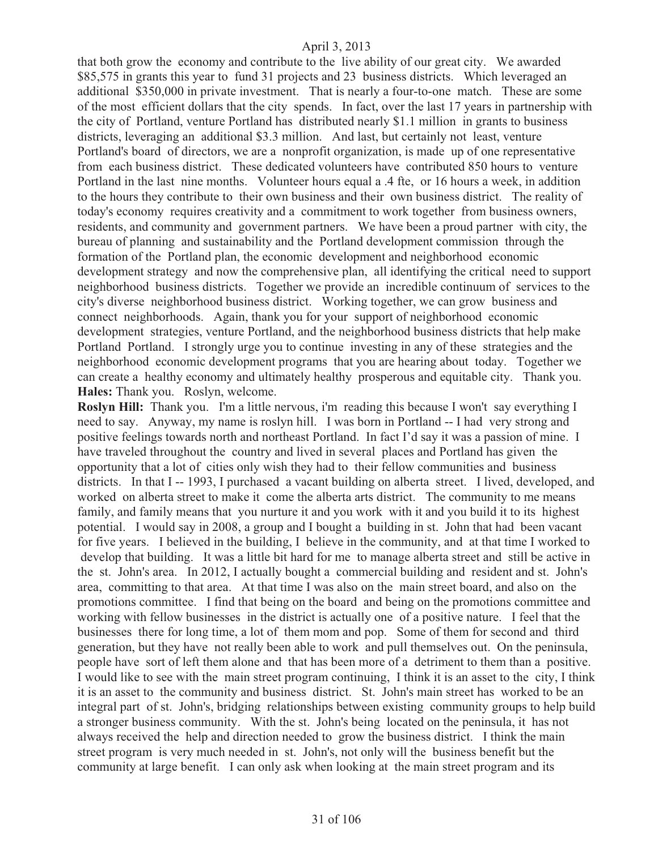that both grow the economy and contribute to the live ability of our great city. We awarded \$85,575 in grants this year to fund 31 projects and 23 business districts. Which leveraged an additional \$350,000 in private investment. That is nearly a four-to-one match. These are some of the most efficient dollars that the city spends. In fact, over the last 17 years in partnership with the city of Portland, venture Portland has distributed nearly \$1.1 million in grants to business districts, leveraging an additional \$3.3 million. And last, but certainly not least, venture Portland's board of directors, we are a nonprofit organization, is made up of one representative from each business district. These dedicated volunteers have contributed 850 hours to venture Portland in the last nine months. Volunteer hours equal a .4 fte, or 16 hours a week, in addition to the hours they contribute to their own business and their own business district. The reality of today's economy requires creativity and a commitment to work together from business owners, residents, and community and government partners. We have been a proud partner with city, the bureau of planning and sustainability and the Portland development commission through the formation of the Portland plan, the economic development and neighborhood economic development strategy and now the comprehensive plan, all identifying the critical need to support neighborhood business districts. Together we provide an incredible continuum of services to the city's diverse neighborhood business district. Working together, we can grow business and connect neighborhoods. Again, thank you for your support of neighborhood economic development strategies, venture Portland, and the neighborhood business districts that help make Portland Portland. I strongly urge you to continue investing in any of these strategies and the neighborhood economic development programs that you are hearing about today. Together we can create a healthy economy and ultimately healthy prosperous and equitable city. Thank you. **Hales:** Thank you. Roslyn, welcome.

**Roslyn Hill:** Thank you. I'm a little nervous, i'm reading this because I won't say everything I need to say. Anyway, my name is roslyn hill. I was born in Portland -- I had very strong and positive feelings towards north and northeast Portland. In fact I'd say it was a passion of mine. I have traveled throughout the country and lived in several places and Portland has given the opportunity that a lot of cities only wish they had to their fellow communities and business districts. In that I -- 1993, I purchased a vacant building on alberta street. I lived, developed, and worked on alberta street to make it come the alberta arts district. The community to me means family, and family means that you nurture it and you work with it and you build it to its highest potential. I would say in 2008, a group and I bought a building in st. John that had been vacant for five years. I believed in the building, I believe in the community, and at that time I worked to develop that building. It was a little bit hard for me to manage alberta street and still be active in the st. John's area. In 2012, I actually bought a commercial building and resident and st. John's area, committing to that area. At that time I was also on the main street board, and also on the promotions committee. I find that being on the board and being on the promotions committee and working with fellow businesses in the district is actually one of a positive nature. I feel that the businesses there for long time, a lot of them mom and pop. Some of them for second and third generation, but they have not really been able to work and pull themselves out. On the peninsula, people have sort of left them alone and that has been more of a detriment to them than a positive. I would like to see with the main street program continuing, I think it is an asset to the city, I think it is an asset to the community and business district. St. John's main street has worked to be an integral part of st. John's, bridging relationships between existing community groups to help build a stronger business community. With the st. John's being located on the peninsula, it has not always received the help and direction needed to grow the business district. I think the main street program is very much needed in st. John's, not only will the business benefit but the community at large benefit. I can only ask when looking at the main street program and its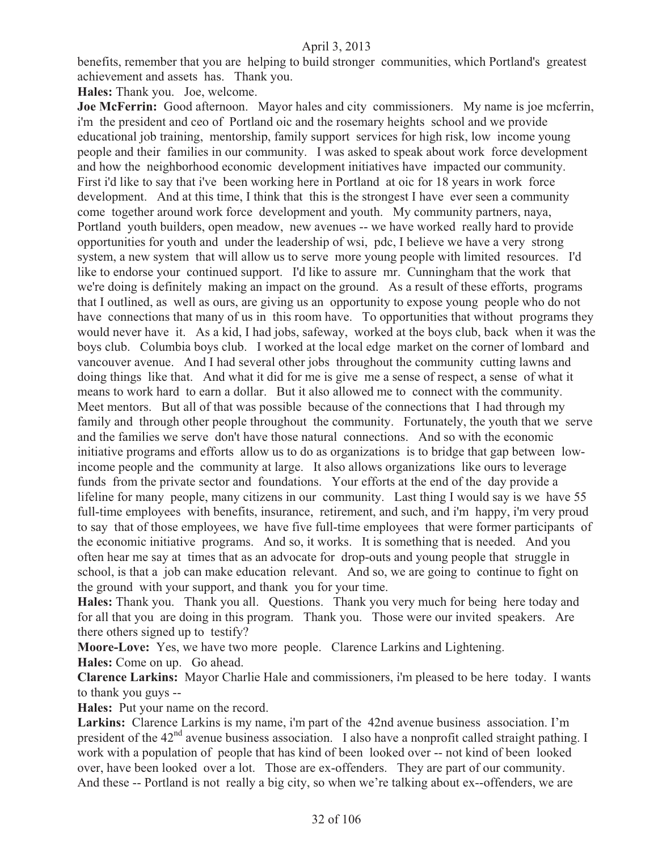benefits, remember that you are helping to build stronger communities, which Portland's greatest achievement and assets has. Thank you.

**Hales:** Thank you. Joe, welcome.

**Joe McFerrin:** Good afternoon. Mayor hales and city commissioners. My name is joe mcferrin, i'm the president and ceo of Portland oic and the rosemary heights school and we provide educational job training, mentorship, family support services for high risk, low income young people and their families in our community. I was asked to speak about work force development and how the neighborhood economic development initiatives have impacted our community. First i'd like to say that i've been working here in Portland at oic for 18 years in work force development. And at this time, I think that this is the strongest I have ever seen a community come together around work force development and youth. My community partners, naya, Portland youth builders, open meadow, new avenues -- we have worked really hard to provide opportunities for youth and under the leadership of wsi, pdc, I believe we have a very strong system, a new system that will allow us to serve more young people with limited resources. I'd like to endorse your continued support. I'd like to assure mr. Cunningham that the work that we're doing is definitely making an impact on the ground. As a result of these efforts, programs that I outlined, as well as ours, are giving us an opportunity to expose young people who do not have connections that many of us in this room have. To opportunities that without programs they would never have it. As a kid, I had jobs, safeway, worked at the boys club, back when it was the boys club. Columbia boys club. I worked at the local edge market on the corner of lombard and vancouver avenue. And I had several other jobs throughout the community cutting lawns and doing things like that. And what it did for me is give me a sense of respect, a sense of what it means to work hard to earn a dollar. But it also allowed me to connect with the community. Meet mentors. But all of that was possible because of the connections that I had through my family and through other people throughout the community. Fortunately, the youth that we serve and the families we serve don't have those natural connections. And so with the economic initiative programs and efforts allow us to do as organizations is to bridge that gap between lowincome people and the community at large. It also allows organizations like ours to leverage funds from the private sector and foundations. Your efforts at the end of the day provide a lifeline for many people, many citizens in our community. Last thing I would say is we have 55 full-time employees with benefits, insurance, retirement, and such, and i'm happy, i'm very proud to say that of those employees, we have five full-time employees that were former participants of the economic initiative programs. And so, it works. It is something that is needed. And you often hear me say at times that as an advocate for drop-outs and young people that struggle in school, is that a job can make education relevant. And so, we are going to continue to fight on the ground with your support, and thank you for your time.

**Hales:** Thank you. Thank you all. Questions. Thank you very much for being here today and for all that you are doing in this program. Thank you. Those were our invited speakers. Are there others signed up to testify?

**Moore-Love:** Yes, we have two more people. Clarence Larkins and Lightening.

**Hales:** Come on up. Go ahead.

**Clarence Larkins:** Mayor Charlie Hale and commissioners, i'm pleased to be here today. I wants to thank you guys --

**Hales:** Put your name on the record.

Larkins: Clarence Larkins is my name, i'm part of the 42nd avenue business association. I'm president of the  $42<sup>nd</sup>$  avenue business association. I also have a nonprofit called straight pathing. I work with a population of people that has kind of been looked over -- not kind of been looked over, have been looked over a lot. Those are ex-offenders. They are part of our community. And these -- Portland is not really a big city, so when we're talking about ex--offenders, we are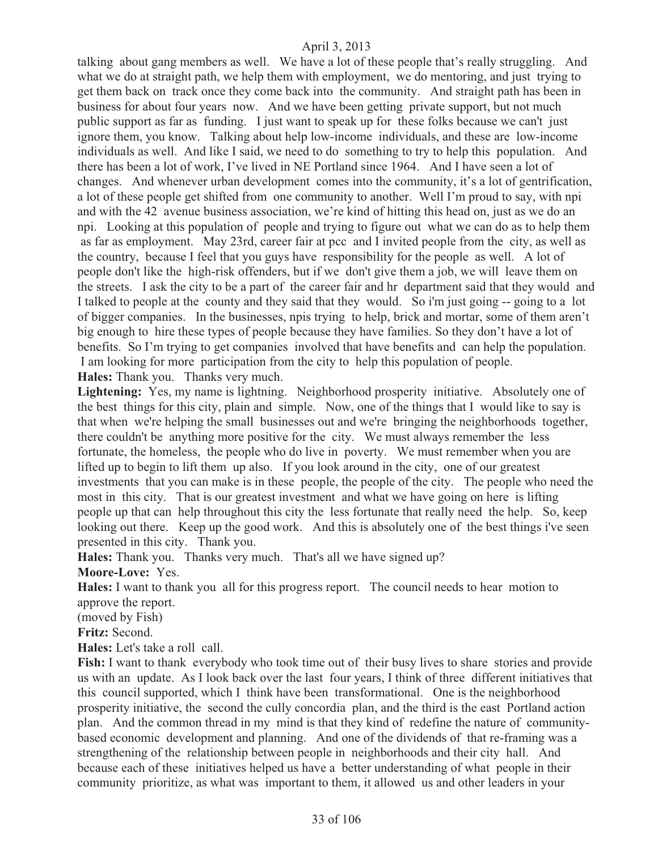talking about gang members as well. We have a lot of these people that's really struggling. And what we do at straight path, we help them with employment, we do mentoring, and just trying to get them back on track once they come back into the community. And straight path has been in business for about four years now. And we have been getting private support, but not much public support as far as funding. I just want to speak up for these folks because we can't just ignore them, you know. Talking about help low-income individuals, and these are low-income individuals as well. And like I said, we need to do something to try to help this population. And there has been a lot of work, I've lived in NE Portland since 1964. And I have seen a lot of changes. And whenever urban development comes into the community, it's a lot of gentrification, a lot of these people get shifted from one community to another. Well I'm proud to say, with npi and with the 42 avenue business association, we're kind of hitting this head on, just as we do an npi. Looking at this population of people and trying to figure out what we can do as to help them as far as employment. May 23rd, career fair at pcc and I invited people from the city, as well as the country, because I feel that you guys have responsibility for the people as well. A lot of people don't like the high-risk offenders, but if we don't give them a job, we will leave them on the streets. I ask the city to be a part of the career fair and hr department said that they would and I talked to people at the county and they said that they would. So i'm just going -- going to a lot of bigger companies. In the businesses, npis trying to help, brick and mortar, some of them aren't big enough to hire these types of people because they have families. So they don't have a lot of benefits. So I'm trying to get companies involved that have benefits and can help the population. I am looking for more participation from the city to help this population of people. **Hales:** Thank you. Thanks very much.

Lightening: Yes, my name is lightning. Neighborhood prosperity initiative. Absolutely one of the best things for this city, plain and simple. Now, one of the things that I would like to say is that when we're helping the small businesses out and we're bringing the neighborhoods together, there couldn't be anything more positive for the city. We must always remember the less fortunate, the homeless, the people who do live in poverty. We must remember when you are lifted up to begin to lift them up also. If you look around in the city, one of our greatest investments that you can make is in these people, the people of the city. The people who need the most in this city. That is our greatest investment and what we have going on here is lifting people up that can help throughout this city the less fortunate that really need the help. So, keep looking out there. Keep up the good work. And this is absolutely one of the best things i've seen presented in this city. Thank you.

**Hales:** Thank you. Thanks very much. That's all we have signed up?

**Moore-Love:** Yes.

**Hales:** I want to thank you all for this progress report. The council needs to hear motion to approve the report.

(moved by Fish)

**Fritz:** Second.

**Hales:** Let's take a roll call.

**Fish:** I want to thank everybody who took time out of their busy lives to share stories and provide us with an update. As I look back over the last four years, I think of three different initiatives that this council supported, which I think have been transformational. One is the neighborhood prosperity initiative, the second the cully concordia plan, and the third is the east Portland action plan. And the common thread in my mind is that they kind of redefine the nature of communitybased economic development and planning. And one of the dividends of that re-framing was a strengthening of the relationship between people in neighborhoods and their city hall. And because each of these initiatives helped us have a better understanding of what people in their community prioritize, as what was important to them, it allowed us and other leaders in your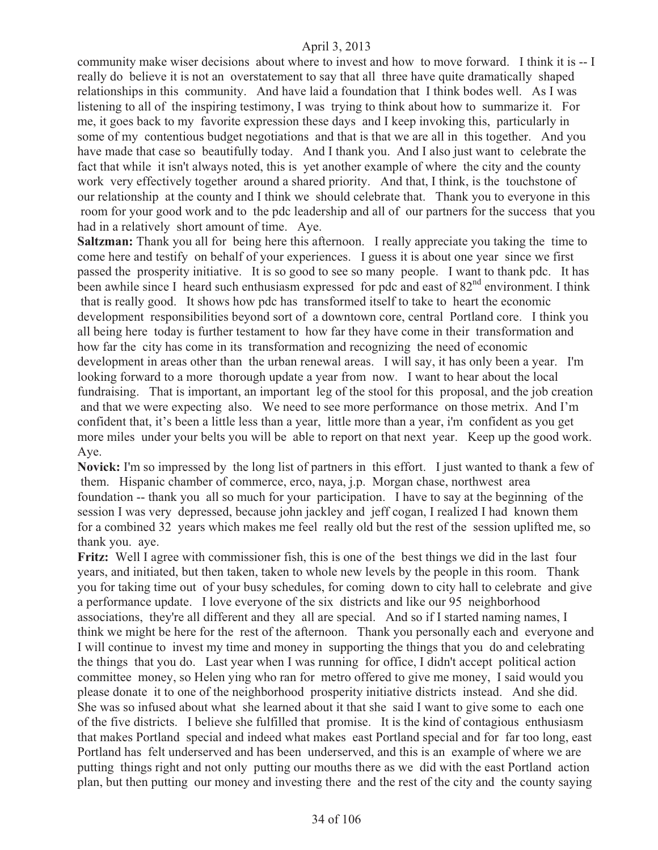community make wiser decisions about where to invest and how to move forward. I think it is -- I really do believe it is not an overstatement to say that all three have quite dramatically shaped relationships in this community. And have laid a foundation that I think bodes well. As I was listening to all of the inspiring testimony, I was trying to think about how to summarize it. For me, it goes back to my favorite expression these days and I keep invoking this, particularly in some of my contentious budget negotiations and that is that we are all in this together. And you have made that case so beautifully today. And I thank you. And I also just want to celebrate the fact that while it isn't always noted, this is yet another example of where the city and the county work very effectively together around a shared priority. And that, I think, is the touchstone of our relationship at the county and I think we should celebrate that. Thank you to everyone in this room for your good work and to the pdc leadership and all of our partners for the success that you had in a relatively short amount of time. Aye.

**Saltzman:** Thank you all for being here this afternoon. I really appreciate you taking the time to come here and testify on behalf of your experiences. I guess it is about one year since we first passed the prosperity initiative. It is so good to see so many people. I want to thank pdc. It has been awhile since I heard such enthusiasm expressed for pdc and east of  $82<sup>nd</sup>$  environment. I think that is really good. It shows how pdc has transformed itself to take to heart the economic development responsibilities beyond sort of a downtown core, central Portland core. I think you all being here today is further testament to how far they have come in their transformation and how far the city has come in its transformation and recognizing the need of economic development in areas other than the urban renewal areas. I will say, it has only been a year. I'm looking forward to a more thorough update a year from now. I want to hear about the local fundraising. That is important, an important leg of the stool for this proposal, and the job creation and that we were expecting also. We need to see more performance on those metrix. And I'm confident that, it's been a little less than a year, little more than a year, i'm confident as you get more miles under your belts you will be able to report on that next year. Keep up the good work. Aye.

**Novick:** I'm so impressed by the long list of partners in this effort. I just wanted to thank a few of them. Hispanic chamber of commerce, erco, naya, j.p. Morgan chase, northwest area foundation -- thank you all so much for your participation. I have to say at the beginning of the session I was very depressed, because john jackley and jeff cogan, I realized I had known them for a combined 32 years which makes me feel really old but the rest of the session uplifted me, so thank you. aye.

**Fritz:** Well I agree with commissioner fish, this is one of the best things we did in the last four years, and initiated, but then taken, taken to whole new levels by the people in this room. Thank you for taking time out of your busy schedules, for coming down to city hall to celebrate and give a performance update. I love everyone of the six districts and like our 95 neighborhood associations, they're all different and they all are special. And so if I started naming names, I think we might be here for the rest of the afternoon. Thank you personally each and everyone and I will continue to invest my time and money in supporting the things that you do and celebrating the things that you do. Last year when I was running for office, I didn't accept political action committee money, so Helen ying who ran for metro offered to give me money, I said would you please donate it to one of the neighborhood prosperity initiative districts instead. And she did. She was so infused about what she learned about it that she said I want to give some to each one of the five districts. I believe she fulfilled that promise. It is the kind of contagious enthusiasm that makes Portland special and indeed what makes east Portland special and for far too long, east Portland has felt underserved and has been underserved, and this is an example of where we are putting things right and not only putting our mouths there as we did with the east Portland action plan, but then putting our money and investing there and the rest of the city and the county saying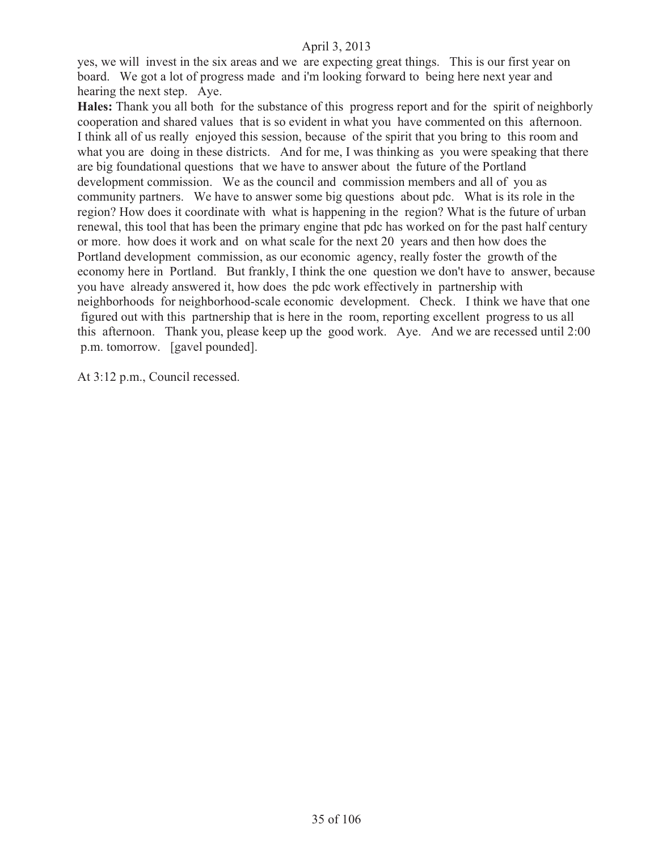yes, we will invest in the six areas and we are expecting great things. This is our first year on board. We got a lot of progress made and i'm looking forward to being here next year and hearing the next step. Aye.

**Hales:** Thank you all both for the substance of this progress report and for the spirit of neighborly cooperation and shared values that is so evident in what you have commented on this afternoon. I think all of us really enjoyed this session, because of the spirit that you bring to this room and what you are doing in these districts. And for me, I was thinking as you were speaking that there are big foundational questions that we have to answer about the future of the Portland development commission. We as the council and commission members and all of you as community partners. We have to answer some big questions about pdc. What is its role in the region? How does it coordinate with what is happening in the region? What is the future of urban renewal, this tool that has been the primary engine that pdc has worked on for the past half century or more. how does it work and on what scale for the next 20 years and then how does the Portland development commission, as our economic agency, really foster the growth of the economy here in Portland. But frankly, I think the one question we don't have to answer, because you have already answered it, how does the pdc work effectively in partnership with neighborhoods for neighborhood-scale economic development. Check. I think we have that one figured out with this partnership that is here in the room, reporting excellent progress to us all this afternoon. Thank you, please keep up the good work. Aye. And we are recessed until 2:00 p.m. tomorrow. [gavel pounded].

At 3:12 p.m., Council recessed.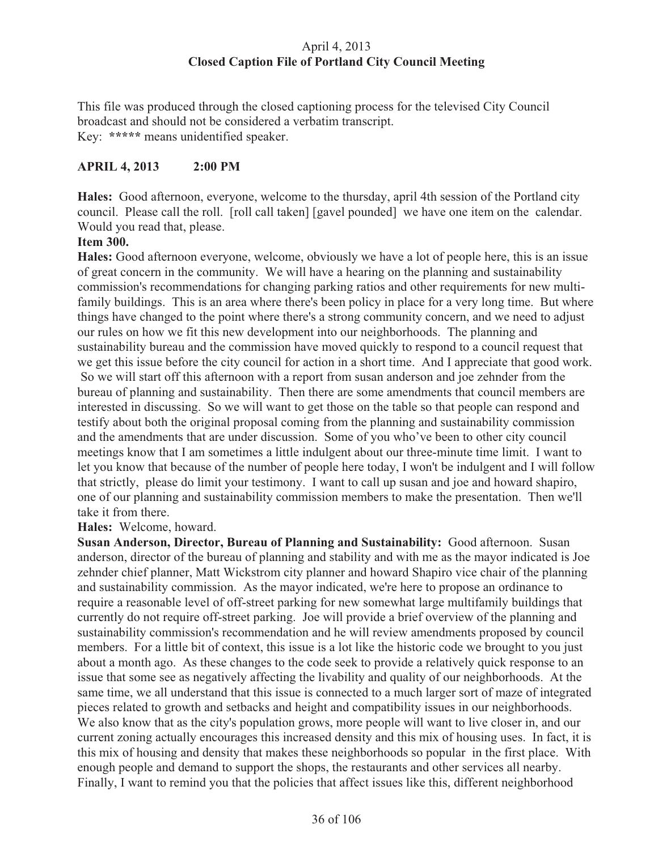# April 4, 2013 **Closed Caption File of Portland City Council Meeting**

This file was produced through the closed captioning process for the televised City Council broadcast and should not be considered a verbatim transcript. Key: **\*\*\*\*\*** means unidentified speaker.

# **APRIL 4, 2013 2:00 PM**

**Hales:** Good afternoon, everyone, welcome to the thursday, april 4th session of the Portland city council. Please call the roll. [roll call taken] [gavel pounded] we have one item on the calendar. Would you read that, please.

## **Item 300.**

**Hales:** Good afternoon everyone, welcome, obviously we have a lot of people here, this is an issue of great concern in the community. We will have a hearing on the planning and sustainability commission's recommendations for changing parking ratios and other requirements for new multifamily buildings. This is an area where there's been policy in place for a very long time. But where things have changed to the point where there's a strong community concern, and we need to adjust our rules on how we fit this new development into our neighborhoods. The planning and sustainability bureau and the commission have moved quickly to respond to a council request that we get this issue before the city council for action in a short time. And I appreciate that good work. So we will start off this afternoon with a report from susan anderson and joe zehnder from the bureau of planning and sustainability. Then there are some amendments that council members are interested in discussing. So we will want to get those on the table so that people can respond and testify about both the original proposal coming from the planning and sustainability commission and the amendments that are under discussion. Some of you who've been to other city council meetings know that I am sometimes a little indulgent about our three-minute time limit. I want to let you know that because of the number of people here today, I won't be indulgent and I will follow that strictly, please do limit your testimony. I want to call up susan and joe and howard shapiro, one of our planning and sustainability commission members to make the presentation. Then we'll take it from there.

#### **Hales:** Welcome, howard.

**Susan Anderson, Director, Bureau of Planning and Sustainability:** Good afternoon. Susan anderson, director of the bureau of planning and stability and with me as the mayor indicated is Joe zehnder chief planner, Matt Wickstrom city planner and howard Shapiro vice chair of the planning and sustainability commission. As the mayor indicated, we're here to propose an ordinance to require a reasonable level of off-street parking for new somewhat large multifamily buildings that currently do not require off-street parking. Joe will provide a brief overview of the planning and sustainability commission's recommendation and he will review amendments proposed by council members. For a little bit of context, this issue is a lot like the historic code we brought to you just about a month ago. As these changes to the code seek to provide a relatively quick response to an issue that some see as negatively affecting the livability and quality of our neighborhoods. At the same time, we all understand that this issue is connected to a much larger sort of maze of integrated pieces related to growth and setbacks and height and compatibility issues in our neighborhoods. We also know that as the city's population grows, more people will want to live closer in, and our current zoning actually encourages this increased density and this mix of housing uses. In fact, it is this mix of housing and density that makes these neighborhoods so popular in the first place. With enough people and demand to support the shops, the restaurants and other services all nearby. Finally, I want to remind you that the policies that affect issues like this, different neighborhood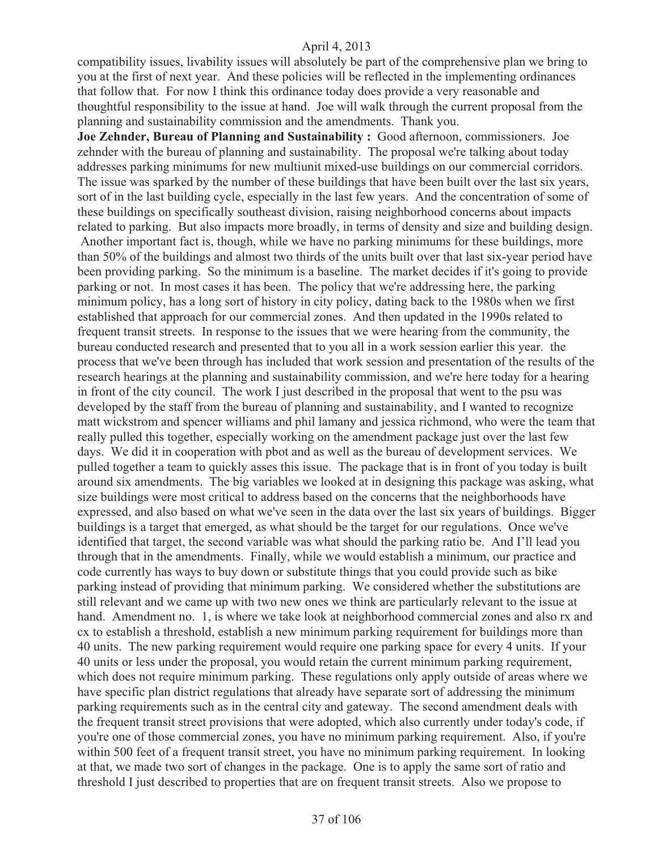compatibility issues, livability issues will absolutely be part of the comprehensive plan we bring to you at the first of next year. And these policies will be reflected in the implementing ordinances that follow that. For now I think this ordinance today does provide a very reasonable and thoughtful responsibility to the issue at hand. Joe will walk through the current proposal from the planning and sustainability commission and the amendments. Thank you.

**Joe Zehnder, Bureau of Planning and Sustainability :** Good afternoon, commissioners. Joe zehnder with the bureau of planning and sustainability. The proposal we're talking about today addresses parking minimums for new multiunit mixed-use buildings on our commercial corridors. The issue was sparked by the number of these buildings that have been built over the last six years, sort of in the last building cycle, especially in the last few years. And the concentration of some of these buildings on specifically southeast division, raising neighborhood concerns about impacts related to parking. But also impacts more broadly, in terms of density and size and building design.

 Another important fact is, though, while we have no parking minimums for these buildings, more than 50% of the buildings and almost two thirds of the units built over that last six-year period have been providing parking. So the minimum is a baseline. The market decides if it's going to provide parking or not. In most cases it has been. The policy that we're addressing here, the parking minimum policy, has a long sort of history in city policy, dating back to the 1980s when we first established that approach for our commercial zones. And then updated in the 1990s related to frequent transit streets. In response to the issues that we were hearing from the community, the bureau conducted research and presented that to you all in a work session earlier this year. the process that we've been through has included that work session and presentation of the results of the research hearings at the planning and sustainability commission, and we're here today for a hearing in front of the city council. The work I just described in the proposal that went to the psu was developed by the staff from the bureau of planning and sustainability, and I wanted to recognize matt wickstrom and spencer williams and phil lamany and jessica richmond, who were the team that really pulled this together, especially working on the amendment package just over the last few days. We did it in cooperation with pbot and as well as the bureau of development services. We pulled together a team to quickly asses this issue. The package that is in front of you today is built around six amendments. The big variables we looked at in designing this package was asking, what size buildings were most critical to address based on the concerns that the neighborhoods have expressed, and also based on what we've seen in the data over the last six years of buildings. Bigger buildings is a target that emerged, as what should be the target for our regulations. Once we've identified that target, the second variable was what should the parking ratio be. And I'll lead you through that in the amendments. Finally, while we would establish a minimum, our practice and code currently has ways to buy down or substitute things that you could provide such as bike parking instead of providing that minimum parking. We considered whether the substitutions are still relevant and we came up with two new ones we think are particularly relevant to the issue at hand. Amendment no. 1, is where we take look at neighborhood commercial zones and also rx and cx to establish a threshold, establish a new minimum parking requirement for buildings more than 40 units. The new parking requirement would require one parking space for every 4 units. If your 40 units or less under the proposal, you would retain the current minimum parking requirement, which does not require minimum parking. These regulations only apply outside of areas where we have specific plan district regulations that already have separate sort of addressing the minimum parking requirements such as in the central city and gateway. The second amendment deals with the frequent transit street provisions that were adopted, which also currently under today's code, if you're one of those commercial zones, you have no minimum parking requirement. Also, if you're within 500 feet of a frequent transit street, you have no minimum parking requirement. In looking at that, we made two sort of changes in the package. One is to apply the same sort of ratio and threshold I just described to properties that are on frequent transit streets. Also we propose to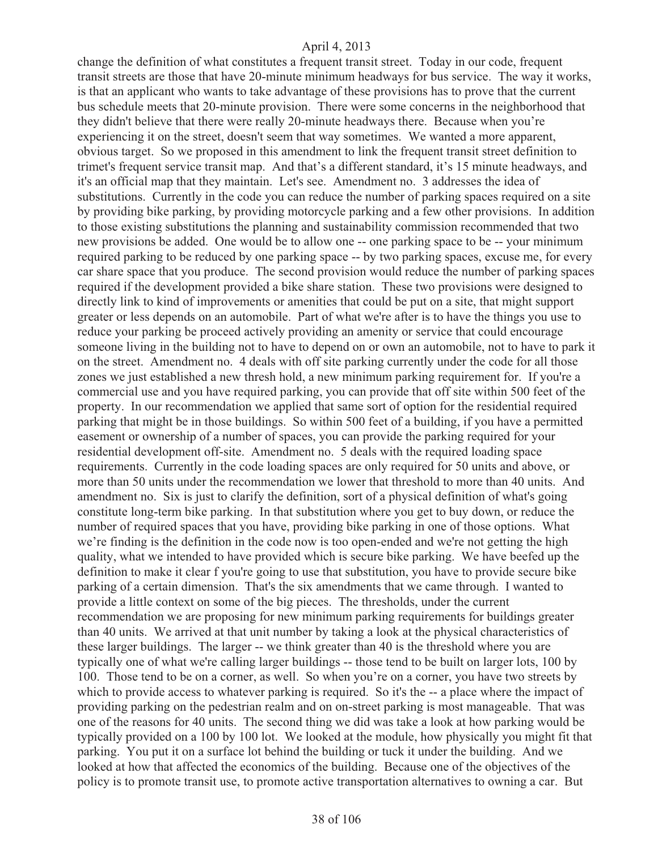change the definition of what constitutes a frequent transit street. Today in our code, frequent transit streets are those that have 20-minute minimum headways for bus service. The way it works, is that an applicant who wants to take advantage of these provisions has to prove that the current bus schedule meets that 20-minute provision. There were some concerns in the neighborhood that they didn't believe that there were really 20-minute headways there. Because when you're experiencing it on the street, doesn't seem that way sometimes. We wanted a more apparent, obvious target. So we proposed in this amendment to link the frequent transit street definition to trimet's frequent service transit map. And that's a different standard, it's 15 minute headways, and it's an official map that they maintain. Let's see. Amendment no. 3 addresses the idea of substitutions. Currently in the code you can reduce the number of parking spaces required on a site by providing bike parking, by providing motorcycle parking and a few other provisions. In addition to those existing substitutions the planning and sustainability commission recommended that two new provisions be added. One would be to allow one -- one parking space to be -- your minimum required parking to be reduced by one parking space -- by two parking spaces, excuse me, for every car share space that you produce. The second provision would reduce the number of parking spaces required if the development provided a bike share station. These two provisions were designed to directly link to kind of improvements or amenities that could be put on a site, that might support greater or less depends on an automobile. Part of what we're after is to have the things you use to reduce your parking be proceed actively providing an amenity or service that could encourage someone living in the building not to have to depend on or own an automobile, not to have to park it on the street. Amendment no. 4 deals with off site parking currently under the code for all those zones we just established a new thresh hold, a new minimum parking requirement for. If you're a commercial use and you have required parking, you can provide that off site within 500 feet of the property. In our recommendation we applied that same sort of option for the residential required parking that might be in those buildings. So within 500 feet of a building, if you have a permitted easement or ownership of a number of spaces, you can provide the parking required for your residential development off-site. Amendment no. 5 deals with the required loading space requirements. Currently in the code loading spaces are only required for 50 units and above, or more than 50 units under the recommendation we lower that threshold to more than 40 units. And amendment no. Six is just to clarify the definition, sort of a physical definition of what's going constitute long-term bike parking. In that substitution where you get to buy down, or reduce the number of required spaces that you have, providing bike parking in one of those options. What we're finding is the definition in the code now is too open-ended and we're not getting the high quality, what we intended to have provided which is secure bike parking. We have beefed up the definition to make it clear f you're going to use that substitution, you have to provide secure bike parking of a certain dimension. That's the six amendments that we came through. I wanted to provide a little context on some of the big pieces. The thresholds, under the current recommendation we are proposing for new minimum parking requirements for buildings greater than 40 units. We arrived at that unit number by taking a look at the physical characteristics of these larger buildings. The larger -- we think greater than 40 is the threshold where you are typically one of what we're calling larger buildings -- those tend to be built on larger lots, 100 by 100. Those tend to be on a corner, as well. So when you're on a corner, you have two streets by which to provide access to whatever parking is required. So it's the -- a place where the impact of providing parking on the pedestrian realm and on on-street parking is most manageable. That was one of the reasons for 40 units. The second thing we did was take a look at how parking would be typically provided on a 100 by 100 lot. We looked at the module, how physically you might fit that parking. You put it on a surface lot behind the building or tuck it under the building. And we looked at how that affected the economics of the building. Because one of the objectives of the policy is to promote transit use, to promote active transportation alternatives to owning a car. But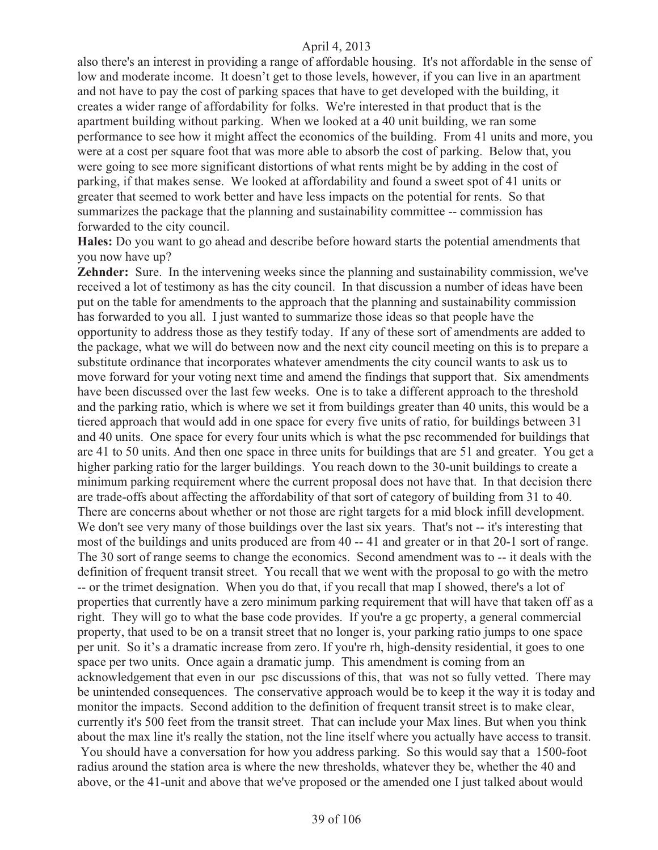also there's an interest in providing a range of affordable housing. It's not affordable in the sense of low and moderate income. It doesn't get to those levels, however, if you can live in an apartment and not have to pay the cost of parking spaces that have to get developed with the building, it creates a wider range of affordability for folks. We're interested in that product that is the apartment building without parking. When we looked at a 40 unit building, we ran some performance to see how it might affect the economics of the building. From 41 units and more, you were at a cost per square foot that was more able to absorb the cost of parking. Below that, you were going to see more significant distortions of what rents might be by adding in the cost of parking, if that makes sense. We looked at affordability and found a sweet spot of 41 units or greater that seemed to work better and have less impacts on the potential for rents. So that summarizes the package that the planning and sustainability committee -- commission has forwarded to the city council.

**Hales:** Do you want to go ahead and describe before howard starts the potential amendments that you now have up?

**Zehnder:** Sure. In the intervening weeks since the planning and sustainability commission, we've received a lot of testimony as has the city council. In that discussion a number of ideas have been put on the table for amendments to the approach that the planning and sustainability commission has forwarded to you all. I just wanted to summarize those ideas so that people have the opportunity to address those as they testify today. If any of these sort of amendments are added to the package, what we will do between now and the next city council meeting on this is to prepare a substitute ordinance that incorporates whatever amendments the city council wants to ask us to move forward for your voting next time and amend the findings that support that. Six amendments have been discussed over the last few weeks. One is to take a different approach to the threshold and the parking ratio, which is where we set it from buildings greater than 40 units, this would be a tiered approach that would add in one space for every five units of ratio, for buildings between 31 and 40 units. One space for every four units which is what the psc recommended for buildings that are 41 to 50 units. And then one space in three units for buildings that are 51 and greater. You get a higher parking ratio for the larger buildings. You reach down to the 30-unit buildings to create a minimum parking requirement where the current proposal does not have that. In that decision there are trade-offs about affecting the affordability of that sort of category of building from 31 to 40. There are concerns about whether or not those are right targets for a mid block infill development. We don't see very many of those buildings over the last six years. That's not -- it's interesting that most of the buildings and units produced are from 40 -- 41 and greater or in that 20-1 sort of range. The 30 sort of range seems to change the economics. Second amendment was to -- it deals with the definition of frequent transit street. You recall that we went with the proposal to go with the metro -- or the trimet designation. When you do that, if you recall that map I showed, there's a lot of properties that currently have a zero minimum parking requirement that will have that taken off as a right. They will go to what the base code provides. If you're a gc property, a general commercial property, that used to be on a transit street that no longer is, your parking ratio jumps to one space per unit. So it's a dramatic increase from zero. If you're rh, high-density residential, it goes to one space per two units. Once again a dramatic jump. This amendment is coming from an acknowledgement that even in our psc discussions of this, that was not so fully vetted. There may be unintended consequences. The conservative approach would be to keep it the way it is today and monitor the impacts. Second addition to the definition of frequent transit street is to make clear, currently it's 500 feet from the transit street. That can include your Max lines. But when you think about the max line it's really the station, not the line itself where you actually have access to transit. You should have a conversation for how you address parking. So this would say that a 1500-foot radius around the station area is where the new thresholds, whatever they be, whether the 40 and above, or the 41-unit and above that we've proposed or the amended one I just talked about would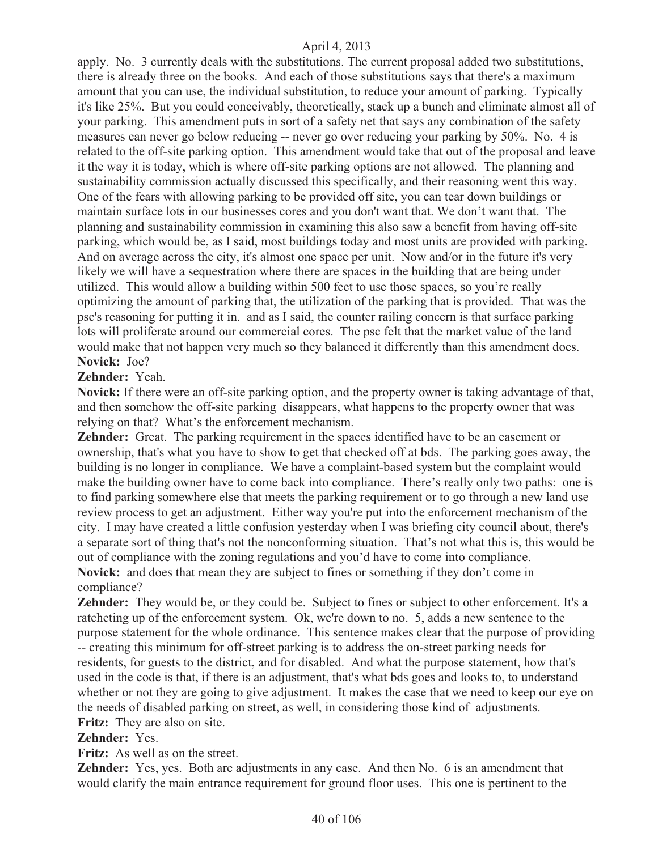apply. No. 3 currently deals with the substitutions. The current proposal added two substitutions, there is already three on the books. And each of those substitutions says that there's a maximum amount that you can use, the individual substitution, to reduce your amount of parking. Typically it's like 25%. But you could conceivably, theoretically, stack up a bunch and eliminate almost all of your parking. This amendment puts in sort of a safety net that says any combination of the safety measures can never go below reducing -- never go over reducing your parking by 50%. No. 4 is related to the off-site parking option. This amendment would take that out of the proposal and leave it the way it is today, which is where off-site parking options are not allowed. The planning and sustainability commission actually discussed this specifically, and their reasoning went this way. One of the fears with allowing parking to be provided off site, you can tear down buildings or maintain surface lots in our businesses cores and you don't want that. We don't want that. The planning and sustainability commission in examining this also saw a benefit from having off-site parking, which would be, as I said, most buildings today and most units are provided with parking. And on average across the city, it's almost one space per unit. Now and/or in the future it's very likely we will have a sequestration where there are spaces in the building that are being under utilized. This would allow a building within 500 feet to use those spaces, so you're really optimizing the amount of parking that, the utilization of the parking that is provided. That was the psc's reasoning for putting it in. and as I said, the counter railing concern is that surface parking lots will proliferate around our commercial cores. The psc felt that the market value of the land would make that not happen very much so they balanced it differently than this amendment does. **Novick:** Joe?

## **Zehnder:** Yeah.

**Novick:** If there were an off-site parking option, and the property owner is taking advantage of that, and then somehow the off-site parking disappears, what happens to the property owner that was relying on that? What's the enforcement mechanism.

**Zehnder:** Great. The parking requirement in the spaces identified have to be an easement or ownership, that's what you have to show to get that checked off at bds. The parking goes away, the building is no longer in compliance. We have a complaint-based system but the complaint would make the building owner have to come back into compliance. There's really only two paths: one is to find parking somewhere else that meets the parking requirement or to go through a new land use review process to get an adjustment. Either way you're put into the enforcement mechanism of the city. I may have created a little confusion yesterday when I was briefing city council about, there's a separate sort of thing that's not the nonconforming situation. That's not what this is, this would be out of compliance with the zoning regulations and you'd have to come into compliance. **Novick:** and does that mean they are subject to fines or something if they don't come in

compliance?

Zehnder: They would be, or they could be. Subject to fines or subject to other enforcement. It's a ratcheting up of the enforcement system. Ok, we're down to no. 5, adds a new sentence to the purpose statement for the whole ordinance. This sentence makes clear that the purpose of providing -- creating this minimum for off-street parking is to address the on-street parking needs for residents, for guests to the district, and for disabled. And what the purpose statement, how that's used in the code is that, if there is an adjustment, that's what bds goes and looks to, to understand whether or not they are going to give adjustment. It makes the case that we need to keep our eye on the needs of disabled parking on street, as well, in considering those kind of adjustments. **Fritz:** They are also on site.

# **Zehnder:** Yes.

**Fritz:** As well as on the street.

**Zehnder:** Yes, yes. Both are adjustments in any case. And then No. 6 is an amendment that would clarify the main entrance requirement for ground floor uses. This one is pertinent to the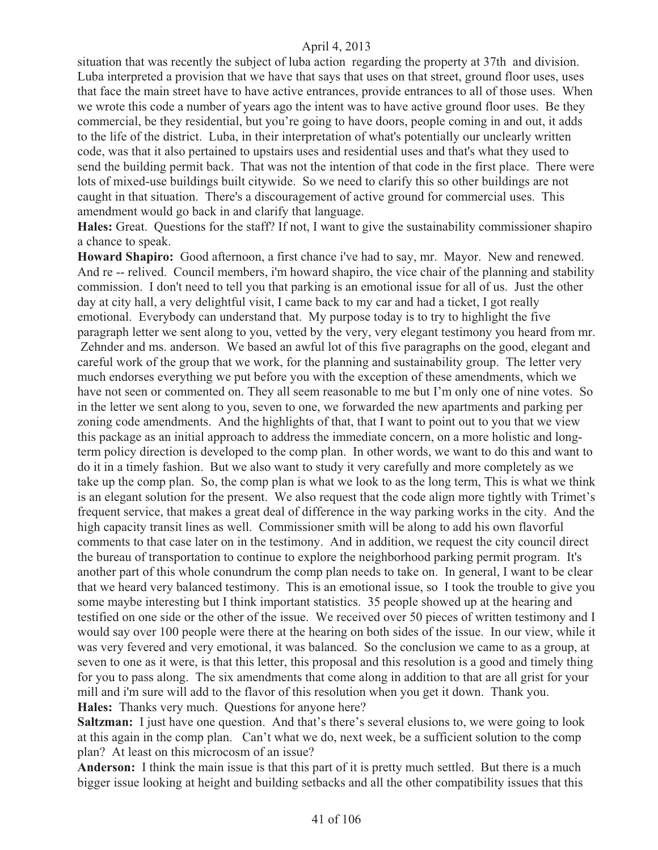situation that was recently the subject of luba action regarding the property at 37th and division. Luba interpreted a provision that we have that says that uses on that street, ground floor uses, uses that face the main street have to have active entrances, provide entrances to all of those uses. When we wrote this code a number of years ago the intent was to have active ground floor uses. Be they commercial, be they residential, but you're going to have doors, people coming in and out, it adds to the life of the district. Luba, in their interpretation of what's potentially our unclearly written code, was that it also pertained to upstairs uses and residential uses and that's what they used to send the building permit back. That was not the intention of that code in the first place. There were lots of mixed-use buildings built citywide. So we need to clarify this so other buildings are not caught in that situation. There's a discouragement of active ground for commercial uses. This amendment would go back in and clarify that language.

**Hales:** Great. Questions for the staff? If not, I want to give the sustainability commissioner shapiro a chance to speak.

**Howard Shapiro:** Good afternoon, a first chance i've had to say, mr. Mayor. New and renewed. And re -- relived. Council members, i'm howard shapiro, the vice chair of the planning and stability commission. I don't need to tell you that parking is an emotional issue for all of us. Just the other day at city hall, a very delightful visit, I came back to my car and had a ticket, I got really emotional. Everybody can understand that. My purpose today is to try to highlight the five paragraph letter we sent along to you, vetted by the very, very elegant testimony you heard from mr. Zehnder and ms. anderson. We based an awful lot of this five paragraphs on the good, elegant and careful work of the group that we work, for the planning and sustainability group. The letter very much endorses everything we put before you with the exception of these amendments, which we have not seen or commented on. They all seem reasonable to me but I'm only one of nine votes. So in the letter we sent along to you, seven to one, we forwarded the new apartments and parking per zoning code amendments. And the highlights of that, that I want to point out to you that we view this package as an initial approach to address the immediate concern, on a more holistic and longterm policy direction is developed to the comp plan. In other words, we want to do this and want to do it in a timely fashion. But we also want to study it very carefully and more completely as we take up the comp plan. So, the comp plan is what we look to as the long term, This is what we think is an elegant solution for the present. We also request that the code align more tightly with Trimet's frequent service, that makes a great deal of difference in the way parking works in the city. And the high capacity transit lines as well. Commissioner smith will be along to add his own flavorful comments to that case later on in the testimony. And in addition, we request the city council direct the bureau of transportation to continue to explore the neighborhood parking permit program. It's another part of this whole conundrum the comp plan needs to take on. In general, I want to be clear that we heard very balanced testimony. This is an emotional issue, so I took the trouble to give you some maybe interesting but I think important statistics. 35 people showed up at the hearing and testified on one side or the other of the issue. We received over 50 pieces of written testimony and I would say over 100 people were there at the hearing on both sides of the issue. In our view, while it was very fevered and very emotional, it was balanced. So the conclusion we came to as a group, at seven to one as it were, is that this letter, this proposal and this resolution is a good and timely thing for you to pass along. The six amendments that come along in addition to that are all grist for your mill and i'm sure will add to the flavor of this resolution when you get it down. Thank you. **Hales:** Thanks very much. Questions for anyone here?

**Saltzman:** I just have one question. And that's there's several elusions to, we were going to look at this again in the comp plan. Can't what we do, next week, be a sufficient solution to the comp plan? At least on this microcosm of an issue?

**Anderson:** I think the main issue is that this part of it is pretty much settled. But there is a much bigger issue looking at height and building setbacks and all the other compatibility issues that this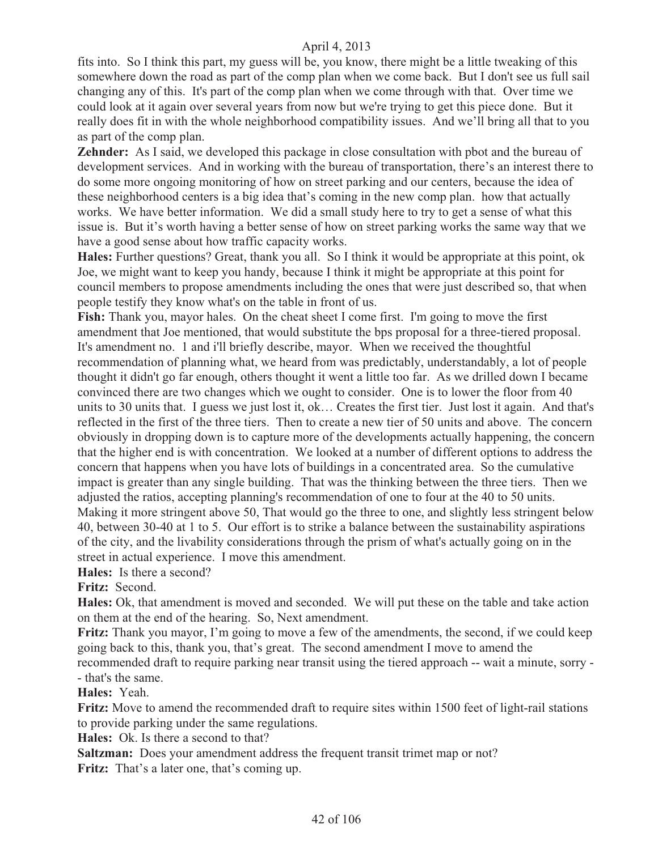fits into. So I think this part, my guess will be, you know, there might be a little tweaking of this somewhere down the road as part of the comp plan when we come back. But I don't see us full sail changing any of this. It's part of the comp plan when we come through with that. Over time we could look at it again over several years from now but we're trying to get this piece done. But it really does fit in with the whole neighborhood compatibility issues. And we'll bring all that to you as part of the comp plan.

**Zehnder:** As I said, we developed this package in close consultation with pbot and the bureau of development services. And in working with the bureau of transportation, there's an interest there to do some more ongoing monitoring of how on street parking and our centers, because the idea of these neighborhood centers is a big idea that's coming in the new comp plan. how that actually works. We have better information. We did a small study here to try to get a sense of what this issue is. But it's worth having a better sense of how on street parking works the same way that we have a good sense about how traffic capacity works.

**Hales:** Further questions? Great, thank you all. So I think it would be appropriate at this point, ok Joe, we might want to keep you handy, because I think it might be appropriate at this point for council members to propose amendments including the ones that were just described so, that when people testify they know what's on the table in front of us.

**Fish:** Thank you, mayor hales. On the cheat sheet I come first. I'm going to move the first amendment that Joe mentioned, that would substitute the bps proposal for a three-tiered proposal. It's amendment no. 1 and i'll briefly describe, mayor. When we received the thoughtful recommendation of planning what, we heard from was predictably, understandably, a lot of people thought it didn't go far enough, others thought it went a little too far. As we drilled down I became convinced there are two changes which we ought to consider. One is to lower the floor from 40 units to 30 units that. I guess we just lost it, ok… Creates the first tier. Just lost it again. And that's reflected in the first of the three tiers. Then to create a new tier of 50 units and above. The concern obviously in dropping down is to capture more of the developments actually happening, the concern that the higher end is with concentration. We looked at a number of different options to address the concern that happens when you have lots of buildings in a concentrated area. So the cumulative impact is greater than any single building. That was the thinking between the three tiers. Then we adjusted the ratios, accepting planning's recommendation of one to four at the 40 to 50 units. Making it more stringent above 50, That would go the three to one, and slightly less stringent below 40, between 30-40 at 1 to 5. Our effort is to strike a balance between the sustainability aspirations of the city, and the livability considerations through the prism of what's actually going on in the street in actual experience. I move this amendment.

**Hales:** Is there a second?

**Fritz:** Second.

**Hales:** Ok, that amendment is moved and seconded. We will put these on the table and take action on them at the end of the hearing. So, Next amendment.

**Fritz:** Thank you mayor, I'm going to move a few of the amendments, the second, if we could keep going back to this, thank you, that's great. The second amendment I move to amend the

recommended draft to require parking near transit using the tiered approach -- wait a minute, sorry - - that's the same.

**Hales:** Yeah.

**Fritz:** Move to amend the recommended draft to require sites within 1500 feet of light-rail stations to provide parking under the same regulations.

**Hales:** Ok. Is there a second to that?

**Saltzman:** Does your amendment address the frequent transit trimet map or not?

Fritz: That's a later one, that's coming up.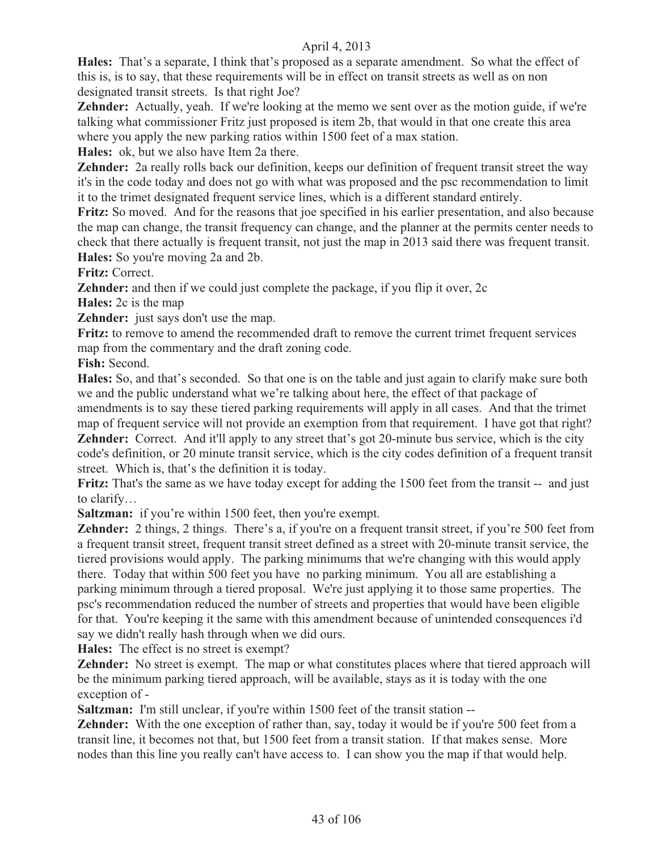**Hales:** That's a separate, I think that's proposed as a separate amendment. So what the effect of this is, is to say, that these requirements will be in effect on transit streets as well as on non designated transit streets. Is that right Joe?

**Zehnder:** Actually, yeah. If we're looking at the memo we sent over as the motion guide, if we're talking what commissioner Fritz just proposed is item 2b, that would in that one create this area where you apply the new parking ratios within 1500 feet of a max station.

**Hales:** ok, but we also have Item 2a there.

**Zehnder:** 2a really rolls back our definition, keeps our definition of frequent transit street the way it's in the code today and does not go with what was proposed and the psc recommendation to limit it to the trimet designated frequent service lines, which is a different standard entirely.

**Fritz:** So moved. And for the reasons that joe specified in his earlier presentation, and also because the map can change, the transit frequency can change, and the planner at the permits center needs to check that there actually is frequent transit, not just the map in 2013 said there was frequent transit. **Hales:** So you're moving 2a and 2b.

**Fritz:** Correct.

**Zehnder:** and then if we could just complete the package, if you flip it over, 2c

**Hales:** 2c is the map

**Zehnder:** just says don't use the map.

**Fritz:** to remove to amend the recommended draft to remove the current trimet frequent services map from the commentary and the draft zoning code.

**Fish:** Second.

**Hales:** So, and that's seconded. So that one is on the table and just again to clarify make sure both we and the public understand what we're talking about here, the effect of that package of amendments is to say these tiered parking requirements will apply in all cases. And that the trimet map of frequent service will not provide an exemption from that requirement. I have got that right? **Zehnder:** Correct. And it'll apply to any street that's got 20-minute bus service, which is the city code's definition, or 20 minute transit service, which is the city codes definition of a frequent transit

street. Which is, that's the definition it is today.

**Fritz:** That's the same as we have today except for adding the 1500 feet from the transit -- and just to clarify…

**Saltzman:** if you're within 1500 feet, then you're exempt.

**Zehnder:** 2 things, 2 things. There's a, if you're on a frequent transit street, if you're 500 feet from a frequent transit street, frequent transit street defined as a street with 20-minute transit service, the tiered provisions would apply. The parking minimums that we're changing with this would apply there. Today that within 500 feet you have no parking minimum. You all are establishing a parking minimum through a tiered proposal. We're just applying it to those same properties. The psc's recommendation reduced the number of streets and properties that would have been eligible for that. You're keeping it the same with this amendment because of unintended consequences i'd say we didn't really hash through when we did ours.

**Hales:** The effect is no street is exempt?

**Zehnder:** No street is exempt. The map or what constitutes places where that tiered approach will be the minimum parking tiered approach, will be available, stays as it is today with the one exception of -

**Saltzman:** I'm still unclear, if you're within 1500 feet of the transit station --

**Zehnder:** With the one exception of rather than, say, today it would be if you're 500 feet from a transit line, it becomes not that, but 1500 feet from a transit station. If that makes sense. More nodes than this line you really can't have access to. I can show you the map if that would help.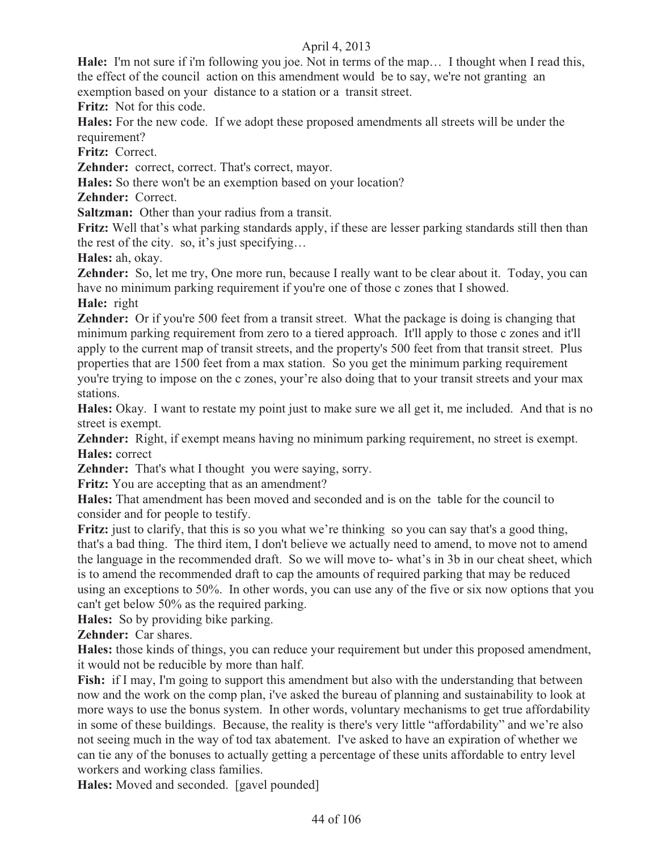**Hale:** I'm not sure if i'm following you joe. Not in terms of the map… I thought when I read this, the effect of the council action on this amendment would be to say, we're not granting an exemption based on your distance to a station or a transit street.

**Fritz:** Not for this code.

**Hales:** For the new code. If we adopt these proposed amendments all streets will be under the requirement?

**Fritz:** Correct.

**Zehnder:** correct, correct. That's correct, mayor.

**Hales:** So there won't be an exemption based on your location?

**Zehnder:** Correct.

**Saltzman:** Other than your radius from a transit.

**Fritz:** Well that's what parking standards apply, if these are lesser parking standards still then than the rest of the city. so, it's just specifying…

**Hales:** ah, okay.

**Zehnder:** So, let me try, One more run, because I really want to be clear about it. Today, you can have no minimum parking requirement if you're one of those c zones that I showed.

**Hale:** right

**Zehnder:** Or if you're 500 feet from a transit street. What the package is doing is changing that minimum parking requirement from zero to a tiered approach. It'll apply to those c zones and it'll apply to the current map of transit streets, and the property's 500 feet from that transit street. Plus properties that are 1500 feet from a max station. So you get the minimum parking requirement you're trying to impose on the c zones, your're also doing that to your transit streets and your max stations.

**Hales:** Okay. I want to restate my point just to make sure we all get it, me included. And that is no street is exempt.

**Zehnder:** Right, if exempt means having no minimum parking requirement, no street is exempt. **Hales:** correct

**Zehnder:** That's what I thought you were saying, sorry.

**Fritz:** You are accepting that as an amendment?

**Hales:** That amendment has been moved and seconded and is on the table for the council to consider and for people to testify.

**Fritz:** just to clarify, that this is so you what we're thinking so you can say that's a good thing, that's a bad thing. The third item, I don't believe we actually need to amend, to move not to amend the language in the recommended draft. So we will move to- what's in 3b in our cheat sheet, which is to amend the recommended draft to cap the amounts of required parking that may be reduced using an exceptions to 50%. In other words, you can use any of the five or six now options that you can't get below 50% as the required parking.

**Hales:** So by providing bike parking.

**Zehnder:** Car shares.

**Hales:** those kinds of things, you can reduce your requirement but under this proposed amendment, it would not be reducible by more than half.

**Fish:** if I may, I'm going to support this amendment but also with the understanding that between now and the work on the comp plan, i've asked the bureau of planning and sustainability to look at more ways to use the bonus system. In other words, voluntary mechanisms to get true affordability in some of these buildings. Because, the reality is there's very little "affordability" and we're also not seeing much in the way of tod tax abatement. I've asked to have an expiration of whether we can tie any of the bonuses to actually getting a percentage of these units affordable to entry level workers and working class families.

**Hales:** Moved and seconded. [gavel pounded]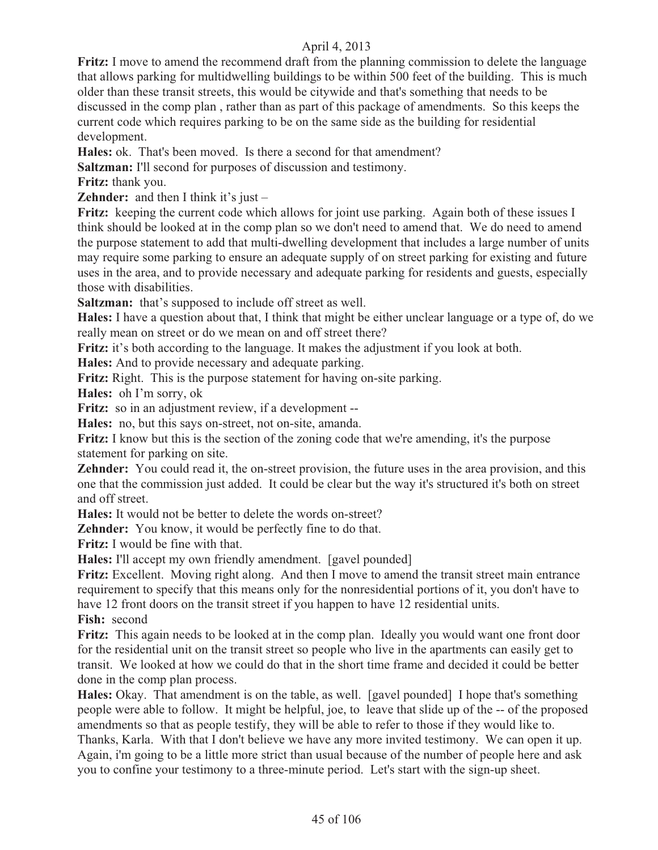**Fritz:** I move to amend the recommend draft from the planning commission to delete the language that allows parking for multidwelling buildings to be within 500 feet of the building. This is much older than these transit streets, this would be citywide and that's something that needs to be discussed in the comp plan , rather than as part of this package of amendments. So this keeps the current code which requires parking to be on the same side as the building for residential development.

**Hales:** ok. That's been moved. Is there a second for that amendment?

**Saltzman:** I'll second for purposes of discussion and testimony.

**Fritz:** thank you.

**Zehnder:** and then I think it's just –

Fritz: keeping the current code which allows for joint use parking. Again both of these issues I think should be looked at in the comp plan so we don't need to amend that. We do need to amend the purpose statement to add that multi-dwelling development that includes a large number of units may require some parking to ensure an adequate supply of on street parking for existing and future uses in the area, and to provide necessary and adequate parking for residents and guests, especially those with disabilities.

**Saltzman:** that's supposed to include off street as well.

**Hales:** I have a question about that, I think that might be either unclear language or a type of, do we really mean on street or do we mean on and off street there?

**Fritz:** it's both according to the language. It makes the adjustment if you look at both.

**Hales:** And to provide necessary and adequate parking.

**Fritz:** Right. This is the purpose statement for having on-site parking.

**Hales:** oh I'm sorry, ok

**Fritz:** so in an adjustment review, if a development --

**Hales:** no, but this says on-street, not on-site, amanda.

**Fritz:** I know but this is the section of the zoning code that we're amending, it's the purpose statement for parking on site.

**Zehnder:** You could read it, the on-street provision, the future uses in the area provision, and this one that the commission just added. It could be clear but the way it's structured it's both on street and off street.

**Hales:** It would not be better to delete the words on-street?

**Zehnder:** You know, it would be perfectly fine to do that.

**Fritz:** I would be fine with that.

**Hales:** I'll accept my own friendly amendment. [gavel pounded]

**Fritz:** Excellent. Moving right along. And then I move to amend the transit street main entrance requirement to specify that this means only for the nonresidential portions of it, you don't have to have 12 front doors on the transit street if you happen to have 12 residential units.

**Fish:** second

**Fritz:** This again needs to be looked at in the comp plan. Ideally you would want one front door for the residential unit on the transit street so people who live in the apartments can easily get to transit. We looked at how we could do that in the short time frame and decided it could be better done in the comp plan process.

**Hales:** Okay. That amendment is on the table, as well. [gavel pounded] I hope that's something people were able to follow. It might be helpful, joe, to leave that slide up of the -- of the proposed amendments so that as people testify, they will be able to refer to those if they would like to. Thanks, Karla. With that I don't believe we have any more invited testimony. We can open it up. Again, i'm going to be a little more strict than usual because of the number of people here and ask you to confine your testimony to a three-minute period. Let's start with the sign-up sheet.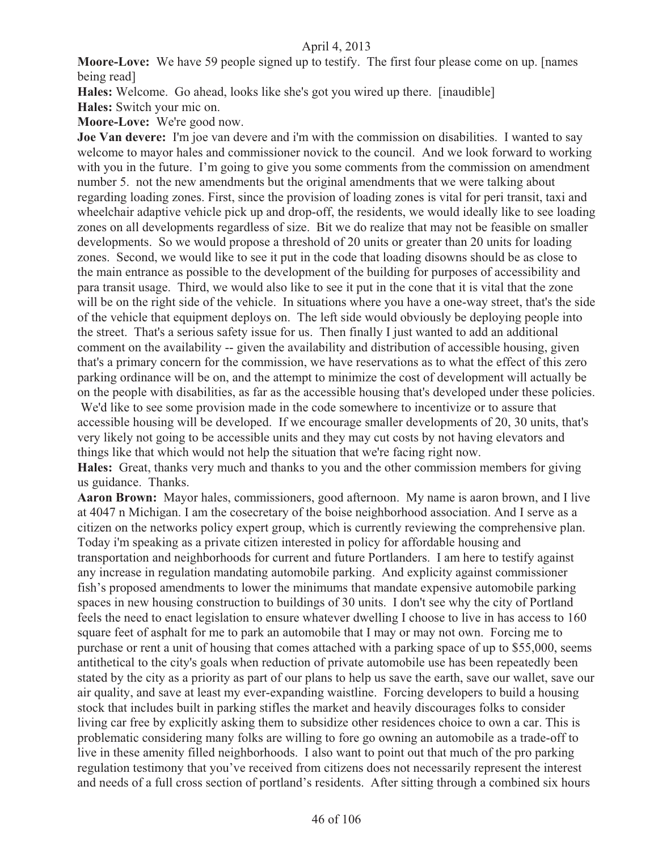**Moore-Love:** We have 59 people signed up to testify. The first four please come on up. [names being read]

**Hales:** Welcome. Go ahead, looks like she's got you wired up there. [inaudible]

**Hales:** Switch your mic on.

**Moore-Love:** We're good now.

**Joe Van devere:** I'm joe van devere and i'm with the commission on disabilities. I wanted to say welcome to mayor hales and commissioner novick to the council. And we look forward to working with you in the future. I'm going to give you some comments from the commission on amendment number 5. not the new amendments but the original amendments that we were talking about regarding loading zones. First, since the provision of loading zones is vital for peri transit, taxi and wheelchair adaptive vehicle pick up and drop-off, the residents, we would ideally like to see loading zones on all developments regardless of size. Bit we do realize that may not be feasible on smaller developments. So we would propose a threshold of 20 units or greater than 20 units for loading zones. Second, we would like to see it put in the code that loading disowns should be as close to the main entrance as possible to the development of the building for purposes of accessibility and para transit usage. Third, we would also like to see it put in the cone that it is vital that the zone will be on the right side of the vehicle. In situations where you have a one-way street, that's the side of the vehicle that equipment deploys on. The left side would obviously be deploying people into the street. That's a serious safety issue for us. Then finally I just wanted to add an additional comment on the availability -- given the availability and distribution of accessible housing, given that's a primary concern for the commission, we have reservations as to what the effect of this zero parking ordinance will be on, and the attempt to minimize the cost of development will actually be on the people with disabilities, as far as the accessible housing that's developed under these policies. We'd like to see some provision made in the code somewhere to incentivize or to assure that accessible housing will be developed. If we encourage smaller developments of 20, 30 units, that's very likely not going to be accessible units and they may cut costs by not having elevators and things like that which would not help the situation that we're facing right now.

**Hales:** Great, thanks very much and thanks to you and the other commission members for giving us guidance. Thanks.

**Aaron Brown:** Mayor hales, commissioners, good afternoon. My name is aaron brown, and I live at 4047 n Michigan. I am the cosecretary of the boise neighborhood association. And I serve as a citizen on the networks policy expert group, which is currently reviewing the comprehensive plan. Today i'm speaking as a private citizen interested in policy for affordable housing and transportation and neighborhoods for current and future Portlanders. I am here to testify against any increase in regulation mandating automobile parking. And explicity against commissioner fish's proposed amendments to lower the minimums that mandate expensive automobile parking spaces in new housing construction to buildings of 30 units. I don't see why the city of Portland feels the need to enact legislation to ensure whatever dwelling I choose to live in has access to 160 square feet of asphalt for me to park an automobile that I may or may not own. Forcing me to purchase or rent a unit of housing that comes attached with a parking space of up to \$55,000, seems antithetical to the city's goals when reduction of private automobile use has been repeatedly been stated by the city as a priority as part of our plans to help us save the earth, save our wallet, save our air quality, and save at least my ever-expanding waistline. Forcing developers to build a housing stock that includes built in parking stifles the market and heavily discourages folks to consider living car free by explicitly asking them to subsidize other residences choice to own a car. This is problematic considering many folks are willing to fore go owning an automobile as a trade-off to live in these amenity filled neighborhoods. I also want to point out that much of the pro parking regulation testimony that you've received from citizens does not necessarily represent the interest and needs of a full cross section of portland's residents. After sitting through a combined six hours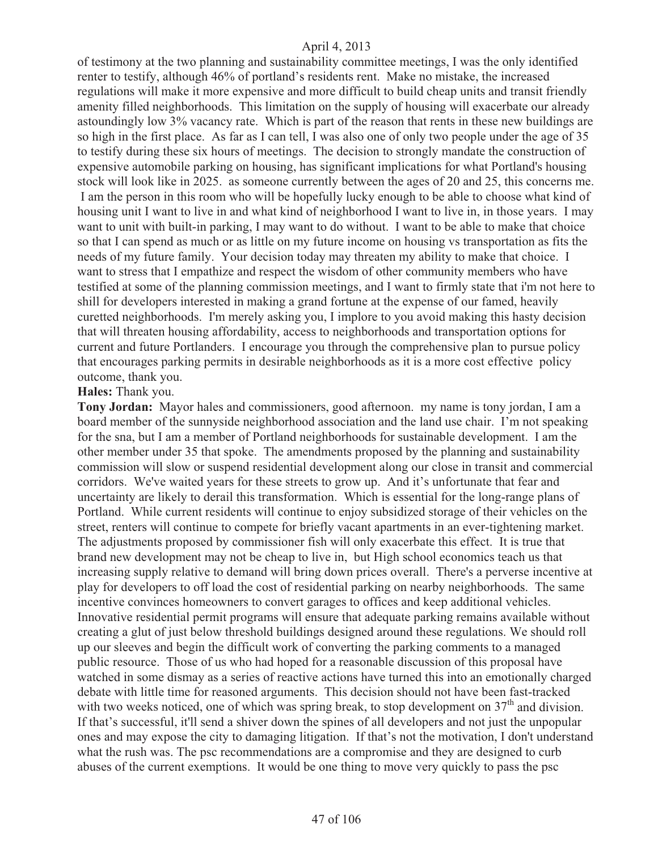of testimony at the two planning and sustainability committee meetings, I was the only identified renter to testify, although 46% of portland's residents rent. Make no mistake, the increased regulations will make it more expensive and more difficult to build cheap units and transit friendly amenity filled neighborhoods. This limitation on the supply of housing will exacerbate our already astoundingly low 3% vacancy rate. Which is part of the reason that rents in these new buildings are so high in the first place. As far as I can tell, I was also one of only two people under the age of 35 to testify during these six hours of meetings. The decision to strongly mandate the construction of expensive automobile parking on housing, has significant implications for what Portland's housing stock will look like in 2025. as someone currently between the ages of 20 and 25, this concerns me. I am the person in this room who will be hopefully lucky enough to be able to choose what kind of housing unit I want to live in and what kind of neighborhood I want to live in, in those years. I may want to unit with built-in parking, I may want to do without. I want to be able to make that choice so that I can spend as much or as little on my future income on housing vs transportation as fits the needs of my future family. Your decision today may threaten my ability to make that choice. I want to stress that I empathize and respect the wisdom of other community members who have testified at some of the planning commission meetings, and I want to firmly state that i'm not here to shill for developers interested in making a grand fortune at the expense of our famed, heavily curetted neighborhoods. I'm merely asking you, I implore to you avoid making this hasty decision that will threaten housing affordability, access to neighborhoods and transportation options for current and future Portlanders. I encourage you through the comprehensive plan to pursue policy that encourages parking permits in desirable neighborhoods as it is a more cost effective policy outcome, thank you.

## **Hales:** Thank you.

**Tony Jordan:** Mayor hales and commissioners, good afternoon. my name is tony jordan, I am a board member of the sunnyside neighborhood association and the land use chair. I'm not speaking for the sna, but I am a member of Portland neighborhoods for sustainable development. I am the other member under 35 that spoke. The amendments proposed by the planning and sustainability commission will slow or suspend residential development along our close in transit and commercial corridors. We've waited years for these streets to grow up. And it's unfortunate that fear and uncertainty are likely to derail this transformation. Which is essential for the long-range plans of Portland. While current residents will continue to enjoy subsidized storage of their vehicles on the street, renters will continue to compete for briefly vacant apartments in an ever-tightening market. The adjustments proposed by commissioner fish will only exacerbate this effect. It is true that brand new development may not be cheap to live in, but High school economics teach us that increasing supply relative to demand will bring down prices overall. There's a perverse incentive at play for developers to off load the cost of residential parking on nearby neighborhoods. The same incentive convinces homeowners to convert garages to offices and keep additional vehicles. Innovative residential permit programs will ensure that adequate parking remains available without creating a glut of just below threshold buildings designed around these regulations. We should roll up our sleeves and begin the difficult work of converting the parking comments to a managed public resource. Those of us who had hoped for a reasonable discussion of this proposal have watched in some dismay as a series of reactive actions have turned this into an emotionally charged debate with little time for reasoned arguments. This decision should not have been fast-tracked with two weeks noticed, one of which was spring break, to stop development on  $37<sup>th</sup>$  and division. If that's successful, it'll send a shiver down the spines of all developers and not just the unpopular ones and may expose the city to damaging litigation. If that's not the motivation, I don't understand what the rush was. The psc recommendations are a compromise and they are designed to curb abuses of the current exemptions. It would be one thing to move very quickly to pass the psc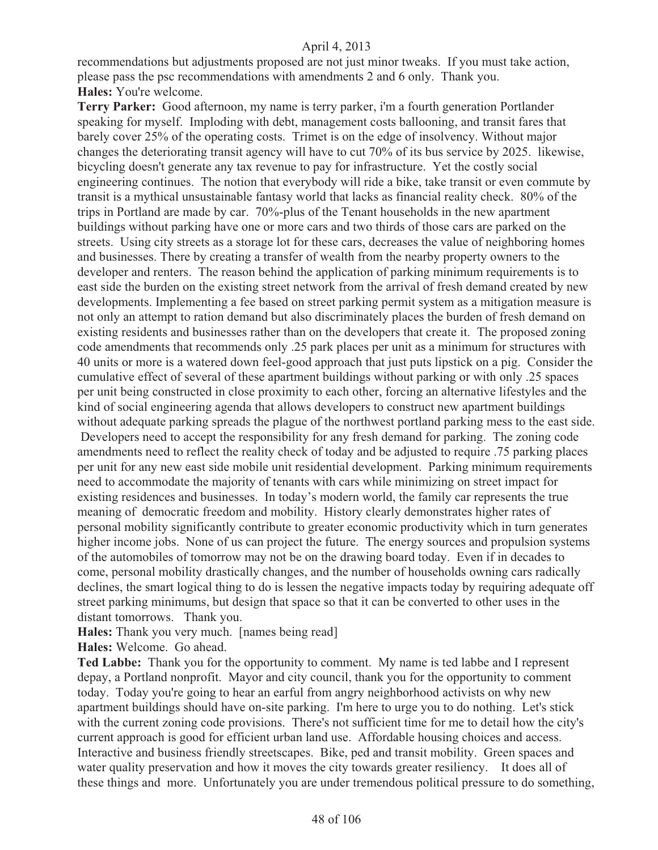recommendations but adjustments proposed are not just minor tweaks. If you must take action, please pass the psc recommendations with amendments 2 and 6 only. Thank you. **Hales:** You're welcome.

**Terry Parker:** Good afternoon, my name is terry parker, i'm a fourth generation Portlander speaking for myself. Imploding with debt, management costs ballooning, and transit fares that barely cover 25% of the operating costs. Trimet is on the edge of insolvency. Without major changes the deteriorating transit agency will have to cut 70% of its bus service by 2025. likewise, bicycling doesn't generate any tax revenue to pay for infrastructure. Yet the costly social engineering continues. The notion that everybody will ride a bike, take transit or even commute by transit is a mythical unsustainable fantasy world that lacks as financial reality check. 80% of the trips in Portland are made by car. 70%-plus of the Tenant households in the new apartment buildings without parking have one or more cars and two thirds of those cars are parked on the streets. Using city streets as a storage lot for these cars, decreases the value of neighboring homes and businesses. There by creating a transfer of wealth from the nearby property owners to the developer and renters. The reason behind the application of parking minimum requirements is to east side the burden on the existing street network from the arrival of fresh demand created by new developments. Implementing a fee based on street parking permit system as a mitigation measure is not only an attempt to ration demand but also discriminately places the burden of fresh demand on existing residents and businesses rather than on the developers that create it. The proposed zoning code amendments that recommends only .25 park places per unit as a minimum for structures with 40 units or more is a watered down feel-good approach that just puts lipstick on a pig. Consider the cumulative effect of several of these apartment buildings without parking or with only .25 spaces per unit being constructed in close proximity to each other, forcing an alternative lifestyles and the kind of social engineering agenda that allows developers to construct new apartment buildings without adequate parking spreads the plague of the northwest portland parking mess to the east side. Developers need to accept the responsibility for any fresh demand for parking. The zoning code amendments need to reflect the reality check of today and be adjusted to require .75 parking places per unit for any new east side mobile unit residential development. Parking minimum requirements need to accommodate the majority of tenants with cars while minimizing on street impact for existing residences and businesses. In today's modern world, the family car represents the true meaning of democratic freedom and mobility. History clearly demonstrates higher rates of personal mobility significantly contribute to greater economic productivity which in turn generates higher income jobs. None of us can project the future. The energy sources and propulsion systems of the automobiles of tomorrow may not be on the drawing board today. Even if in decades to come, personal mobility drastically changes, and the number of households owning cars radically declines, the smart logical thing to do is lessen the negative impacts today by requiring adequate off street parking minimums, but design that space so that it can be converted to other uses in the distant tomorrows. Thank you.

**Hales:** Thank you very much. [names being read]

**Hales:** Welcome. Go ahead.

**Ted Labbe:** Thank you for the opportunity to comment. My name is ted labbe and I represent depay, a Portland nonprofit. Mayor and city council, thank you for the opportunity to comment today. Today you're going to hear an earful from angry neighborhood activists on why new apartment buildings should have on-site parking. I'm here to urge you to do nothing. Let's stick with the current zoning code provisions. There's not sufficient time for me to detail how the city's current approach is good for efficient urban land use. Affordable housing choices and access. Interactive and business friendly streetscapes. Bike, ped and transit mobility. Green spaces and water quality preservation and how it moves the city towards greater resiliency. It does all of these things and more. Unfortunately you are under tremendous political pressure to do something,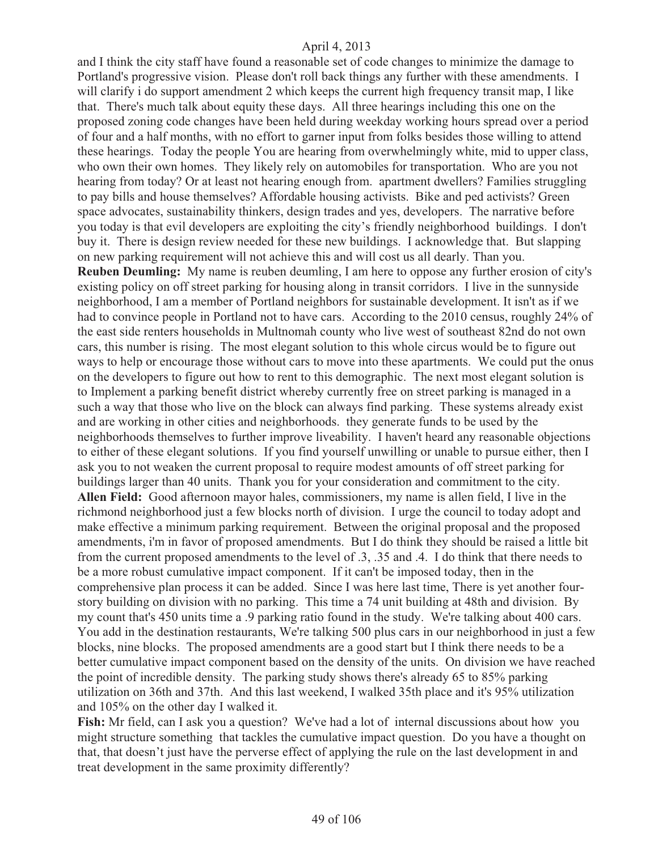and I think the city staff have found a reasonable set of code changes to minimize the damage to Portland's progressive vision. Please don't roll back things any further with these amendments. I will clarify i do support amendment 2 which keeps the current high frequency transit map, I like that. There's much talk about equity these days. All three hearings including this one on the proposed zoning code changes have been held during weekday working hours spread over a period of four and a half months, with no effort to garner input from folks besides those willing to attend these hearings. Today the people You are hearing from overwhelmingly white, mid to upper class, who own their own homes. They likely rely on automobiles for transportation. Who are you not hearing from today? Or at least not hearing enough from. apartment dwellers? Families struggling to pay bills and house themselves? Affordable housing activists. Bike and ped activists? Green space advocates, sustainability thinkers, design trades and yes, developers. The narrative before you today is that evil developers are exploiting the city's friendly neighborhood buildings. I don't buy it. There is design review needed for these new buildings. I acknowledge that. But slapping on new parking requirement will not achieve this and will cost us all dearly. Than you. **Reuben Deumling:** My name is reuben deumling, I am here to oppose any further erosion of city's existing policy on off street parking for housing along in transit corridors. I live in the sunnyside neighborhood, I am a member of Portland neighbors for sustainable development. It isn't as if we had to convince people in Portland not to have cars. According to the 2010 census, roughly 24% of the east side renters households in Multnomah county who live west of southeast 82nd do not own cars, this number is rising. The most elegant solution to this whole circus would be to figure out ways to help or encourage those without cars to move into these apartments. We could put the onus on the developers to figure out how to rent to this demographic. The next most elegant solution is to Implement a parking benefit district whereby currently free on street parking is managed in a such a way that those who live on the block can always find parking. These systems already exist and are working in other cities and neighborhoods. they generate funds to be used by the neighborhoods themselves to further improve liveability. I haven't heard any reasonable objections to either of these elegant solutions. If you find yourself unwilling or unable to pursue either, then I ask you to not weaken the current proposal to require modest amounts of off street parking for buildings larger than 40 units. Thank you for your consideration and commitment to the city. **Allen Field:** Good afternoon mayor hales, commissioners, my name is allen field, I live in the richmond neighborhood just a few blocks north of division. I urge the council to today adopt and make effective a minimum parking requirement. Between the original proposal and the proposed amendments, i'm in favor of proposed amendments. But I do think they should be raised a little bit from the current proposed amendments to the level of .3, .35 and .4. I do think that there needs to be a more robust cumulative impact component. If it can't be imposed today, then in the comprehensive plan process it can be added. Since I was here last time, There is yet another fourstory building on division with no parking. This time a 74 unit building at 48th and division. By my count that's 450 units time a .9 parking ratio found in the study. We're talking about 400 cars. You add in the destination restaurants, We're talking 500 plus cars in our neighborhood in just a few blocks, nine blocks. The proposed amendments are a good start but I think there needs to be a better cumulative impact component based on the density of the units. On division we have reached the point of incredible density. The parking study shows there's already 65 to 85% parking utilization on 36th and 37th. And this last weekend, I walked 35th place and it's 95% utilization and 105% on the other day I walked it.

**Fish:** Mr field, can I ask you a question? We've had a lot of internal discussions about how you might structure something that tackles the cumulative impact question. Do you have a thought on that, that doesn't just have the perverse effect of applying the rule on the last development in and treat development in the same proximity differently?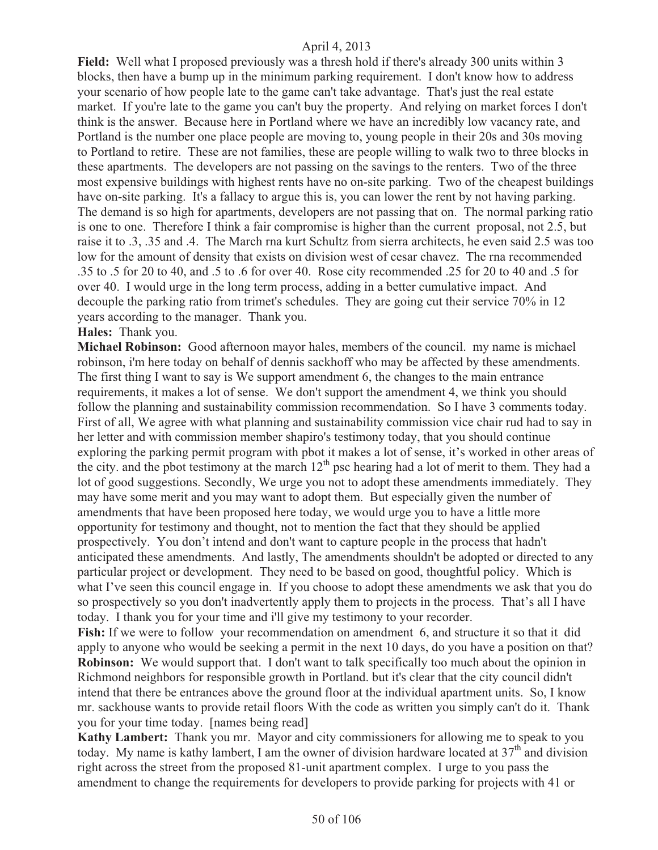**Field:** Well what I proposed previously was a thresh hold if there's already 300 units within 3 blocks, then have a bump up in the minimum parking requirement. I don't know how to address your scenario of how people late to the game can't take advantage. That's just the real estate market. If you're late to the game you can't buy the property. And relying on market forces I don't think is the answer. Because here in Portland where we have an incredibly low vacancy rate, and Portland is the number one place people are moving to, young people in their 20s and 30s moving to Portland to retire. These are not families, these are people willing to walk two to three blocks in these apartments. The developers are not passing on the savings to the renters. Two of the three most expensive buildings with highest rents have no on-site parking. Two of the cheapest buildings have on-site parking. It's a fallacy to argue this is, you can lower the rent by not having parking. The demand is so high for apartments, developers are not passing that on. The normal parking ratio is one to one. Therefore I think a fair compromise is higher than the current proposal, not 2.5, but raise it to .3, .35 and .4. The March rna kurt Schultz from sierra architects, he even said 2.5 was too low for the amount of density that exists on division west of cesar chavez. The rna recommended .35 to .5 for 20 to 40, and .5 to .6 for over 40. Rose city recommended .25 for 20 to 40 and .5 for over 40. I would urge in the long term process, adding in a better cumulative impact. And decouple the parking ratio from trimet's schedules. They are going cut their service 70% in 12 years according to the manager. Thank you.

## **Hales:** Thank you.

**Michael Robinson:** Good afternoon mayor hales, members of the council. my name is michael robinson, i'm here today on behalf of dennis sackhoff who may be affected by these amendments. The first thing I want to say is We support amendment 6, the changes to the main entrance requirements, it makes a lot of sense. We don't support the amendment 4, we think you should follow the planning and sustainability commission recommendation. So I have 3 comments today. First of all, We agree with what planning and sustainability commission vice chair rud had to say in her letter and with commission member shapiro's testimony today, that you should continue exploring the parking permit program with pbot it makes a lot of sense, it's worked in other areas of the city, and the pbot testimony at the march  $12<sup>th</sup>$  psc hearing had a lot of merit to them. They had a lot of good suggestions. Secondly, We urge you not to adopt these amendments immediately. They may have some merit and you may want to adopt them. But especially given the number of amendments that have been proposed here today, we would urge you to have a little more opportunity for testimony and thought, not to mention the fact that they should be applied prospectively. You don't intend and don't want to capture people in the process that hadn't anticipated these amendments. And lastly, The amendments shouldn't be adopted or directed to any particular project or development. They need to be based on good, thoughtful policy. Which is what I've seen this council engage in. If you choose to adopt these amendments we ask that you do so prospectively so you don't inadvertently apply them to projects in the process. That's all I have today. I thank you for your time and i'll give my testimony to your recorder.

**Fish:** If we were to follow your recommendation on amendment 6, and structure it so that it did apply to anyone who would be seeking a permit in the next 10 days, do you have a position on that? **Robinson:** We would support that. I don't want to talk specifically too much about the opinion in Richmond neighbors for responsible growth in Portland. but it's clear that the city council didn't intend that there be entrances above the ground floor at the individual apartment units. So, I know mr. sackhouse wants to provide retail floors With the code as written you simply can't do it. Thank you for your time today. [names being read]

**Kathy Lambert:** Thank you mr. Mayor and city commissioners for allowing me to speak to you today. My name is kathy lambert, I am the owner of division hardware located at  $37<sup>th</sup>$  and division right across the street from the proposed 81-unit apartment complex. I urge to you pass the amendment to change the requirements for developers to provide parking for projects with 41 or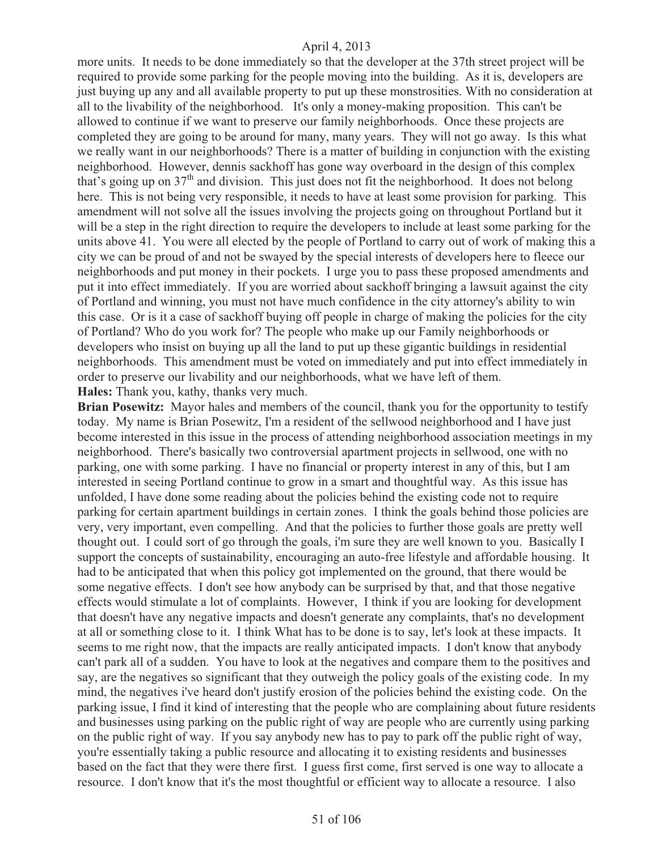more units. It needs to be done immediately so that the developer at the 37th street project will be required to provide some parking for the people moving into the building. As it is, developers are just buying up any and all available property to put up these monstrosities. With no consideration at all to the livability of the neighborhood. It's only a money-making proposition. This can't be allowed to continue if we want to preserve our family neighborhoods. Once these projects are completed they are going to be around for many, many years. They will not go away. Is this what we really want in our neighborhoods? There is a matter of building in conjunction with the existing neighborhood. However, dennis sackhoff has gone way overboard in the design of this complex that's going up on 37<sup>th</sup> and division. This just does not fit the neighborhood. It does not belong here. This is not being very responsible, it needs to have at least some provision for parking. This amendment will not solve all the issues involving the projects going on throughout Portland but it will be a step in the right direction to require the developers to include at least some parking for the units above 41. You were all elected by the people of Portland to carry out of work of making this a city we can be proud of and not be swayed by the special interests of developers here to fleece our neighborhoods and put money in their pockets. I urge you to pass these proposed amendments and put it into effect immediately. If you are worried about sackhoff bringing a lawsuit against the city of Portland and winning, you must not have much confidence in the city attorney's ability to win this case. Or is it a case of sackhoff buying off people in charge of making the policies for the city of Portland? Who do you work for? The people who make up our Family neighborhoods or developers who insist on buying up all the land to put up these gigantic buildings in residential neighborhoods. This amendment must be voted on immediately and put into effect immediately in order to preserve our livability and our neighborhoods, what we have left of them. **Hales:** Thank you, kathy, thanks very much.

**Brian Posewitz:** Mayor hales and members of the council, thank you for the opportunity to testify today. My name is Brian Posewitz, I'm a resident of the sellwood neighborhood and I have just become interested in this issue in the process of attending neighborhood association meetings in my neighborhood. There's basically two controversial apartment projects in sellwood, one with no parking, one with some parking. I have no financial or property interest in any of this, but I am interested in seeing Portland continue to grow in a smart and thoughtful way. As this issue has unfolded, I have done some reading about the policies behind the existing code not to require parking for certain apartment buildings in certain zones. I think the goals behind those policies are very, very important, even compelling. And that the policies to further those goals are pretty well thought out. I could sort of go through the goals, i'm sure they are well known to you. Basically I support the concepts of sustainability, encouraging an auto-free lifestyle and affordable housing. It had to be anticipated that when this policy got implemented on the ground, that there would be some negative effects. I don't see how anybody can be surprised by that, and that those negative effects would stimulate a lot of complaints. However, I think if you are looking for development that doesn't have any negative impacts and doesn't generate any complaints, that's no development at all or something close to it. I think What has to be done is to say, let's look at these impacts. It seems to me right now, that the impacts are really anticipated impacts. I don't know that anybody can't park all of a sudden. You have to look at the negatives and compare them to the positives and say, are the negatives so significant that they outweigh the policy goals of the existing code. In my mind, the negatives i've heard don't justify erosion of the policies behind the existing code. On the parking issue, I find it kind of interesting that the people who are complaining about future residents and businesses using parking on the public right of way are people who are currently using parking on the public right of way. If you say anybody new has to pay to park off the public right of way, you're essentially taking a public resource and allocating it to existing residents and businesses based on the fact that they were there first. I guess first come, first served is one way to allocate a resource. I don't know that it's the most thoughtful or efficient way to allocate a resource. I also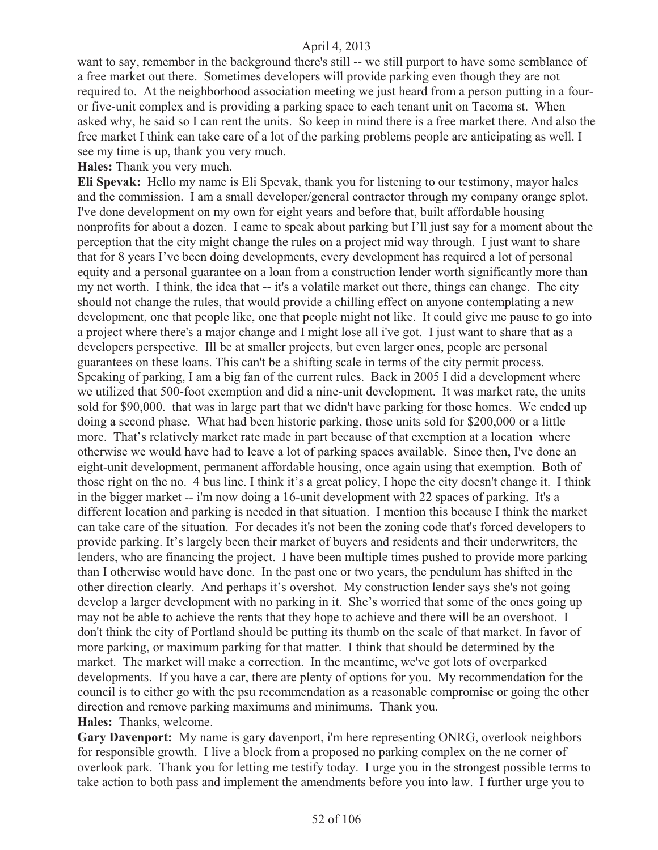want to say, remember in the background there's still -- we still purport to have some semblance of a free market out there. Sometimes developers will provide parking even though they are not required to. At the neighborhood association meeting we just heard from a person putting in a fouror five-unit complex and is providing a parking space to each tenant unit on Tacoma st. When asked why, he said so I can rent the units. So keep in mind there is a free market there. And also the free market I think can take care of a lot of the parking problems people are anticipating as well. I see my time is up, thank you very much.

**Hales:** Thank you very much.

**Eli Spevak:** Hello my name is Eli Spevak, thank you for listening to our testimony, mayor hales and the commission. I am a small developer/general contractor through my company orange splot. I've done development on my own for eight years and before that, built affordable housing nonprofits for about a dozen. I came to speak about parking but I'll just say for a moment about the perception that the city might change the rules on a project mid way through. I just want to share that for 8 years I've been doing developments, every development has required a lot of personal equity and a personal guarantee on a loan from a construction lender worth significantly more than my net worth. I think, the idea that -- it's a volatile market out there, things can change. The city should not change the rules, that would provide a chilling effect on anyone contemplating a new development, one that people like, one that people might not like. It could give me pause to go into a project where there's a major change and I might lose all i've got. I just want to share that as a developers perspective. Ill be at smaller projects, but even larger ones, people are personal guarantees on these loans. This can't be a shifting scale in terms of the city permit process. Speaking of parking, I am a big fan of the current rules. Back in 2005 I did a development where we utilized that 500-foot exemption and did a nine-unit development. It was market rate, the units sold for \$90,000. that was in large part that we didn't have parking for those homes. We ended up doing a second phase. What had been historic parking, those units sold for \$200,000 or a little more. That's relatively market rate made in part because of that exemption at a location where otherwise we would have had to leave a lot of parking spaces available. Since then, I've done an eight-unit development, permanent affordable housing, once again using that exemption. Both of those right on the no. 4 bus line. I think it's a great policy, I hope the city doesn't change it. I think in the bigger market -- i'm now doing a 16-unit development with 22 spaces of parking. It's a different location and parking is needed in that situation. I mention this because I think the market can take care of the situation. For decades it's not been the zoning code that's forced developers to provide parking. It's largely been their market of buyers and residents and their underwriters, the lenders, who are financing the project. I have been multiple times pushed to provide more parking than I otherwise would have done. In the past one or two years, the pendulum has shifted in the other direction clearly. And perhaps it's overshot. My construction lender says she's not going develop a larger development with no parking in it. She's worried that some of the ones going up may not be able to achieve the rents that they hope to achieve and there will be an overshoot. I don't think the city of Portland should be putting its thumb on the scale of that market. In favor of more parking, or maximum parking for that matter. I think that should be determined by the market. The market will make a correction. In the meantime, we've got lots of overparked developments. If you have a car, there are plenty of options for you. My recommendation for the council is to either go with the psu recommendation as a reasonable compromise or going the other direction and remove parking maximums and minimums. Thank you. **Hales:** Thanks, welcome.

**Gary Davenport:** My name is gary davenport, i'm here representing ONRG, overlook neighbors for responsible growth. I live a block from a proposed no parking complex on the ne corner of overlook park. Thank you for letting me testify today. I urge you in the strongest possible terms to take action to both pass and implement the amendments before you into law. I further urge you to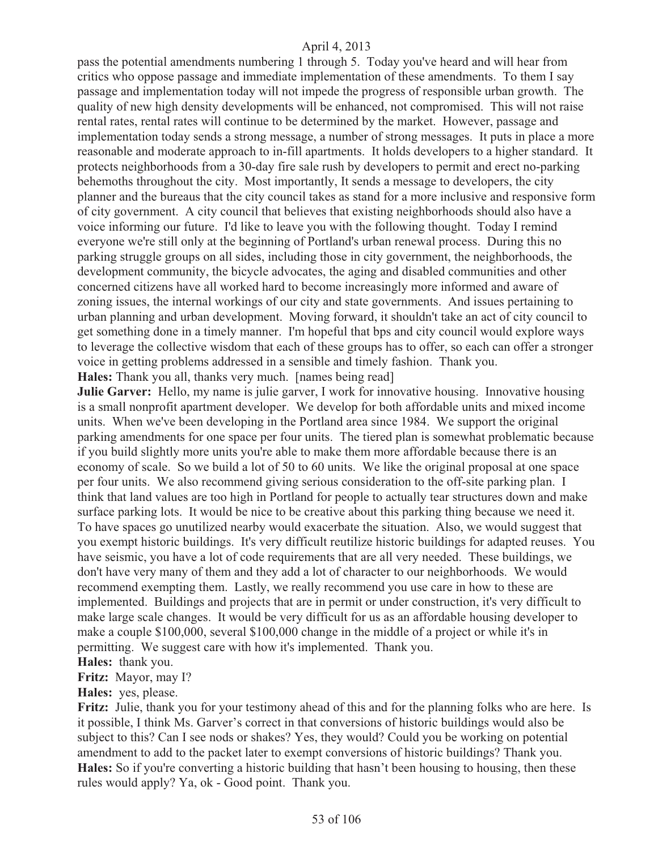pass the potential amendments numbering 1 through 5. Today you've heard and will hear from critics who oppose passage and immediate implementation of these amendments. To them I say passage and implementation today will not impede the progress of responsible urban growth. The quality of new high density developments will be enhanced, not compromised. This will not raise rental rates, rental rates will continue to be determined by the market. However, passage and implementation today sends a strong message, a number of strong messages. It puts in place a more reasonable and moderate approach to in-fill apartments. It holds developers to a higher standard. It protects neighborhoods from a 30-day fire sale rush by developers to permit and erect no-parking behemoths throughout the city. Most importantly, It sends a message to developers, the city planner and the bureaus that the city council takes as stand for a more inclusive and responsive form of city government. A city council that believes that existing neighborhoods should also have a voice informing our future. I'd like to leave you with the following thought. Today I remind everyone we're still only at the beginning of Portland's urban renewal process. During this no parking struggle groups on all sides, including those in city government, the neighborhoods, the development community, the bicycle advocates, the aging and disabled communities and other concerned citizens have all worked hard to become increasingly more informed and aware of zoning issues, the internal workings of our city and state governments. And issues pertaining to urban planning and urban development. Moving forward, it shouldn't take an act of city council to get something done in a timely manner. I'm hopeful that bps and city council would explore ways to leverage the collective wisdom that each of these groups has to offer, so each can offer a stronger voice in getting problems addressed in a sensible and timely fashion. Thank you.

**Hales:** Thank you all, thanks very much. [names being read]

**Julie Garver:** Hello, my name is julie garver, I work for innovative housing. Innovative housing is a small nonprofit apartment developer. We develop for both affordable units and mixed income units. When we've been developing in the Portland area since 1984. We support the original parking amendments for one space per four units. The tiered plan is somewhat problematic because if you build slightly more units you're able to make them more affordable because there is an economy of scale. So we build a lot of 50 to 60 units. We like the original proposal at one space per four units. We also recommend giving serious consideration to the off-site parking plan. I think that land values are too high in Portland for people to actually tear structures down and make surface parking lots. It would be nice to be creative about this parking thing because we need it. To have spaces go unutilized nearby would exacerbate the situation. Also, we would suggest that you exempt historic buildings. It's very difficult reutilize historic buildings for adapted reuses. You have seismic, you have a lot of code requirements that are all very needed. These buildings, we don't have very many of them and they add a lot of character to our neighborhoods. We would recommend exempting them. Lastly, we really recommend you use care in how to these are implemented. Buildings and projects that are in permit or under construction, it's very difficult to make large scale changes. It would be very difficult for us as an affordable housing developer to make a couple \$100,000, several \$100,000 change in the middle of a project or while it's in permitting. We suggest care with how it's implemented. Thank you.

**Hales:** thank you.

**Fritz:** Mayor, may I?

**Hales:** yes, please.

Fritz: Julie, thank you for your testimony ahead of this and for the planning folks who are here. Is it possible, I think Ms. Garver's correct in that conversions of historic buildings would also be subject to this? Can I see nods or shakes? Yes, they would? Could you be working on potential amendment to add to the packet later to exempt conversions of historic buildings? Thank you. Hales: So if you're converting a historic building that hasn't been housing to housing, then these rules would apply? Ya, ok - Good point. Thank you.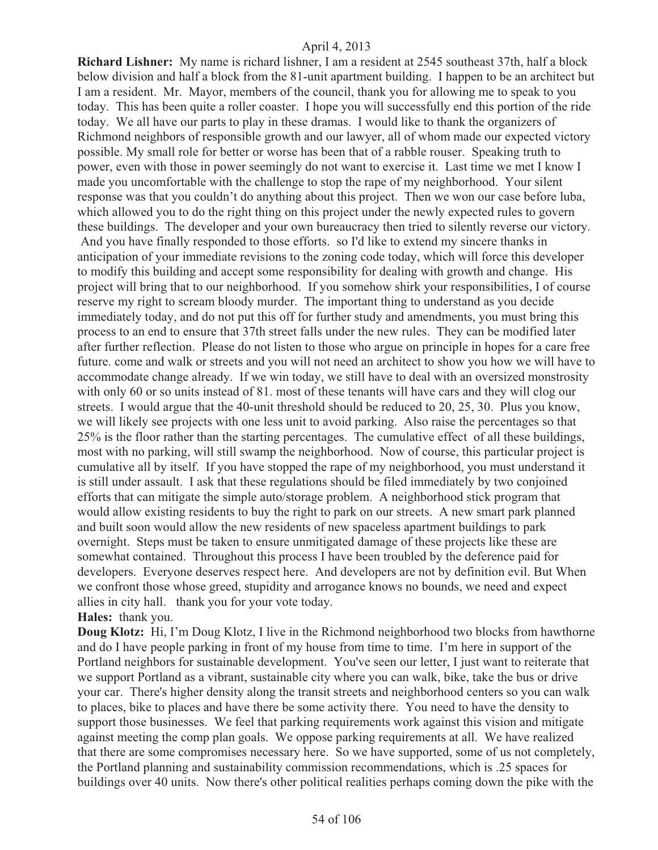**Richard Lishner:** My name is richard lishner, I am a resident at 2545 southeast 37th, half a block below division and half a block from the 81-unit apartment building. I happen to be an architect but I am a resident. Mr. Mayor, members of the council, thank you for allowing me to speak to you today. This has been quite a roller coaster. I hope you will successfully end this portion of the ride today. We all have our parts to play in these dramas. I would like to thank the organizers of Richmond neighbors of responsible growth and our lawyer, all of whom made our expected victory possible. My small role for better or worse has been that of a rabble rouser. Speaking truth to power, even with those in power seemingly do not want to exercise it. Last time we met I know I made you uncomfortable with the challenge to stop the rape of my neighborhood. Your silent response was that you couldn't do anything about this project. Then we won our case before luba, which allowed you to do the right thing on this project under the newly expected rules to govern these buildings. The developer and your own bureaucracy then tried to silently reverse our victory. And you have finally responded to those efforts. so I'd like to extend my sincere thanks in anticipation of your immediate revisions to the zoning code today, which will force this developer to modify this building and accept some responsibility for dealing with growth and change. His project will bring that to our neighborhood. If you somehow shirk your responsibilities, I of course reserve my right to scream bloody murder. The important thing to understand as you decide immediately today, and do not put this off for further study and amendments, you must bring this process to an end to ensure that 37th street falls under the new rules. They can be modified later after further reflection. Please do not listen to those who argue on principle in hopes for a care free future. come and walk or streets and you will not need an architect to show you how we will have to accommodate change already. If we win today, we still have to deal with an oversized monstrosity with only 60 or so units instead of 81, most of these tenants will have cars and they will clog our streets. I would argue that the 40-unit threshold should be reduced to 20, 25, 30. Plus you know, we will likely see projects with one less unit to avoid parking. Also raise the percentages so that 25% is the floor rather than the starting percentages. The cumulative effect of all these buildings, most with no parking, will still swamp the neighborhood. Now of course, this particular project is cumulative all by itself. If you have stopped the rape of my neighborhood, you must understand it is still under assault. I ask that these regulations should be filed immediately by two conjoined efforts that can mitigate the simple auto/storage problem. A neighborhood stick program that would allow existing residents to buy the right to park on our streets. A new smart park planned and built soon would allow the new residents of new spaceless apartment buildings to park overnight. Steps must be taken to ensure unmitigated damage of these projects like these are somewhat contained. Throughout this process I have been troubled by the deference paid for developers. Everyone deserves respect here. And developers are not by definition evil. But When we confront those whose greed, stupidity and arrogance knows no bounds, we need and expect allies in city hall. thank you for your vote today.

# **Hales:** thank you.

**Doug Klotz:** Hi, I'm Doug Klotz, I live in the Richmond neighborhood two blocks from hawthorne and do I have people parking in front of my house from time to time. I'm here in support of the Portland neighbors for sustainable development. You've seen our letter, I just want to reiterate that we support Portland as a vibrant, sustainable city where you can walk, bike, take the bus or drive your car. There's higher density along the transit streets and neighborhood centers so you can walk to places, bike to places and have there be some activity there. You need to have the density to support those businesses. We feel that parking requirements work against this vision and mitigate against meeting the comp plan goals. We oppose parking requirements at all. We have realized that there are some compromises necessary here. So we have supported, some of us not completely, the Portland planning and sustainability commission recommendations, which is .25 spaces for buildings over 40 units. Now there's other political realities perhaps coming down the pike with the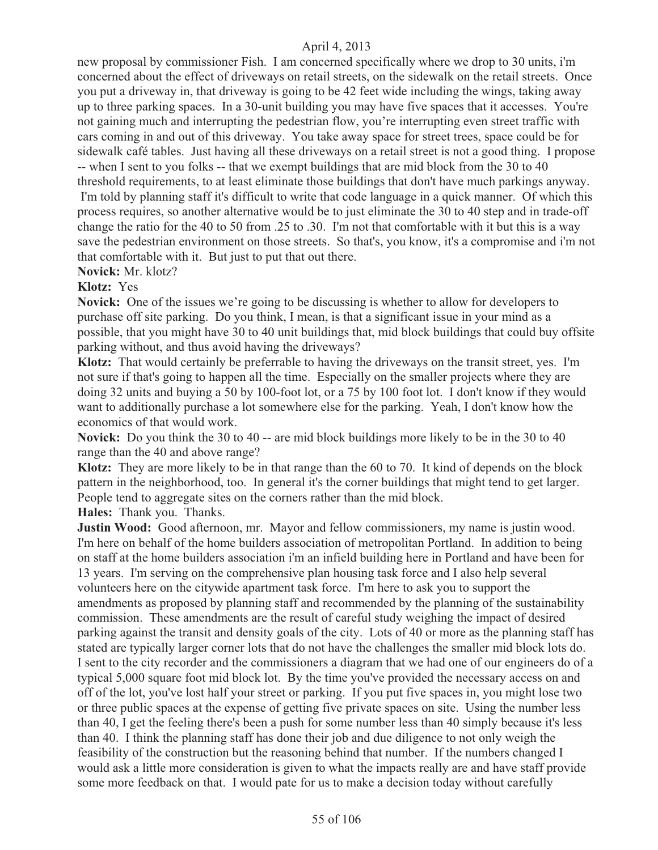new proposal by commissioner Fish. I am concerned specifically where we drop to 30 units, i'm concerned about the effect of driveways on retail streets, on the sidewalk on the retail streets. Once you put a driveway in, that driveway is going to be 42 feet wide including the wings, taking away up to three parking spaces. In a 30-unit building you may have five spaces that it accesses. You're not gaining much and interrupting the pedestrian flow, you're interrupting even street traffic with cars coming in and out of this driveway. You take away space for street trees, space could be for sidewalk café tables. Just having all these driveways on a retail street is not a good thing. I propose -- when I sent to you folks -- that we exempt buildings that are mid block from the 30 to 40 threshold requirements, to at least eliminate those buildings that don't have much parkings anyway. I'm told by planning staff it's difficult to write that code language in a quick manner. Of which this process requires, so another alternative would be to just eliminate the 30 to 40 step and in trade-off change the ratio for the 40 to 50 from .25 to .30. I'm not that comfortable with it but this is a way save the pedestrian environment on those streets. So that's, you know, it's a compromise and i'm not that comfortable with it. But just to put that out there.

**Novick:** Mr. klotz?

**Klotz:** Yes

**Novick:** One of the issues we're going to be discussing is whether to allow for developers to purchase off site parking. Do you think, I mean, is that a significant issue in your mind as a possible, that you might have 30 to 40 unit buildings that, mid block buildings that could buy offsite parking without, and thus avoid having the driveways?

**Klotz:** That would certainly be preferrable to having the driveways on the transit street, yes. I'm not sure if that's going to happen all the time. Especially on the smaller projects where they are doing 32 units and buying a 50 by 100-foot lot, or a 75 by 100 foot lot. I don't know if they would want to additionally purchase a lot somewhere else for the parking. Yeah, I don't know how the economics of that would work.

**Novick:** Do you think the 30 to 40 -- are mid block buildings more likely to be in the 30 to 40 range than the 40 and above range?

**Klotz:** They are more likely to be in that range than the 60 to 70. It kind of depends on the block pattern in the neighborhood, too. In general it's the corner buildings that might tend to get larger. People tend to aggregate sites on the corners rather than the mid block.

**Hales:** Thank you. Thanks.

**Justin Wood:** Good afternoon, mr. Mayor and fellow commissioners, my name is justin wood. I'm here on behalf of the home builders association of metropolitan Portland. In addition to being on staff at the home builders association i'm an infield building here in Portland and have been for 13 years. I'm serving on the comprehensive plan housing task force and I also help several volunteers here on the citywide apartment task force. I'm here to ask you to support the amendments as proposed by planning staff and recommended by the planning of the sustainability commission. These amendments are the result of careful study weighing the impact of desired parking against the transit and density goals of the city. Lots of 40 or more as the planning staff has stated are typically larger corner lots that do not have the challenges the smaller mid block lots do. I sent to the city recorder and the commissioners a diagram that we had one of our engineers do of a typical 5,000 square foot mid block lot. By the time you've provided the necessary access on and off of the lot, you've lost half your street or parking. If you put five spaces in, you might lose two or three public spaces at the expense of getting five private spaces on site. Using the number less than 40, I get the feeling there's been a push for some number less than 40 simply because it's less than 40. I think the planning staff has done their job and due diligence to not only weigh the feasibility of the construction but the reasoning behind that number. If the numbers changed I would ask a little more consideration is given to what the impacts really are and have staff provide some more feedback on that. I would pate for us to make a decision today without carefully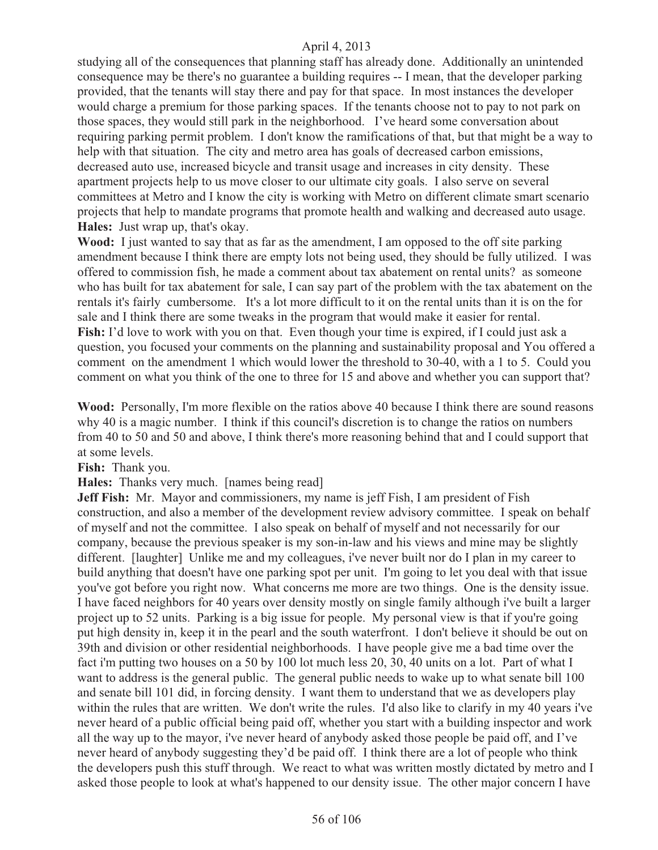studying all of the consequences that planning staff has already done. Additionally an unintended consequence may be there's no guarantee a building requires -- I mean, that the developer parking provided, that the tenants will stay there and pay for that space. In most instances the developer would charge a premium for those parking spaces. If the tenants choose not to pay to not park on those spaces, they would still park in the neighborhood. I've heard some conversation about requiring parking permit problem. I don't know the ramifications of that, but that might be a way to help with that situation. The city and metro area has goals of decreased carbon emissions, decreased auto use, increased bicycle and transit usage and increases in city density. These apartment projects help to us move closer to our ultimate city goals. I also serve on several committees at Metro and I know the city is working with Metro on different climate smart scenario projects that help to mandate programs that promote health and walking and decreased auto usage. **Hales:** Just wrap up, that's okay.

**Wood:** I just wanted to say that as far as the amendment, I am opposed to the off site parking amendment because I think there are empty lots not being used, they should be fully utilized. I was offered to commission fish, he made a comment about tax abatement on rental units? as someone who has built for tax abatement for sale, I can say part of the problem with the tax abatement on the rentals it's fairly cumbersome. It's a lot more difficult to it on the rental units than it is on the for sale and I think there are some tweaks in the program that would make it easier for rental. **Fish:** I'd love to work with you on that. Even though your time is expired, if I could just ask a question, you focused your comments on the planning and sustainability proposal and You offered a comment on the amendment 1 which would lower the threshold to 30-40, with a 1 to 5. Could you comment on what you think of the one to three for 15 and above and whether you can support that?

**Wood:** Personally, I'm more flexible on the ratios above 40 because I think there are sound reasons why 40 is a magic number. I think if this council's discretion is to change the ratios on numbers from 40 to 50 and 50 and above, I think there's more reasoning behind that and I could support that at some levels.

**Fish:** Thank you.

**Hales:** Thanks very much. [names being read]

**Jeff Fish:** Mr. Mayor and commissioners, my name is jeff Fish, I am president of Fish construction, and also a member of the development review advisory committee. I speak on behalf of myself and not the committee. I also speak on behalf of myself and not necessarily for our company, because the previous speaker is my son-in-law and his views and mine may be slightly different. [laughter] Unlike me and my colleagues, i've never built nor do I plan in my career to build anything that doesn't have one parking spot per unit. I'm going to let you deal with that issue you've got before you right now. What concerns me more are two things. One is the density issue. I have faced neighbors for 40 years over density mostly on single family although i've built a larger project up to 52 units. Parking is a big issue for people. My personal view is that if you're going put high density in, keep it in the pearl and the south waterfront. I don't believe it should be out on 39th and division or other residential neighborhoods. I have people give me a bad time over the fact i'm putting two houses on a 50 by 100 lot much less 20, 30, 40 units on a lot. Part of what I want to address is the general public. The general public needs to wake up to what senate bill 100 and senate bill 101 did, in forcing density. I want them to understand that we as developers play within the rules that are written. We don't write the rules. I'd also like to clarify in my 40 years i've never heard of a public official being paid off, whether you start with a building inspector and work all the way up to the mayor, i've never heard of anybody asked those people be paid off, and I've never heard of anybody suggesting they'd be paid off. I think there are a lot of people who think the developers push this stuff through. We react to what was written mostly dictated by metro and I asked those people to look at what's happened to our density issue. The other major concern I have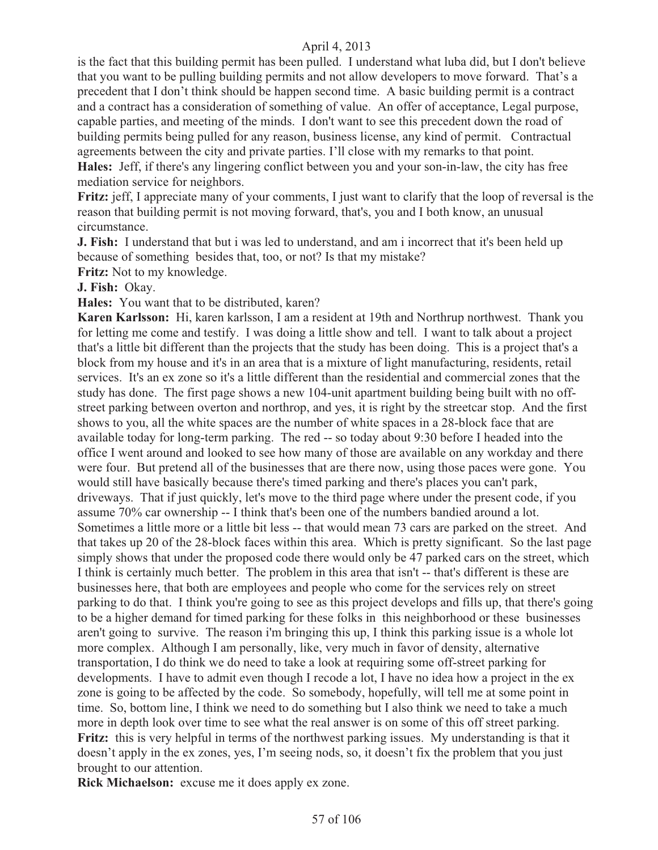is the fact that this building permit has been pulled. I understand what luba did, but I don't believe that you want to be pulling building permits and not allow developers to move forward. That's a precedent that I don't think should be happen second time. A basic building permit is a contract and a contract has a consideration of something of value. An offer of acceptance, Legal purpose, capable parties, and meeting of the minds. I don't want to see this precedent down the road of building permits being pulled for any reason, business license, any kind of permit. Contractual agreements between the city and private parties. I'll close with my remarks to that point. **Hales:** Jeff, if there's any lingering conflict between you and your son-in-law, the city has free mediation service for neighbors.

**Fritz:** jeff, I appreciate many of your comments, I just want to clarify that the loop of reversal is the reason that building permit is not moving forward, that's, you and I both know, an unusual circumstance.

**J. Fish:** I understand that but i was led to understand, and am i incorrect that it's been held up because of something besides that, too, or not? Is that my mistake?

**Fritz:** Not to my knowledge.

**J. Fish:** Okay.

**Hales:** You want that to be distributed, karen?

**Karen Karlsson:** Hi, karen karlsson, I am a resident at 19th and Northrup northwest. Thank you for letting me come and testify. I was doing a little show and tell. I want to talk about a project that's a little bit different than the projects that the study has been doing. This is a project that's a block from my house and it's in an area that is a mixture of light manufacturing, residents, retail services. It's an ex zone so it's a little different than the residential and commercial zones that the study has done. The first page shows a new 104-unit apartment building being built with no offstreet parking between overton and northrop, and yes, it is right by the streetcar stop. And the first shows to you, all the white spaces are the number of white spaces in a 28-block face that are available today for long-term parking. The red -- so today about 9:30 before I headed into the office I went around and looked to see how many of those are available on any workday and there were four. But pretend all of the businesses that are there now, using those paces were gone. You would still have basically because there's timed parking and there's places you can't park, driveways. That if just quickly, let's move to the third page where under the present code, if you assume 70% car ownership -- I think that's been one of the numbers bandied around a lot. Sometimes a little more or a little bit less -- that would mean 73 cars are parked on the street. And that takes up 20 of the 28-block faces within this area. Which is pretty significant. So the last page simply shows that under the proposed code there would only be 47 parked cars on the street, which I think is certainly much better. The problem in this area that isn't -- that's different is these are businesses here, that both are employees and people who come for the services rely on street parking to do that. I think you're going to see as this project develops and fills up, that there's going to be a higher demand for timed parking for these folks in this neighborhood or these businesses aren't going to survive. The reason i'm bringing this up, I think this parking issue is a whole lot more complex. Although I am personally, like, very much in favor of density, alternative transportation, I do think we do need to take a look at requiring some off-street parking for developments. I have to admit even though I recode a lot, I have no idea how a project in the ex zone is going to be affected by the code. So somebody, hopefully, will tell me at some point in time. So, bottom line, I think we need to do something but I also think we need to take a much more in depth look over time to see what the real answer is on some of this off street parking. **Fritz:** this is very helpful in terms of the northwest parking issues. My understanding is that it doesn't apply in the ex zones, yes, I'm seeing nods, so, it doesn't fix the problem that you just brought to our attention.

**Rick Michaelson:** excuse me it does apply ex zone.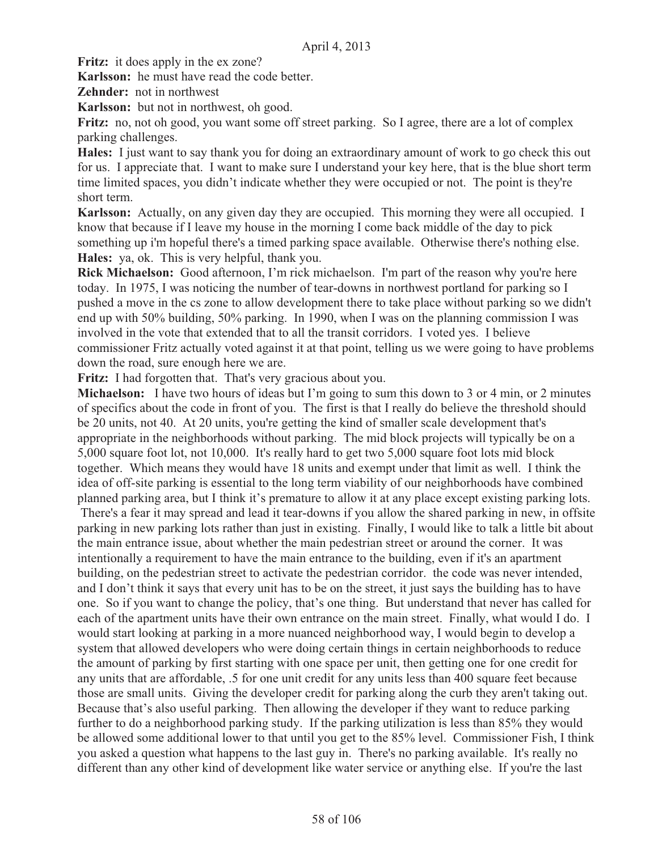Fritz: it does apply in the ex zone?

**Karlsson:** he must have read the code better.

**Zehnder:** not in northwest

**Karlsson:** but not in northwest, oh good.

Fritz: no, not oh good, you want some off street parking. So I agree, there are a lot of complex parking challenges.

**Hales:** I just want to say thank you for doing an extraordinary amount of work to go check this out for us. I appreciate that. I want to make sure I understand your key here, that is the blue short term time limited spaces, you didn't indicate whether they were occupied or not. The point is they're short term.

**Karlsson:** Actually, on any given day they are occupied. This morning they were all occupied. I know that because if I leave my house in the morning I come back middle of the day to pick something up i'm hopeful there's a timed parking space available. Otherwise there's nothing else. **Hales:** ya, ok. This is very helpful, thank you.

**Rick Michaelson:** Good afternoon, I'm rick michaelson. I'm part of the reason why you're here today. In 1975, I was noticing the number of tear-downs in northwest portland for parking so I pushed a move in the cs zone to allow development there to take place without parking so we didn't end up with 50% building, 50% parking. In 1990, when I was on the planning commission I was involved in the vote that extended that to all the transit corridors. I voted yes. I believe commissioner Fritz actually voted against it at that point, telling us we were going to have problems down the road, sure enough here we are.

Fritz: I had forgotten that. That's very gracious about you.

**Michaelson:** I have two hours of ideas but I'm going to sum this down to 3 or 4 min, or 2 minutes of specifics about the code in front of you. The first is that I really do believe the threshold should be 20 units, not 40. At 20 units, you're getting the kind of smaller scale development that's appropriate in the neighborhoods without parking. The mid block projects will typically be on a 5,000 square foot lot, not 10,000. It's really hard to get two 5,000 square foot lots mid block together. Which means they would have 18 units and exempt under that limit as well. I think the idea of off-site parking is essential to the long term viability of our neighborhoods have combined planned parking area, but I think it's premature to allow it at any place except existing parking lots.

 There's a fear it may spread and lead it tear-downs if you allow the shared parking in new, in offsite parking in new parking lots rather than just in existing. Finally, I would like to talk a little bit about the main entrance issue, about whether the main pedestrian street or around the corner. It was intentionally a requirement to have the main entrance to the building, even if it's an apartment building, on the pedestrian street to activate the pedestrian corridor. the code was never intended, and I don't think it says that every unit has to be on the street, it just says the building has to have one. So if you want to change the policy, that's one thing. But understand that never has called for each of the apartment units have their own entrance on the main street. Finally, what would I do. I would start looking at parking in a more nuanced neighborhood way, I would begin to develop a system that allowed developers who were doing certain things in certain neighborhoods to reduce the amount of parking by first starting with one space per unit, then getting one for one credit for any units that are affordable, .5 for one unit credit for any units less than 400 square feet because those are small units. Giving the developer credit for parking along the curb they aren't taking out. Because that's also useful parking. Then allowing the developer if they want to reduce parking further to do a neighborhood parking study. If the parking utilization is less than 85% they would be allowed some additional lower to that until you get to the 85% level. Commissioner Fish, I think you asked a question what happens to the last guy in. There's no parking available. It's really no different than any other kind of development like water service or anything else. If you're the last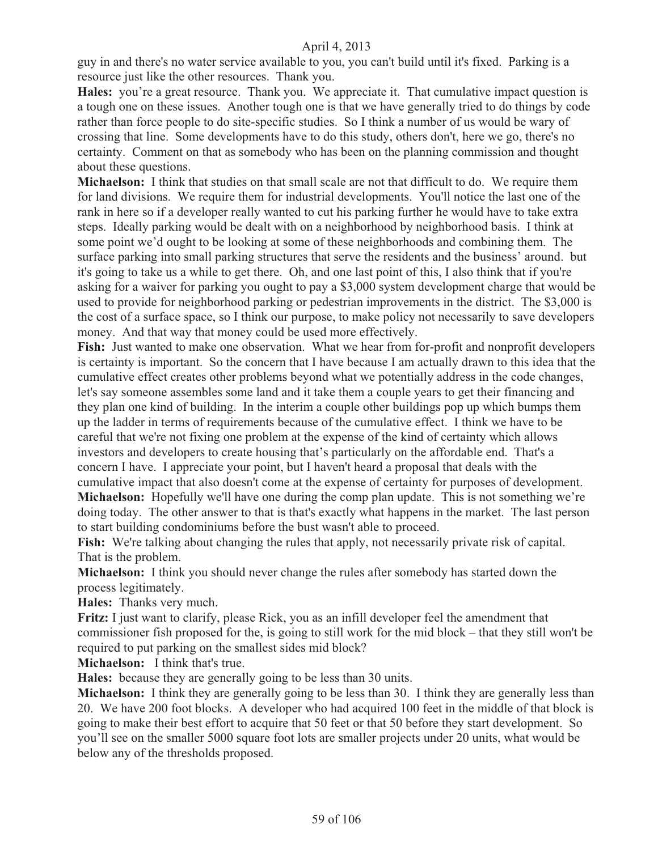guy in and there's no water service available to you, you can't build until it's fixed. Parking is a resource just like the other resources. Thank you.

**Hales:** you're a great resource. Thank you. We appreciate it. That cumulative impact question is a tough one on these issues. Another tough one is that we have generally tried to do things by code rather than force people to do site-specific studies. So I think a number of us would be wary of crossing that line. Some developments have to do this study, others don't, here we go, there's no certainty. Comment on that as somebody who has been on the planning commission and thought about these questions.

**Michaelson:** I think that studies on that small scale are not that difficult to do. We require them for land divisions. We require them for industrial developments. You'll notice the last one of the rank in here so if a developer really wanted to cut his parking further he would have to take extra steps. Ideally parking would be dealt with on a neighborhood by neighborhood basis. I think at some point we'd ought to be looking at some of these neighborhoods and combining them. The surface parking into small parking structures that serve the residents and the business' around. but it's going to take us a while to get there. Oh, and one last point of this, I also think that if you're asking for a waiver for parking you ought to pay a \$3,000 system development charge that would be used to provide for neighborhood parking or pedestrian improvements in the district. The \$3,000 is the cost of a surface space, so I think our purpose, to make policy not necessarily to save developers money. And that way that money could be used more effectively.

**Fish:** Just wanted to make one observation. What we hear from for-profit and nonprofit developers is certainty is important. So the concern that I have because I am actually drawn to this idea that the cumulative effect creates other problems beyond what we potentially address in the code changes, let's say someone assembles some land and it take them a couple years to get their financing and they plan one kind of building. In the interim a couple other buildings pop up which bumps them up the ladder in terms of requirements because of the cumulative effect. I think we have to be careful that we're not fixing one problem at the expense of the kind of certainty which allows investors and developers to create housing that's particularly on the affordable end. That's a concern I have. I appreciate your point, but I haven't heard a proposal that deals with the cumulative impact that also doesn't come at the expense of certainty for purposes of development. **Michaelson:** Hopefully we'll have one during the comp plan update. This is not something we're doing today. The other answer to that is that's exactly what happens in the market. The last person to start building condominiums before the bust wasn't able to proceed.

Fish: We're talking about changing the rules that apply, not necessarily private risk of capital. That is the problem.

**Michaelson:** I think you should never change the rules after somebody has started down the process legitimately.

**Hales:** Thanks very much.

**Fritz:** I just want to clarify, please Rick, you as an infill developer feel the amendment that commissioner fish proposed for the, is going to still work for the mid block – that they still won't be required to put parking on the smallest sides mid block?

**Michaelson:** I think that's true.

**Hales:** because they are generally going to be less than 30 units.

**Michaelson:** I think they are generally going to be less than 30. I think they are generally less than 20. We have 200 foot blocks. A developer who had acquired 100 feet in the middle of that block is going to make their best effort to acquire that 50 feet or that 50 before they start development. So you'll see on the smaller 5000 square foot lots are smaller projects under 20 units, what would be below any of the thresholds proposed.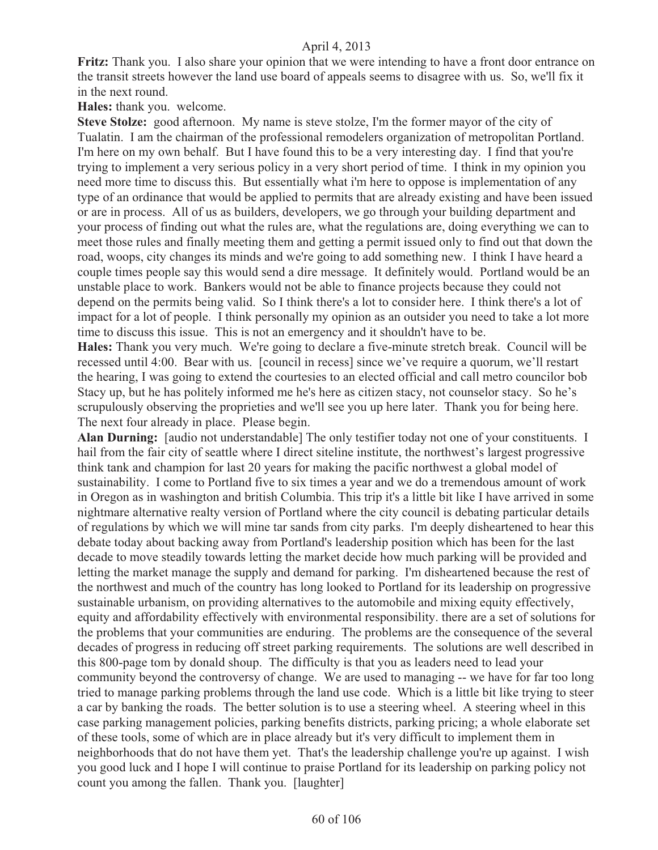**Fritz:** Thank you. I also share your opinion that we were intending to have a front door entrance on the transit streets however the land use board of appeals seems to disagree with us. So, we'll fix it in the next round.

**Hales:** thank you. welcome.

**Steve Stolze:** good afternoon. My name is steve stolze, I'm the former mayor of the city of Tualatin. I am the chairman of the professional remodelers organization of metropolitan Portland. I'm here on my own behalf. But I have found this to be a very interesting day. I find that you're trying to implement a very serious policy in a very short period of time. I think in my opinion you need more time to discuss this. But essentially what i'm here to oppose is implementation of any type of an ordinance that would be applied to permits that are already existing and have been issued or are in process. All of us as builders, developers, we go through your building department and your process of finding out what the rules are, what the regulations are, doing everything we can to meet those rules and finally meeting them and getting a permit issued only to find out that down the road, woops, city changes its minds and we're going to add something new. I think I have heard a couple times people say this would send a dire message. It definitely would. Portland would be an unstable place to work. Bankers would not be able to finance projects because they could not depend on the permits being valid. So I think there's a lot to consider here. I think there's a lot of impact for a lot of people. I think personally my opinion as an outsider you need to take a lot more time to discuss this issue. This is not an emergency and it shouldn't have to be.

**Hales:** Thank you very much. We're going to declare a five-minute stretch break. Council will be recessed until 4:00. Bear with us. [council in recess] since we've require a quorum, we'll restart the hearing, I was going to extend the courtesies to an elected official and call metro councilor bob Stacy up, but he has politely informed me he's here as citizen stacy, not counselor stacy. So he's scrupulously observing the proprieties and we'll see you up here later. Thank you for being here. The next four already in place. Please begin.

**Alan Durning:** [audio not understandable] The only testifier today not one of your constituents. I hail from the fair city of seattle where I direct siteline institute, the northwest's largest progressive think tank and champion for last 20 years for making the pacific northwest a global model of sustainability. I come to Portland five to six times a year and we do a tremendous amount of work in Oregon as in washington and british Columbia. This trip it's a little bit like I have arrived in some nightmare alternative realty version of Portland where the city council is debating particular details of regulations by which we will mine tar sands from city parks. I'm deeply disheartened to hear this debate today about backing away from Portland's leadership position which has been for the last decade to move steadily towards letting the market decide how much parking will be provided and letting the market manage the supply and demand for parking. I'm disheartened because the rest of the northwest and much of the country has long looked to Portland for its leadership on progressive sustainable urbanism, on providing alternatives to the automobile and mixing equity effectively, equity and affordability effectively with environmental responsibility. there are a set of solutions for the problems that your communities are enduring. The problems are the consequence of the several decades of progress in reducing off street parking requirements. The solutions are well described in this 800-page tom by donald shoup. The difficulty is that you as leaders need to lead your community beyond the controversy of change. We are used to managing -- we have for far too long tried to manage parking problems through the land use code. Which is a little bit like trying to steer a car by banking the roads. The better solution is to use a steering wheel. A steering wheel in this case parking management policies, parking benefits districts, parking pricing; a whole elaborate set of these tools, some of which are in place already but it's very difficult to implement them in neighborhoods that do not have them yet. That's the leadership challenge you're up against. I wish you good luck and I hope I will continue to praise Portland for its leadership on parking policy not count you among the fallen. Thank you. [laughter]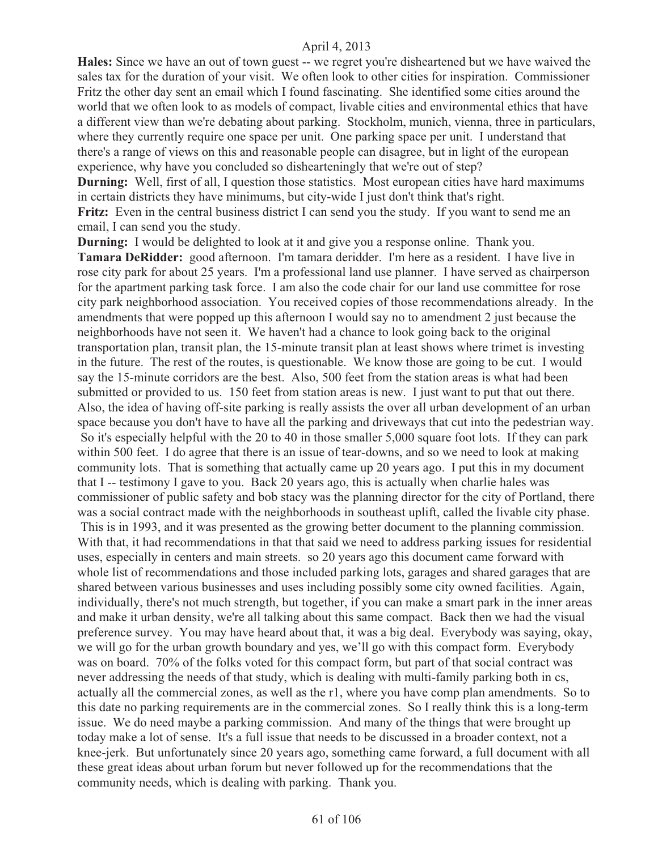**Hales:** Since we have an out of town guest -- we regret you're disheartened but we have waived the sales tax for the duration of your visit. We often look to other cities for inspiration. Commissioner Fritz the other day sent an email which I found fascinating. She identified some cities around the world that we often look to as models of compact, livable cities and environmental ethics that have a different view than we're debating about parking. Stockholm, munich, vienna, three in particulars, where they currently require one space per unit. One parking space per unit. I understand that there's a range of views on this and reasonable people can disagree, but in light of the european experience, why have you concluded so dishearteningly that we're out of step?

**Durning:** Well, first of all, I question those statistics. Most european cities have hard maximums in certain districts they have minimums, but city-wide I just don't think that's right. **Fritz:** Even in the central business district I can send you the study. If you want to send me an email, I can send you the study.

**Durning:** I would be delighted to look at it and give you a response online. Thank you. **Tamara DeRidder:** good afternoon. I'm tamara deridder. I'm here as a resident. I have live in rose city park for about 25 years. I'm a professional land use planner. I have served as chairperson for the apartment parking task force. I am also the code chair for our land use committee for rose city park neighborhood association. You received copies of those recommendations already. In the amendments that were popped up this afternoon I would say no to amendment 2 just because the neighborhoods have not seen it. We haven't had a chance to look going back to the original transportation plan, transit plan, the 15-minute transit plan at least shows where trimet is investing in the future. The rest of the routes, is questionable. We know those are going to be cut. I would say the 15-minute corridors are the best. Also, 500 feet from the station areas is what had been submitted or provided to us. 150 feet from station areas is new. I just want to put that out there. Also, the idea of having off-site parking is really assists the over all urban development of an urban space because you don't have to have all the parking and driveways that cut into the pedestrian way. So it's especially helpful with the 20 to 40 in those smaller 5,000 square foot lots. If they can park within 500 feet. I do agree that there is an issue of tear-downs, and so we need to look at making community lots. That is something that actually came up 20 years ago. I put this in my document that I -- testimony I gave to you. Back 20 years ago, this is actually when charlie hales was commissioner of public safety and bob stacy was the planning director for the city of Portland, there was a social contract made with the neighborhoods in southeast uplift, called the livable city phase. This is in 1993, and it was presented as the growing better document to the planning commission. With that, it had recommendations in that that said we need to address parking issues for residential uses, especially in centers and main streets. so 20 years ago this document came forward with whole list of recommendations and those included parking lots, garages and shared garages that are shared between various businesses and uses including possibly some city owned facilities. Again, individually, there's not much strength, but together, if you can make a smart park in the inner areas and make it urban density, we're all talking about this same compact. Back then we had the visual preference survey. You may have heard about that, it was a big deal. Everybody was saying, okay, we will go for the urban growth boundary and yes, we'll go with this compact form. Everybody was on board. 70% of the folks voted for this compact form, but part of that social contract was never addressing the needs of that study, which is dealing with multi-family parking both in cs, actually all the commercial zones, as well as the r1, where you have comp plan amendments. So to this date no parking requirements are in the commercial zones. So I really think this is a long-term issue. We do need maybe a parking commission. And many of the things that were brought up today make a lot of sense. It's a full issue that needs to be discussed in a broader context, not a knee-jerk. But unfortunately since 20 years ago, something came forward, a full document with all these great ideas about urban forum but never followed up for the recommendations that the community needs, which is dealing with parking. Thank you.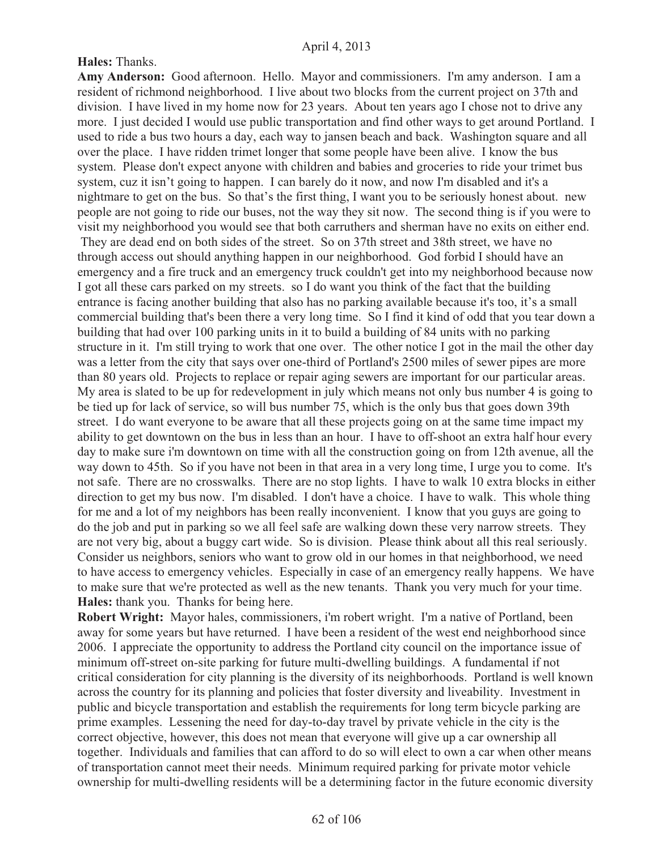## **Hales:** Thanks.

**Amy Anderson:** Good afternoon. Hello. Mayor and commissioners. I'm amy anderson. I am a resident of richmond neighborhood. I live about two blocks from the current project on 37th and division. I have lived in my home now for 23 years. About ten years ago I chose not to drive any more. I just decided I would use public transportation and find other ways to get around Portland. I used to ride a bus two hours a day, each way to jansen beach and back. Washington square and all over the place. I have ridden trimet longer that some people have been alive. I know the bus system. Please don't expect anyone with children and babies and groceries to ride your trimet bus system, cuz it isn't going to happen. I can barely do it now, and now I'm disabled and it's a nightmare to get on the bus. So that's the first thing, I want you to be seriously honest about. new people are not going to ride our buses, not the way they sit now. The second thing is if you were to visit my neighborhood you would see that both carruthers and sherman have no exits on either end. They are dead end on both sides of the street. So on 37th street and 38th street, we have no through access out should anything happen in our neighborhood. God forbid I should have an emergency and a fire truck and an emergency truck couldn't get into my neighborhood because now I got all these cars parked on my streets. so I do want you think of the fact that the building entrance is facing another building that also has no parking available because it's too, it's a small commercial building that's been there a very long time. So I find it kind of odd that you tear down a building that had over 100 parking units in it to build a building of 84 units with no parking structure in it. I'm still trying to work that one over. The other notice I got in the mail the other day was a letter from the city that says over one-third of Portland's 2500 miles of sewer pipes are more than 80 years old. Projects to replace or repair aging sewers are important for our particular areas. My area is slated to be up for redevelopment in july which means not only bus number 4 is going to be tied up for lack of service, so will bus number 75, which is the only bus that goes down 39th street. I do want everyone to be aware that all these projects going on at the same time impact my ability to get downtown on the bus in less than an hour. I have to off-shoot an extra half hour every day to make sure i'm downtown on time with all the construction going on from 12th avenue, all the way down to 45th. So if you have not been in that area in a very long time, I urge you to come. It's not safe. There are no crosswalks. There are no stop lights. I have to walk 10 extra blocks in either direction to get my bus now. I'm disabled. I don't have a choice. I have to walk. This whole thing for me and a lot of my neighbors has been really inconvenient. I know that you guys are going to do the job and put in parking so we all feel safe are walking down these very narrow streets. They are not very big, about a buggy cart wide. So is division. Please think about all this real seriously. Consider us neighbors, seniors who want to grow old in our homes in that neighborhood, we need to have access to emergency vehicles. Especially in case of an emergency really happens. We have to make sure that we're protected as well as the new tenants. Thank you very much for your time. **Hales:** thank you. Thanks for being here.

**Robert Wright:** Mayor hales, commissioners, i'm robert wright. I'm a native of Portland, been away for some years but have returned. I have been a resident of the west end neighborhood since 2006. I appreciate the opportunity to address the Portland city council on the importance issue of minimum off-street on-site parking for future multi-dwelling buildings. A fundamental if not critical consideration for city planning is the diversity of its neighborhoods. Portland is well known across the country for its planning and policies that foster diversity and liveability. Investment in public and bicycle transportation and establish the requirements for long term bicycle parking are prime examples. Lessening the need for day-to-day travel by private vehicle in the city is the correct objective, however, this does not mean that everyone will give up a car ownership all together. Individuals and families that can afford to do so will elect to own a car when other means of transportation cannot meet their needs. Minimum required parking for private motor vehicle ownership for multi-dwelling residents will be a determining factor in the future economic diversity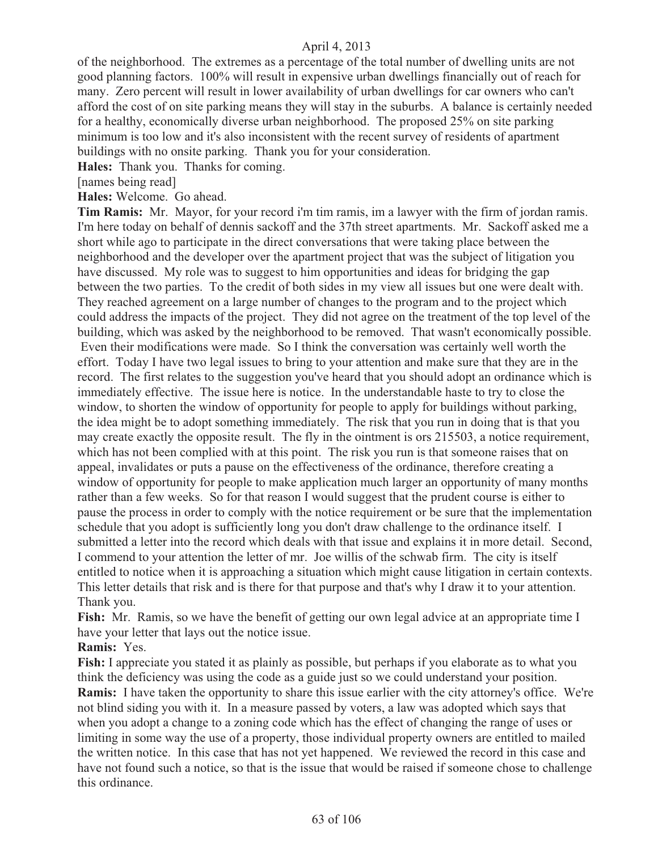of the neighborhood. The extremes as a percentage of the total number of dwelling units are not good planning factors. 100% will result in expensive urban dwellings financially out of reach for many. Zero percent will result in lower availability of urban dwellings for car owners who can't afford the cost of on site parking means they will stay in the suburbs. A balance is certainly needed for a healthy, economically diverse urban neighborhood. The proposed 25% on site parking minimum is too low and it's also inconsistent with the recent survey of residents of apartment buildings with no onsite parking. Thank you for your consideration.

**Hales:** Thank you. Thanks for coming.

[names being read]

**Hales:** Welcome. Go ahead.

**Tim Ramis:** Mr. Mayor, for your record i'm tim ramis, im a lawyer with the firm of jordan ramis. I'm here today on behalf of dennis sackoff and the 37th street apartments. Mr. Sackoff asked me a short while ago to participate in the direct conversations that were taking place between the neighborhood and the developer over the apartment project that was the subject of litigation you have discussed. My role was to suggest to him opportunities and ideas for bridging the gap between the two parties. To the credit of both sides in my view all issues but one were dealt with. They reached agreement on a large number of changes to the program and to the project which could address the impacts of the project. They did not agree on the treatment of the top level of the building, which was asked by the neighborhood to be removed. That wasn't economically possible. Even their modifications were made. So I think the conversation was certainly well worth the effort. Today I have two legal issues to bring to your attention and make sure that they are in the record. The first relates to the suggestion you've heard that you should adopt an ordinance which is immediately effective. The issue here is notice. In the understandable haste to try to close the window, to shorten the window of opportunity for people to apply for buildings without parking, the idea might be to adopt something immediately. The risk that you run in doing that is that you may create exactly the opposite result. The fly in the ointment is ors 215503, a notice requirement, which has not been complied with at this point. The risk you run is that someone raises that on appeal, invalidates or puts a pause on the effectiveness of the ordinance, therefore creating a window of opportunity for people to make application much larger an opportunity of many months rather than a few weeks. So for that reason I would suggest that the prudent course is either to pause the process in order to comply with the notice requirement or be sure that the implementation schedule that you adopt is sufficiently long you don't draw challenge to the ordinance itself. I submitted a letter into the record which deals with that issue and explains it in more detail. Second, I commend to your attention the letter of mr. Joe willis of the schwab firm. The city is itself entitled to notice when it is approaching a situation which might cause litigation in certain contexts. This letter details that risk and is there for that purpose and that's why I draw it to your attention. Thank you.

Fish: Mr. Ramis, so we have the benefit of getting our own legal advice at an appropriate time I have your letter that lays out the notice issue.

**Ramis:** Yes.

**Fish:** I appreciate you stated it as plainly as possible, but perhaps if you elaborate as to what you think the deficiency was using the code as a guide just so we could understand your position. **Ramis:** I have taken the opportunity to share this issue earlier with the city attorney's office. We're not blind siding you with it. In a measure passed by voters, a law was adopted which says that when you adopt a change to a zoning code which has the effect of changing the range of uses or limiting in some way the use of a property, those individual property owners are entitled to mailed the written notice. In this case that has not yet happened. We reviewed the record in this case and have not found such a notice, so that is the issue that would be raised if someone chose to challenge this ordinance.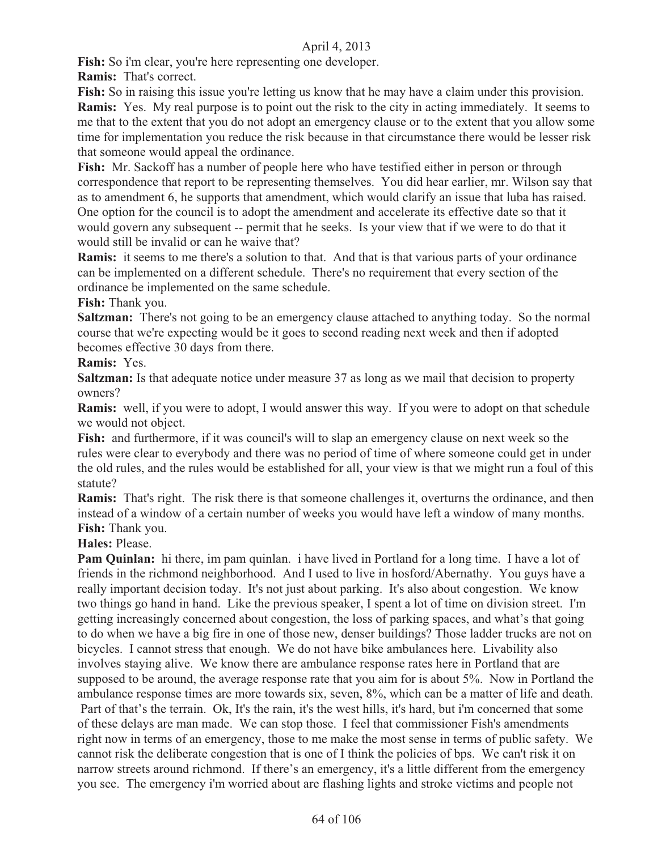**Fish:** So i'm clear, you're here representing one developer.

**Ramis:** That's correct.

Fish: So in raising this issue you're letting us know that he may have a claim under this provision. **Ramis:** Yes. My real purpose is to point out the risk to the city in acting immediately. It seems to me that to the extent that you do not adopt an emergency clause or to the extent that you allow some time for implementation you reduce the risk because in that circumstance there would be lesser risk that someone would appeal the ordinance.

**Fish:** Mr. Sackoff has a number of people here who have testified either in person or through correspondence that report to be representing themselves. You did hear earlier, mr. Wilson say that as to amendment 6, he supports that amendment, which would clarify an issue that luba has raised. One option for the council is to adopt the amendment and accelerate its effective date so that it would govern any subsequent -- permit that he seeks. Is your view that if we were to do that it would still be invalid or can he waive that?

**Ramis:** it seems to me there's a solution to that. And that is that various parts of your ordinance can be implemented on a different schedule. There's no requirement that every section of the ordinance be implemented on the same schedule.

**Fish:** Thank you.

**Saltzman:** There's not going to be an emergency clause attached to anything today. So the normal course that we're expecting would be it goes to second reading next week and then if adopted becomes effective 30 days from there.

**Ramis:** Yes.

**Saltzman:** Is that adequate notice under measure 37 as long as we mail that decision to property owners?

**Ramis:** well, if you were to adopt, I would answer this way. If you were to adopt on that schedule we would not object.

**Fish:** and furthermore, if it was council's will to slap an emergency clause on next week so the rules were clear to everybody and there was no period of time of where someone could get in under the old rules, and the rules would be established for all, your view is that we might run a foul of this statute?

**Ramis:** That's right. The risk there is that someone challenges it, overturns the ordinance, and then instead of a window of a certain number of weeks you would have left a window of many months. **Fish:** Thank you.

**Hales:** Please.

**Pam Quinlan:** hi there, im pam quinlan. i have lived in Portland for a long time. I have a lot of friends in the richmond neighborhood. And I used to live in hosford/Abernathy. You guys have a really important decision today. It's not just about parking. It's also about congestion. We know two things go hand in hand. Like the previous speaker, I spent a lot of time on division street. I'm getting increasingly concerned about congestion, the loss of parking spaces, and what's that going to do when we have a big fire in one of those new, denser buildings? Those ladder trucks are not on bicycles. I cannot stress that enough. We do not have bike ambulances here. Livability also involves staying alive. We know there are ambulance response rates here in Portland that are supposed to be around, the average response rate that you aim for is about 5%. Now in Portland the ambulance response times are more towards six, seven, 8%, which can be a matter of life and death. Part of that's the terrain. Ok, It's the rain, it's the west hills, it's hard, but i'm concerned that some of these delays are man made. We can stop those. I feel that commissioner Fish's amendments right now in terms of an emergency, those to me make the most sense in terms of public safety. We cannot risk the deliberate congestion that is one of I think the policies of bps. We can't risk it on narrow streets around richmond. If there's an emergency, it's a little different from the emergency you see. The emergency i'm worried about are flashing lights and stroke victims and people not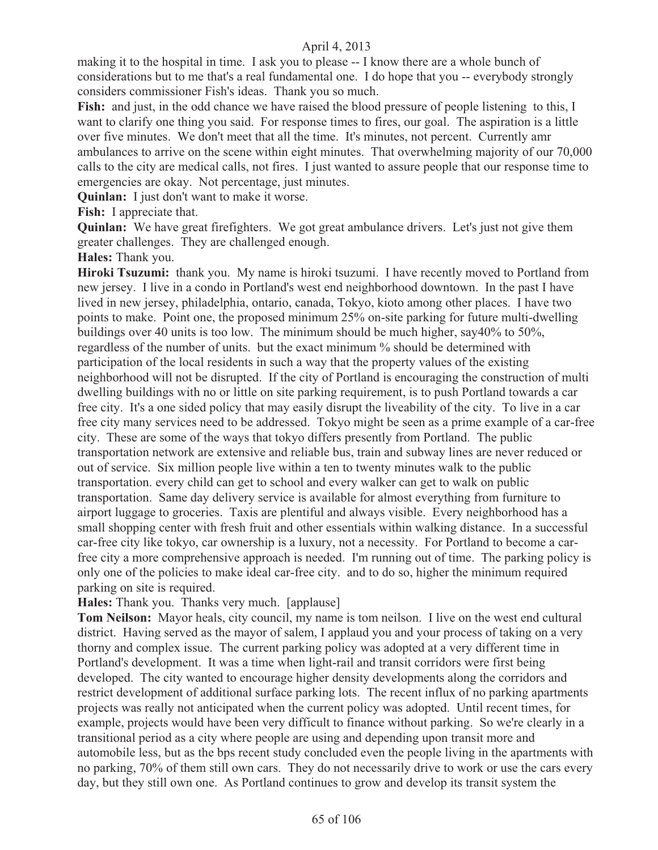making it to the hospital in time. I ask you to please -- I know there are a whole bunch of considerations but to me that's a real fundamental one. I do hope that you -- everybody strongly considers commissioner Fish's ideas. Thank you so much.

Fish: and just, in the odd chance we have raised the blood pressure of people listening to this, I want to clarify one thing you said. For response times to fires, our goal. The aspiration is a little over five minutes. We don't meet that all the time. It's minutes, not percent. Currently amr ambulances to arrive on the scene within eight minutes. That overwhelming majority of our 70,000 calls to the city are medical calls, not fires. I just wanted to assure people that our response time to emergencies are okay. Not percentage, just minutes.

**Quinlan:** I just don't want to make it worse.

**Fish:** I appreciate that.

**Quinlan:** We have great firefighters. We got great ambulance drivers. Let's just not give them greater challenges. They are challenged enough.

**Hales:** Thank you.

**Hiroki Tsuzumi:** thank you. My name is hiroki tsuzumi. I have recently moved to Portland from new jersey. I live in a condo in Portland's west end neighborhood downtown. In the past I have lived in new jersey, philadelphia, ontario, canada, Tokyo, kioto among other places. I have two points to make. Point one, the proposed minimum 25% on-site parking for future multi-dwelling buildings over 40 units is too low. The minimum should be much higher, say40% to 50%, regardless of the number of units. but the exact minimum % should be determined with participation of the local residents in such a way that the property values of the existing neighborhood will not be disrupted. If the city of Portland is encouraging the construction of multi dwelling buildings with no or little on site parking requirement, is to push Portland towards a car free city. It's a one sided policy that may easily disrupt the liveability of the city. To live in a car free city many services need to be addressed. Tokyo might be seen as a prime example of a car-free city. These are some of the ways that tokyo differs presently from Portland. The public transportation network are extensive and reliable bus, train and subway lines are never reduced or out of service. Six million people live within a ten to twenty minutes walk to the public transportation. every child can get to school and every walker can get to walk on public transportation. Same day delivery service is available for almost everything from furniture to airport luggage to groceries. Taxis are plentiful and always visible. Every neighborhood has a small shopping center with fresh fruit and other essentials within walking distance. In a successful car-free city like tokyo, car ownership is a luxury, not a necessity. For Portland to become a carfree city a more comprehensive approach is needed. I'm running out of time. The parking policy is only one of the policies to make ideal car-free city. and to do so, higher the minimum required parking on site is required.

**Hales:** Thank you. Thanks very much. [applause]

**Tom Neilson:** Mayor heals, city council, my name is tom neilson. I live on the west end cultural district. Having served as the mayor of salem, I applaud you and your process of taking on a very thorny and complex issue. The current parking policy was adopted at a very different time in Portland's development. It was a time when light-rail and transit corridors were first being developed. The city wanted to encourage higher density developments along the corridors and restrict development of additional surface parking lots. The recent influx of no parking apartments projects was really not anticipated when the current policy was adopted. Until recent times, for example, projects would have been very difficult to finance without parking. So we're clearly in a transitional period as a city where people are using and depending upon transit more and automobile less, but as the bps recent study concluded even the people living in the apartments with no parking, 70% of them still own cars. They do not necessarily drive to work or use the cars every day, but they still own one. As Portland continues to grow and develop its transit system the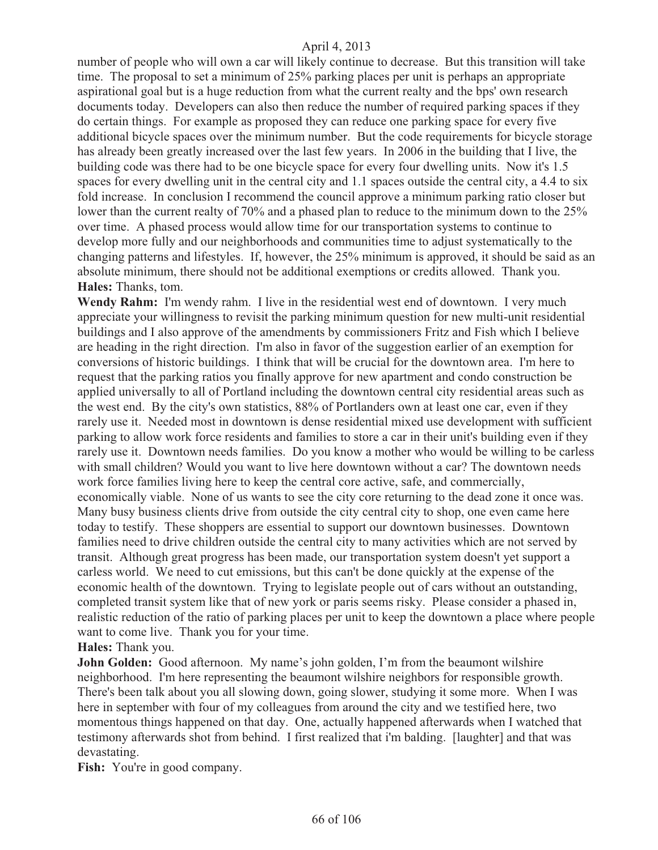number of people who will own a car will likely continue to decrease. But this transition will take time. The proposal to set a minimum of 25% parking places per unit is perhaps an appropriate aspirational goal but is a huge reduction from what the current realty and the bps' own research documents today. Developers can also then reduce the number of required parking spaces if they do certain things. For example as proposed they can reduce one parking space for every five additional bicycle spaces over the minimum number. But the code requirements for bicycle storage has already been greatly increased over the last few years. In 2006 in the building that I live, the building code was there had to be one bicycle space for every four dwelling units. Now it's 1.5 spaces for every dwelling unit in the central city and 1.1 spaces outside the central city, a 4.4 to six fold increase. In conclusion I recommend the council approve a minimum parking ratio closer but lower than the current realty of 70% and a phased plan to reduce to the minimum down to the 25% over time. A phased process would allow time for our transportation systems to continue to develop more fully and our neighborhoods and communities time to adjust systematically to the changing patterns and lifestyles. If, however, the 25% minimum is approved, it should be said as an absolute minimum, there should not be additional exemptions or credits allowed. Thank you. **Hales:** Thanks, tom.

**Wendy Rahm:** I'm wendy rahm. I live in the residential west end of downtown. I very much appreciate your willingness to revisit the parking minimum question for new multi-unit residential buildings and I also approve of the amendments by commissioners Fritz and Fish which I believe are heading in the right direction. I'm also in favor of the suggestion earlier of an exemption for conversions of historic buildings. I think that will be crucial for the downtown area. I'm here to request that the parking ratios you finally approve for new apartment and condo construction be applied universally to all of Portland including the downtown central city residential areas such as the west end. By the city's own statistics, 88% of Portlanders own at least one car, even if they rarely use it. Needed most in downtown is dense residential mixed use development with sufficient parking to allow work force residents and families to store a car in their unit's building even if they rarely use it. Downtown needs families. Do you know a mother who would be willing to be carless with small children? Would you want to live here downtown without a car? The downtown needs work force families living here to keep the central core active, safe, and commercially, economically viable. None of us wants to see the city core returning to the dead zone it once was. Many busy business clients drive from outside the city central city to shop, one even came here today to testify. These shoppers are essential to support our downtown businesses. Downtown families need to drive children outside the central city to many activities which are not served by transit. Although great progress has been made, our transportation system doesn't yet support a carless world. We need to cut emissions, but this can't be done quickly at the expense of the economic health of the downtown. Trying to legislate people out of cars without an outstanding, completed transit system like that of new york or paris seems risky. Please consider a phased in, realistic reduction of the ratio of parking places per unit to keep the downtown a place where people want to come live. Thank you for your time.

**Hales:** Thank you.

**John Golden:** Good afternoon. My name's john golden, I'm from the beaumont wilshire neighborhood. I'm here representing the beaumont wilshire neighbors for responsible growth. There's been talk about you all slowing down, going slower, studying it some more. When I was here in september with four of my colleagues from around the city and we testified here, two momentous things happened on that day. One, actually happened afterwards when I watched that testimony afterwards shot from behind. I first realized that i'm balding. [laughter] and that was devastating.

Fish: You're in good company.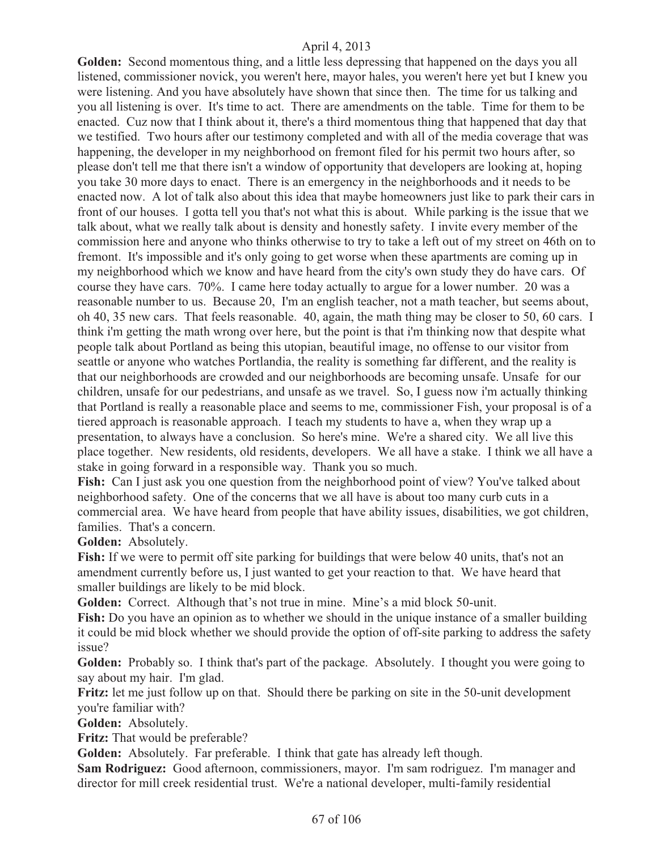**Golden:** Second momentous thing, and a little less depressing that happened on the days you all listened, commissioner novick, you weren't here, mayor hales, you weren't here yet but I knew you were listening. And you have absolutely have shown that since then. The time for us talking and you all listening is over. It's time to act. There are amendments on the table. Time for them to be enacted. Cuz now that I think about it, there's a third momentous thing that happened that day that we testified. Two hours after our testimony completed and with all of the media coverage that was happening, the developer in my neighborhood on fremont filed for his permit two hours after, so please don't tell me that there isn't a window of opportunity that developers are looking at, hoping you take 30 more days to enact. There is an emergency in the neighborhoods and it needs to be enacted now. A lot of talk also about this idea that maybe homeowners just like to park their cars in front of our houses. I gotta tell you that's not what this is about. While parking is the issue that we talk about, what we really talk about is density and honestly safety. I invite every member of the commission here and anyone who thinks otherwise to try to take a left out of my street on 46th on to fremont. It's impossible and it's only going to get worse when these apartments are coming up in my neighborhood which we know and have heard from the city's own study they do have cars. Of course they have cars. 70%. I came here today actually to argue for a lower number. 20 was a reasonable number to us. Because 20, I'm an english teacher, not a math teacher, but seems about, oh 40, 35 new cars. That feels reasonable. 40, again, the math thing may be closer to 50, 60 cars. I think i'm getting the math wrong over here, but the point is that i'm thinking now that despite what people talk about Portland as being this utopian, beautiful image, no offense to our visitor from seattle or anyone who watches Portlandia, the reality is something far different, and the reality is that our neighborhoods are crowded and our neighborhoods are becoming unsafe. Unsafe for our children, unsafe for our pedestrians, and unsafe as we travel. So, I guess now i'm actually thinking that Portland is really a reasonable place and seems to me, commissioner Fish, your proposal is of a tiered approach is reasonable approach. I teach my students to have a, when they wrap up a presentation, to always have a conclusion. So here's mine. We're a shared city. We all live this place together. New residents, old residents, developers. We all have a stake. I think we all have a stake in going forward in a responsible way. Thank you so much.

**Fish:** Can I just ask you one question from the neighborhood point of view? You've talked about neighborhood safety. One of the concerns that we all have is about too many curb cuts in a commercial area. We have heard from people that have ability issues, disabilities, we got children, families. That's a concern.

**Golden:** Absolutely.

**Fish:** If we were to permit off site parking for buildings that were below 40 units, that's not an amendment currently before us, I just wanted to get your reaction to that. We have heard that smaller buildings are likely to be mid block.

**Golden:** Correct. Although that's not true in mine. Mine's a mid block 50-unit.

**Fish:** Do you have an opinion as to whether we should in the unique instance of a smaller building it could be mid block whether we should provide the option of off-site parking to address the safety issue?

**Golden:** Probably so. I think that's part of the package. Absolutely. I thought you were going to say about my hair. I'm glad.

**Fritz:** let me just follow up on that. Should there be parking on site in the 50-unit development you're familiar with?

**Golden:** Absolutely.

**Fritz:** That would be preferable?

**Golden:** Absolutely. Far preferable. I think that gate has already left though.

**Sam Rodriguez:** Good afternoon, commissioners, mayor. I'm sam rodriguez. I'm manager and director for mill creek residential trust. We're a national developer, multi-family residential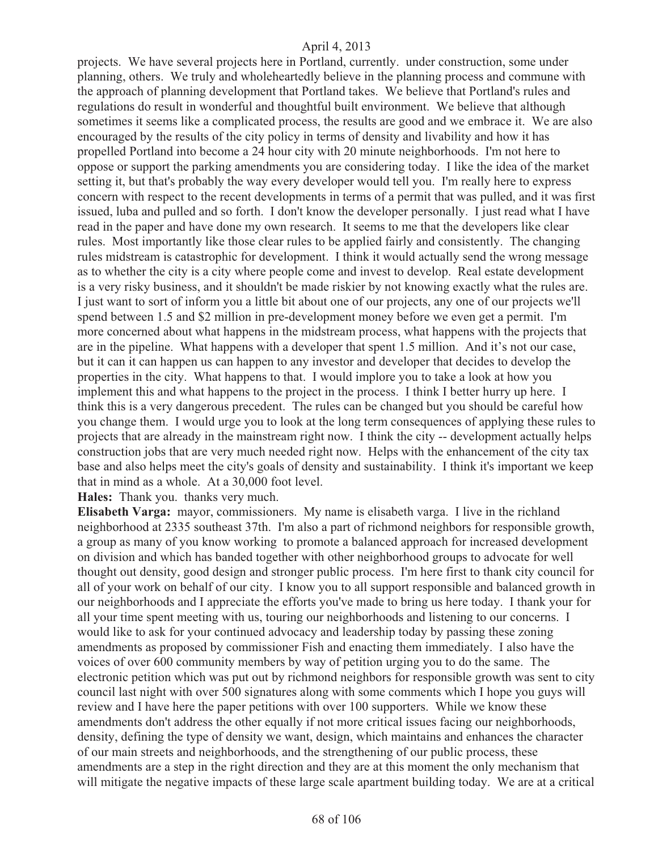projects. We have several projects here in Portland, currently. under construction, some under planning, others. We truly and wholeheartedly believe in the planning process and commune with the approach of planning development that Portland takes. We believe that Portland's rules and regulations do result in wonderful and thoughtful built environment. We believe that although sometimes it seems like a complicated process, the results are good and we embrace it. We are also encouraged by the results of the city policy in terms of density and livability and how it has propelled Portland into become a 24 hour city with 20 minute neighborhoods. I'm not here to oppose or support the parking amendments you are considering today. I like the idea of the market setting it, but that's probably the way every developer would tell you. I'm really here to express concern with respect to the recent developments in terms of a permit that was pulled, and it was first issued, luba and pulled and so forth. I don't know the developer personally. I just read what I have read in the paper and have done my own research. It seems to me that the developers like clear rules. Most importantly like those clear rules to be applied fairly and consistently. The changing rules midstream is catastrophic for development. I think it would actually send the wrong message as to whether the city is a city where people come and invest to develop. Real estate development is a very risky business, and it shouldn't be made riskier by not knowing exactly what the rules are. I just want to sort of inform you a little bit about one of our projects, any one of our projects we'll spend between 1.5 and \$2 million in pre-development money before we even get a permit. I'm more concerned about what happens in the midstream process, what happens with the projects that are in the pipeline. What happens with a developer that spent 1.5 million. And it's not our case, but it can it can happen us can happen to any investor and developer that decides to develop the properties in the city. What happens to that. I would implore you to take a look at how you implement this and what happens to the project in the process. I think I better hurry up here. I think this is a very dangerous precedent. The rules can be changed but you should be careful how you change them. I would urge you to look at the long term consequences of applying these rules to projects that are already in the mainstream right now. I think the city -- development actually helps construction jobs that are very much needed right now. Helps with the enhancement of the city tax base and also helps meet the city's goals of density and sustainability. I think it's important we keep that in mind as a whole. At a 30,000 foot level.

**Hales:** Thank you. thanks very much.

**Elisabeth Varga:** mayor, commissioners. My name is elisabeth varga. I live in the richland neighborhood at 2335 southeast 37th. I'm also a part of richmond neighbors for responsible growth, a group as many of you know working to promote a balanced approach for increased development on division and which has banded together with other neighborhood groups to advocate for well thought out density, good design and stronger public process. I'm here first to thank city council for all of your work on behalf of our city. I know you to all support responsible and balanced growth in our neighborhoods and I appreciate the efforts you've made to bring us here today. I thank your for all your time spent meeting with us, touring our neighborhoods and listening to our concerns. I would like to ask for your continued advocacy and leadership today by passing these zoning amendments as proposed by commissioner Fish and enacting them immediately. I also have the voices of over 600 community members by way of petition urging you to do the same. The electronic petition which was put out by richmond neighbors for responsible growth was sent to city council last night with over 500 signatures along with some comments which I hope you guys will review and I have here the paper petitions with over 100 supporters. While we know these amendments don't address the other equally if not more critical issues facing our neighborhoods, density, defining the type of density we want, design, which maintains and enhances the character of our main streets and neighborhoods, and the strengthening of our public process, these amendments are a step in the right direction and they are at this moment the only mechanism that will mitigate the negative impacts of these large scale apartment building today. We are at a critical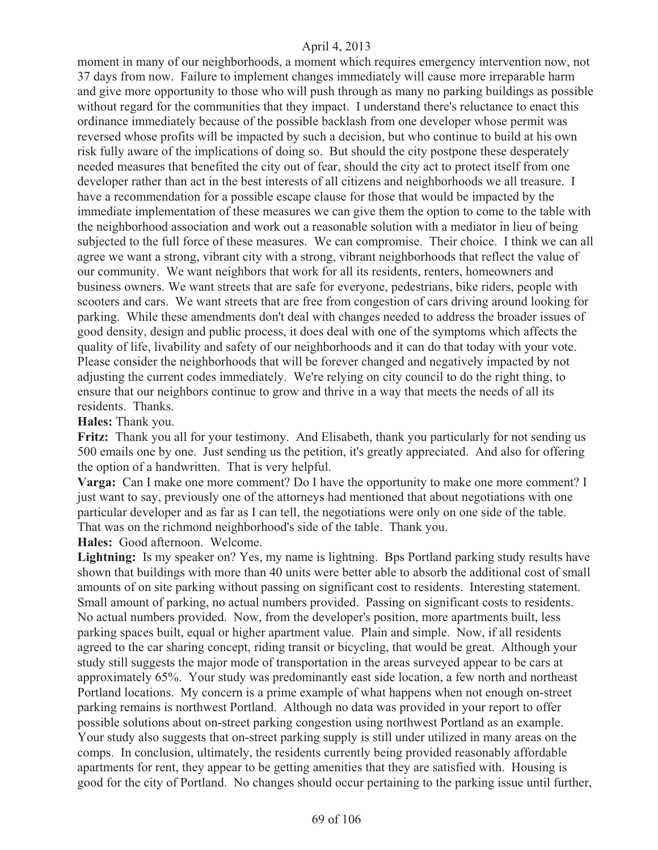moment in many of our neighborhoods, a moment which requires emergency intervention now, not 37 days from now. Failure to implement changes immediately will cause more irreparable harm and give more opportunity to those who will push through as many no parking buildings as possible without regard for the communities that they impact. I understand there's reluctance to enact this ordinance immediately because of the possible backlash from one developer whose permit was reversed whose profits will be impacted by such a decision, but who continue to build at his own risk fully aware of the implications of doing so. But should the city postpone these desperately needed measures that benefited the city out of fear, should the city act to protect itself from one developer rather than act in the best interests of all citizens and neighborhoods we all treasure. I have a recommendation for a possible escape clause for those that would be impacted by the immediate implementation of these measures we can give them the option to come to the table with the neighborhood association and work out a reasonable solution with a mediator in lieu of being subjected to the full force of these measures. We can compromise. Their choice. I think we can all agree we want a strong, vibrant city with a strong, vibrant neighborhoods that reflect the value of our community. We want neighbors that work for all its residents, renters, homeowners and business owners. We want streets that are safe for everyone, pedestrians, bike riders, people with scooters and cars. We want streets that are free from congestion of cars driving around looking for parking. While these amendments don't deal with changes needed to address the broader issues of good density, design and public process, it does deal with one of the symptoms which affects the quality of life, livability and safety of our neighborhoods and it can do that today with your vote. Please consider the neighborhoods that will be forever changed and negatively impacted by not adjusting the current codes immediately. We're relying on city council to do the right thing, to ensure that our neighbors continue to grow and thrive in a way that meets the needs of all its residents. Thanks.

#### **Hales:** Thank you.

Fritz: Thank you all for your testimony. And Elisabeth, thank you particularly for not sending us 500 emails one by one. Just sending us the petition, it's greatly appreciated. And also for offering the option of a handwritten. That is very helpful.

**Varga:** Can I make one more comment? Do I have the opportunity to make one more comment? I just want to say, previously one of the attorneys had mentioned that about negotiations with one particular developer and as far as I can tell, the negotiations were only on one side of the table. That was on the richmond neighborhood's side of the table. Thank you.

**Hales:** Good afternoon. Welcome.

**Lightning:** Is my speaker on? Yes, my name is lightning. Bps Portland parking study results have shown that buildings with more than 40 units were better able to absorb the additional cost of small amounts of on site parking without passing on significant cost to residents. Interesting statement. Small amount of parking, no actual numbers provided. Passing on significant costs to residents. No actual numbers provided. Now, from the developer's position, more apartments built, less parking spaces built, equal or higher apartment value. Plain and simple. Now, if all residents agreed to the car sharing concept, riding transit or bicycling, that would be great. Although your study still suggests the major mode of transportation in the areas surveyed appear to be cars at approximately 65%. Your study was predominantly east side location, a few north and northeast Portland locations. My concern is a prime example of what happens when not enough on-street parking remains is northwest Portland. Although no data was provided in your report to offer possible solutions about on-street parking congestion using northwest Portland as an example. Your study also suggests that on-street parking supply is still under utilized in many areas on the comps. In conclusion, ultimately, the residents currently being provided reasonably affordable apartments for rent, they appear to be getting amenities that they are satisfied with. Housing is good for the city of Portland. No changes should occur pertaining to the parking issue until further,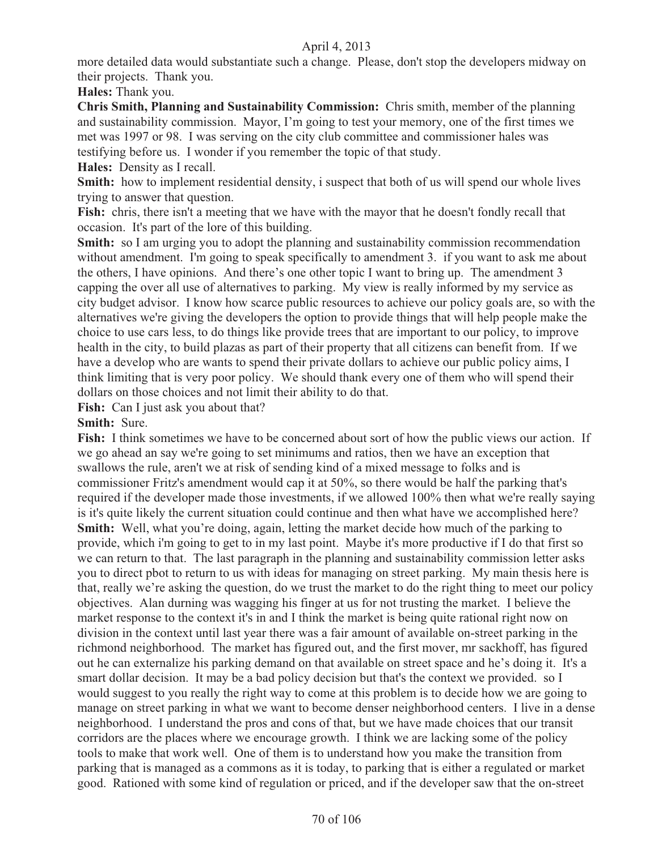more detailed data would substantiate such a change. Please, don't stop the developers midway on their projects. Thank you.

**Hales:** Thank you.

**Chris Smith, Planning and Sustainability Commission:** Chris smith, member of the planning and sustainability commission. Mayor, I'm going to test your memory, one of the first times we met was 1997 or 98. I was serving on the city club committee and commissioner hales was testifying before us. I wonder if you remember the topic of that study.

**Hales:** Density as I recall.

**Smith:** how to implement residential density, i suspect that both of us will spend our whole lives trying to answer that question.

Fish: chris, there isn't a meeting that we have with the mayor that he doesn't fondly recall that occasion. It's part of the lore of this building.

**Smith:** so I am urging you to adopt the planning and sustainability commission recommendation without amendment. I'm going to speak specifically to amendment 3. if you want to ask me about the others, I have opinions. And there's one other topic I want to bring up. The amendment 3 capping the over all use of alternatives to parking. My view is really informed by my service as city budget advisor. I know how scarce public resources to achieve our policy goals are, so with the alternatives we're giving the developers the option to provide things that will help people make the choice to use cars less, to do things like provide trees that are important to our policy, to improve health in the city, to build plazas as part of their property that all citizens can benefit from. If we have a develop who are wants to spend their private dollars to achieve our public policy aims, I think limiting that is very poor policy. We should thank every one of them who will spend their dollars on those choices and not limit their ability to do that.

Fish: Can I just ask you about that?

## **Smith:** Sure.

**Fish:** I think sometimes we have to be concerned about sort of how the public views our action. If we go ahead an say we're going to set minimums and ratios, then we have an exception that swallows the rule, aren't we at risk of sending kind of a mixed message to folks and is commissioner Fritz's amendment would cap it at 50%, so there would be half the parking that's required if the developer made those investments, if we allowed 100% then what we're really saying is it's quite likely the current situation could continue and then what have we accomplished here? **Smith:** Well, what you're doing, again, letting the market decide how much of the parking to provide, which i'm going to get to in my last point. Maybe it's more productive if I do that first so we can return to that. The last paragraph in the planning and sustainability commission letter asks you to direct pbot to return to us with ideas for managing on street parking. My main thesis here is that, really we're asking the question, do we trust the market to do the right thing to meet our policy objectives. Alan durning was wagging his finger at us for not trusting the market. I believe the market response to the context it's in and I think the market is being quite rational right now on division in the context until last year there was a fair amount of available on-street parking in the richmond neighborhood. The market has figured out, and the first mover, mr sackhoff, has figured out he can externalize his parking demand on that available on street space and he's doing it. It's a smart dollar decision. It may be a bad policy decision but that's the context we provided. so I would suggest to you really the right way to come at this problem is to decide how we are going to manage on street parking in what we want to become denser neighborhood centers. I live in a dense neighborhood. I understand the pros and cons of that, but we have made choices that our transit corridors are the places where we encourage growth. I think we are lacking some of the policy tools to make that work well. One of them is to understand how you make the transition from parking that is managed as a commons as it is today, to parking that is either a regulated or market good. Rationed with some kind of regulation or priced, and if the developer saw that the on-street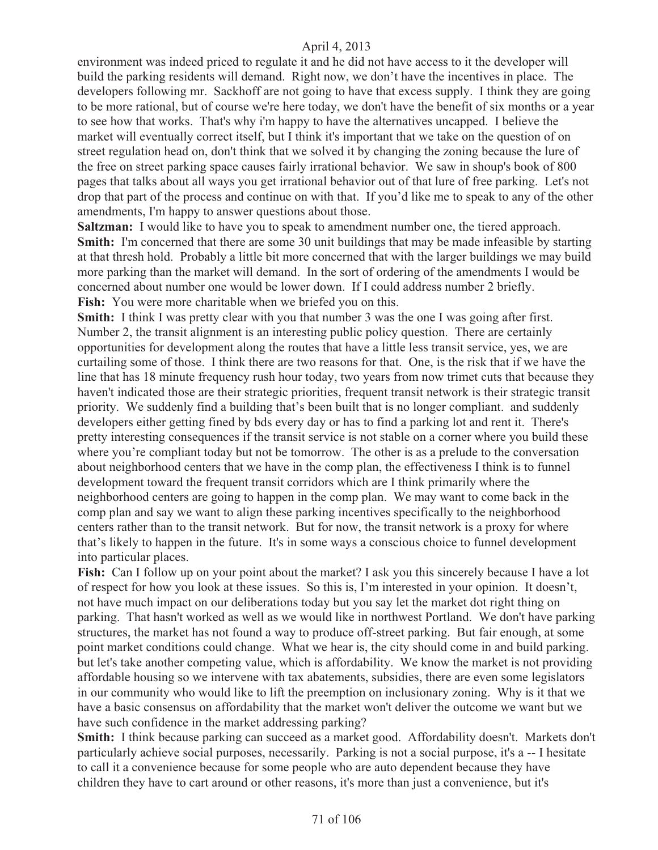environment was indeed priced to regulate it and he did not have access to it the developer will build the parking residents will demand. Right now, we don't have the incentives in place. The developers following mr. Sackhoff are not going to have that excess supply. I think they are going to be more rational, but of course we're here today, we don't have the benefit of six months or a year to see how that works. That's why i'm happy to have the alternatives uncapped. I believe the market will eventually correct itself, but I think it's important that we take on the question of on street regulation head on, don't think that we solved it by changing the zoning because the lure of the free on street parking space causes fairly irrational behavior. We saw in shoup's book of 800 pages that talks about all ways you get irrational behavior out of that lure of free parking. Let's not drop that part of the process and continue on with that. If you'd like me to speak to any of the other amendments, I'm happy to answer questions about those.

**Saltzman:** I would like to have you to speak to amendment number one, the tiered approach. **Smith:** I'm concerned that there are some 30 unit buildings that may be made infeasible by starting at that thresh hold. Probably a little bit more concerned that with the larger buildings we may build more parking than the market will demand. In the sort of ordering of the amendments I would be concerned about number one would be lower down. If I could address number 2 briefly. **Fish:** You were more charitable when we briefed you on this.

**Smith:** I think I was pretty clear with you that number 3 was the one I was going after first. Number 2, the transit alignment is an interesting public policy question. There are certainly opportunities for development along the routes that have a little less transit service, yes, we are curtailing some of those. I think there are two reasons for that. One, is the risk that if we have the line that has 18 minute frequency rush hour today, two years from now trimet cuts that because they haven't indicated those are their strategic priorities, frequent transit network is their strategic transit priority. We suddenly find a building that's been built that is no longer compliant. and suddenly developers either getting fined by bds every day or has to find a parking lot and rent it. There's pretty interesting consequences if the transit service is not stable on a corner where you build these where you're compliant today but not be tomorrow. The other is as a prelude to the conversation about neighborhood centers that we have in the comp plan, the effectiveness I think is to funnel development toward the frequent transit corridors which are I think primarily where the neighborhood centers are going to happen in the comp plan. We may want to come back in the comp plan and say we want to align these parking incentives specifically to the neighborhood centers rather than to the transit network. But for now, the transit network is a proxy for where that's likely to happen in the future. It's in some ways a conscious choice to funnel development into particular places.

**Fish:** Can I follow up on your point about the market? I ask you this sincerely because I have a lot of respect for how you look at these issues. So this is, I'm interested in your opinion. It doesn't, not have much impact on our deliberations today but you say let the market dot right thing on parking. That hasn't worked as well as we would like in northwest Portland. We don't have parking structures, the market has not found a way to produce off-street parking. But fair enough, at some point market conditions could change. What we hear is, the city should come in and build parking. but let's take another competing value, which is affordability. We know the market is not providing affordable housing so we intervene with tax abatements, subsidies, there are even some legislators in our community who would like to lift the preemption on inclusionary zoning. Why is it that we have a basic consensus on affordability that the market won't deliver the outcome we want but we have such confidence in the market addressing parking?

**Smith:** I think because parking can succeed as a market good. Affordability doesn't. Markets don't particularly achieve social purposes, necessarily. Parking is not a social purpose, it's a -- I hesitate to call it a convenience because for some people who are auto dependent because they have children they have to cart around or other reasons, it's more than just a convenience, but it's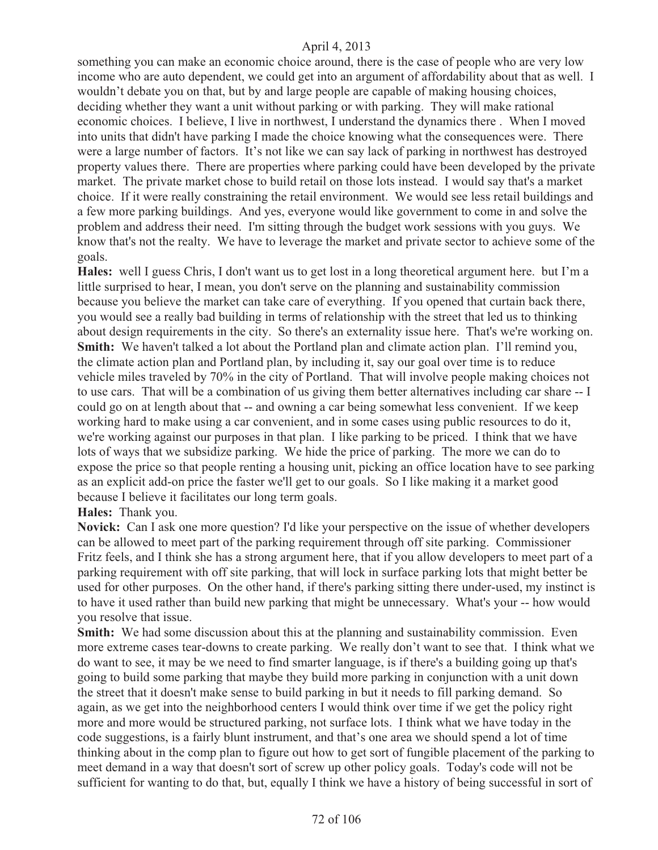something you can make an economic choice around, there is the case of people who are very low income who are auto dependent, we could get into an argument of affordability about that as well. I wouldn't debate you on that, but by and large people are capable of making housing choices, deciding whether they want a unit without parking or with parking. They will make rational economic choices. I believe, I live in northwest, I understand the dynamics there . When I moved into units that didn't have parking I made the choice knowing what the consequences were. There were a large number of factors. It's not like we can say lack of parking in northwest has destroyed property values there. There are properties where parking could have been developed by the private market. The private market chose to build retail on those lots instead. I would say that's a market choice. If it were really constraining the retail environment. We would see less retail buildings and a few more parking buildings. And yes, everyone would like government to come in and solve the problem and address their need. I'm sitting through the budget work sessions with you guys. We know that's not the realty. We have to leverage the market and private sector to achieve some of the goals.

**Hales:** well I guess Chris, I don't want us to get lost in a long theoretical argument here. but I'm a little surprised to hear, I mean, you don't serve on the planning and sustainability commission because you believe the market can take care of everything. If you opened that curtain back there, you would see a really bad building in terms of relationship with the street that led us to thinking about design requirements in the city. So there's an externality issue here. That's we're working on. **Smith:** We haven't talked a lot about the Portland plan and climate action plan. I'll remind you, the climate action plan and Portland plan, by including it, say our goal over time is to reduce vehicle miles traveled by 70% in the city of Portland. That will involve people making choices not to use cars. That will be a combination of us giving them better alternatives including car share -- I could go on at length about that -- and owning a car being somewhat less convenient. If we keep working hard to make using a car convenient, and in some cases using public resources to do it, we're working against our purposes in that plan. I like parking to be priced. I think that we have lots of ways that we subsidize parking. We hide the price of parking. The more we can do to expose the price so that people renting a housing unit, picking an office location have to see parking as an explicit add-on price the faster we'll get to our goals. So I like making it a market good because I believe it facilitates our long term goals.

#### **Hales:** Thank you.

**Novick:** Can I ask one more question? I'd like your perspective on the issue of whether developers can be allowed to meet part of the parking requirement through off site parking. Commissioner Fritz feels, and I think she has a strong argument here, that if you allow developers to meet part of a parking requirement with off site parking, that will lock in surface parking lots that might better be used for other purposes. On the other hand, if there's parking sitting there under-used, my instinct is to have it used rather than build new parking that might be unnecessary. What's your -- how would you resolve that issue.

**Smith:** We had some discussion about this at the planning and sustainability commission. Even more extreme cases tear-downs to create parking. We really don't want to see that. I think what we do want to see, it may be we need to find smarter language, is if there's a building going up that's going to build some parking that maybe they build more parking in conjunction with a unit down the street that it doesn't make sense to build parking in but it needs to fill parking demand. So again, as we get into the neighborhood centers I would think over time if we get the policy right more and more would be structured parking, not surface lots. I think what we have today in the code suggestions, is a fairly blunt instrument, and that's one area we should spend a lot of time thinking about in the comp plan to figure out how to get sort of fungible placement of the parking to meet demand in a way that doesn't sort of screw up other policy goals. Today's code will not be sufficient for wanting to do that, but, equally I think we have a history of being successful in sort of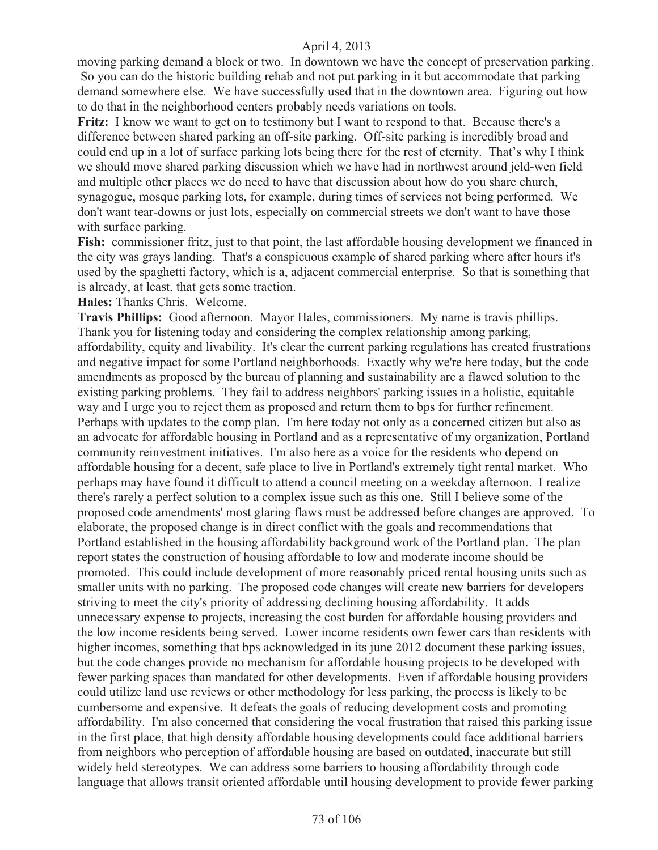moving parking demand a block or two. In downtown we have the concept of preservation parking. So you can do the historic building rehab and not put parking in it but accommodate that parking demand somewhere else. We have successfully used that in the downtown area. Figuring out how to do that in the neighborhood centers probably needs variations on tools.

**Fritz:** I know we want to get on to testimony but I want to respond to that. Because there's a difference between shared parking an off-site parking. Off-site parking is incredibly broad and could end up in a lot of surface parking lots being there for the rest of eternity. That's why I think we should move shared parking discussion which we have had in northwest around jeld-wen field and multiple other places we do need to have that discussion about how do you share church, synagogue, mosque parking lots, for example, during times of services not being performed. We don't want tear-downs or just lots, especially on commercial streets we don't want to have those with surface parking.

**Fish:** commissioner fritz, just to that point, the last affordable housing development we financed in the city was grays landing. That's a conspicuous example of shared parking where after hours it's used by the spaghetti factory, which is a, adjacent commercial enterprise. So that is something that is already, at least, that gets some traction.

**Hales:** Thanks Chris. Welcome.

**Travis Phillips:** Good afternoon. Mayor Hales, commissioners. My name is travis phillips. Thank you for listening today and considering the complex relationship among parking, affordability, equity and livability. It's clear the current parking regulations has created frustrations and negative impact for some Portland neighborhoods. Exactly why we're here today, but the code amendments as proposed by the bureau of planning and sustainability are a flawed solution to the existing parking problems. They fail to address neighbors' parking issues in a holistic, equitable way and I urge you to reject them as proposed and return them to bps for further refinement. Perhaps with updates to the comp plan. I'm here today not only as a concerned citizen but also as an advocate for affordable housing in Portland and as a representative of my organization, Portland community reinvestment initiatives. I'm also here as a voice for the residents who depend on affordable housing for a decent, safe place to live in Portland's extremely tight rental market. Who perhaps may have found it difficult to attend a council meeting on a weekday afternoon. I realize there's rarely a perfect solution to a complex issue such as this one. Still I believe some of the proposed code amendments' most glaring flaws must be addressed before changes are approved. To elaborate, the proposed change is in direct conflict with the goals and recommendations that Portland established in the housing affordability background work of the Portland plan. The plan report states the construction of housing affordable to low and moderate income should be promoted. This could include development of more reasonably priced rental housing units such as smaller units with no parking. The proposed code changes will create new barriers for developers striving to meet the city's priority of addressing declining housing affordability. It adds unnecessary expense to projects, increasing the cost burden for affordable housing providers and the low income residents being served. Lower income residents own fewer cars than residents with higher incomes, something that bps acknowledged in its june 2012 document these parking issues, but the code changes provide no mechanism for affordable housing projects to be developed with fewer parking spaces than mandated for other developments. Even if affordable housing providers could utilize land use reviews or other methodology for less parking, the process is likely to be cumbersome and expensive. It defeats the goals of reducing development costs and promoting affordability. I'm also concerned that considering the vocal frustration that raised this parking issue in the first place, that high density affordable housing developments could face additional barriers from neighbors who perception of affordable housing are based on outdated, inaccurate but still widely held stereotypes. We can address some barriers to housing affordability through code language that allows transit oriented affordable until housing development to provide fewer parking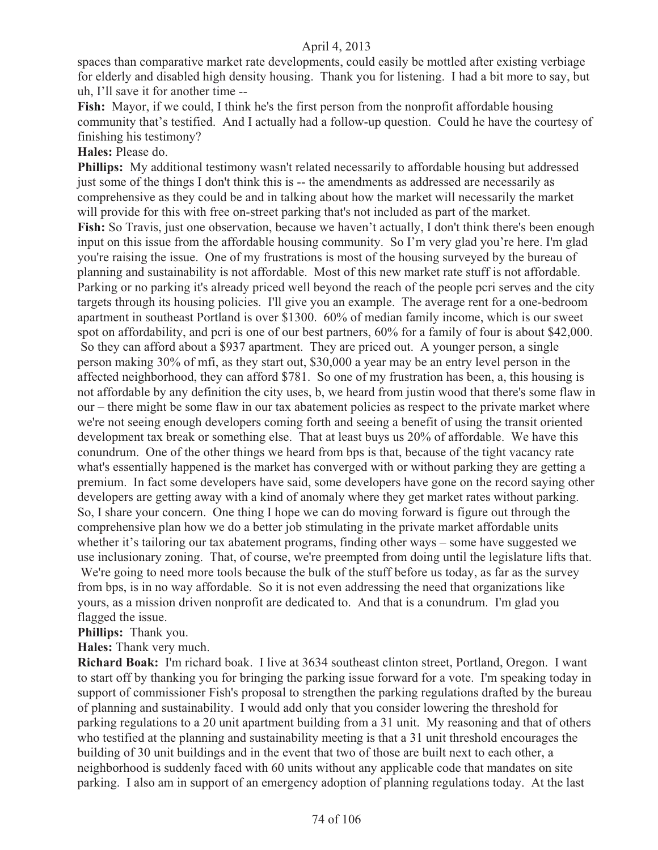spaces than comparative market rate developments, could easily be mottled after existing verbiage for elderly and disabled high density housing. Thank you for listening. I had a bit more to say, but uh, I'll save it for another time --

**Fish:** Mayor, if we could, I think he's the first person from the nonprofit affordable housing community that's testified. And I actually had a follow-up question. Could he have the courtesy of finishing his testimony?

#### **Hales:** Please do.

**Phillips:** My additional testimony wasn't related necessarily to affordable housing but addressed just some of the things I don't think this is -- the amendments as addressed are necessarily as comprehensive as they could be and in talking about how the market will necessarily the market will provide for this with free on-street parking that's not included as part of the market. **Fish:** So Travis, just one observation, because we haven't actually, I don't think there's been enough input on this issue from the affordable housing community. So I'm very glad you're here. I'm glad you're raising the issue. One of my frustrations is most of the housing surveyed by the bureau of planning and sustainability is not affordable. Most of this new market rate stuff is not affordable. Parking or no parking it's already priced well beyond the reach of the people pcri serves and the city targets through its housing policies. I'll give you an example. The average rent for a one-bedroom apartment in southeast Portland is over \$1300. 60% of median family income, which is our sweet spot on affordability, and pcri is one of our best partners, 60% for a family of four is about \$42,000. So they can afford about a \$937 apartment. They are priced out. A younger person, a single person making 30% of mfi, as they start out, \$30,000 a year may be an entry level person in the affected neighborhood, they can afford \$781. So one of my frustration has been, a, this housing is not affordable by any definition the city uses, b, we heard from justin wood that there's some flaw in our – there might be some flaw in our tax abatement policies as respect to the private market where we're not seeing enough developers coming forth and seeing a benefit of using the transit oriented development tax break or something else. That at least buys us 20% of affordable. We have this conundrum. One of the other things we heard from bps is that, because of the tight vacancy rate what's essentially happened is the market has converged with or without parking they are getting a premium. In fact some developers have said, some developers have gone on the record saying other developers are getting away with a kind of anomaly where they get market rates without parking. So, I share your concern. One thing I hope we can do moving forward is figure out through the comprehensive plan how we do a better job stimulating in the private market affordable units whether it's tailoring our tax abatement programs, finding other ways – some have suggested we use inclusionary zoning. That, of course, we're preempted from doing until the legislature lifts that. We're going to need more tools because the bulk of the stuff before us today, as far as the survey from bps, is in no way affordable. So it is not even addressing the need that organizations like yours, as a mission driven nonprofit are dedicated to. And that is a conundrum. I'm glad you flagged the issue.

**Phillips:** Thank you.

**Hales:** Thank very much.

**Richard Boak:** I'm richard boak. I live at 3634 southeast clinton street, Portland, Oregon. I want to start off by thanking you for bringing the parking issue forward for a vote. I'm speaking today in support of commissioner Fish's proposal to strengthen the parking regulations drafted by the bureau of planning and sustainability. I would add only that you consider lowering the threshold for parking regulations to a 20 unit apartment building from a 31 unit. My reasoning and that of others who testified at the planning and sustainability meeting is that a 31 unit threshold encourages the building of 30 unit buildings and in the event that two of those are built next to each other, a neighborhood is suddenly faced with 60 units without any applicable code that mandates on site parking. I also am in support of an emergency adoption of planning regulations today. At the last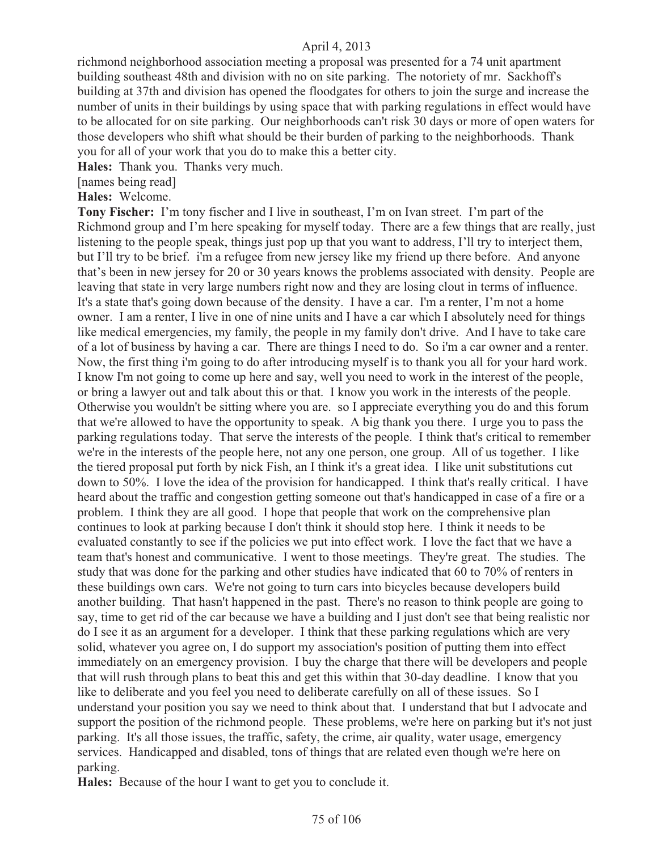richmond neighborhood association meeting a proposal was presented for a 74 unit apartment building southeast 48th and division with no on site parking. The notoriety of mr. Sackhoff's building at 37th and division has opened the floodgates for others to join the surge and increase the number of units in their buildings by using space that with parking regulations in effect would have to be allocated for on site parking. Our neighborhoods can't risk 30 days or more of open waters for those developers who shift what should be their burden of parking to the neighborhoods. Thank you for all of your work that you do to make this a better city.

**Hales:** Thank you. Thanks very much.

[names being read]

**Hales:** Welcome.

**Tony Fischer:** I'm tony fischer and I live in southeast, I'm on Ivan street. I'm part of the Richmond group and I'm here speaking for myself today. There are a few things that are really, just listening to the people speak, things just pop up that you want to address, I'll try to interject them, but I'll try to be brief. i'm a refugee from new jersey like my friend up there before. And anyone that's been in new jersey for 20 or 30 years knows the problems associated with density. People are leaving that state in very large numbers right now and they are losing clout in terms of influence. It's a state that's going down because of the density. I have a car. I'm a renter, I'm not a home owner. I am a renter, I live in one of nine units and I have a car which I absolutely need for things like medical emergencies, my family, the people in my family don't drive. And I have to take care of a lot of business by having a car. There are things I need to do. So i'm a car owner and a renter. Now, the first thing i'm going to do after introducing myself is to thank you all for your hard work. I know I'm not going to come up here and say, well you need to work in the interest of the people, or bring a lawyer out and talk about this or that. I know you work in the interests of the people. Otherwise you wouldn't be sitting where you are. so I appreciate everything you do and this forum that we're allowed to have the opportunity to speak. A big thank you there. I urge you to pass the parking regulations today. That serve the interests of the people. I think that's critical to remember we're in the interests of the people here, not any one person, one group. All of us together. I like the tiered proposal put forth by nick Fish, an I think it's a great idea. I like unit substitutions cut down to 50%. I love the idea of the provision for handicapped. I think that's really critical. I have heard about the traffic and congestion getting someone out that's handicapped in case of a fire or a problem. I think they are all good. I hope that people that work on the comprehensive plan continues to look at parking because I don't think it should stop here. I think it needs to be evaluated constantly to see if the policies we put into effect work. I love the fact that we have a team that's honest and communicative. I went to those meetings. They're great. The studies. The study that was done for the parking and other studies have indicated that 60 to 70% of renters in these buildings own cars. We're not going to turn cars into bicycles because developers build another building. That hasn't happened in the past. There's no reason to think people are going to say, time to get rid of the car because we have a building and I just don't see that being realistic nor do I see it as an argument for a developer. I think that these parking regulations which are very solid, whatever you agree on, I do support my association's position of putting them into effect immediately on an emergency provision. I buy the charge that there will be developers and people that will rush through plans to beat this and get this within that 30-day deadline. I know that you like to deliberate and you feel you need to deliberate carefully on all of these issues. So I understand your position you say we need to think about that. I understand that but I advocate and support the position of the richmond people. These problems, we're here on parking but it's not just parking. It's all those issues, the traffic, safety, the crime, air quality, water usage, emergency services. Handicapped and disabled, tons of things that are related even though we're here on parking.

**Hales:** Because of the hour I want to get you to conclude it.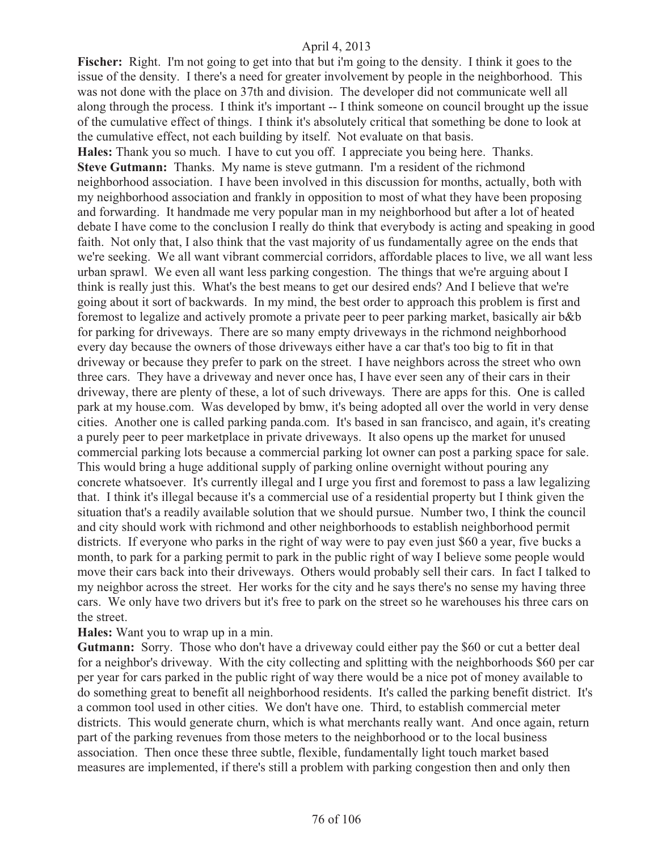Fischer: Right. I'm not going to get into that but i'm going to the density. I think it goes to the issue of the density. I there's a need for greater involvement by people in the neighborhood. This was not done with the place on 37th and division. The developer did not communicate well all along through the process. I think it's important -- I think someone on council brought up the issue of the cumulative effect of things. I think it's absolutely critical that something be done to look at the cumulative effect, not each building by itself. Not evaluate on that basis.

**Hales:** Thank you so much. I have to cut you off. I appreciate you being here. Thanks. **Steve Gutmann:** Thanks. My name is steve gutmann. I'm a resident of the richmond neighborhood association. I have been involved in this discussion for months, actually, both with my neighborhood association and frankly in opposition to most of what they have been proposing and forwarding. It handmade me very popular man in my neighborhood but after a lot of heated debate I have come to the conclusion I really do think that everybody is acting and speaking in good faith. Not only that, I also think that the vast majority of us fundamentally agree on the ends that we're seeking. We all want vibrant commercial corridors, affordable places to live, we all want less urban sprawl. We even all want less parking congestion. The things that we're arguing about I think is really just this. What's the best means to get our desired ends? And I believe that we're going about it sort of backwards. In my mind, the best order to approach this problem is first and foremost to legalize and actively promote a private peer to peer parking market, basically air b&b for parking for driveways. There are so many empty driveways in the richmond neighborhood every day because the owners of those driveways either have a car that's too big to fit in that driveway or because they prefer to park on the street. I have neighbors across the street who own three cars. They have a driveway and never once has, I have ever seen any of their cars in their driveway, there are plenty of these, a lot of such driveways. There are apps for this. One is called park at my house.com. Was developed by bmw, it's being adopted all over the world in very dense cities. Another one is called parking panda.com. It's based in san francisco, and again, it's creating a purely peer to peer marketplace in private driveways. It also opens up the market for unused commercial parking lots because a commercial parking lot owner can post a parking space for sale. This would bring a huge additional supply of parking online overnight without pouring any concrete whatsoever. It's currently illegal and I urge you first and foremost to pass a law legalizing that. I think it's illegal because it's a commercial use of a residential property but I think given the situation that's a readily available solution that we should pursue. Number two, I think the council and city should work with richmond and other neighborhoods to establish neighborhood permit districts. If everyone who parks in the right of way were to pay even just \$60 a year, five bucks a month, to park for a parking permit to park in the public right of way I believe some people would move their cars back into their driveways. Others would probably sell their cars. In fact I talked to my neighbor across the street. Her works for the city and he says there's no sense my having three cars. We only have two drivers but it's free to park on the street so he warehouses his three cars on the street.

#### **Hales:** Want you to wrap up in a min.

**Gutmann:** Sorry. Those who don't have a driveway could either pay the \$60 or cut a better deal for a neighbor's driveway. With the city collecting and splitting with the neighborhoods \$60 per car per year for cars parked in the public right of way there would be a nice pot of money available to do something great to benefit all neighborhood residents. It's called the parking benefit district. It's a common tool used in other cities. We don't have one. Third, to establish commercial meter districts. This would generate churn, which is what merchants really want. And once again, return part of the parking revenues from those meters to the neighborhood or to the local business association. Then once these three subtle, flexible, fundamentally light touch market based measures are implemented, if there's still a problem with parking congestion then and only then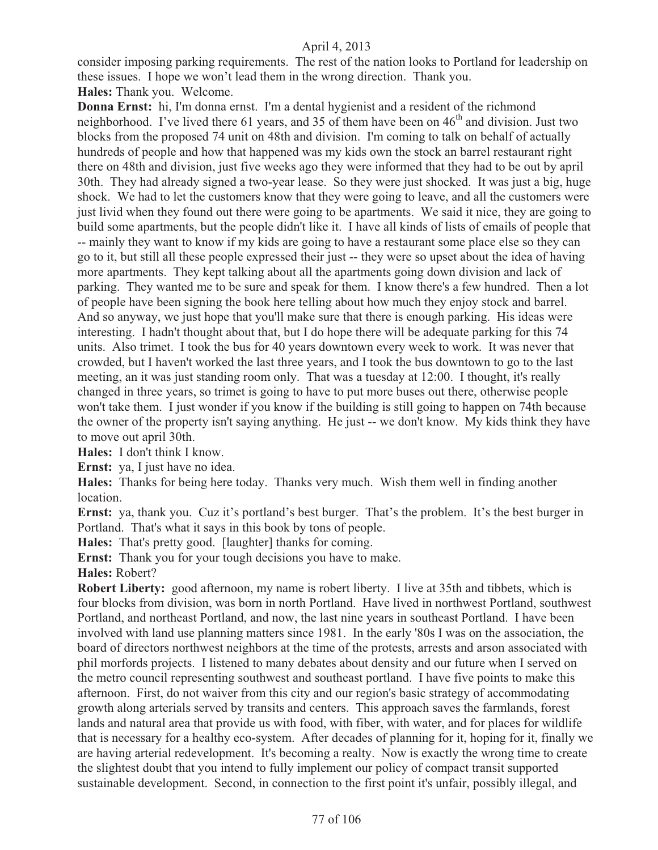consider imposing parking requirements. The rest of the nation looks to Portland for leadership on these issues. I hope we won't lead them in the wrong direction. Thank you.

**Hales:** Thank you. Welcome.

**Donna Ernst:** hi, I'm donna ernst. I'm a dental hygienist and a resident of the richmond neighborhood. I've lived there 61 years, and 35 of them have been on  $46<sup>th</sup>$  and division. Just two blocks from the proposed 74 unit on 48th and division. I'm coming to talk on behalf of actually hundreds of people and how that happened was my kids own the stock an barrel restaurant right there on 48th and division, just five weeks ago they were informed that they had to be out by april 30th. They had already signed a two-year lease. So they were just shocked. It was just a big, huge shock. We had to let the customers know that they were going to leave, and all the customers were just livid when they found out there were going to be apartments. We said it nice, they are going to build some apartments, but the people didn't like it. I have all kinds of lists of emails of people that -- mainly they want to know if my kids are going to have a restaurant some place else so they can go to it, but still all these people expressed their just -- they were so upset about the idea of having more apartments. They kept talking about all the apartments going down division and lack of parking. They wanted me to be sure and speak for them. I know there's a few hundred. Then a lot of people have been signing the book here telling about how much they enjoy stock and barrel. And so anyway, we just hope that you'll make sure that there is enough parking. His ideas were interesting. I hadn't thought about that, but I do hope there will be adequate parking for this 74 units. Also trimet. I took the bus for 40 years downtown every week to work. It was never that crowded, but I haven't worked the last three years, and I took the bus downtown to go to the last meeting, an it was just standing room only. That was a tuesday at 12:00. I thought, it's really changed in three years, so trimet is going to have to put more buses out there, otherwise people won't take them. I just wonder if you know if the building is still going to happen on 74th because the owner of the property isn't saying anything. He just -- we don't know. My kids think they have to move out april 30th.

**Hales:** I don't think I know.

**Ernst:** ya, I just have no idea.

**Hales:** Thanks for being here today. Thanks very much. Wish them well in finding another location.

**Ernst:** ya, thank you. Cuz it's portland's best burger. That's the problem. It's the best burger in Portland. That's what it says in this book by tons of people.

**Hales:** That's pretty good. [laughter] thanks for coming.

**Ernst:** Thank you for your tough decisions you have to make.

**Hales:** Robert?

**Robert Liberty:** good afternoon, my name is robert liberty. I live at 35th and tibbets, which is four blocks from division, was born in north Portland. Have lived in northwest Portland, southwest Portland, and northeast Portland, and now, the last nine years in southeast Portland. I have been involved with land use planning matters since 1981. In the early '80s I was on the association, the board of directors northwest neighbors at the time of the protests, arrests and arson associated with phil morfords projects. I listened to many debates about density and our future when I served on the metro council representing southwest and southeast portland. I have five points to make this afternoon. First, do not waiver from this city and our region's basic strategy of accommodating growth along arterials served by transits and centers. This approach saves the farmlands, forest lands and natural area that provide us with food, with fiber, with water, and for places for wildlife that is necessary for a healthy eco-system. After decades of planning for it, hoping for it, finally we are having arterial redevelopment. It's becoming a realty. Now is exactly the wrong time to create the slightest doubt that you intend to fully implement our policy of compact transit supported sustainable development. Second, in connection to the first point it's unfair, possibly illegal, and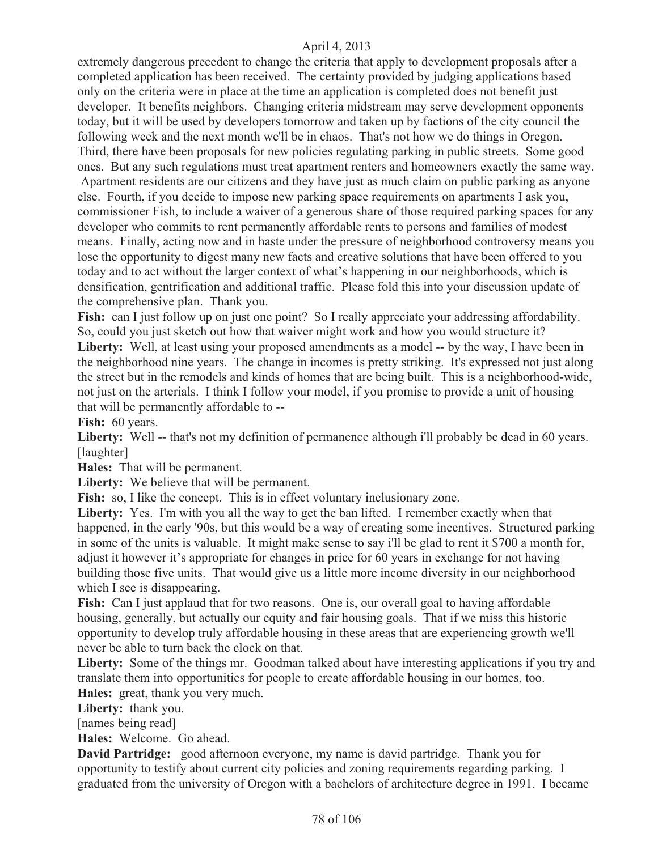extremely dangerous precedent to change the criteria that apply to development proposals after a completed application has been received. The certainty provided by judging applications based only on the criteria were in place at the time an application is completed does not benefit just developer. It benefits neighbors. Changing criteria midstream may serve development opponents today, but it will be used by developers tomorrow and taken up by factions of the city council the following week and the next month we'll be in chaos. That's not how we do things in Oregon. Third, there have been proposals for new policies regulating parking in public streets. Some good ones. But any such regulations must treat apartment renters and homeowners exactly the same way.

 Apartment residents are our citizens and they have just as much claim on public parking as anyone else. Fourth, if you decide to impose new parking space requirements on apartments I ask you, commissioner Fish, to include a waiver of a generous share of those required parking spaces for any developer who commits to rent permanently affordable rents to persons and families of modest means. Finally, acting now and in haste under the pressure of neighborhood controversy means you lose the opportunity to digest many new facts and creative solutions that have been offered to you today and to act without the larger context of what's happening in our neighborhoods, which is densification, gentrification and additional traffic. Please fold this into your discussion update of the comprehensive plan. Thank you.

Fish: can I just follow up on just one point? So I really appreciate your addressing affordability. So, could you just sketch out how that waiver might work and how you would structure it?

**Liberty:** Well, at least using your proposed amendments as a model -- by the way, I have been in the neighborhood nine years. The change in incomes is pretty striking. It's expressed not just along the street but in the remodels and kinds of homes that are being built. This is a neighborhood-wide, not just on the arterials. I think I follow your model, if you promise to provide a unit of housing that will be permanently affordable to --

Fish: 60 years.

Liberty: Well -- that's not my definition of permanence although i'll probably be dead in 60 years. [laughter]

**Hales:** That will be permanent.

**Liberty:** We believe that will be permanent.

Fish: so, I like the concept. This is in effect voluntary inclusionary zone.

**Liberty:** Yes. I'm with you all the way to get the ban lifted. I remember exactly when that happened, in the early '90s, but this would be a way of creating some incentives. Structured parking in some of the units is valuable. It might make sense to say i'll be glad to rent it \$700 a month for, adjust it however it's appropriate for changes in price for 60 years in exchange for not having building those five units. That would give us a little more income diversity in our neighborhood which I see is disappearing.

Fish: Can I just applaud that for two reasons. One is, our overall goal to having affordable housing, generally, but actually our equity and fair housing goals. That if we miss this historic opportunity to develop truly affordable housing in these areas that are experiencing growth we'll never be able to turn back the clock on that.

Liberty: Some of the things mr. Goodman talked about have interesting applications if you try and translate them into opportunities for people to create affordable housing in our homes, too. **Hales:** great, thank you very much.

**Liberty:** thank you.

[names being read]

**Hales:** Welcome. Go ahead.

**David Partridge:** good afternoon everyone, my name is david partridge. Thank you for opportunity to testify about current city policies and zoning requirements regarding parking. I graduated from the university of Oregon with a bachelors of architecture degree in 1991. I became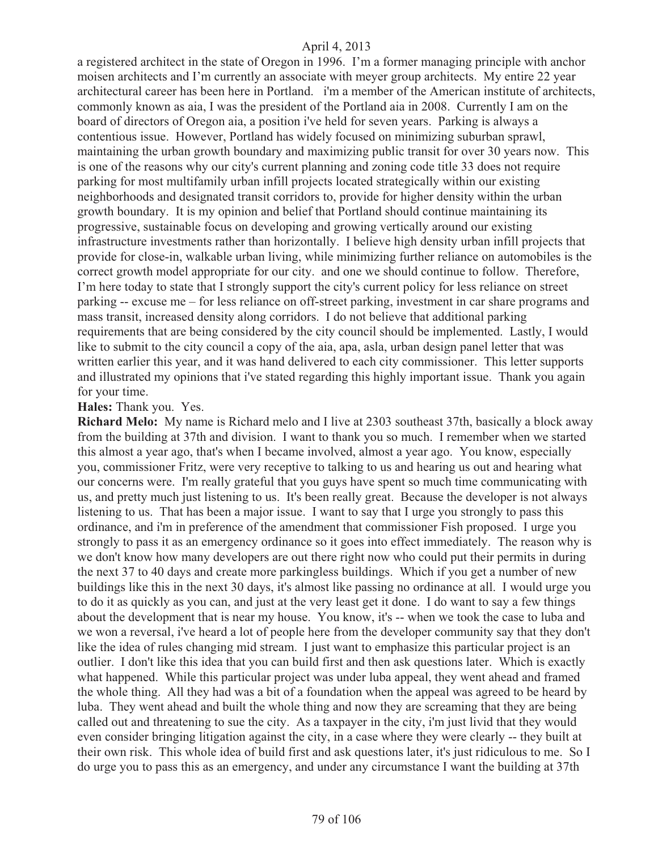a registered architect in the state of Oregon in 1996. I'm a former managing principle with anchor moisen architects and I'm currently an associate with meyer group architects. My entire 22 year architectural career has been here in Portland. i'm a member of the American institute of architects, commonly known as aia, I was the president of the Portland aia in 2008. Currently I am on the board of directors of Oregon aia, a position i've held for seven years. Parking is always a contentious issue. However, Portland has widely focused on minimizing suburban sprawl, maintaining the urban growth boundary and maximizing public transit for over 30 years now. This is one of the reasons why our city's current planning and zoning code title 33 does not require parking for most multifamily urban infill projects located strategically within our existing neighborhoods and designated transit corridors to, provide for higher density within the urban growth boundary. It is my opinion and belief that Portland should continue maintaining its progressive, sustainable focus on developing and growing vertically around our existing infrastructure investments rather than horizontally. I believe high density urban infill projects that provide for close-in, walkable urban living, while minimizing further reliance on automobiles is the correct growth model appropriate for our city. and one we should continue to follow. Therefore, I'm here today to state that I strongly support the city's current policy for less reliance on street parking -- excuse me – for less reliance on off-street parking, investment in car share programs and mass transit, increased density along corridors. I do not believe that additional parking requirements that are being considered by the city council should be implemented. Lastly, I would like to submit to the city council a copy of the aia, apa, asla, urban design panel letter that was written earlier this year, and it was hand delivered to each city commissioner. This letter supports and illustrated my opinions that i've stated regarding this highly important issue. Thank you again for your time.

#### **Hales:** Thank you. Yes.

**Richard Melo:** My name is Richard melo and I live at 2303 southeast 37th, basically a block away from the building at 37th and division. I want to thank you so much. I remember when we started this almost a year ago, that's when I became involved, almost a year ago. You know, especially you, commissioner Fritz, were very receptive to talking to us and hearing us out and hearing what our concerns were. I'm really grateful that you guys have spent so much time communicating with us, and pretty much just listening to us. It's been really great. Because the developer is not always listening to us. That has been a major issue. I want to say that I urge you strongly to pass this ordinance, and i'm in preference of the amendment that commissioner Fish proposed. I urge you strongly to pass it as an emergency ordinance so it goes into effect immediately. The reason why is we don't know how many developers are out there right now who could put their permits in during the next 37 to 40 days and create more parkingless buildings. Which if you get a number of new buildings like this in the next 30 days, it's almost like passing no ordinance at all. I would urge you to do it as quickly as you can, and just at the very least get it done. I do want to say a few things about the development that is near my house. You know, it's -- when we took the case to luba and we won a reversal, i've heard a lot of people here from the developer community say that they don't like the idea of rules changing mid stream. I just want to emphasize this particular project is an outlier. I don't like this idea that you can build first and then ask questions later. Which is exactly what happened. While this particular project was under luba appeal, they went ahead and framed the whole thing. All they had was a bit of a foundation when the appeal was agreed to be heard by luba. They went ahead and built the whole thing and now they are screaming that they are being called out and threatening to sue the city. As a taxpayer in the city, i'm just livid that they would even consider bringing litigation against the city, in a case where they were clearly -- they built at their own risk. This whole idea of build first and ask questions later, it's just ridiculous to me. So I do urge you to pass this as an emergency, and under any circumstance I want the building at 37th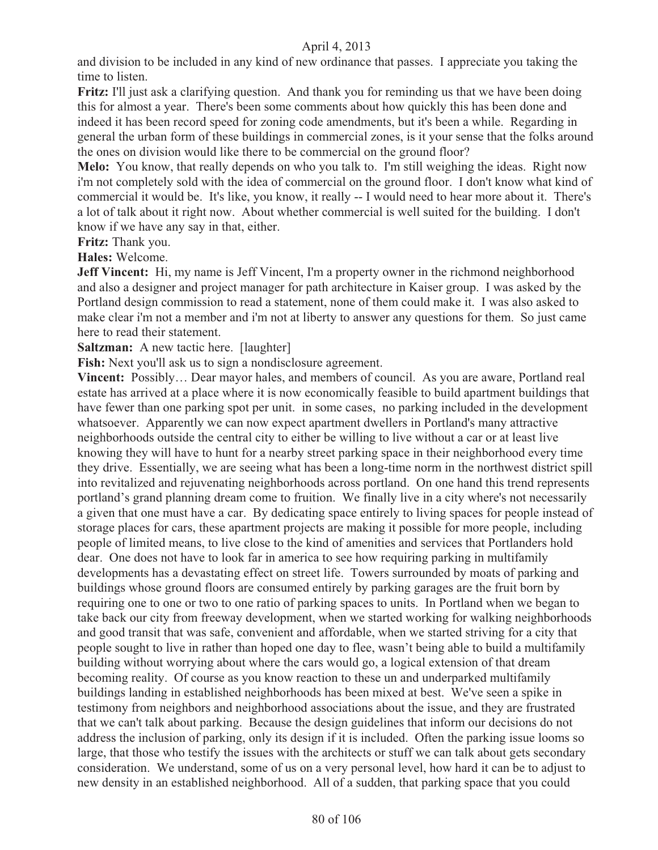and division to be included in any kind of new ordinance that passes. I appreciate you taking the time to listen.

**Fritz:** I'll just ask a clarifying question. And thank you for reminding us that we have been doing this for almost a year. There's been some comments about how quickly this has been done and indeed it has been record speed for zoning code amendments, but it's been a while. Regarding in general the urban form of these buildings in commercial zones, is it your sense that the folks around the ones on division would like there to be commercial on the ground floor?

**Melo:** You know, that really depends on who you talk to. I'm still weighing the ideas. Right now i'm not completely sold with the idea of commercial on the ground floor. I don't know what kind of commercial it would be. It's like, you know, it really -- I would need to hear more about it. There's a lot of talk about it right now. About whether commercial is well suited for the building. I don't know if we have any say in that, either.

**Fritz:** Thank you.

**Hales:** Welcome.

**Jeff Vincent:** Hi, my name is Jeff Vincent, I'm a property owner in the richmond neighborhood and also a designer and project manager for path architecture in Kaiser group. I was asked by the Portland design commission to read a statement, none of them could make it. I was also asked to make clear i'm not a member and i'm not at liberty to answer any questions for them. So just came here to read their statement.

**Saltzman:** A new tactic here. [laughter]

Fish: Next you'll ask us to sign a nondisclosure agreement.

**Vincent:** Possibly… Dear mayor hales, and members of council. As you are aware, Portland real estate has arrived at a place where it is now economically feasible to build apartment buildings that have fewer than one parking spot per unit. in some cases, no parking included in the development whatsoever. Apparently we can now expect apartment dwellers in Portland's many attractive neighborhoods outside the central city to either be willing to live without a car or at least live knowing they will have to hunt for a nearby street parking space in their neighborhood every time they drive. Essentially, we are seeing what has been a long-time norm in the northwest district spill into revitalized and rejuvenating neighborhoods across portland. On one hand this trend represents portland's grand planning dream come to fruition. We finally live in a city where's not necessarily a given that one must have a car. By dedicating space entirely to living spaces for people instead of storage places for cars, these apartment projects are making it possible for more people, including people of limited means, to live close to the kind of amenities and services that Portlanders hold dear. One does not have to look far in america to see how requiring parking in multifamily developments has a devastating effect on street life. Towers surrounded by moats of parking and buildings whose ground floors are consumed entirely by parking garages are the fruit born by requiring one to one or two to one ratio of parking spaces to units. In Portland when we began to take back our city from freeway development, when we started working for walking neighborhoods and good transit that was safe, convenient and affordable, when we started striving for a city that people sought to live in rather than hoped one day to flee, wasn't being able to build a multifamily building without worrying about where the cars would go, a logical extension of that dream becoming reality. Of course as you know reaction to these un and underparked multifamily buildings landing in established neighborhoods has been mixed at best. We've seen a spike in testimony from neighbors and neighborhood associations about the issue, and they are frustrated that we can't talk about parking. Because the design guidelines that inform our decisions do not address the inclusion of parking, only its design if it is included. Often the parking issue looms so large, that those who testify the issues with the architects or stuff we can talk about gets secondary consideration. We understand, some of us on a very personal level, how hard it can be to adjust to new density in an established neighborhood. All of a sudden, that parking space that you could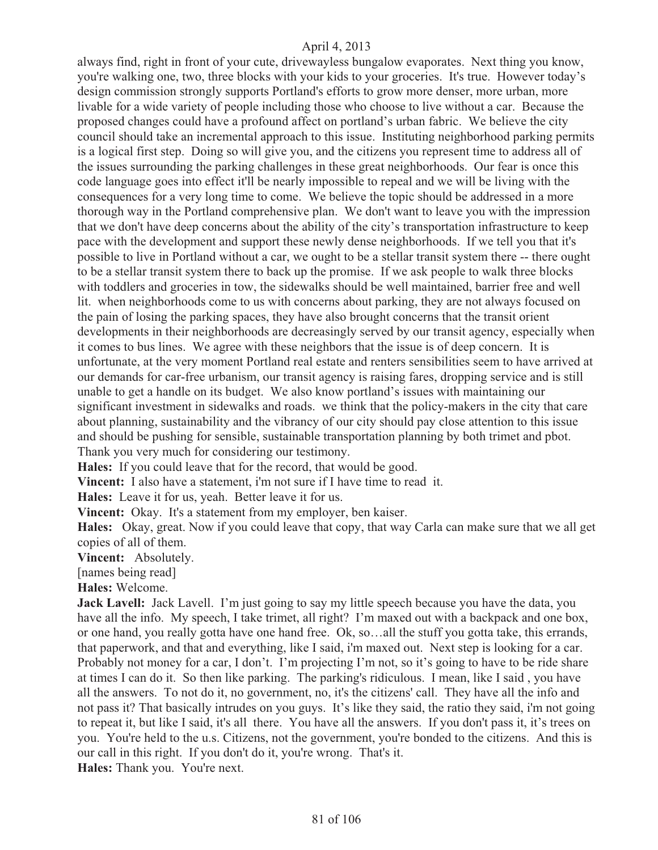always find, right in front of your cute, drivewayless bungalow evaporates. Next thing you know, you're walking one, two, three blocks with your kids to your groceries. It's true. However today's design commission strongly supports Portland's efforts to grow more denser, more urban, more livable for a wide variety of people including those who choose to live without a car. Because the proposed changes could have a profound affect on portland's urban fabric. We believe the city council should take an incremental approach to this issue. Instituting neighborhood parking permits is a logical first step. Doing so will give you, and the citizens you represent time to address all of the issues surrounding the parking challenges in these great neighborhoods. Our fear is once this code language goes into effect it'll be nearly impossible to repeal and we will be living with the consequences for a very long time to come. We believe the topic should be addressed in a more thorough way in the Portland comprehensive plan. We don't want to leave you with the impression that we don't have deep concerns about the ability of the city's transportation infrastructure to keep pace with the development and support these newly dense neighborhoods. If we tell you that it's possible to live in Portland without a car, we ought to be a stellar transit system there -- there ought to be a stellar transit system there to back up the promise. If we ask people to walk three blocks with toddlers and groceries in tow, the sidewalks should be well maintained, barrier free and well lit. when neighborhoods come to us with concerns about parking, they are not always focused on the pain of losing the parking spaces, they have also brought concerns that the transit orient developments in their neighborhoods are decreasingly served by our transit agency, especially when it comes to bus lines. We agree with these neighbors that the issue is of deep concern. It is unfortunate, at the very moment Portland real estate and renters sensibilities seem to have arrived at our demands for car-free urbanism, our transit agency is raising fares, dropping service and is still unable to get a handle on its budget. We also know portland's issues with maintaining our significant investment in sidewalks and roads. we think that the policy-makers in the city that care about planning, sustainability and the vibrancy of our city should pay close attention to this issue and should be pushing for sensible, sustainable transportation planning by both trimet and pbot. Thank you very much for considering our testimony.

**Hales:** If you could leave that for the record, that would be good.

**Vincent:** I also have a statement, i'm not sure if I have time to read it.

**Hales:** Leave it for us, yeah. Better leave it for us.

**Vincent:** Okay. It's a statement from my employer, ben kaiser.

**Hales:** Okay, great. Now if you could leave that copy, that way Carla can make sure that we all get copies of all of them.

**Vincent:** Absolutely.

[names being read]

**Hales:** Welcome.

**Jack Lavell:** Jack Lavell. I'm just going to say my little speech because you have the data, you have all the info. My speech, I take trimet, all right? I'm maxed out with a backpack and one box, or one hand, you really gotta have one hand free. Ok, so…all the stuff you gotta take, this errands, that paperwork, and that and everything, like I said, i'm maxed out. Next step is looking for a car. Probably not money for a car, I don't. I'm projecting I'm not, so it's going to have to be ride share at times I can do it. So then like parking. The parking's ridiculous. I mean, like I said , you have all the answers. To not do it, no government, no, it's the citizens' call. They have all the info and not pass it? That basically intrudes on you guys. It's like they said, the ratio they said, i'm not going to repeat it, but like I said, it's all there. You have all the answers. If you don't pass it, it's trees on you. You're held to the u.s. Citizens, not the government, you're bonded to the citizens. And this is our call in this right. If you don't do it, you're wrong. That's it. **Hales:** Thank you. You're next.

81 of 106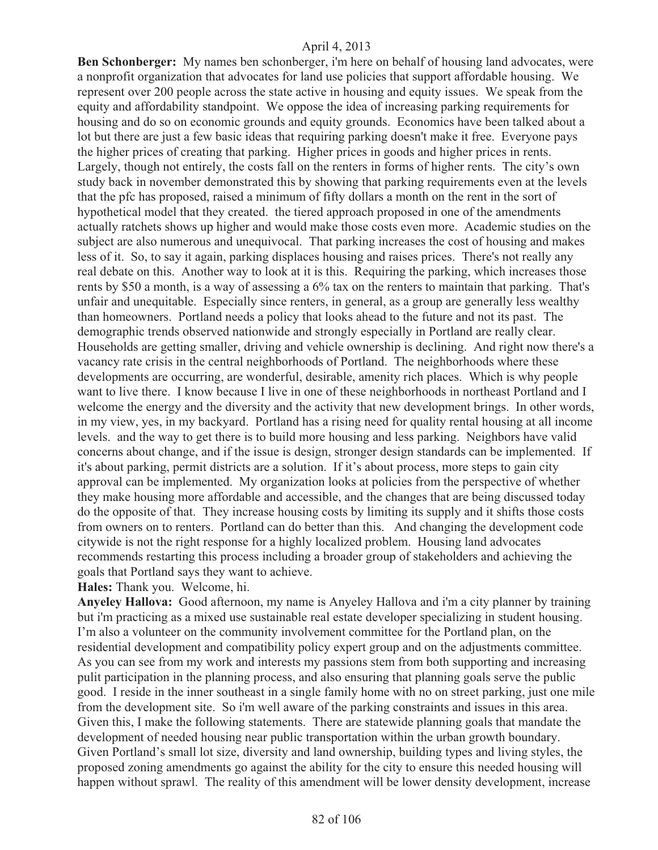**Ben Schonberger:** My names ben schonberger, i'm here on behalf of housing land advocates, were a nonprofit organization that advocates for land use policies that support affordable housing. We represent over 200 people across the state active in housing and equity issues. We speak from the equity and affordability standpoint. We oppose the idea of increasing parking requirements for housing and do so on economic grounds and equity grounds. Economics have been talked about a lot but there are just a few basic ideas that requiring parking doesn't make it free. Everyone pays the higher prices of creating that parking. Higher prices in goods and higher prices in rents. Largely, though not entirely, the costs fall on the renters in forms of higher rents. The city's own study back in november demonstrated this by showing that parking requirements even at the levels that the pfc has proposed, raised a minimum of fifty dollars a month on the rent in the sort of hypothetical model that they created. the tiered approach proposed in one of the amendments actually ratchets shows up higher and would make those costs even more. Academic studies on the subject are also numerous and unequivocal. That parking increases the cost of housing and makes less of it. So, to say it again, parking displaces housing and raises prices. There's not really any real debate on this. Another way to look at it is this. Requiring the parking, which increases those rents by \$50 a month, is a way of assessing a 6% tax on the renters to maintain that parking. That's unfair and unequitable. Especially since renters, in general, as a group are generally less wealthy than homeowners. Portland needs a policy that looks ahead to the future and not its past. The demographic trends observed nationwide and strongly especially in Portland are really clear. Households are getting smaller, driving and vehicle ownership is declining. And right now there's a vacancy rate crisis in the central neighborhoods of Portland. The neighborhoods where these developments are occurring, are wonderful, desirable, amenity rich places. Which is why people want to live there. I know because I live in one of these neighborhoods in northeast Portland and I welcome the energy and the diversity and the activity that new development brings. In other words, in my view, yes, in my backyard. Portland has a rising need for quality rental housing at all income levels. and the way to get there is to build more housing and less parking. Neighbors have valid concerns about change, and if the issue is design, stronger design standards can be implemented. If it's about parking, permit districts are a solution. If it's about process, more steps to gain city approval can be implemented. My organization looks at policies from the perspective of whether they make housing more affordable and accessible, and the changes that are being discussed today do the opposite of that. They increase housing costs by limiting its supply and it shifts those costs from owners on to renters. Portland can do better than this. And changing the development code citywide is not the right response for a highly localized problem. Housing land advocates recommends restarting this process including a broader group of stakeholders and achieving the goals that Portland says they want to achieve.

**Hales:** Thank you. Welcome, hi.

**Anyeley Hallova:** Good afternoon, my name is Anyeley Hallova and i'm a city planner by training but i'm practicing as a mixed use sustainable real estate developer specializing in student housing. I'm also a volunteer on the community involvement committee for the Portland plan, on the residential development and compatibility policy expert group and on the adjustments committee. As you can see from my work and interests my passions stem from both supporting and increasing pulit participation in the planning process, and also ensuring that planning goals serve the public good. I reside in the inner southeast in a single family home with no on street parking, just one mile from the development site. So i'm well aware of the parking constraints and issues in this area. Given this, I make the following statements. There are statewide planning goals that mandate the development of needed housing near public transportation within the urban growth boundary. Given Portland's small lot size, diversity and land ownership, building types and living styles, the proposed zoning amendments go against the ability for the city to ensure this needed housing will happen without sprawl. The reality of this amendment will be lower density development, increase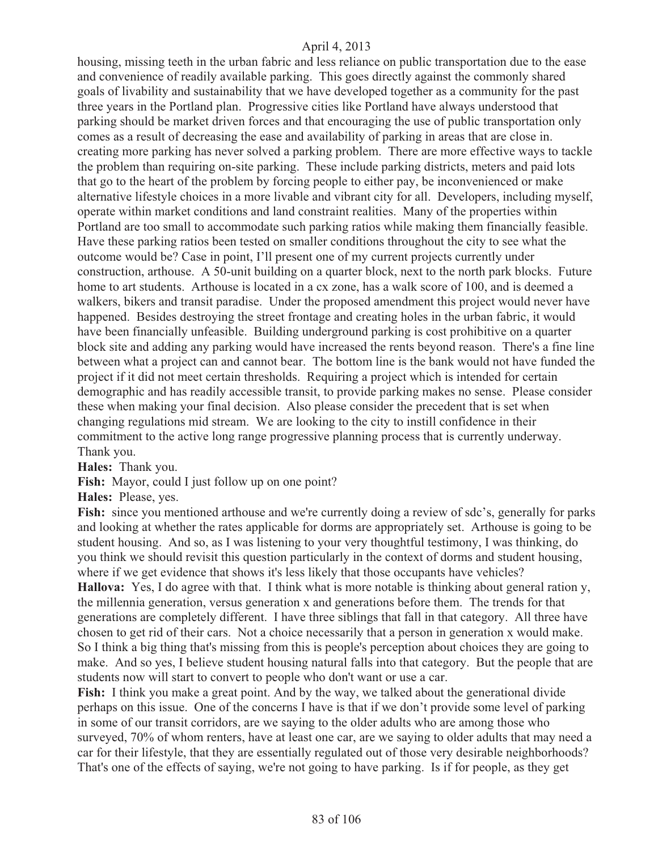housing, missing teeth in the urban fabric and less reliance on public transportation due to the ease and convenience of readily available parking. This goes directly against the commonly shared goals of livability and sustainability that we have developed together as a community for the past three years in the Portland plan. Progressive cities like Portland have always understood that parking should be market driven forces and that encouraging the use of public transportation only comes as a result of decreasing the ease and availability of parking in areas that are close in. creating more parking has never solved a parking problem. There are more effective ways to tackle the problem than requiring on-site parking. These include parking districts, meters and paid lots that go to the heart of the problem by forcing people to either pay, be inconvenienced or make alternative lifestyle choices in a more livable and vibrant city for all. Developers, including myself, operate within market conditions and land constraint realities. Many of the properties within Portland are too small to accommodate such parking ratios while making them financially feasible. Have these parking ratios been tested on smaller conditions throughout the city to see what the outcome would be? Case in point, I'll present one of my current projects currently under construction, arthouse. A 50-unit building on a quarter block, next to the north park blocks. Future home to art students. Arthouse is located in a cx zone, has a walk score of 100, and is deemed a walkers, bikers and transit paradise. Under the proposed amendment this project would never have happened. Besides destroying the street frontage and creating holes in the urban fabric, it would have been financially unfeasible. Building underground parking is cost prohibitive on a quarter block site and adding any parking would have increased the rents beyond reason. There's a fine line between what a project can and cannot bear. The bottom line is the bank would not have funded the project if it did not meet certain thresholds. Requiring a project which is intended for certain demographic and has readily accessible transit, to provide parking makes no sense. Please consider these when making your final decision. Also please consider the precedent that is set when changing regulations mid stream. We are looking to the city to instill confidence in their commitment to the active long range progressive planning process that is currently underway. Thank you.

**Hales:** Thank you.

Fish: Mayor, could I just follow up on one point?

**Hales:** Please, yes.

Fish: since you mentioned arthouse and we're currently doing a review of sdc's, generally for parks and looking at whether the rates applicable for dorms are appropriately set. Arthouse is going to be student housing. And so, as I was listening to your very thoughtful testimony, I was thinking, do you think we should revisit this question particularly in the context of dorms and student housing, where if we get evidence that shows it's less likely that those occupants have vehicles? **Hallova:** Yes, I do agree with that. I think what is more notable is thinking about general ration y, the millennia generation, versus generation x and generations before them. The trends for that generations are completely different. I have three siblings that fall in that category. All three have chosen to get rid of their cars. Not a choice necessarily that a person in generation x would make. So I think a big thing that's missing from this is people's perception about choices they are going to make. And so yes, I believe student housing natural falls into that category. But the people that are students now will start to convert to people who don't want or use a car.

Fish: I think you make a great point. And by the way, we talked about the generational divide perhaps on this issue. One of the concerns I have is that if we don't provide some level of parking in some of our transit corridors, are we saying to the older adults who are among those who surveyed, 70% of whom renters, have at least one car, are we saying to older adults that may need a car for their lifestyle, that they are essentially regulated out of those very desirable neighborhoods? That's one of the effects of saying, we're not going to have parking. Is if for people, as they get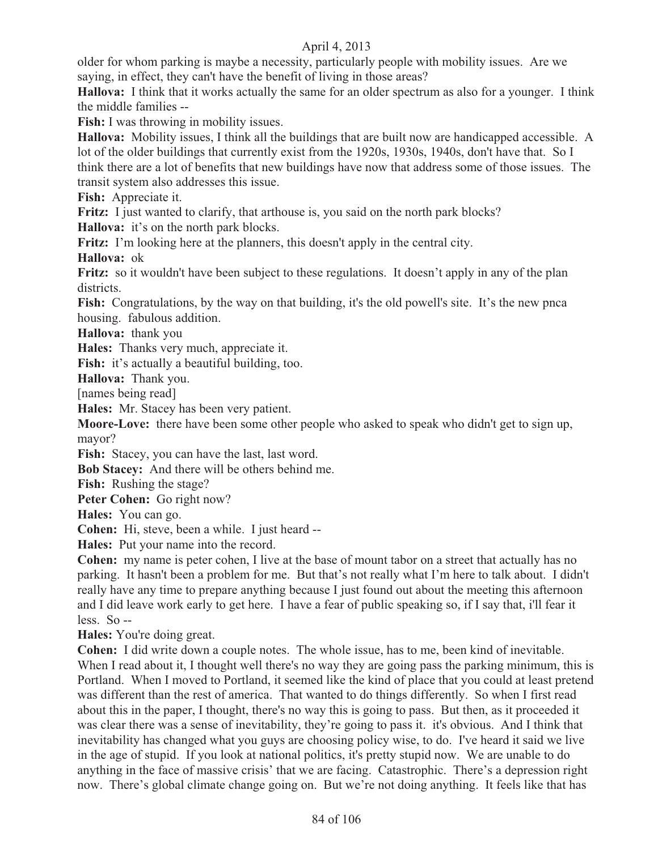older for whom parking is maybe a necessity, particularly people with mobility issues. Are we saying, in effect, they can't have the benefit of living in those areas?

**Hallova:** I think that it works actually the same for an older spectrum as also for a younger. I think the middle families --

**Fish:** I was throwing in mobility issues.

**Hallova:** Mobility issues, I think all the buildings that are built now are handicapped accessible. A lot of the older buildings that currently exist from the 1920s, 1930s, 1940s, don't have that. So I think there are a lot of benefits that new buildings have now that address some of those issues. The transit system also addresses this issue.

**Fish:** Appreciate it.

Fritz: I just wanted to clarify, that arthouse is, you said on the north park blocks?

**Hallova:** it's on the north park blocks.

**Fritz:** I'm looking here at the planners, this doesn't apply in the central city.

**Hallova:** ok

**Fritz:** so it wouldn't have been subject to these regulations. It doesn't apply in any of the plan districts.

**Fish:** Congratulations, by the way on that building, it's the old powell's site. It's the new pnca housing. fabulous addition.

**Hallova:** thank you

**Hales:** Thanks very much, appreciate it.

Fish: it's actually a beautiful building, too.

**Hallova:** Thank you.

[names being read]

**Hales:** Mr. Stacey has been very patient.

**Moore-Love:** there have been some other people who asked to speak who didn't get to sign up, mayor?

Fish: Stacey, you can have the last, last word.

**Bob Stacey:** And there will be others behind me.

**Fish:** Rushing the stage?

**Peter Cohen:** Go right now?

**Hales:** You can go.

**Cohen:** Hi, steve, been a while. I just heard --

**Hales:** Put your name into the record.

**Cohen:** my name is peter cohen, I live at the base of mount tabor on a street that actually has no parking. It hasn't been a problem for me. But that's not really what I'm here to talk about. I didn't really have any time to prepare anything because I just found out about the meeting this afternoon and I did leave work early to get here. I have a fear of public speaking so, if I say that, i'll fear it less. So --

**Hales:** You're doing great.

**Cohen:** I did write down a couple notes. The whole issue, has to me, been kind of inevitable. When I read about it, I thought well there's no way they are going pass the parking minimum, this is Portland. When I moved to Portland, it seemed like the kind of place that you could at least pretend was different than the rest of america. That wanted to do things differently. So when I first read about this in the paper, I thought, there's no way this is going to pass. But then, as it proceeded it was clear there was a sense of inevitability, they're going to pass it. it's obvious. And I think that inevitability has changed what you guys are choosing policy wise, to do. I've heard it said we live in the age of stupid. If you look at national politics, it's pretty stupid now. We are unable to do anything in the face of massive crisis' that we are facing. Catastrophic. There's a depression right now. There's global climate change going on. But we're not doing anything. It feels like that has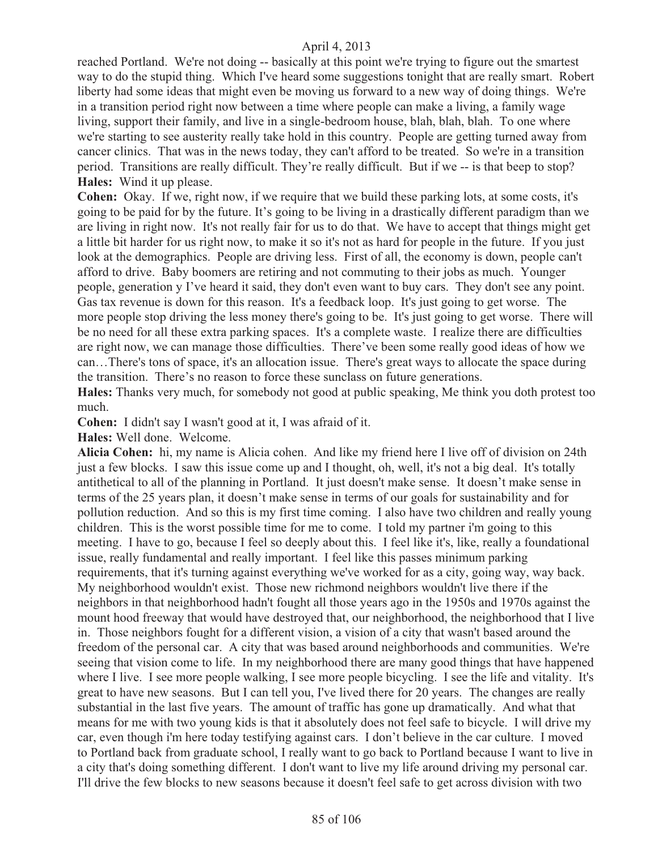reached Portland. We're not doing -- basically at this point we're trying to figure out the smartest way to do the stupid thing. Which I've heard some suggestions tonight that are really smart. Robert liberty had some ideas that might even be moving us forward to a new way of doing things. We're in a transition period right now between a time where people can make a living, a family wage living, support their family, and live in a single-bedroom house, blah, blah, blah. To one where we're starting to see austerity really take hold in this country. People are getting turned away from cancer clinics. That was in the news today, they can't afford to be treated. So we're in a transition period. Transitions are really difficult. They're really difficult. But if we -- is that beep to stop? **Hales:** Wind it up please.

**Cohen:** Okay. If we, right now, if we require that we build these parking lots, at some costs, it's going to be paid for by the future. It's going to be living in a drastically different paradigm than we are living in right now. It's not really fair for us to do that. We have to accept that things might get a little bit harder for us right now, to make it so it's not as hard for people in the future. If you just look at the demographics. People are driving less. First of all, the economy is down, people can't afford to drive. Baby boomers are retiring and not commuting to their jobs as much. Younger people, generation y I've heard it said, they don't even want to buy cars. They don't see any point. Gas tax revenue is down for this reason. It's a feedback loop. It's just going to get worse. The more people stop driving the less money there's going to be. It's just going to get worse. There will be no need for all these extra parking spaces. It's a complete waste. I realize there are difficulties are right now, we can manage those difficulties. There've been some really good ideas of how we can…There's tons of space, it's an allocation issue. There's great ways to allocate the space during the transition. There's no reason to force these sunclass on future generations.

**Hales:** Thanks very much, for somebody not good at public speaking, Me think you doth protest too much.

**Cohen:** I didn't say I wasn't good at it, I was afraid of it.

**Hales:** Well done. Welcome.

**Alicia Cohen:** hi, my name is Alicia cohen. And like my friend here I live off of division on 24th just a few blocks. I saw this issue come up and I thought, oh, well, it's not a big deal. It's totally antithetical to all of the planning in Portland. It just doesn't make sense. It doesn't make sense in terms of the 25 years plan, it doesn't make sense in terms of our goals for sustainability and for pollution reduction. And so this is my first time coming. I also have two children and really young children. This is the worst possible time for me to come. I told my partner i'm going to this meeting. I have to go, because I feel so deeply about this. I feel like it's, like, really a foundational issue, really fundamental and really important. I feel like this passes minimum parking requirements, that it's turning against everything we've worked for as a city, going way, way back. My neighborhood wouldn't exist. Those new richmond neighbors wouldn't live there if the neighbors in that neighborhood hadn't fought all those years ago in the 1950s and 1970s against the mount hood freeway that would have destroyed that, our neighborhood, the neighborhood that I live in. Those neighbors fought for a different vision, a vision of a city that wasn't based around the freedom of the personal car. A city that was based around neighborhoods and communities. We're seeing that vision come to life. In my neighborhood there are many good things that have happened where I live. I see more people walking, I see more people bicycling. I see the life and vitality. It's great to have new seasons. But I can tell you, I've lived there for 20 years. The changes are really substantial in the last five years. The amount of traffic has gone up dramatically. And what that means for me with two young kids is that it absolutely does not feel safe to bicycle. I will drive my car, even though i'm here today testifying against cars. I don't believe in the car culture. I moved to Portland back from graduate school, I really want to go back to Portland because I want to live in a city that's doing something different. I don't want to live my life around driving my personal car. I'll drive the few blocks to new seasons because it doesn't feel safe to get across division with two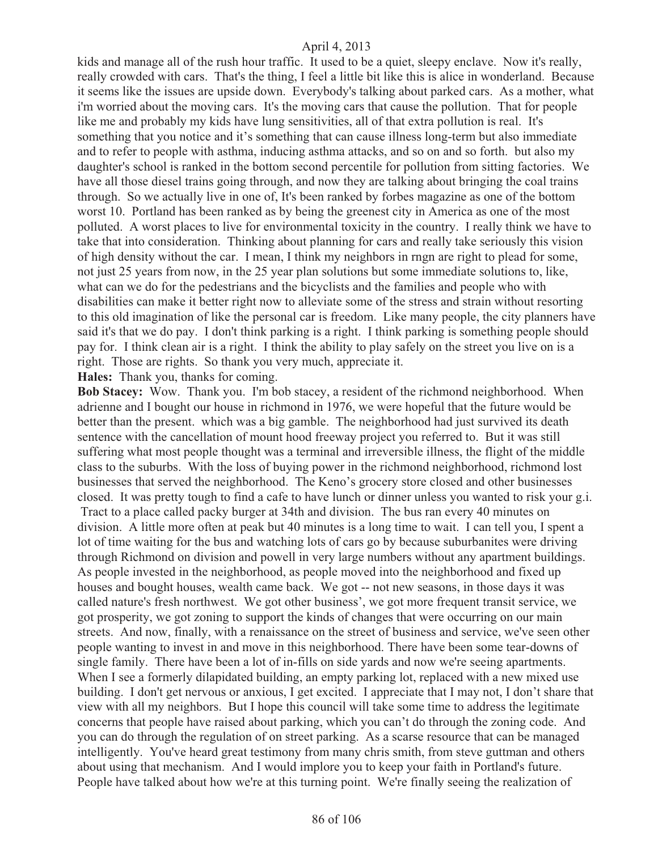kids and manage all of the rush hour traffic. It used to be a quiet, sleepy enclave. Now it's really, really crowded with cars. That's the thing, I feel a little bit like this is alice in wonderland. Because it seems like the issues are upside down. Everybody's talking about parked cars. As a mother, what i'm worried about the moving cars. It's the moving cars that cause the pollution. That for people like me and probably my kids have lung sensitivities, all of that extra pollution is real. It's something that you notice and it's something that can cause illness long-term but also immediate and to refer to people with asthma, inducing asthma attacks, and so on and so forth. but also my daughter's school is ranked in the bottom second percentile for pollution from sitting factories. We have all those diesel trains going through, and now they are talking about bringing the coal trains through. So we actually live in one of, It's been ranked by forbes magazine as one of the bottom worst 10. Portland has been ranked as by being the greenest city in America as one of the most polluted. A worst places to live for environmental toxicity in the country. I really think we have to take that into consideration. Thinking about planning for cars and really take seriously this vision of high density without the car. I mean, I think my neighbors in rngn are right to plead for some, not just 25 years from now, in the 25 year plan solutions but some immediate solutions to, like, what can we do for the pedestrians and the bicyclists and the families and people who with disabilities can make it better right now to alleviate some of the stress and strain without resorting to this old imagination of like the personal car is freedom. Like many people, the city planners have said it's that we do pay. I don't think parking is a right. I think parking is something people should pay for. I think clean air is a right. I think the ability to play safely on the street you live on is a right. Those are rights. So thank you very much, appreciate it.

**Hales:** Thank you, thanks for coming.

**Bob Stacey:** Wow. Thank you. I'm bob stacey, a resident of the richmond neighborhood. When adrienne and I bought our house in richmond in 1976, we were hopeful that the future would be better than the present. which was a big gamble. The neighborhood had just survived its death sentence with the cancellation of mount hood freeway project you referred to. But it was still suffering what most people thought was a terminal and irreversible illness, the flight of the middle class to the suburbs. With the loss of buying power in the richmond neighborhood, richmond lost businesses that served the neighborhood. The Keno's grocery store closed and other businesses closed. It was pretty tough to find a cafe to have lunch or dinner unless you wanted to risk your g.i. Tract to a place called packy burger at 34th and division. The bus ran every 40 minutes on division. A little more often at peak but 40 minutes is a long time to wait. I can tell you, I spent a lot of time waiting for the bus and watching lots of cars go by because suburbanites were driving through Richmond on division and powell in very large numbers without any apartment buildings. As people invested in the neighborhood, as people moved into the neighborhood and fixed up houses and bought houses, wealth came back. We got -- not new seasons, in those days it was called nature's fresh northwest. We got other business', we got more frequent transit service, we got prosperity, we got zoning to support the kinds of changes that were occurring on our main streets. And now, finally, with a renaissance on the street of business and service, we've seen other people wanting to invest in and move in this neighborhood. There have been some tear-downs of single family. There have been a lot of in-fills on side yards and now we're seeing apartments. When I see a formerly dilapidated building, an empty parking lot, replaced with a new mixed use building. I don't get nervous or anxious, I get excited. I appreciate that I may not, I don't share that view with all my neighbors. But I hope this council will take some time to address the legitimate concerns that people have raised about parking, which you can't do through the zoning code. And you can do through the regulation of on street parking. As a scarse resource that can be managed intelligently. You've heard great testimony from many chris smith, from steve guttman and others about using that mechanism. And I would implore you to keep your faith in Portland's future. People have talked about how we're at this turning point. We're finally seeing the realization of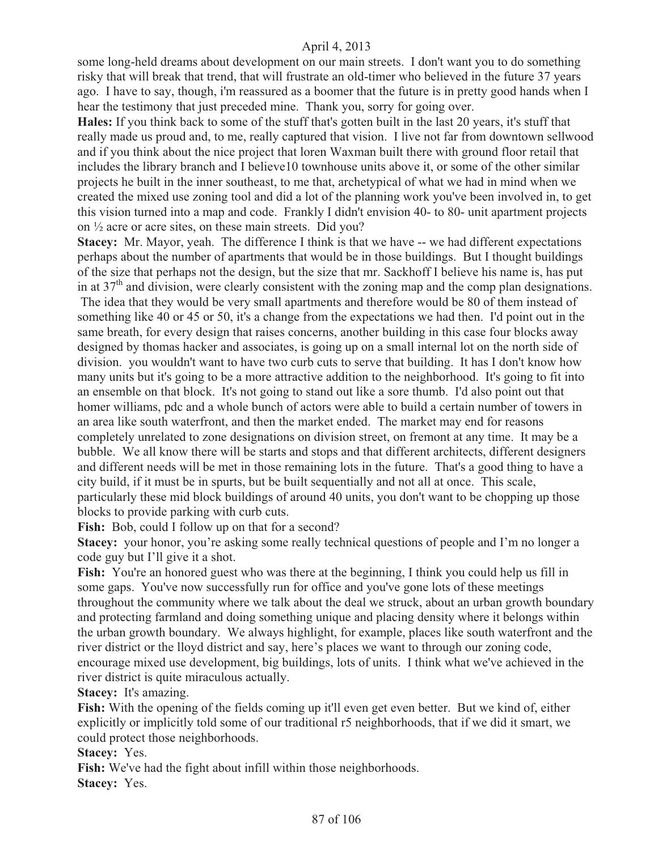some long-held dreams about development on our main streets. I don't want you to do something risky that will break that trend, that will frustrate an old-timer who believed in the future 37 years ago. I have to say, though, i'm reassured as a boomer that the future is in pretty good hands when I hear the testimony that just preceded mine. Thank you, sorry for going over.

**Hales:** If you think back to some of the stuff that's gotten built in the last 20 years, it's stuff that really made us proud and, to me, really captured that vision. I live not far from downtown sellwood and if you think about the nice project that loren Waxman built there with ground floor retail that includes the library branch and I believe10 townhouse units above it, or some of the other similar projects he built in the inner southeast, to me that, archetypical of what we had in mind when we created the mixed use zoning tool and did a lot of the planning work you've been involved in, to get this vision turned into a map and code. Frankly I didn't envision 40- to 80- unit apartment projects on ½ acre or acre sites, on these main streets. Did you?

**Stacey:** Mr. Mayor, yeah. The difference I think is that we have -- we had different expectations perhaps about the number of apartments that would be in those buildings. But I thought buildings of the size that perhaps not the design, but the size that mr. Sackhoff I believe his name is, has put in at 37<sup>th</sup> and division, were clearly consistent with the zoning map and the comp plan designations.

 The idea that they would be very small apartments and therefore would be 80 of them instead of something like 40 or 45 or 50, it's a change from the expectations we had then. I'd point out in the same breath, for every design that raises concerns, another building in this case four blocks away designed by thomas hacker and associates, is going up on a small internal lot on the north side of division. you wouldn't want to have two curb cuts to serve that building. It has I don't know how many units but it's going to be a more attractive addition to the neighborhood. It's going to fit into an ensemble on that block. It's not going to stand out like a sore thumb. I'd also point out that homer williams, pdc and a whole bunch of actors were able to build a certain number of towers in an area like south waterfront, and then the market ended. The market may end for reasons completely unrelated to zone designations on division street, on fremont at any time. It may be a bubble. We all know there will be starts and stops and that different architects, different designers and different needs will be met in those remaining lots in the future. That's a good thing to have a city build, if it must be in spurts, but be built sequentially and not all at once. This scale, particularly these mid block buildings of around 40 units, you don't want to be chopping up those blocks to provide parking with curb cuts.

Fish: Bob, could I follow up on that for a second?

**Stacey:** your honor, you're asking some really technical questions of people and I'm no longer a code guy but I'll give it a shot.

Fish: You're an honored guest who was there at the beginning, I think you could help us fill in some gaps. You've now successfully run for office and you've gone lots of these meetings throughout the community where we talk about the deal we struck, about an urban growth boundary and protecting farmland and doing something unique and placing density where it belongs within the urban growth boundary. We always highlight, for example, places like south waterfront and the river district or the lloyd district and say, here's places we want to through our zoning code, encourage mixed use development, big buildings, lots of units. I think what we've achieved in the river district is quite miraculous actually.

**Stacey:** It's amazing.

**Fish:** With the opening of the fields coming up it'll even get even better. But we kind of, either explicitly or implicitly told some of our traditional r5 neighborhoods, that if we did it smart, we could protect those neighborhoods.

**Stacey:** Yes.

**Fish:** We've had the fight about infill within those neighborhoods.

**Stacey:** Yes.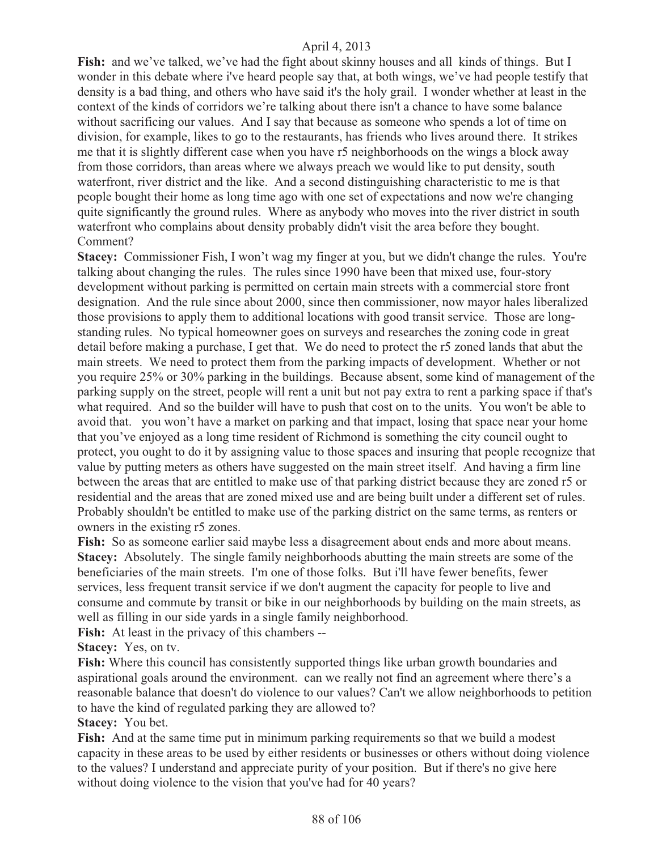**Fish:** and we've talked, we've had the fight about skinny houses and all kinds of things. But I wonder in this debate where i've heard people say that, at both wings, we've had people testify that density is a bad thing, and others who have said it's the holy grail. I wonder whether at least in the context of the kinds of corridors we're talking about there isn't a chance to have some balance without sacrificing our values. And I say that because as someone who spends a lot of time on division, for example, likes to go to the restaurants, has friends who lives around there. It strikes me that it is slightly different case when you have r5 neighborhoods on the wings a block away from those corridors, than areas where we always preach we would like to put density, south waterfront, river district and the like. And a second distinguishing characteristic to me is that people bought their home as long time ago with one set of expectations and now we're changing quite significantly the ground rules. Where as anybody who moves into the river district in south waterfront who complains about density probably didn't visit the area before they bought. Comment?

**Stacey:** Commissioner Fish, I won't wag my finger at you, but we didn't change the rules. You're talking about changing the rules. The rules since 1990 have been that mixed use, four-story development without parking is permitted on certain main streets with a commercial store front designation. And the rule since about 2000, since then commissioner, now mayor hales liberalized those provisions to apply them to additional locations with good transit service. Those are longstanding rules. No typical homeowner goes on surveys and researches the zoning code in great detail before making a purchase, I get that. We do need to protect the r5 zoned lands that abut the main streets. We need to protect them from the parking impacts of development. Whether or not you require 25% or 30% parking in the buildings. Because absent, some kind of management of the parking supply on the street, people will rent a unit but not pay extra to rent a parking space if that's what required. And so the builder will have to push that cost on to the units. You won't be able to avoid that. you won't have a market on parking and that impact, losing that space near your home that you've enjoyed as a long time resident of Richmond is something the city council ought to protect, you ought to do it by assigning value to those spaces and insuring that people recognize that value by putting meters as others have suggested on the main street itself. And having a firm line between the areas that are entitled to make use of that parking district because they are zoned r5 or residential and the areas that are zoned mixed use and are being built under a different set of rules. Probably shouldn't be entitled to make use of the parking district on the same terms, as renters or owners in the existing r5 zones.

Fish: So as someone earlier said maybe less a disagreement about ends and more about means. **Stacey:** Absolutely. The single family neighborhoods abutting the main streets are some of the beneficiaries of the main streets. I'm one of those folks. But i'll have fewer benefits, fewer services, less frequent transit service if we don't augment the capacity for people to live and consume and commute by transit or bike in our neighborhoods by building on the main streets, as well as filling in our side yards in a single family neighborhood.

**Fish:** At least in the privacy of this chambers --

**Stacey:** Yes, on tv.

**Fish:** Where this council has consistently supported things like urban growth boundaries and aspirational goals around the environment. can we really not find an agreement where there's a reasonable balance that doesn't do violence to our values? Can't we allow neighborhoods to petition to have the kind of regulated parking they are allowed to?

**Stacey:** You bet.

**Fish:** And at the same time put in minimum parking requirements so that we build a modest capacity in these areas to be used by either residents or businesses or others without doing violence to the values? I understand and appreciate purity of your position. But if there's no give here without doing violence to the vision that you've had for 40 years?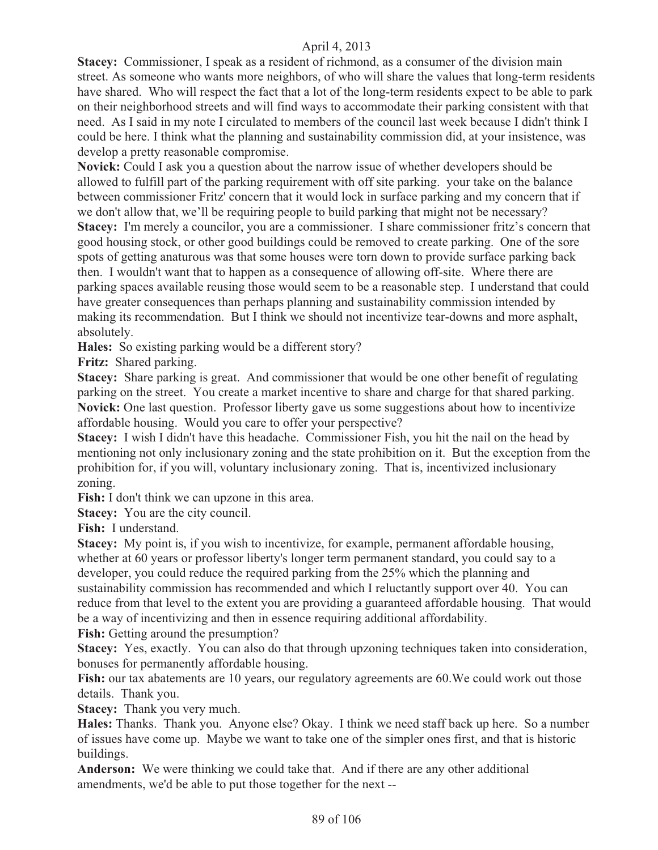**Stacey:** Commissioner, I speak as a resident of richmond, as a consumer of the division main street. As someone who wants more neighbors, of who will share the values that long-term residents have shared. Who will respect the fact that a lot of the long-term residents expect to be able to park on their neighborhood streets and will find ways to accommodate their parking consistent with that need. As I said in my note I circulated to members of the council last week because I didn't think I could be here. I think what the planning and sustainability commission did, at your insistence, was develop a pretty reasonable compromise.

**Novick:** Could I ask you a question about the narrow issue of whether developers should be allowed to fulfill part of the parking requirement with off site parking. your take on the balance between commissioner Fritz' concern that it would lock in surface parking and my concern that if we don't allow that, we'll be requiring people to build parking that might not be necessary? **Stacey:** I'm merely a councilor, you are a commissioner. I share commissioner fritz's concern that good housing stock, or other good buildings could be removed to create parking. One of the sore spots of getting anaturous was that some houses were torn down to provide surface parking back then. I wouldn't want that to happen as a consequence of allowing off-site. Where there are parking spaces available reusing those would seem to be a reasonable step. I understand that could have greater consequences than perhaps planning and sustainability commission intended by making its recommendation. But I think we should not incentivize tear-downs and more asphalt, absolutely.

**Hales:** So existing parking would be a different story?

**Fritz:** Shared parking.

**Stacey:** Share parking is great. And commissioner that would be one other benefit of regulating parking on the street. You create a market incentive to share and charge for that shared parking. **Novick:** One last question. Professor liberty gave us some suggestions about how to incentivize affordable housing. Would you care to offer your perspective?

**Stacey:** I wish I didn't have this headache. Commissioner Fish, you hit the nail on the head by mentioning not only inclusionary zoning and the state prohibition on it. But the exception from the prohibition for, if you will, voluntary inclusionary zoning. That is, incentivized inclusionary zoning.

**Fish:** I don't think we can upzone in this area.

**Stacey:** You are the city council.

**Fish:** I understand.

**Stacey:** My point is, if you wish to incentivize, for example, permanent affordable housing, whether at 60 years or professor liberty's longer term permanent standard, you could say to a developer, you could reduce the required parking from the 25% which the planning and sustainability commission has recommended and which I reluctantly support over 40. You can reduce from that level to the extent you are providing a guaranteed affordable housing. That would be a way of incentivizing and then in essence requiring additional affordability.

**Fish:** Getting around the presumption?

**Stacey:** Yes, exactly. You can also do that through upzoning techniques taken into consideration, bonuses for permanently affordable housing.

Fish: our tax abatements are 10 years, our regulatory agreements are 60. We could work out those details. Thank you.

**Stacey:** Thank you very much.

**Hales:** Thanks. Thank you. Anyone else? Okay. I think we need staff back up here. So a number of issues have come up. Maybe we want to take one of the simpler ones first, and that is historic buildings.

**Anderson:** We were thinking we could take that. And if there are any other additional amendments, we'd be able to put those together for the next --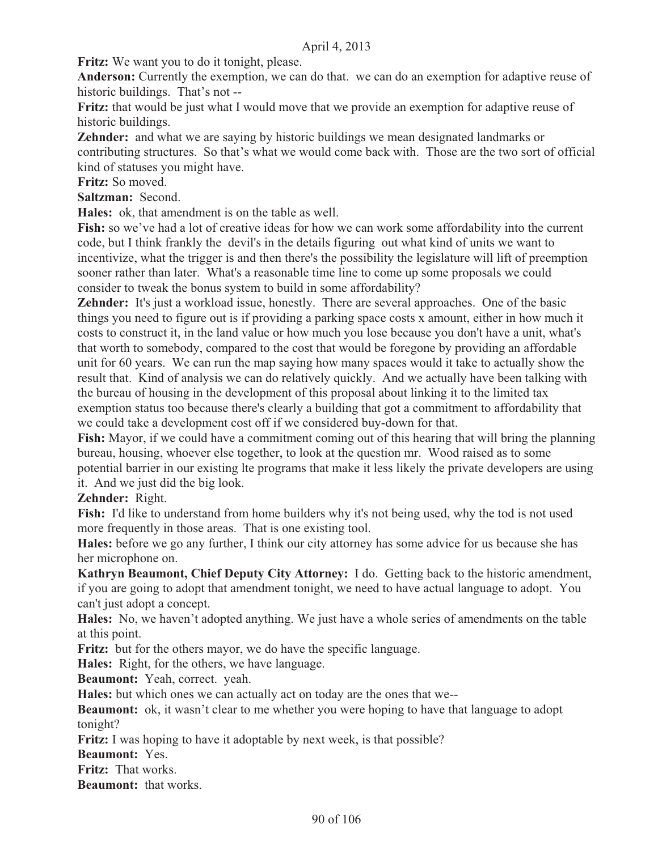**Fritz:** We want you to do it tonight, please.

**Anderson:** Currently the exemption, we can do that. we can do an exemption for adaptive reuse of historic buildings. That's not --

**Fritz:** that would be just what I would move that we provide an exemption for adaptive reuse of historic buildings.

**Zehnder:** and what we are saying by historic buildings we mean designated landmarks or contributing structures. So that's what we would come back with. Those are the two sort of official kind of statuses you might have.

**Fritz:** So moved.

**Saltzman:** Second.

**Hales:** ok, that amendment is on the table as well.

**Fish:** so we've had a lot of creative ideas for how we can work some affordability into the current code, but I think frankly the devil's in the details figuring out what kind of units we want to incentivize, what the trigger is and then there's the possibility the legislature will lift of preemption sooner rather than later. What's a reasonable time line to come up some proposals we could consider to tweak the bonus system to build in some affordability?

**Zehnder:** It's just a workload issue, honestly. There are several approaches. One of the basic things you need to figure out is if providing a parking space costs x amount, either in how much it costs to construct it, in the land value or how much you lose because you don't have a unit, what's that worth to somebody, compared to the cost that would be foregone by providing an affordable unit for 60 years. We can run the map saying how many spaces would it take to actually show the result that. Kind of analysis we can do relatively quickly. And we actually have been talking with the bureau of housing in the development of this proposal about linking it to the limited tax exemption status too because there's clearly a building that got a commitment to affordability that we could take a development cost off if we considered buy-down for that.

**Fish:** Mayor, if we could have a commitment coming out of this hearing that will bring the planning bureau, housing, whoever else together, to look at the question mr. Wood raised as to some potential barrier in our existing lte programs that make it less likely the private developers are using it. And we just did the big look.

### **Zehnder:** Right.

**Fish:** I'd like to understand from home builders why it's not being used, why the tod is not used more frequently in those areas. That is one existing tool.

**Hales:** before we go any further, I think our city attorney has some advice for us because she has her microphone on.

**Kathryn Beaumont, Chief Deputy City Attorney:** I do. Getting back to the historic amendment, if you are going to adopt that amendment tonight, we need to have actual language to adopt. You can't just adopt a concept.

**Hales:** No, we haven't adopted anything. We just have a whole series of amendments on the table at this point.

Fritz: but for the others mayor, we do have the specific language.

**Hales:** Right, for the others, we have language.

**Beaumont:** Yeah, correct. yeah.

**Hales:** but which ones we can actually act on today are the ones that we--

**Beaumont:** ok, it wasn't clear to me whether you were hoping to have that language to adopt tonight?

**Fritz:** I was hoping to have it adoptable by next week, is that possible?

**Beaumont:** Yes.

**Fritz:** That works.

**Beaumont:** that works.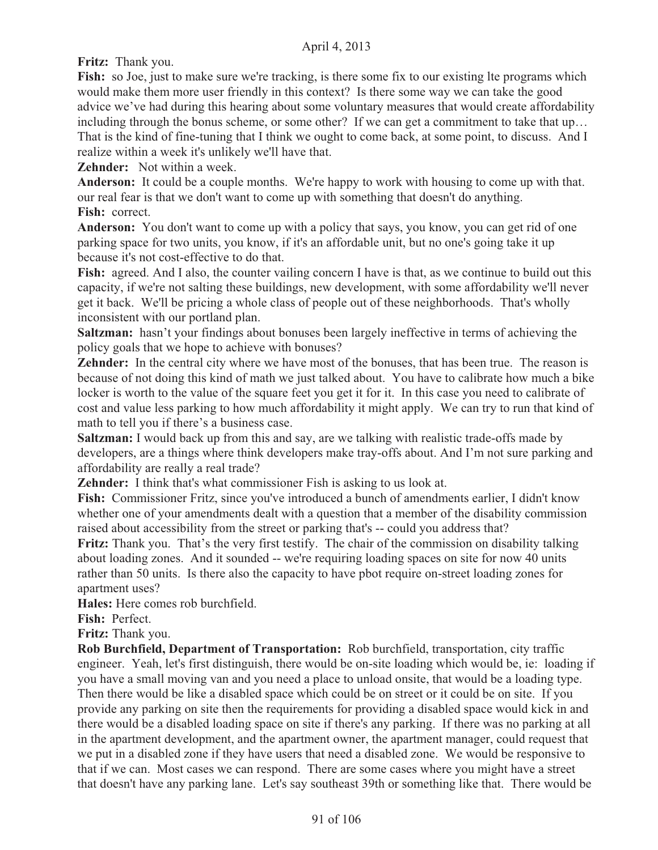**Fritz:** Thank you.

Fish: so Joe, just to make sure we're tracking, is there some fix to our existing lte programs which would make them more user friendly in this context? Is there some way we can take the good advice we've had during this hearing about some voluntary measures that would create affordability including through the bonus scheme, or some other? If we can get a commitment to take that up… That is the kind of fine-tuning that I think we ought to come back, at some point, to discuss. And I realize within a week it's unlikely we'll have that.

**Zehnder:** Not within a week.

**Anderson:** It could be a couple months. We're happy to work with housing to come up with that. our real fear is that we don't want to come up with something that doesn't do anything. **Fish:** correct.

**Anderson:** You don't want to come up with a policy that says, you know, you can get rid of one parking space for two units, you know, if it's an affordable unit, but no one's going take it up because it's not cost-effective to do that.

Fish: agreed. And I also, the counter vailing concern I have is that, as we continue to build out this capacity, if we're not salting these buildings, new development, with some affordability we'll never get it back. We'll be pricing a whole class of people out of these neighborhoods. That's wholly inconsistent with our portland plan.

**Saltzman:** hasn't your findings about bonuses been largely ineffective in terms of achieving the policy goals that we hope to achieve with bonuses?

**Zehnder:** In the central city where we have most of the bonuses, that has been true. The reason is because of not doing this kind of math we just talked about. You have to calibrate how much a bike locker is worth to the value of the square feet you get it for it. In this case you need to calibrate of cost and value less parking to how much affordability it might apply. We can try to run that kind of math to tell you if there's a business case.

**Saltzman:** I would back up from this and say, are we talking with realistic trade-offs made by developers, are a things where think developers make tray-offs about. And I'm not sure parking and affordability are really a real trade?

**Zehnder:** I think that's what commissioner Fish is asking to us look at.

**Fish:** Commissioner Fritz, since you've introduced a bunch of amendments earlier, I didn't know whether one of your amendments dealt with a question that a member of the disability commission raised about accessibility from the street or parking that's -- could you address that?

**Fritz:** Thank you. That's the very first testify. The chair of the commission on disability talking about loading zones. And it sounded -- we're requiring loading spaces on site for now 40 units rather than 50 units. Is there also the capacity to have pbot require on-street loading zones for apartment uses?

**Hales:** Here comes rob burchfield.

**Fish:** Perfect.

**Fritz:** Thank you.

**Rob Burchfield, Department of Transportation:** Rob burchfield, transportation, city traffic engineer. Yeah, let's first distinguish, there would be on-site loading which would be, ie: loading if you have a small moving van and you need a place to unload onsite, that would be a loading type. Then there would be like a disabled space which could be on street or it could be on site. If you provide any parking on site then the requirements for providing a disabled space would kick in and there would be a disabled loading space on site if there's any parking. If there was no parking at all in the apartment development, and the apartment owner, the apartment manager, could request that we put in a disabled zone if they have users that need a disabled zone. We would be responsive to that if we can. Most cases we can respond. There are some cases where you might have a street that doesn't have any parking lane. Let's say southeast 39th or something like that. There would be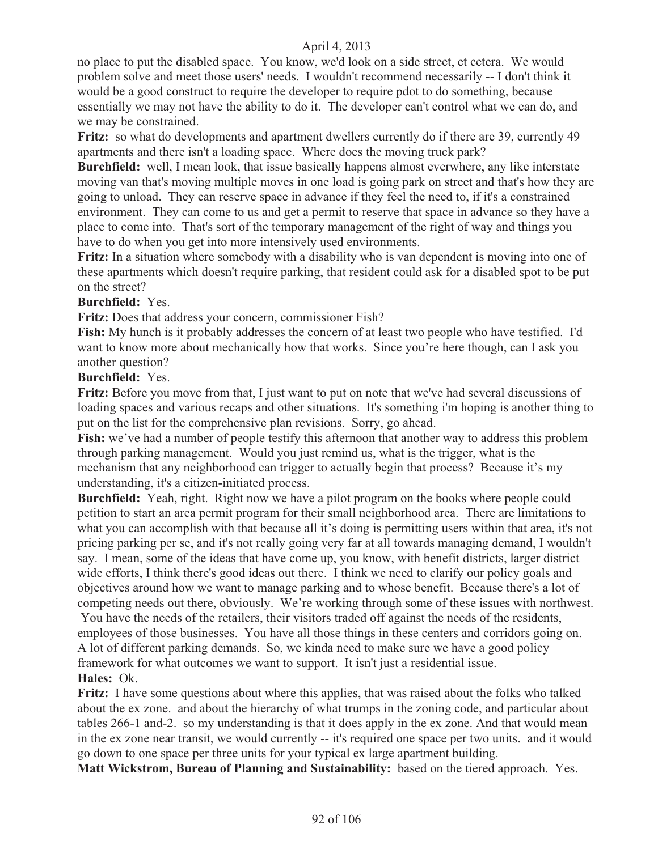no place to put the disabled space. You know, we'd look on a side street, et cetera. We would problem solve and meet those users' needs. I wouldn't recommend necessarily -- I don't think it would be a good construct to require the developer to require pdot to do something, because essentially we may not have the ability to do it. The developer can't control what we can do, and we may be constrained.

**Fritz:** so what do developments and apartment dwellers currently do if there are 39, currently 49 apartments and there isn't a loading space. Where does the moving truck park?

**Burchfield:** well, I mean look, that issue basically happens almost everwhere, any like interstate moving van that's moving multiple moves in one load is going park on street and that's how they are going to unload. They can reserve space in advance if they feel the need to, if it's a constrained environment. They can come to us and get a permit to reserve that space in advance so they have a place to come into. That's sort of the temporary management of the right of way and things you have to do when you get into more intensively used environments.

**Fritz:** In a situation where somebody with a disability who is van dependent is moving into one of these apartments which doesn't require parking, that resident could ask for a disabled spot to be put on the street?

### **Burchfield:** Yes.

**Fritz:** Does that address your concern, commissioner Fish?

**Fish:** My hunch is it probably addresses the concern of at least two people who have testified. I'd want to know more about mechanically how that works. Since you're here though, can I ask you another question?

### **Burchfield:** Yes.

**Fritz:** Before you move from that, I just want to put on note that we've had several discussions of loading spaces and various recaps and other situations. It's something i'm hoping is another thing to put on the list for the comprehensive plan revisions. Sorry, go ahead.

Fish: we've had a number of people testify this afternoon that another way to address this problem through parking management. Would you just remind us, what is the trigger, what is the mechanism that any neighborhood can trigger to actually begin that process? Because it's my understanding, it's a citizen-initiated process.

**Burchfield:** Yeah, right. Right now we have a pilot program on the books where people could petition to start an area permit program for their small neighborhood area. There are limitations to what you can accomplish with that because all it's doing is permitting users within that area, it's not pricing parking per se, and it's not really going very far at all towards managing demand, I wouldn't say. I mean, some of the ideas that have come up, you know, with benefit districts, larger district wide efforts, I think there's good ideas out there. I think we need to clarify our policy goals and objectives around how we want to manage parking and to whose benefit. Because there's a lot of competing needs out there, obviously. We're working through some of these issues with northwest. You have the needs of the retailers, their visitors traded off against the needs of the residents, employees of those businesses. You have all those things in these centers and corridors going on.

A lot of different parking demands. So, we kinda need to make sure we have a good policy framework for what outcomes we want to support. It isn't just a residential issue.

# **Hales:** Ok.

**Fritz:** I have some questions about where this applies, that was raised about the folks who talked about the ex zone. and about the hierarchy of what trumps in the zoning code, and particular about tables 266-1 and-2. so my understanding is that it does apply in the ex zone. And that would mean in the ex zone near transit, we would currently -- it's required one space per two units. and it would go down to one space per three units for your typical ex large apartment building.

**Matt Wickstrom, Bureau of Planning and Sustainability:** based on the tiered approach. Yes.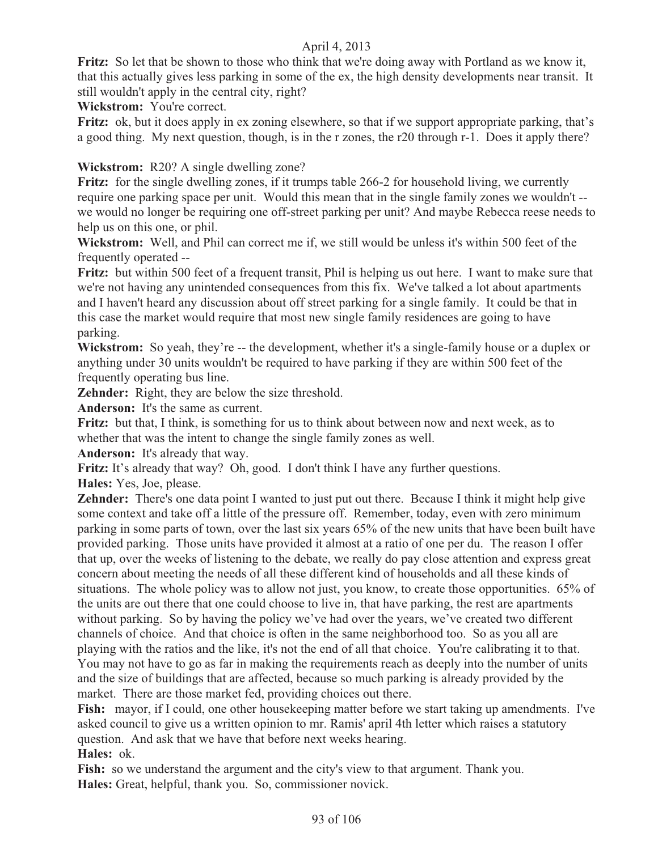**Fritz:** So let that be shown to those who think that we're doing away with Portland as we know it, that this actually gives less parking in some of the ex, the high density developments near transit. It still wouldn't apply in the central city, right?

**Wickstrom:** You're correct.

**Fritz:** ok, but it does apply in ex zoning elsewhere, so that if we support appropriate parking, that's a good thing. My next question, though, is in the r zones, the r20 through r-1. Does it apply there?

# **Wickstrom:** R20? A single dwelling zone?

Fritz: for the single dwelling zones, if it trumps table 266-2 for household living, we currently require one parking space per unit. Would this mean that in the single family zones we wouldn't - we would no longer be requiring one off-street parking per unit? And maybe Rebecca reese needs to help us on this one, or phil.

**Wickstrom:** Well, and Phil can correct me if, we still would be unless it's within 500 feet of the frequently operated --

**Fritz:** but within 500 feet of a frequent transit, Phil is helping us out here. I want to make sure that we're not having any unintended consequences from this fix. We've talked a lot about apartments and I haven't heard any discussion about off street parking for a single family. It could be that in this case the market would require that most new single family residences are going to have parking.

**Wickstrom:** So yeah, they're -- the development, whether it's a single-family house or a duplex or anything under 30 units wouldn't be required to have parking if they are within 500 feet of the frequently operating bus line.

**Zehnder:** Right, they are below the size threshold.

**Anderson:** It's the same as current.

**Fritz:** but that, I think, is something for us to think about between now and next week, as to whether that was the intent to change the single family zones as well.

**Anderson:** It's already that way.

**Fritz:** It's already that way? Oh, good. I don't think I have any further questions.

**Hales:** Yes, Joe, please.

**Zehnder:** There's one data point I wanted to just put out there. Because I think it might help give some context and take off a little of the pressure off. Remember, today, even with zero minimum parking in some parts of town, over the last six years 65% of the new units that have been built have provided parking. Those units have provided it almost at a ratio of one per du. The reason I offer that up, over the weeks of listening to the debate, we really do pay close attention and express great concern about meeting the needs of all these different kind of households and all these kinds of situations. The whole policy was to allow not just, you know, to create those opportunities. 65% of the units are out there that one could choose to live in, that have parking, the rest are apartments without parking. So by having the policy we've had over the years, we've created two different channels of choice. And that choice is often in the same neighborhood too. So as you all are playing with the ratios and the like, it's not the end of all that choice. You're calibrating it to that. You may not have to go as far in making the requirements reach as deeply into the number of units and the size of buildings that are affected, because so much parking is already provided by the market. There are those market fed, providing choices out there.

Fish: mayor, if I could, one other house keeping matter before we start taking up amendments. I've asked council to give us a written opinion to mr. Ramis' april 4th letter which raises a statutory question. And ask that we have that before next weeks hearing.

**Hales:** ok.

Fish: so we understand the argument and the city's view to that argument. Thank you. **Hales:** Great, helpful, thank you. So, commissioner novick.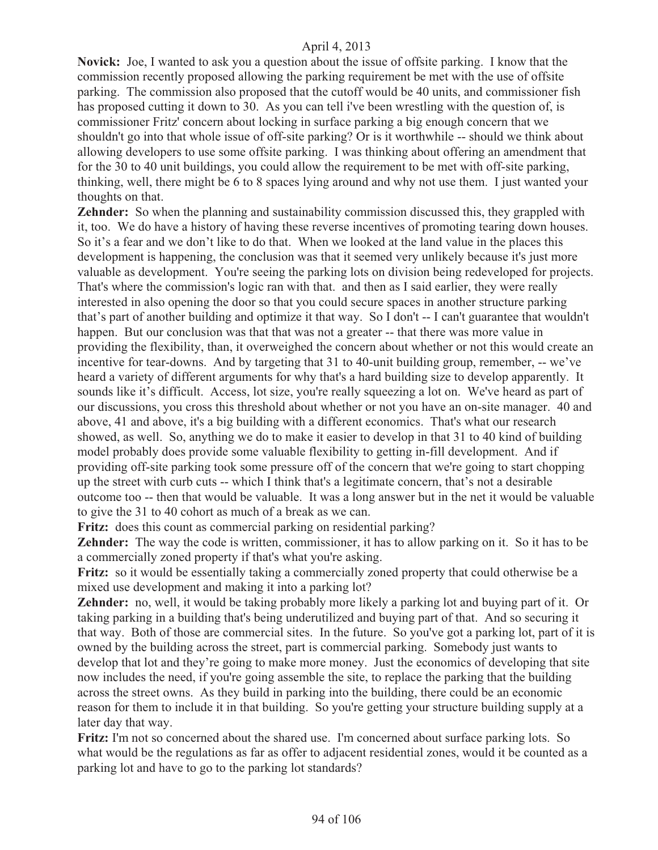**Novick:** Joe, I wanted to ask you a question about the issue of offsite parking. I know that the commission recently proposed allowing the parking requirement be met with the use of offsite parking. The commission also proposed that the cutoff would be 40 units, and commissioner fish has proposed cutting it down to 30. As you can tell i've been wrestling with the question of, is commissioner Fritz' concern about locking in surface parking a big enough concern that we shouldn't go into that whole issue of off-site parking? Or is it worthwhile -- should we think about allowing developers to use some offsite parking. I was thinking about offering an amendment that for the 30 to 40 unit buildings, you could allow the requirement to be met with off-site parking, thinking, well, there might be 6 to 8 spaces lying around and why not use them. I just wanted your thoughts on that.

**Zehnder:** So when the planning and sustainability commission discussed this, they grappled with it, too. We do have a history of having these reverse incentives of promoting tearing down houses. So it's a fear and we don't like to do that. When we looked at the land value in the places this development is happening, the conclusion was that it seemed very unlikely because it's just more valuable as development. You're seeing the parking lots on division being redeveloped for projects. That's where the commission's logic ran with that. and then as I said earlier, they were really interested in also opening the door so that you could secure spaces in another structure parking that's part of another building and optimize it that way. So I don't -- I can't guarantee that wouldn't happen. But our conclusion was that that was not a greater -- that there was more value in providing the flexibility, than, it overweighed the concern about whether or not this would create an incentive for tear-downs. And by targeting that 31 to 40-unit building group, remember, -- we've heard a variety of different arguments for why that's a hard building size to develop apparently. It sounds like it's difficult. Access, lot size, you're really squeezing a lot on. We've heard as part of our discussions, you cross this threshold about whether or not you have an on-site manager. 40 and above, 41 and above, it's a big building with a different economics. That's what our research showed, as well. So, anything we do to make it easier to develop in that 31 to 40 kind of building model probably does provide some valuable flexibility to getting in-fill development. And if providing off-site parking took some pressure off of the concern that we're going to start chopping up the street with curb cuts -- which I think that's a legitimate concern, that's not a desirable outcome too -- then that would be valuable. It was a long answer but in the net it would be valuable to give the 31 to 40 cohort as much of a break as we can.

**Fritz:** does this count as commercial parking on residential parking?

**Zehnder:** The way the code is written, commissioner, it has to allow parking on it. So it has to be a commercially zoned property if that's what you're asking.

**Fritz:** so it would be essentially taking a commercially zoned property that could otherwise be a mixed use development and making it into a parking lot?

**Zehnder:** no, well, it would be taking probably more likely a parking lot and buying part of it. Or taking parking in a building that's being underutilized and buying part of that. And so securing it that way. Both of those are commercial sites. In the future. So you've got a parking lot, part of it is owned by the building across the street, part is commercial parking. Somebody just wants to develop that lot and they're going to make more money. Just the economics of developing that site now includes the need, if you're going assemble the site, to replace the parking that the building across the street owns. As they build in parking into the building, there could be an economic reason for them to include it in that building. So you're getting your structure building supply at a later day that way.

**Fritz:** I'm not so concerned about the shared use. I'm concerned about surface parking lots. So what would be the regulations as far as offer to adjacent residential zones, would it be counted as a parking lot and have to go to the parking lot standards?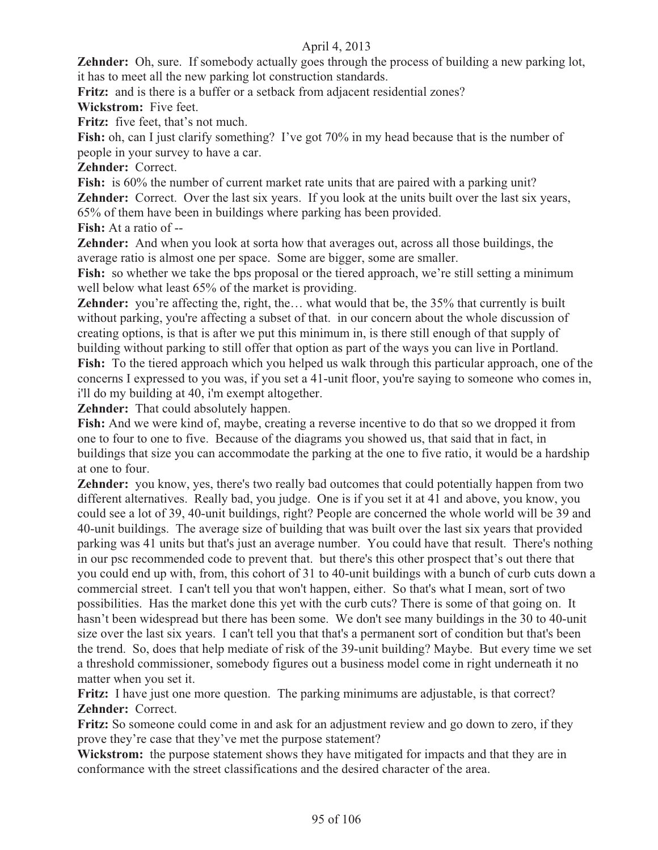**Zehnder:** Oh, sure. If somebody actually goes through the process of building a new parking lot, it has to meet all the new parking lot construction standards.

**Fritz:** and is there is a buffer or a setback from adjacent residential zones?

**Wickstrom:** Five feet.

**Fritz:** five feet, that's not much.

Fish: oh, can I just clarify something? I've got 70% in my head because that is the number of people in your survey to have a car.

**Zehnder:** Correct.

Fish: is 60% the number of current market rate units that are paired with a parking unit? **Zehnder:** Correct. Over the last six years. If you look at the units built over the last six years, 65% of them have been in buildings where parking has been provided.

**Fish:** At a ratio of --

**Zehnder:** And when you look at sorta how that averages out, across all those buildings, the average ratio is almost one per space. Some are bigger, some are smaller.

Fish: so whether we take the bps proposal or the tiered approach, we're still setting a minimum well below what least 65% of the market is providing.

**Zehnder:** you're affecting the, right, the... what would that be, the 35% that currently is built without parking, you're affecting a subset of that. in our concern about the whole discussion of creating options, is that is after we put this minimum in, is there still enough of that supply of building without parking to still offer that option as part of the ways you can live in Portland. **Fish:** To the tiered approach which you helped us walk through this particular approach, one of the concerns I expressed to you was, if you set a 41-unit floor, you're saying to someone who comes in,

i'll do my building at 40, i'm exempt altogether.

**Zehnder:** That could absolutely happen.

**Fish:** And we were kind of, maybe, creating a reverse incentive to do that so we dropped it from one to four to one to five. Because of the diagrams you showed us, that said that in fact, in buildings that size you can accommodate the parking at the one to five ratio, it would be a hardship at one to four.

**Zehnder:** you know, yes, there's two really bad outcomes that could potentially happen from two different alternatives. Really bad, you judge. One is if you set it at 41 and above, you know, you could see a lot of 39, 40-unit buildings, right? People are concerned the whole world will be 39 and 40-unit buildings. The average size of building that was built over the last six years that provided parking was 41 units but that's just an average number. You could have that result. There's nothing in our psc recommended code to prevent that. but there's this other prospect that's out there that you could end up with, from, this cohort of 31 to 40-unit buildings with a bunch of curb cuts down a commercial street. I can't tell you that won't happen, either. So that's what I mean, sort of two possibilities. Has the market done this yet with the curb cuts? There is some of that going on. It hasn't been widespread but there has been some. We don't see many buildings in the 30 to 40-unit size over the last six years. I can't tell you that that's a permanent sort of condition but that's been the trend. So, does that help mediate of risk of the 39-unit building? Maybe. But every time we set a threshold commissioner, somebody figures out a business model come in right underneath it no matter when you set it.

**Fritz:** I have just one more question. The parking minimums are adjustable, is that correct? **Zehnder:** Correct.

**Fritz:** So someone could come in and ask for an adjustment review and go down to zero, if they prove they're case that they've met the purpose statement?

**Wickstrom:** the purpose statement shows they have mitigated for impacts and that they are in conformance with the street classifications and the desired character of the area.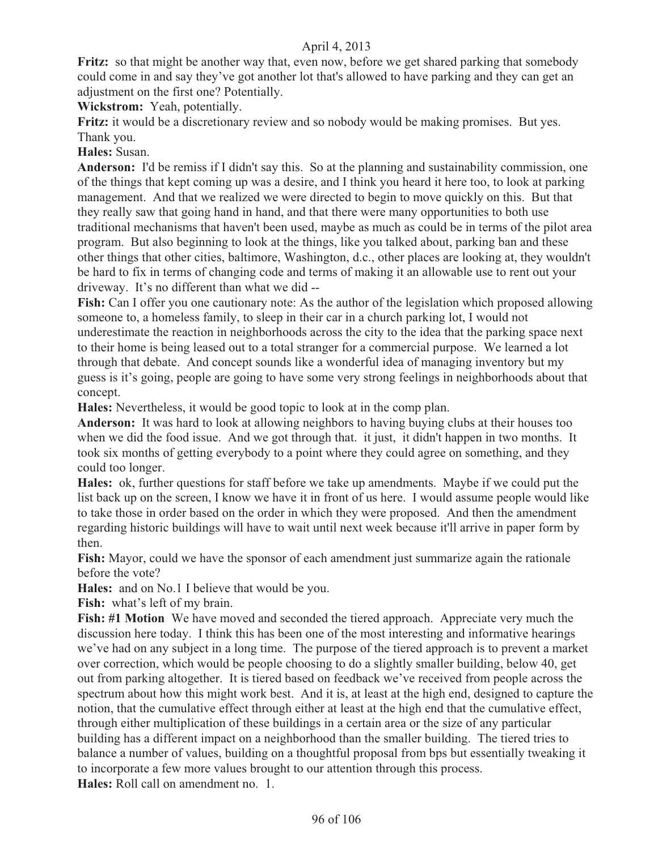**Fritz:** so that might be another way that, even now, before we get shared parking that somebody could come in and say they've got another lot that's allowed to have parking and they can get an adjustment on the first one? Potentially.

**Wickstrom:** Yeah, potentially.

**Fritz:** it would be a discretionary review and so nobody would be making promises. But yes. Thank you.

**Hales:** Susan.

**Anderson:** I'd be remiss if I didn't say this. So at the planning and sustainability commission, one of the things that kept coming up was a desire, and I think you heard it here too, to look at parking management. And that we realized we were directed to begin to move quickly on this. But that they really saw that going hand in hand, and that there were many opportunities to both use traditional mechanisms that haven't been used, maybe as much as could be in terms of the pilot area program. But also beginning to look at the things, like you talked about, parking ban and these other things that other cities, baltimore, Washington, d.c., other places are looking at, they wouldn't be hard to fix in terms of changing code and terms of making it an allowable use to rent out your driveway. It's no different than what we did --

**Fish:** Can I offer you one cautionary note: As the author of the legislation which proposed allowing someone to, a homeless family, to sleep in their car in a church parking lot, I would not underestimate the reaction in neighborhoods across the city to the idea that the parking space next to their home is being leased out to a total stranger for a commercial purpose. We learned a lot through that debate. And concept sounds like a wonderful idea of managing inventory but my guess is it's going, people are going to have some very strong feelings in neighborhoods about that concept.

**Hales:** Nevertheless, it would be good topic to look at in the comp plan.

**Anderson:** It was hard to look at allowing neighbors to having buying clubs at their houses too when we did the food issue. And we got through that. it just, it didn't happen in two months. It took six months of getting everybody to a point where they could agree on something, and they could too longer.

**Hales:** ok, further questions for staff before we take up amendments. Maybe if we could put the list back up on the screen, I know we have it in front of us here. I would assume people would like to take those in order based on the order in which they were proposed. And then the amendment regarding historic buildings will have to wait until next week because it'll arrive in paper form by then.

**Fish:** Mayor, could we have the sponsor of each amendment just summarize again the rationale before the vote?

**Hales:** and on No.1 I believe that would be you.

**Fish:** what's left of my brain.

**Fish: #1 Motion** We have moved and seconded the tiered approach. Appreciate very much the discussion here today. I think this has been one of the most interesting and informative hearings we've had on any subject in a long time. The purpose of the tiered approach is to prevent a market over correction, which would be people choosing to do a slightly smaller building, below 40, get out from parking altogether. It is tiered based on feedback we've received from people across the spectrum about how this might work best. And it is, at least at the high end, designed to capture the notion, that the cumulative effect through either at least at the high end that the cumulative effect, through either multiplication of these buildings in a certain area or the size of any particular building has a different impact on a neighborhood than the smaller building. The tiered tries to balance a number of values, building on a thoughtful proposal from bps but essentially tweaking it to incorporate a few more values brought to our attention through this process. **Hales:** Roll call on amendment no. 1.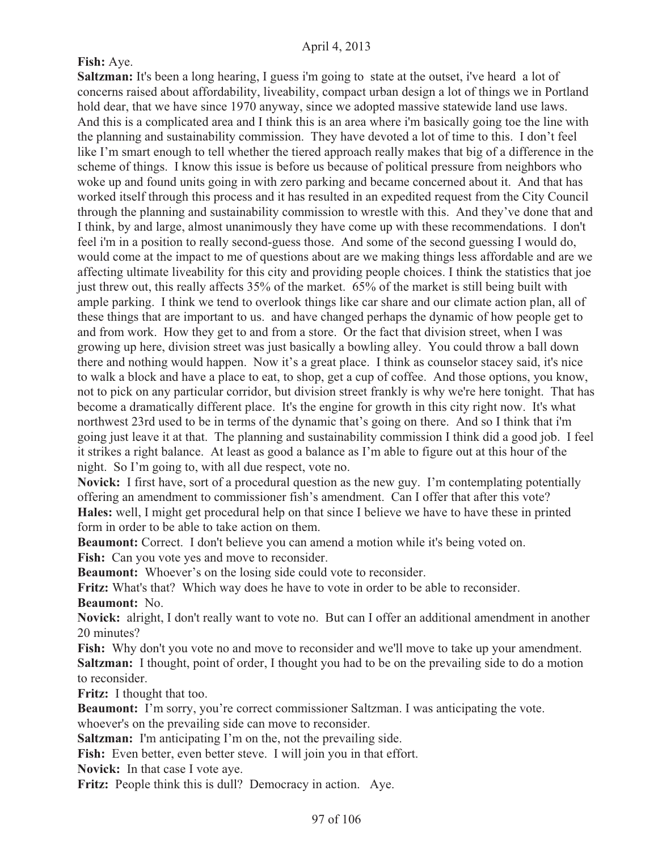### **Fish:** Aye.

**Saltzman:** It's been a long hearing, I guess i'm going to state at the outset, i've heard a lot of concerns raised about affordability, liveability, compact urban design a lot of things we in Portland hold dear, that we have since 1970 anyway, since we adopted massive statewide land use laws. And this is a complicated area and I think this is an area where i'm basically going toe the line with the planning and sustainability commission. They have devoted a lot of time to this. I don't feel like I'm smart enough to tell whether the tiered approach really makes that big of a difference in the scheme of things. I know this issue is before us because of political pressure from neighbors who woke up and found units going in with zero parking and became concerned about it. And that has worked itself through this process and it has resulted in an expedited request from the City Council through the planning and sustainability commission to wrestle with this. And they've done that and I think, by and large, almost unanimously they have come up with these recommendations. I don't feel i'm in a position to really second-guess those. And some of the second guessing I would do, would come at the impact to me of questions about are we making things less affordable and are we affecting ultimate liveability for this city and providing people choices. I think the statistics that joe just threw out, this really affects 35% of the market. 65% of the market is still being built with ample parking. I think we tend to overlook things like car share and our climate action plan, all of these things that are important to us. and have changed perhaps the dynamic of how people get to and from work. How they get to and from a store. Or the fact that division street, when I was growing up here, division street was just basically a bowling alley. You could throw a ball down there and nothing would happen. Now it's a great place. I think as counselor stacey said, it's nice to walk a block and have a place to eat, to shop, get a cup of coffee. And those options, you know, not to pick on any particular corridor, but division street frankly is why we're here tonight. That has become a dramatically different place. It's the engine for growth in this city right now. It's what northwest 23rd used to be in terms of the dynamic that's going on there. And so I think that i'm going just leave it at that. The planning and sustainability commission I think did a good job. I feel it strikes a right balance. At least as good a balance as I'm able to figure out at this hour of the night. So I'm going to, with all due respect, vote no.

**Novick:** I first have, sort of a procedural question as the new guy. I'm contemplating potentially offering an amendment to commissioner fish's amendment. Can I offer that after this vote? **Hales:** well, I might get procedural help on that since I believe we have to have these in printed form in order to be able to take action on them.

**Beaumont:** Correct. I don't believe you can amend a motion while it's being voted on. Fish: Can you vote yes and move to reconsider.

**Beaumont:** Whoever's on the losing side could vote to reconsider.

**Fritz:** What's that? Which way does he have to vote in order to be able to reconsider. **Beaumont:** No.

**Novick:** alright, I don't really want to vote no. But can I offer an additional amendment in another 20 minutes?

Fish: Why don't you vote no and move to reconsider and we'll move to take up your amendment. **Saltzman:** I thought, point of order, I thought you had to be on the prevailing side to do a motion to reconsider.

**Fritz:** I thought that too.

**Beaumont:** I'm sorry, you're correct commissioner Saltzman. I was anticipating the vote. whoever's on the prevailing side can move to reconsider.

**Saltzman:** I'm anticipating I'm on the, not the prevailing side.

**Fish:** Even better, even better steve. I will join you in that effort.

**Novick:** In that case I vote aye.

Fritz: People think this is dull? Democracy in action. Aye.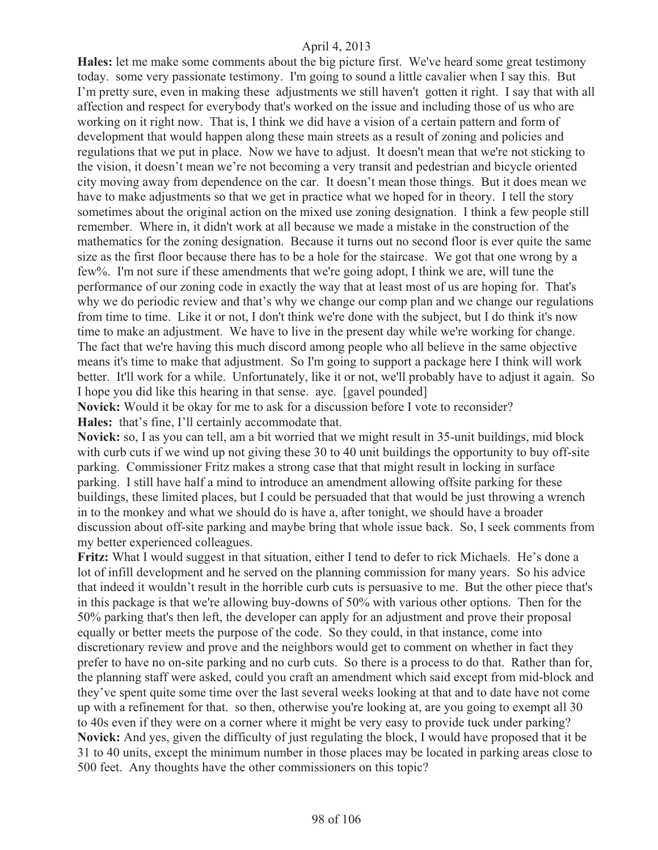**Hales:** let me make some comments about the big picture first. We've heard some great testimony today. some very passionate testimony. I'm going to sound a little cavalier when I say this. But I'm pretty sure, even in making these adjustments we still haven't gotten it right. I say that with all affection and respect for everybody that's worked on the issue and including those of us who are working on it right now. That is, I think we did have a vision of a certain pattern and form of development that would happen along these main streets as a result of zoning and policies and regulations that we put in place. Now we have to adjust. It doesn't mean that we're not sticking to the vision, it doesn't mean we're not becoming a very transit and pedestrian and bicycle oriented city moving away from dependence on the car. It doesn't mean those things. But it does mean we have to make adjustments so that we get in practice what we hoped for in theory. I tell the story sometimes about the original action on the mixed use zoning designation. I think a few people still remember. Where in, it didn't work at all because we made a mistake in the construction of the mathematics for the zoning designation. Because it turns out no second floor is ever quite the same size as the first floor because there has to be a hole for the staircase. We got that one wrong by a few%. I'm not sure if these amendments that we're going adopt, I think we are, will tune the performance of our zoning code in exactly the way that at least most of us are hoping for. That's why we do periodic review and that's why we change our comp plan and we change our regulations from time to time. Like it or not, I don't think we're done with the subject, but I do think it's now time to make an adjustment. We have to live in the present day while we're working for change. The fact that we're having this much discord among people who all believe in the same objective means it's time to make that adjustment. So I'm going to support a package here I think will work better. It'll work for a while. Unfortunately, like it or not, we'll probably have to adjust it again. So I hope you did like this hearing in that sense. aye. [gavel pounded]

**Novick:** Would it be okay for me to ask for a discussion before I vote to reconsider? **Hales:** that's fine, I'll certainly accommodate that.

**Novick:** so, I as you can tell, am a bit worried that we might result in 35-unit buildings, mid block with curb cuts if we wind up not giving these 30 to 40 unit buildings the opportunity to buy off-site parking. Commissioner Fritz makes a strong case that that might result in locking in surface parking. I still have half a mind to introduce an amendment allowing offsite parking for these buildings, these limited places, but I could be persuaded that that would be just throwing a wrench in to the monkey and what we should do is have a, after tonight, we should have a broader discussion about off-site parking and maybe bring that whole issue back. So, I seek comments from my better experienced colleagues.

**Fritz:** What I would suggest in that situation, either I tend to defer to rick Michaels. He's done a lot of infill development and he served on the planning commission for many years. So his advice that indeed it wouldn't result in the horrible curb cuts is persuasive to me. But the other piece that's in this package is that we're allowing buy-downs of 50% with various other options. Then for the 50% parking that's then left, the developer can apply for an adjustment and prove their proposal equally or better meets the purpose of the code. So they could, in that instance, come into discretionary review and prove and the neighbors would get to comment on whether in fact they prefer to have no on-site parking and no curb cuts. So there is a process to do that. Rather than for, the planning staff were asked, could you craft an amendment which said except from mid-block and they've spent quite some time over the last several weeks looking at that and to date have not come up with a refinement for that. so then, otherwise you're looking at, are you going to exempt all 30 to 40s even if they were on a corner where it might be very easy to provide tuck under parking? **Novick:** And yes, given the difficulty of just regulating the block, I would have proposed that it be 31 to 40 units, except the minimum number in those places may be located in parking areas close to 500 feet. Any thoughts have the other commissioners on this topic?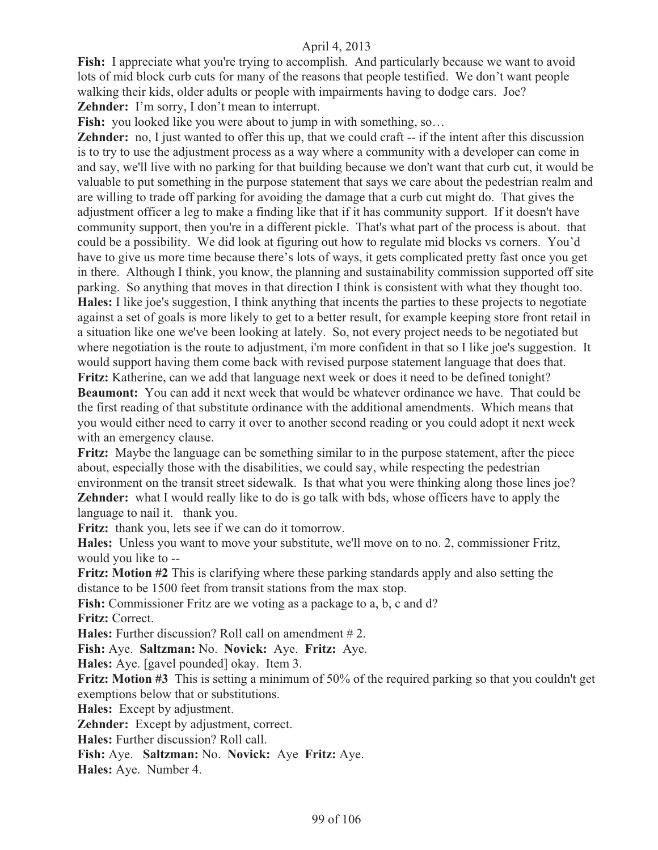Fish: I appreciate what you're trying to accomplish. And particularly because we want to avoid lots of mid block curb cuts for many of the reasons that people testified. We don't want people walking their kids, older adults or people with impairments having to dodge cars. Joe? **Zehnder:** I'm sorry, I don't mean to interrupt.

**Fish:** you looked like you were about to jump in with something, so...

**Zehnder:** no, I just wanted to offer this up, that we could craft -- if the intent after this discussion is to try to use the adjustment process as a way where a community with a developer can come in and say, we'll live with no parking for that building because we don't want that curb cut, it would be valuable to put something in the purpose statement that says we care about the pedestrian realm and are willing to trade off parking for avoiding the damage that a curb cut might do. That gives the adjustment officer a leg to make a finding like that if it has community support. If it doesn't have community support, then you're in a different pickle. That's what part of the process is about. that could be a possibility. We did look at figuring out how to regulate mid blocks vs corners. You'd have to give us more time because there's lots of ways, it gets complicated pretty fast once you get in there. Although I think, you know, the planning and sustainability commission supported off site parking. So anything that moves in that direction I think is consistent with what they thought too. **Hales:** I like joe's suggestion, I think anything that incents the parties to these projects to negotiate against a set of goals is more likely to get to a better result, for example keeping store front retail in a situation like one we've been looking at lately. So, not every project needs to be negotiated but where negotiation is the route to adjustment, i'm more confident in that so I like joe's suggestion. It would support having them come back with revised purpose statement language that does that. **Fritz:** Katherine, can we add that language next week or does it need to be defined tonight?

**Beaumont:** You can add it next week that would be whatever ordinance we have. That could be the first reading of that substitute ordinance with the additional amendments. Which means that you would either need to carry it over to another second reading or you could adopt it next week with an emergency clause.

**Fritz:** Maybe the language can be something similar to in the purpose statement, after the piece about, especially those with the disabilities, we could say, while respecting the pedestrian environment on the transit street sidewalk. Is that what you were thinking along those lines joe? **Zehnder:** what I would really like to do is go talk with bds, whose officers have to apply the language to nail it. thank you.

**Fritz:** thank you, lets see if we can do it tomorrow.

**Hales:** Unless you want to move your substitute, we'll move on to no. 2, commissioner Fritz, would you like to --

**Fritz: Motion #2** This is clarifying where these parking standards apply and also setting the distance to be 1500 feet from transit stations from the max stop.

**Fish:** Commissioner Fritz are we voting as a package to a, b, c and d?

**Fritz:** Correct.

**Hales:** Further discussion? Roll call on amendment #2.

**Fish:** Aye. **Saltzman:** No. **Novick:** Aye. **Fritz:** Aye.

**Hales:** Aye. [gavel pounded] okay. Item 3.

**Fritz: Motion #3** This is setting a minimum of 50% of the required parking so that you couldn't get exemptions below that or substitutions.

**Hales:** Except by adjustment.

**Zehnder:** Except by adjustment, correct.

**Hales:** Further discussion? Roll call.

**Fish:** Aye. **Saltzman:** No. **Novick:** Aye **Fritz:** Aye.

**Hales:** Aye. Number 4.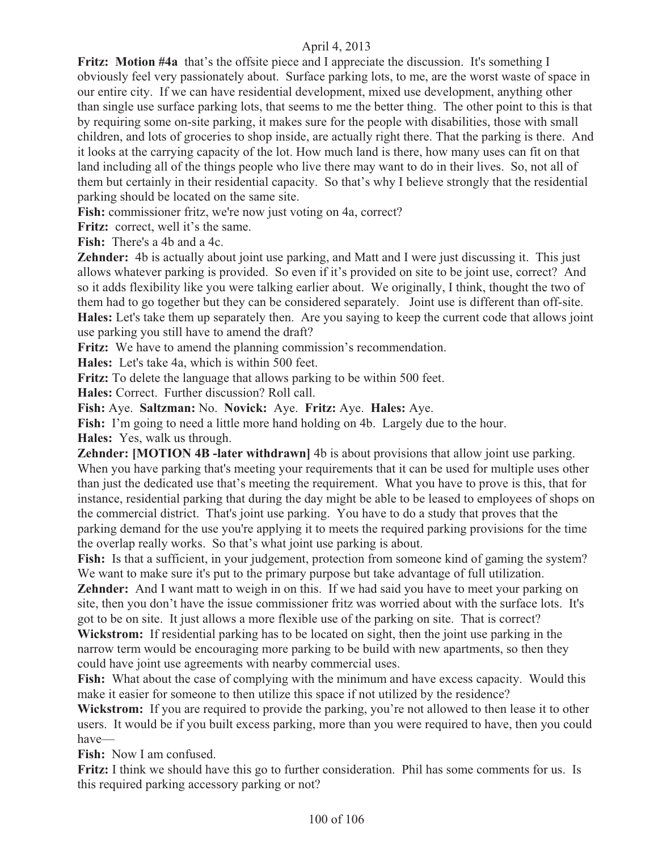**Fritz: Motion #4a** that's the offsite piece and I appreciate the discussion. It's something I obviously feel very passionately about. Surface parking lots, to me, are the worst waste of space in our entire city. If we can have residential development, mixed use development, anything other than single use surface parking lots, that seems to me the better thing. The other point to this is that by requiring some on-site parking, it makes sure for the people with disabilities, those with small children, and lots of groceries to shop inside, are actually right there. That the parking is there. And it looks at the carrying capacity of the lot. How much land is there, how many uses can fit on that land including all of the things people who live there may want to do in their lives. So, not all of them but certainly in their residential capacity. So that's why I believe strongly that the residential parking should be located on the same site.

**Fish:** commissioner fritz, we're now just voting on 4a, correct?

**Fritz:** correct, well it's the same.

**Fish:** There's a 4b and a 4c.

**Zehnder:** 4b is actually about joint use parking, and Matt and I were just discussing it. This just allows whatever parking is provided. So even if it's provided on site to be joint use, correct? And so it adds flexibility like you were talking earlier about. We originally, I think, thought the two of them had to go together but they can be considered separately. Joint use is different than off-site. **Hales:** Let's take them up separately then. Are you saying to keep the current code that allows joint use parking you still have to amend the draft?

**Fritz:** We have to amend the planning commission's recommendation.

**Hales:** Let's take 4a, which is within 500 feet.

**Fritz:** To delete the language that allows parking to be within 500 feet.

**Hales:** Correct. Further discussion? Roll call.

**Fish:** Aye. **Saltzman:** No. **Novick:** Aye. **Fritz:** Aye. **Hales:** Aye.

Fish: I'm going to need a little more hand holding on 4b. Largely due to the hour.

**Hales:** Yes, walk us through.

**Zehnder: [MOTION 4B -later withdrawn]** 4b is about provisions that allow joint use parking. When you have parking that's meeting your requirements that it can be used for multiple uses other than just the dedicated use that's meeting the requirement. What you have to prove is this, that for instance, residential parking that during the day might be able to be leased to employees of shops on the commercial district. That's joint use parking. You have to do a study that proves that the parking demand for the use you're applying it to meets the required parking provisions for the time the overlap really works. So that's what joint use parking is about.

Fish: Is that a sufficient, in your judgement, protection from someone kind of gaming the system? We want to make sure it's put to the primary purpose but take advantage of full utilization.

**Zehnder:** And I want matt to weigh in on this. If we had said you have to meet your parking on site, then you don't have the issue commissioner fritz was worried about with the surface lots. It's got to be on site. It just allows a more flexible use of the parking on site. That is correct?

**Wickstrom:** If residential parking has to be located on sight, then the joint use parking in the narrow term would be encouraging more parking to be build with new apartments, so then they could have joint use agreements with nearby commercial uses.

**Fish:** What about the case of complying with the minimum and have excess capacity. Would this make it easier for someone to then utilize this space if not utilized by the residence?

**Wickstrom:** If you are required to provide the parking, you're not allowed to then lease it to other users. It would be if you built excess parking, more than you were required to have, then you could have—

**Fish:** Now I am confused.

**Fritz:** I think we should have this go to further consideration. Phil has some comments for us. Is this required parking accessory parking or not?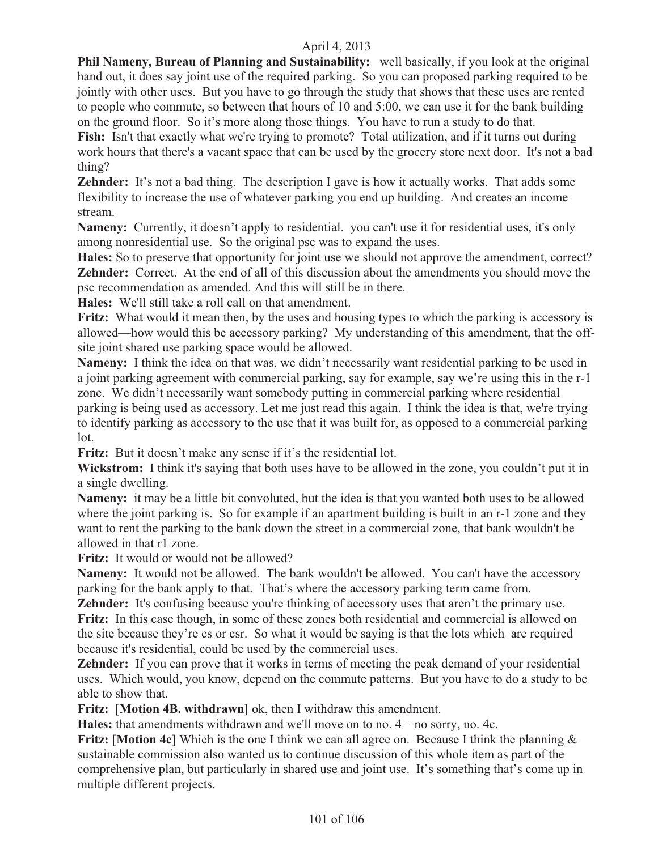**Phil Nameny, Bureau of Planning and Sustainability:** well basically, if you look at the original hand out, it does say joint use of the required parking. So you can proposed parking required to be jointly with other uses. But you have to go through the study that shows that these uses are rented to people who commute, so between that hours of 10 and 5:00, we can use it for the bank building on the ground floor. So it's more along those things. You have to run a study to do that.

Fish: Isn't that exactly what we're trying to promote? Total utilization, and if it turns out during work hours that there's a vacant space that can be used by the grocery store next door. It's not a bad thing?

**Zehnder:** It's not a bad thing. The description I gave is how it actually works. That adds some flexibility to increase the use of whatever parking you end up building. And creates an income stream.

**Nameny:** Currently, it doesn't apply to residential. you can't use it for residential uses, it's only among nonresidential use. So the original psc was to expand the uses.

**Hales:** So to preserve that opportunity for joint use we should not approve the amendment, correct? **Zehnder:** Correct. At the end of all of this discussion about the amendments you should move the psc recommendation as amended. And this will still be in there.

**Hales:** We'll still take a roll call on that amendment.

**Fritz:** What would it mean then, by the uses and housing types to which the parking is accessory is allowed—how would this be accessory parking? My understanding of this amendment, that the offsite joint shared use parking space would be allowed.

**Nameny:** I think the idea on that was, we didn't necessarily want residential parking to be used in a joint parking agreement with commercial parking, say for example, say we're using this in the r-1 zone. We didn't necessarily want somebody putting in commercial parking where residential

parking is being used as accessory. Let me just read this again. I think the idea is that, we're trying to identify parking as accessory to the use that it was built for, as opposed to a commercial parking lot.

**Fritz:** But it doesn't make any sense if it's the residential lot.

**Wickstrom:** I think it's saying that both uses have to be allowed in the zone, you couldn't put it in a single dwelling.

**Nameny:** it may be a little bit convoluted, but the idea is that you wanted both uses to be allowed where the joint parking is. So for example if an apartment building is built in an r-1 zone and they want to rent the parking to the bank down the street in a commercial zone, that bank wouldn't be allowed in that r1 zone.

**Fritz:** It would or would not be allowed?

**Nameny:** It would not be allowed. The bank wouldn't be allowed. You can't have the accessory parking for the bank apply to that. That's where the accessory parking term came from.

**Zehnder:** It's confusing because you're thinking of accessory uses that aren't the primary use. Fritz: In this case though, in some of these zones both residential and commercial is allowed on the site because they're cs or csr. So what it would be saying is that the lots which are required because it's residential, could be used by the commercial uses.

**Zehnder:** If you can prove that it works in terms of meeting the peak demand of your residential uses. Which would, you know, depend on the commute patterns. But you have to do a study to be able to show that.

**Fritz:** [**Motion 4B. withdrawn]** ok, then I withdraw this amendment.

**Hales:** that amendments withdrawn and we'll move on to no. 4 – no sorry, no. 4c.

**Fritz:** [**Motion 4c**] Which is the one I think we can all agree on. Because I think the planning & sustainable commission also wanted us to continue discussion of this whole item as part of the comprehensive plan, but particularly in shared use and joint use. It's something that's come up in multiple different projects.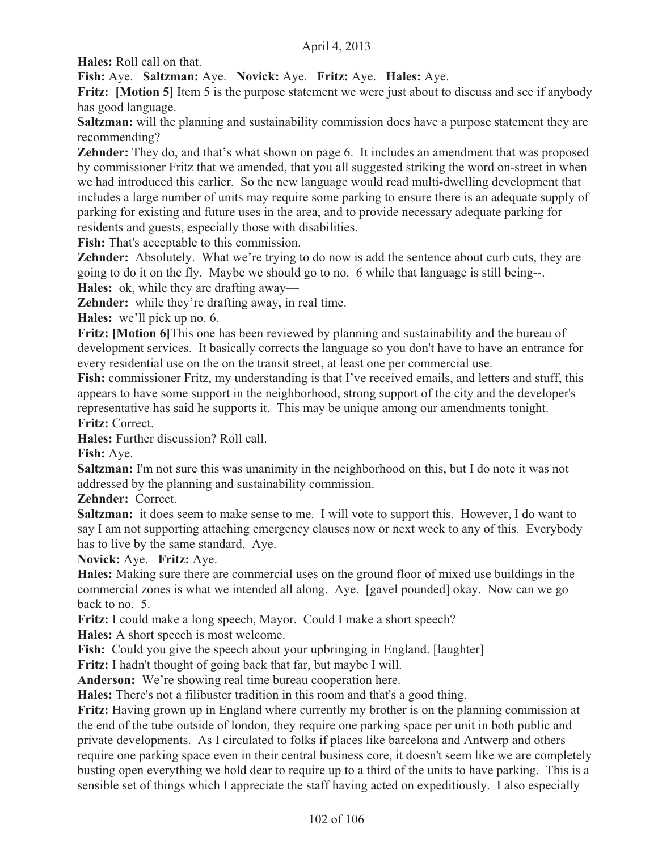**Hales:** Roll call on that.

**Fish:** Aye. **Saltzman:** Aye. **Novick:** Aye. **Fritz:** Aye. **Hales:** Aye.

**Fritz:** [Motion 5] Item 5 is the purpose statement we were just about to discuss and see if anybody has good language.

**Saltzman:** will the planning and sustainability commission does have a purpose statement they are recommending?

**Zehnder:** They do, and that's what shown on page 6. It includes an amendment that was proposed by commissioner Fritz that we amended, that you all suggested striking the word on-street in when we had introduced this earlier. So the new language would read multi-dwelling development that includes a large number of units may require some parking to ensure there is an adequate supply of parking for existing and future uses in the area, and to provide necessary adequate parking for residents and guests, especially those with disabilities.

**Fish:** That's acceptable to this commission.

**Zehnder:** Absolutely. What we're trying to do now is add the sentence about curb cuts, they are going to do it on the fly. Maybe we should go to no. 6 while that language is still being--.

**Hales:** ok, while they are drafting away—

**Zehnder:** while they're drafting away, in real time.

**Hales:** we'll pick up no. 6.

**Fritz: [Motion 6] This one has been reviewed by planning and sustainability and the bureau of** development services. It basically corrects the language so you don't have to have an entrance for every residential use on the on the transit street, at least one per commercial use.

Fish: commissioner Fritz, my understanding is that I've received emails, and letters and stuff, this appears to have some support in the neighborhood, strong support of the city and the developer's representative has said he supports it. This may be unique among our amendments tonight. **Fritz:** Correct.

**Hales:** Further discussion? Roll call.

**Fish:** Aye.

**Saltzman:** I'm not sure this was unanimity in the neighborhood on this, but I do note it was not addressed by the planning and sustainability commission.

**Zehnder:** Correct.

**Saltzman:** it does seem to make sense to me. I will vote to support this. However, I do want to say I am not supporting attaching emergency clauses now or next week to any of this. Everybody has to live by the same standard. Aye.

**Novick:** Aye. **Fritz:** Aye.

**Hales:** Making sure there are commercial uses on the ground floor of mixed use buildings in the commercial zones is what we intended all along. Aye. [gavel pounded] okay. Now can we go back to no. 5.

**Fritz:** I could make a long speech, Mayor. Could I make a short speech?

**Hales:** A short speech is most welcome.

**Fish:** Could you give the speech about your upbringing in England. [laughter]

**Fritz:** I hadn't thought of going back that far, but maybe I will.

**Anderson:** We're showing real time bureau cooperation here.

**Hales:** There's not a filibuster tradition in this room and that's a good thing.

**Fritz:** Having grown up in England where currently my brother is on the planning commission at the end of the tube outside of london, they require one parking space per unit in both public and private developments. As I circulated to folks if places like barcelona and Antwerp and others require one parking space even in their central business core, it doesn't seem like we are completely busting open everything we hold dear to require up to a third of the units to have parking. This is a sensible set of things which I appreciate the staff having acted on expeditiously. I also especially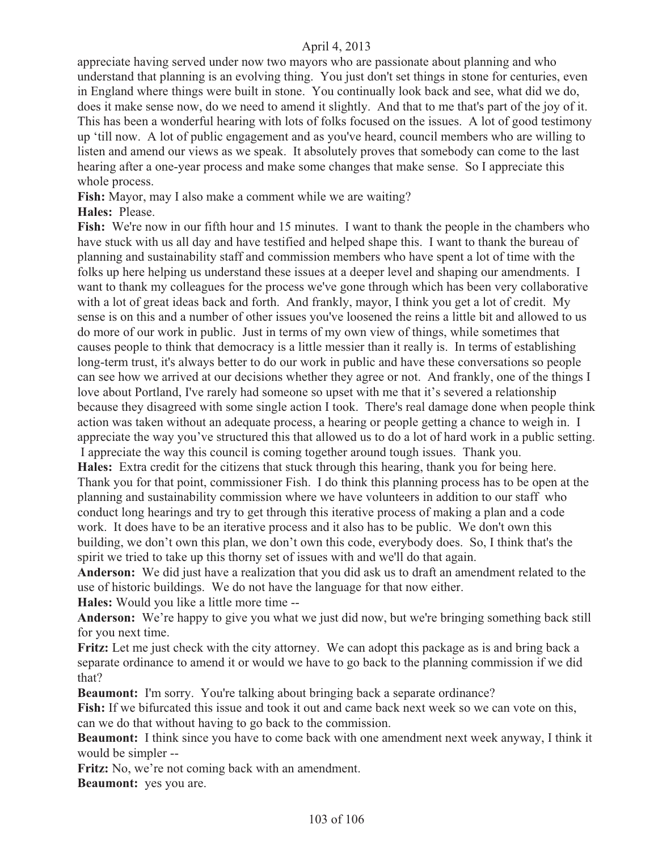appreciate having served under now two mayors who are passionate about planning and who understand that planning is an evolving thing. You just don't set things in stone for centuries, even in England where things were built in stone. You continually look back and see, what did we do, does it make sense now, do we need to amend it slightly. And that to me that's part of the joy of it. This has been a wonderful hearing with lots of folks focused on the issues. A lot of good testimony up 'till now. A lot of public engagement and as you've heard, council members who are willing to listen and amend our views as we speak. It absolutely proves that somebody can come to the last hearing after a one-year process and make some changes that make sense. So I appreciate this whole process.

**Fish:** Mayor, may I also make a comment while we are waiting?

#### **Hales:** Please.

**Fish:** We're now in our fifth hour and 15 minutes. I want to thank the people in the chambers who have stuck with us all day and have testified and helped shape this. I want to thank the bureau of planning and sustainability staff and commission members who have spent a lot of time with the folks up here helping us understand these issues at a deeper level and shaping our amendments. I want to thank my colleagues for the process we've gone through which has been very collaborative with a lot of great ideas back and forth. And frankly, mayor, I think you get a lot of credit. My sense is on this and a number of other issues you've loosened the reins a little bit and allowed to us do more of our work in public. Just in terms of my own view of things, while sometimes that causes people to think that democracy is a little messier than it really is. In terms of establishing long-term trust, it's always better to do our work in public and have these conversations so people can see how we arrived at our decisions whether they agree or not. And frankly, one of the things I love about Portland, I've rarely had someone so upset with me that it's severed a relationship because they disagreed with some single action I took. There's real damage done when people think action was taken without an adequate process, a hearing or people getting a chance to weigh in. I appreciate the way you've structured this that allowed us to do a lot of hard work in a public setting. I appreciate the way this council is coming together around tough issues. Thank you.

**Hales:** Extra credit for the citizens that stuck through this hearing, thank you for being here. Thank you for that point, commissioner Fish. I do think this planning process has to be open at the planning and sustainability commission where we have volunteers in addition to our staff who conduct long hearings and try to get through this iterative process of making a plan and a code work. It does have to be an iterative process and it also has to be public. We don't own this building, we don't own this plan, we don't own this code, everybody does. So, I think that's the spirit we tried to take up this thorny set of issues with and we'll do that again.

**Anderson:** We did just have a realization that you did ask us to draft an amendment related to the use of historic buildings. We do not have the language for that now either.

**Hales:** Would you like a little more time --

**Anderson:** We're happy to give you what we just did now, but we're bringing something back still for you next time.

**Fritz:** Let me just check with the city attorney. We can adopt this package as is and bring back a separate ordinance to amend it or would we have to go back to the planning commission if we did that?

**Beaumont:** I'm sorry. You're talking about bringing back a separate ordinance?

**Fish:** If we bifurcated this issue and took it out and came back next week so we can vote on this, can we do that without having to go back to the commission.

**Beaumont:** I think since you have to come back with one amendment next week anyway, I think it would be simpler --

**Fritz:** No, we're not coming back with an amendment.

**Beaumont:** yes you are.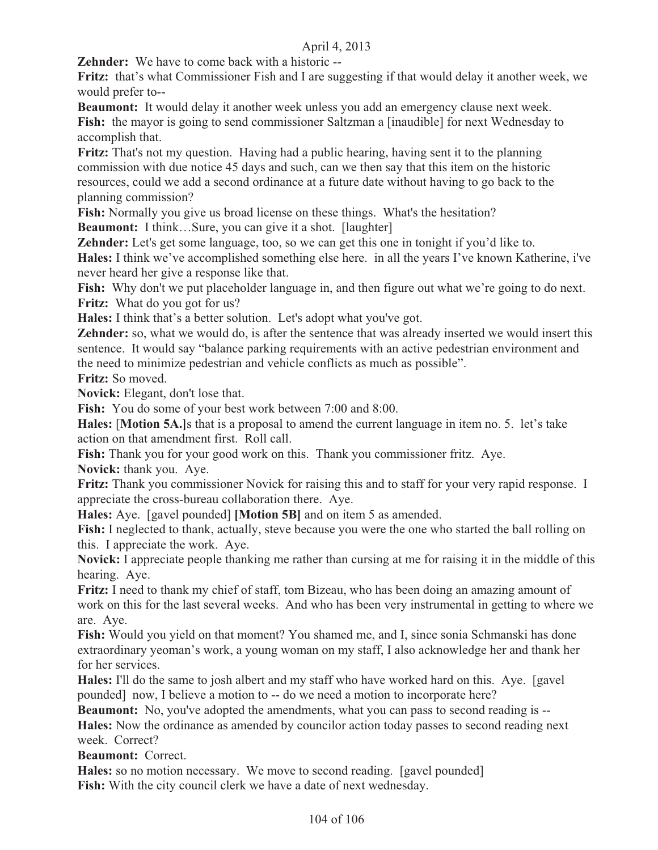**Zehnder:** We have to come back with a historic --

**Fritz:** that's what Commissioner Fish and I are suggesting if that would delay it another week, we would prefer to--

**Beaumont:** It would delay it another week unless you add an emergency clause next week. Fish: the mayor is going to send commissioner Saltzman a [inaudible] for next Wednesday to accomplish that.

**Fritz:** That's not my question. Having had a public hearing, having sent it to the planning commission with due notice 45 days and such, can we then say that this item on the historic resources, could we add a second ordinance at a future date without having to go back to the planning commission?

**Fish:** Normally you give us broad license on these things. What's the hesitation?

**Beaumont:** I think...Sure, you can give it a shot. [laughter]

**Zehnder:** Let's get some language, too, so we can get this one in tonight if you'd like to.

**Hales:** I think we've accomplished something else here. in all the years I've known Katherine, i've never heard her give a response like that.

Fish: Why don't we put placeholder language in, and then figure out what we're going to do next. **Fritz:** What do you got for us?

**Hales:** I think that's a better solution. Let's adopt what you've got.

**Zehnder:** so, what we would do, is after the sentence that was already inserted we would insert this sentence. It would say "balance parking requirements with an active pedestrian environment and the need to minimize pedestrian and vehicle conflicts as much as possible".

**Fritz:** So moved.

**Novick:** Elegant, don't lose that.

**Fish:** You do some of your best work between 7:00 and 8:00.

**Hales:** [**Motion 5A.]**s that is a proposal to amend the current language in item no. 5. let's take action on that amendment first. Roll call.

**Fish:** Thank you for your good work on this. Thank you commissioner fritz. Aye.

**Novick:** thank you. Aye.

**Fritz:** Thank you commissioner Novick for raising this and to staff for your very rapid response. I appreciate the cross-bureau collaboration there. Aye.

**Hales:** Aye. [gavel pounded] **[Motion 5B]** and on item 5 as amended.

**Fish:** I neglected to thank, actually, steve because you were the one who started the ball rolling on this. I appreciate the work. Aye.

**Novick:** I appreciate people thanking me rather than cursing at me for raising it in the middle of this hearing. Aye.

**Fritz:** I need to thank my chief of staff, tom Bizeau, who has been doing an amazing amount of work on this for the last several weeks. And who has been very instrumental in getting to where we are. Aye.

**Fish:** Would you yield on that moment? You shamed me, and I, since sonia Schmanski has done extraordinary yeoman's work, a young woman on my staff, I also acknowledge her and thank her for her services.

**Hales:** I'll do the same to josh albert and my staff who have worked hard on this. Aye. [gavel pounded] now, I believe a motion to -- do we need a motion to incorporate here?

**Beaumont:** No, you've adopted the amendments, what you can pass to second reading is --**Hales:** Now the ordinance as amended by councilor action today passes to second reading next week. Correct?

**Beaumont:** Correct.

Hales: so no motion necessary. We move to second reading. [gavel pounded] **Fish:** With the city council clerk we have a date of next wednesday.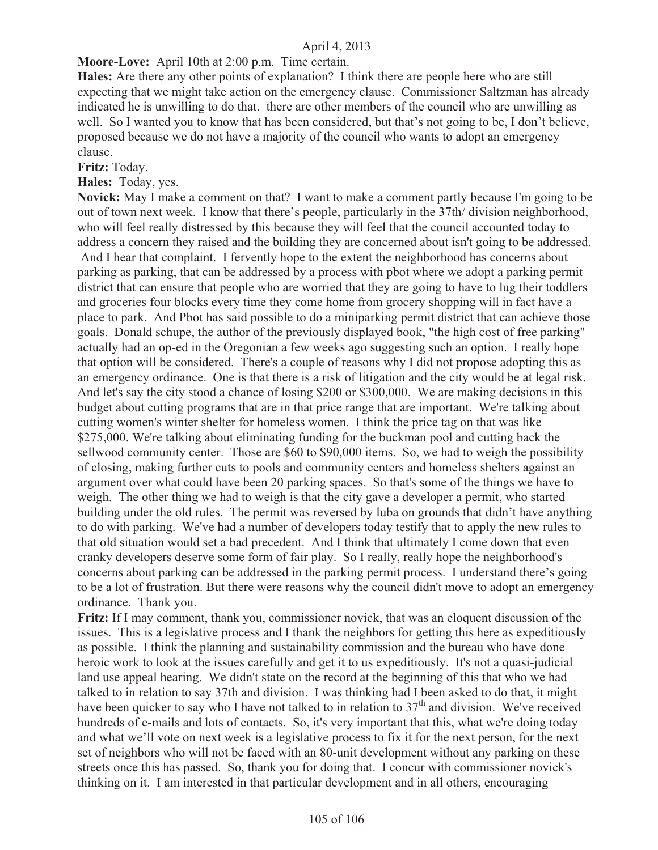### **Moore-Love:** April 10th at 2:00 p.m. Time certain.

**Hales:** Are there any other points of explanation? I think there are people here who are still expecting that we might take action on the emergency clause. Commissioner Saltzman has already indicated he is unwilling to do that. there are other members of the council who are unwilling as well. So I wanted you to know that has been considered, but that's not going to be, I don't believe, proposed because we do not have a majority of the council who wants to adopt an emergency clause.

**Fritz:** Today.

**Hales:** Today, yes.

**Novick:** May I make a comment on that? I want to make a comment partly because I'm going to be out of town next week. I know that there's people, particularly in the 37th/ division neighborhood, who will feel really distressed by this because they will feel that the council accounted today to address a concern they raised and the building they are concerned about isn't going to be addressed. And I hear that complaint. I fervently hope to the extent the neighborhood has concerns about parking as parking, that can be addressed by a process with pbot where we adopt a parking permit district that can ensure that people who are worried that they are going to have to lug their toddlers and groceries four blocks every time they come home from grocery shopping will in fact have a place to park. And Pbot has said possible to do a miniparking permit district that can achieve those goals. Donald schupe, the author of the previously displayed book, "the high cost of free parking" actually had an op-ed in the Oregonian a few weeks ago suggesting such an option. I really hope that option will be considered. There's a couple of reasons why I did not propose adopting this as an emergency ordinance. One is that there is a risk of litigation and the city would be at legal risk. And let's say the city stood a chance of losing \$200 or \$300,000. We are making decisions in this budget about cutting programs that are in that price range that are important. We're talking about cutting women's winter shelter for homeless women. I think the price tag on that was like \$275,000. We're talking about eliminating funding for the buckman pool and cutting back the sellwood community center. Those are \$60 to \$90,000 items. So, we had to weigh the possibility of closing, making further cuts to pools and community centers and homeless shelters against an argument over what could have been 20 parking spaces. So that's some of the things we have to weigh. The other thing we had to weigh is that the city gave a developer a permit, who started building under the old rules. The permit was reversed by luba on grounds that didn't have anything to do with parking. We've had a number of developers today testify that to apply the new rules to that old situation would set a bad precedent. And I think that ultimately I come down that even cranky developers deserve some form of fair play. So I really, really hope the neighborhood's concerns about parking can be addressed in the parking permit process. I understand there's going to be a lot of frustration. But there were reasons why the council didn't move to adopt an emergency ordinance. Thank you.

**Fritz:** If I may comment, thank you, commissioner novick, that was an eloquent discussion of the issues. This is a legislative process and I thank the neighbors for getting this here as expeditiously as possible. I think the planning and sustainability commission and the bureau who have done heroic work to look at the issues carefully and get it to us expeditiously. It's not a quasi-judicial land use appeal hearing. We didn't state on the record at the beginning of this that who we had talked to in relation to say 37th and division. I was thinking had I been asked to do that, it might have been quicker to say who I have not talked to in relation to  $37<sup>th</sup>$  and division. We've received hundreds of e-mails and lots of contacts. So, it's very important that this, what we're doing today and what we'll vote on next week is a legislative process to fix it for the next person, for the next set of neighbors who will not be faced with an 80-unit development without any parking on these streets once this has passed. So, thank you for doing that. I concur with commissioner novick's thinking on it. I am interested in that particular development and in all others, encouraging